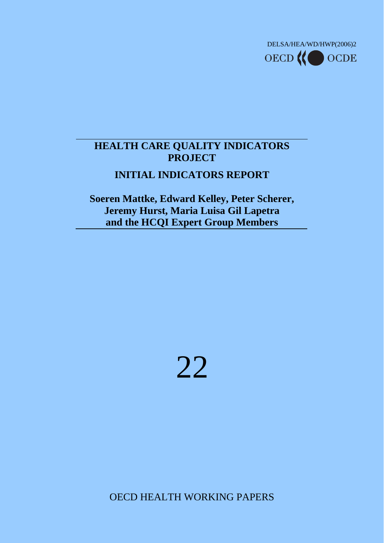

# **HEALTH CARE QUALITY INDICATORS PROJECT**

# **INITIAL INDICATORS REPORT**

**Soeren Mattke, Edward Kelley, Peter Scherer, Jeremy Hurst, Maria Luisa Gil Lapetra and the HCQI Expert Group Members**



OECD HEALTH WORKING PAPERS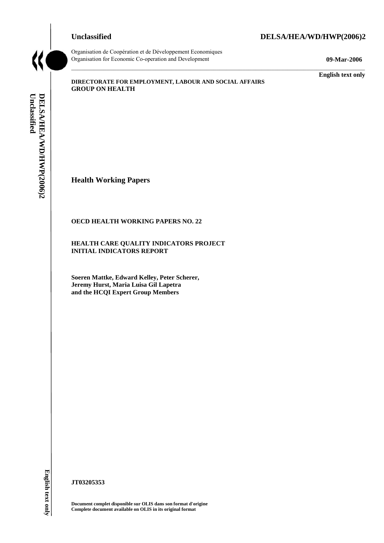# **Unclassified DELSA/HEA/WD/HWP(2006)2**

#### Organisation de Coopération et de Développement Economiques Organisation for Economic Co-operation and Development **09-Mar-2006**

**English text only** 

**DIRECTORATE FOR EMPLOYMENT, LABOUR AND SOCIAL AFFAIRS GROUP ON HEALTH** 

Unclassified DELSA/HEA/WD/HWP(2006)2 **Unclassified DELSA/HEA/WD/HWP(2006)2 English text only** 

**Health Working Papers** 

#### **OECD HEALTH WORKING PAPERS NO. 22**

**HEALTH CARE QUALITY INDICATORS PROJECT INITIAL INDICATORS REPORT** 

**Soeren Mattke, Edward Kelley, Peter Scherer, Jeremy Hurst, Maria Luisa Gil Lapetra and the HCQI Expert Group Members** 

English text only

**JT03205353** 

**Document complet disponible sur OLIS dans son format d'origine Complete document available on OLIS in its original format**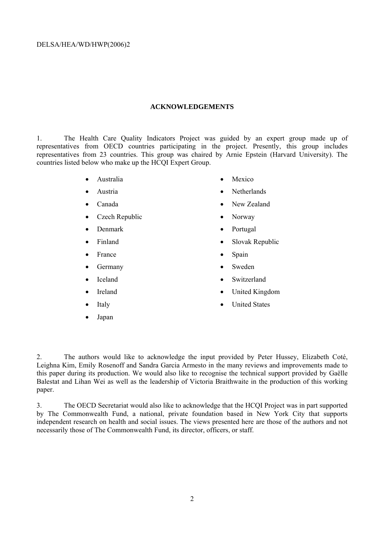#### **ACKNOWLEDGEMENTS**

1. The Health Care Quality Indicators Project was guided by an expert group made up of representatives from OECD countries participating in the project. Presently, this group includes representatives from 23 countries. This group was chaired by Arnie Epstein (Harvard University). The countries listed below who make up the HCQI Expert Group.

- Australia
- Austria
- Canada
- Czech Republic
- Denmark
- Finland
- **France**
- **Germany**
- **Iceland**
- **Ireland**
- Italy
- Japan
- Mexico
- Netherlands
- New Zealand
- Norway
- Portugal
- Slovak Republic
- Spain
- Sweden
- Switzerland
- United Kingdom
- United States

2. The authors would like to acknowledge the input provided by Peter Hussey, Elizabeth Coté, Leighna Kim, Emily Rosenoff and Sandra Garcia Armesto in the many reviews and improvements made to this paper during its production. We would also like to recognise the technical support provided by Gaëlle Balestat and Lihan Wei as well as the leadership of Victoria Braithwaite in the production of this working paper.

3. The OECD Secretariat would also like to acknowledge that the HCQI Project was in part supported by The Commonwealth Fund, a national, private foundation based in New York City that supports independent research on health and social issues. The views presented here are those of the authors and not necessarily those of The Commonwealth Fund, its director, officers, or staff.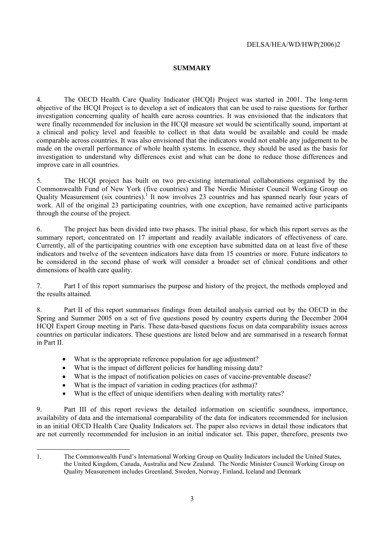### **SUMMARY**

4. The OECD Health Care Quality Indicator (HCQI) Project was started in 2001. The long-term objective of the HCQI Project is to develop a set of indicators that can be used to raise questions for further investigation concerning quality of health care across countries. It was envisioned that the indicators that were finally recommended for inclusion in the HCQI measure set would be scientifically sound, important at a clinical and policy level and feasible to collect in that data would be available and could be made comparable across countries. It was also envisioned that the indicators would not enable any judgement to be made on the overall performance of whole health systems. In essence, they should be used as the basis for investigation to understand why differences exist and what can be done to reduce those differences and improve care in all countries.

5. The HCQI project has built on two pre-existing international collaborations organised by the Commonwealth Fund of New York (five countries) and The Nordic Minister Council Working Group on Quality Measurement (six countries). It now involves 23 countries and has spanned nearly four years of work. All of the original 23 participating countries, with one exception, have remained active participants through the course of the project.

6. The project has been divided into two phases. The initial phase, for which this report serves as the summary report, concentrated on 17 important and readily available indicators of effectiveness of care. Currently, all of the participating countries with one exception have submitted data on at least five of these indicators and twelve of the seventeen indicators have data from 15 countries or more. Future indicators to be considered in the second phase of work will consider a broader set of clinical conditions and other dimensions of health care quality.

7. Part I of this report summarises the purpose and history of the project, the methods employed and the results attained.

8. Part II of this report summarises findings from detailed analysis carried out by the OECD in the Spring and Summer 2005 on a set of five questions posed by country experts during the December 2004 HCQI Expert Group meeting in Paris. These data-based questions focus on data comparability issues across countries on particular indicators. These questions are listed below and are summarised in a research format in Part II.

- What is the appropriate reference population for age adjustment?
- What is the impact of different policies for handling missing data?
- What is the impact of notification policies on cases of vaccine-preventable disease?
- What is the impact of variation in coding practices (for asthma)?

 $\overline{a}$ 

What is the effect of unique identifiers when dealing with mortality rates?

9. Part III of this report reviews the detailed information on scientific soundness, importance, availability of data and the international comparability of the data for indicators recommended for inclusion in an initial OECD Health Care Quality Indicators set. The paper also reviews in detail those indicators that are not currently recommended for inclusion in an initial indicator set. This paper, therefore, presents two

<sup>1.</sup> The Commonwealth Fund's International Working Group on Quality Indicators included the United States, the United Kingdom, Canada, Australia and New Zealand. The Nordic Minister Council Working Group on Quality Measurement includes Greenland, Sweden, Norway, Finland, Iceland and Denmark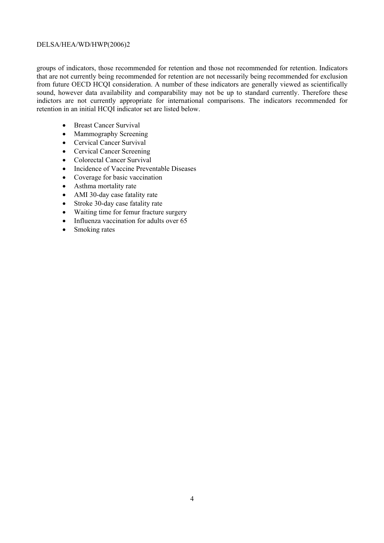groups of indicators, those recommended for retention and those not recommended for retention. Indicators that are not currently being recommended for retention are not necessarily being recommended for exclusion from future OECD HCQI consideration. A number of these indicators are generally viewed as scientifically sound, however data availability and comparability may not be up to standard currently. Therefore these indictors are not currently appropriate for international comparisons. The indicators recommended for retention in an initial HCQI indicator set are listed below.

- Breast Cancer Survival
- Mammography Screening
- Cervical Cancer Survival
- Cervical Cancer Screening
- Colorectal Cancer Survival
- Incidence of Vaccine Preventable Diseases
- Coverage for basic vaccination
- Asthma mortality rate
- AMI 30-day case fatality rate
- Stroke 30-day case fatality rate
- Waiting time for femur fracture surgery
- Influenza vaccination for adults over 65
- Smoking rates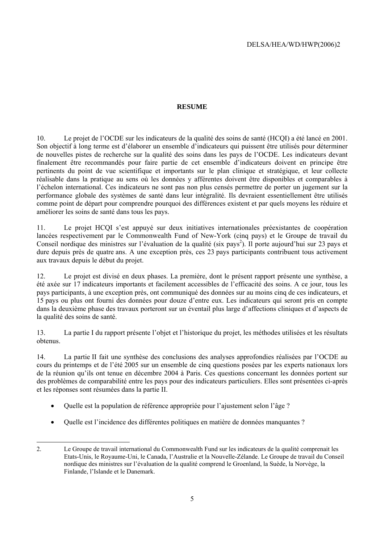# **RESUME**

10. Le projet de l'OCDE sur les indicateurs de la qualité des soins de santé (HCQI) a été lancé en 2001. Son objectif à long terme est d'élaborer un ensemble d'indicateurs qui puissent être utilisés pour déterminer de nouvelles pistes de recherche sur la qualité des soins dans les pays de l'OCDE. Les indicateurs devant finalement être recommandés pour faire partie de cet ensemble d'indicateurs doivent en principe être pertinents du point de vue scientifique et importants sur le plan clinique et stratégique, et leur collecte réalisable dans la pratique au sens où les données y afférentes doivent être disponibles et comparables à l'échelon international. Ces indicateurs ne sont pas non plus censés permettre de porter un jugement sur la performance globale des systèmes de santé dans leur intégralité. Ils devraient essentiellement être utilisés comme point de départ pour comprendre pourquoi des différences existent et par quels moyens les réduire et améliorer les soins de santé dans tous les pays.

11. Le projet HCQI s'est appuyé sur deux initiatives internationales préexistantes de coopération lancées respectivement par le Commonwealth Fund of New-York (cinq pays) et le Groupe de travail du Conseil nordique des ministres sur l'évaluation de la qualité (six pays<sup>2</sup>). Il porte aujourd'hui sur 23 pays et dure depuis près de quatre ans. A une exception près, ces 23 pays participants contribuent tous activement aux travaux depuis le début du projet.

12. Le projet est divisé en deux phases. La première, dont le présent rapport présente une synthèse, a été axée sur 17 indicateurs importants et facilement accessibles de l'efficacité des soins. A ce jour, tous les pays participants, à une exception près, ont communiqué des données sur au moins cinq de ces indicateurs, et 15 pays ou plus ont fourni des données pour douze d'entre eux. Les indicateurs qui seront pris en compte dans la deuxième phase des travaux porteront sur un éventail plus large d'affections cliniques et d'aspects de la qualité des soins de santé.

13. La partie I du rapport présente l'objet et l'historique du projet, les méthodes utilisées et les résultats obtenus.

14. La partie II fait une synthèse des conclusions des analyses approfondies réalisées par l'OCDE au cours du printemps et de l'été 2005 sur un ensemble de cinq questions posées par les experts nationaux lors de la réunion qu'ils ont tenue en décembre 2004 à Paris. Ces questions concernant les données portent sur des problèmes de comparabilité entre les pays pour des indicateurs particuliers. Elles sont présentées ci-après et les réponses sont résumées dans la partie II.

- Quelle est la population de référence appropriée pour l'ajustement selon l'âge ?
- Quelle est l'incidence des différentes politiques en matière de données manquantes ?

l 2. Le Groupe de travail international du Commonwealth Fund sur les indicateurs de la qualité comprenait les Etats-Unis, le Royaume-Uni, le Canada, l'Australie et la Nouvelle-Zélande. Le Groupe de travail du Conseil nordique des ministres sur l'évaluation de la qualité comprend le Groenland, la Suède, la Norvège, la Finlande, l'Islande et le Danemark.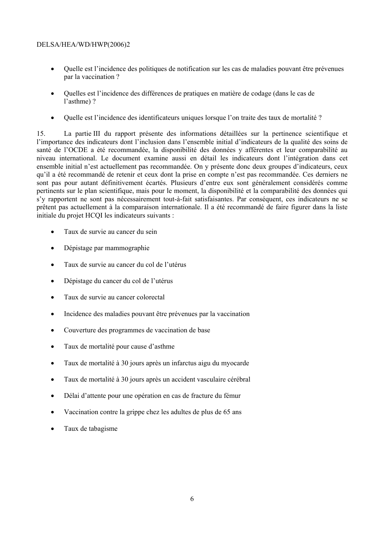- Quelle est l'incidence des politiques de notification sur les cas de maladies pouvant être prévenues par la vaccination ?
- Quelles est l'incidence des différences de pratiques en matière de codage (dans le cas de l'asthme) ?
- Quelle est l'incidence des identificateurs uniques lorsque l'on traite des taux de mortalité ?

15. La partie III du rapport présente des informations détaillées sur la pertinence scientifique et l'importance des indicateurs dont l'inclusion dans l'ensemble initial d'indicateurs de la qualité des soins de santé de l'OCDE a été recommandée, la disponibilité des données y afférentes et leur comparabilité au niveau international. Le document examine aussi en détail les indicateurs dont l'intégration dans cet ensemble initial n'est actuellement pas recommandée. On y présente donc deux groupes d'indicateurs, ceux qu'il a été recommandé de retenir et ceux dont la prise en compte n'est pas recommandée. Ces derniers ne sont pas pour autant définitivement écartés. Plusieurs d'entre eux sont généralement considérés comme pertinents sur le plan scientifique, mais pour le moment, la disponibilité et la comparabilité des données qui s'y rapportent ne sont pas nécessairement tout-à-fait satisfaisantes. Par conséquent, ces indicateurs ne se prêtent pas actuellement à la comparaison internationale. Il a été recommandé de faire figurer dans la liste initiale du projet HCQI les indicateurs suivants :

- Taux de survie au cancer du sein
- Dépistage par mammographie
- Taux de survie au cancer du col de l'utérus
- Dépistage du cancer du col de l'utérus
- Taux de survie au cancer colorectal
- Incidence des maladies pouvant être prévenues par la vaccination
- Couverture des programmes de vaccination de base
- Taux de mortalité pour cause d'asthme
- Taux de mortalité à 30 jours après un infarctus aigu du myocarde
- Taux de mortalité à 30 jours après un accident vasculaire cérébral
- Délai d'attente pour une opération en cas de fracture du fémur
- Vaccination contre la grippe chez les adultes de plus de 65 ans
- Taux de tabagisme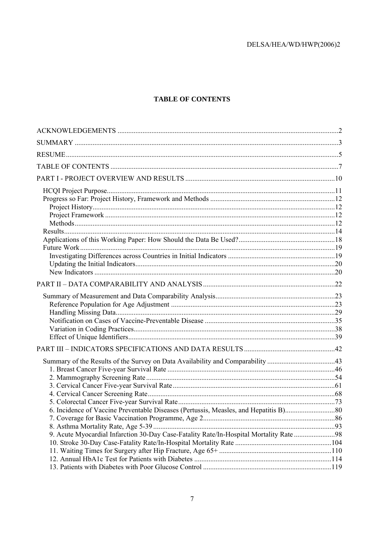# **TABLE OF CONTENTS**

| Summary of the Results of the Survey on Data Availability and Comparability 43         |  |
|----------------------------------------------------------------------------------------|--|
|                                                                                        |  |
|                                                                                        |  |
|                                                                                        |  |
|                                                                                        |  |
|                                                                                        |  |
|                                                                                        |  |
|                                                                                        |  |
| 9. Acute Myocardial Infarction 30-Day Case-Fatality Rate/In-Hospital Mortality Rate 98 |  |
|                                                                                        |  |
|                                                                                        |  |
|                                                                                        |  |
|                                                                                        |  |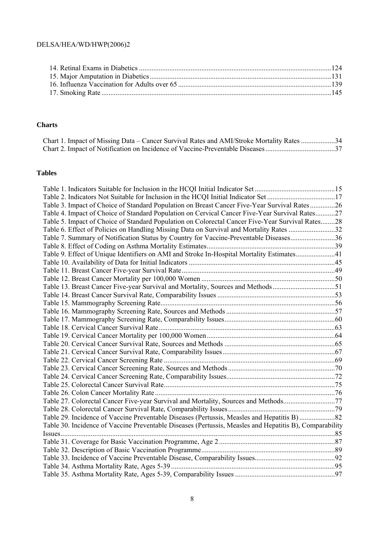# **Charts**

| Chart 1. Impact of Missing Data – Cancer Survival Rates and AMI/Stroke Mortality Rates 34 |  |
|-------------------------------------------------------------------------------------------|--|
|                                                                                           |  |

# **Tables**

| Table 3. Impact of Choice of Standard Population on Breast Cancer Five-Year Survival Rates26            |  |
|---------------------------------------------------------------------------------------------------------|--|
| Table 4. Impact of Choice of Standard Population on Cervical Cancer Five-Year Survival Rates27          |  |
| Table 5. Impact of Choice of Standard Population on Colorectal Cancer Five-Year Survival Rates28        |  |
| Table 6. Effect of Policies on Handling Missing Data on Survival and Mortality Rates 32                 |  |
| Table 7. Summary of Notification Status by Country for Vaccine-Preventable Diseases36                   |  |
|                                                                                                         |  |
| Table 9. Effect of Unique Identifiers on AMI and Stroke In-Hospital Mortality Estimates41               |  |
|                                                                                                         |  |
|                                                                                                         |  |
|                                                                                                         |  |
| Table 13. Breast Cancer Five-year Survival and Mortality, Sources and Methods51                         |  |
|                                                                                                         |  |
|                                                                                                         |  |
|                                                                                                         |  |
|                                                                                                         |  |
|                                                                                                         |  |
|                                                                                                         |  |
|                                                                                                         |  |
|                                                                                                         |  |
|                                                                                                         |  |
|                                                                                                         |  |
|                                                                                                         |  |
|                                                                                                         |  |
|                                                                                                         |  |
| Table 27. Colorectal Cancer Five-year Survival and Mortality, Sources and Methods77                     |  |
|                                                                                                         |  |
|                                                                                                         |  |
| Table 30. Incidence of Vaccine Preventable Diseases (Pertussis, Measles and Hepatitis B), Comparability |  |
|                                                                                                         |  |
|                                                                                                         |  |
|                                                                                                         |  |
|                                                                                                         |  |
|                                                                                                         |  |
|                                                                                                         |  |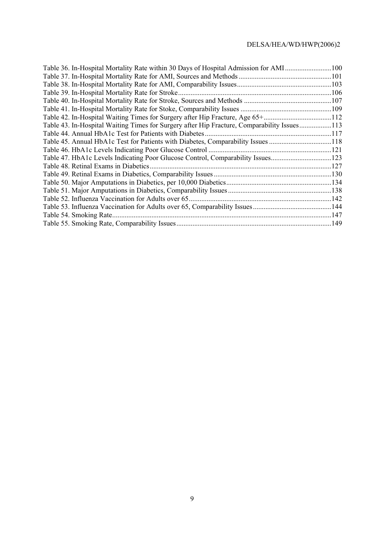| Table 36. In-Hospital Mortality Rate within 30 Days of Hospital Admission for AMI           | .100 |
|---------------------------------------------------------------------------------------------|------|
|                                                                                             |      |
|                                                                                             |      |
| Table 39. In-Hospital Mortality Rate for Stroke                                             |      |
|                                                                                             |      |
|                                                                                             |      |
| Table 42. In-Hospital Waiting Times for Surgery after Hip Fracture, Age 65+112              |      |
| Table 43. In-Hospital Waiting Times for Surgery after Hip Fracture, Comparability Issues113 |      |
|                                                                                             |      |
| Table 45. Annual HbA1c Test for Patients with Diabetes, Comparability Issues 118            |      |
|                                                                                             |      |
| Table 47. HbA1c Levels Indicating Poor Glucose Control, Comparability Issues123             |      |
| Table 48. Retinal Exams in Diabetics.                                                       |      |
|                                                                                             |      |
|                                                                                             |      |
|                                                                                             |      |
|                                                                                             |      |
|                                                                                             |      |
| Table 54. Smoking Rate.                                                                     |      |
|                                                                                             |      |
|                                                                                             |      |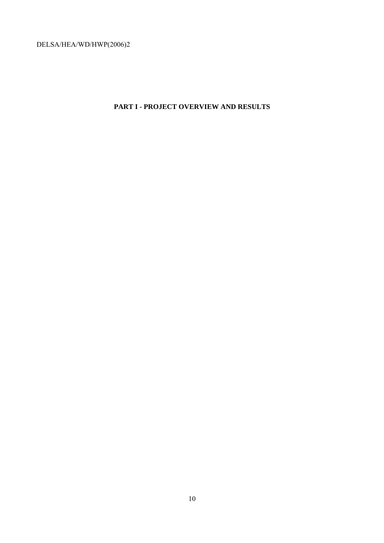# **PART I - PROJECT OVERVIEW AND RESULTS**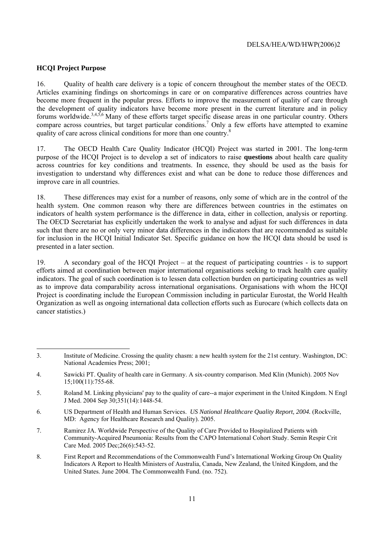#### **HCQI Project Purpose**

16. Quality of health care delivery is a topic of concern throughout the member states of the OECD. Articles examining findings on shortcomings in care or on comparative differences across countries have become more frequent in the popular press. Efforts to improve the measurement of quality of care through the development of quality indicators have become more present in the current literature and in policy forums worldwide.3,4,5,6 Many of these efforts target specific disease areas in one particular country. Others compare across countries, but target particular conditions.<sup>7</sup> Only a few efforts have attempted to examine quality of care across clinical conditions for more than one country.<sup>8</sup>

17. The OECD Health Care Quality Indicator (HCQI) Project was started in 2001. The long-term purpose of the HCQI Project is to develop a set of indicators to raise **questions** about health care quality across countries for key conditions and treatments. In essence, they should be used as the basis for investigation to understand why differences exist and what can be done to reduce those differences and improve care in all countries.

18. These differences may exist for a number of reasons, only some of which are in the control of the health system. One common reason why there are differences between countries in the estimates on indicators of health system performance is the difference in data, either in collection, analysis or reporting. The OECD Secretariat has explicitly undertaken the work to analyse and adjust for such differences in data such that there are no or only very minor data differences in the indicators that are recommended as suitable for inclusion in the HCQI Initial Indicator Set. Specific guidance on how the HCQI data should be used is presented in a later section.

19. A secondary goal of the HCQI Project – at the request of participating countries - is to support efforts aimed at coordination between major international organisations seeking to track health care quality indicators. The goal of such coordination is to lessen data collection burden on participating countries as well as to improve data comparability across international organisations. Organisations with whom the HCQI Project is coordinating include the European Commission including in particular Eurostat, the World Health Organization as well as ongoing international data collection efforts such as Eurocare (which collects data on cancer statistics.)

l 3. Institute of Medicine. Crossing the quality chasm: a new health system for the 21st century. Washington, DC: National Academies Press; 2001;

<sup>4.</sup> Sawicki PT. Quality of health care in Germany. A six-country comparison. Med Klin (Munich). 2005 Nov 15;100(11):755-68.

<sup>5.</sup> Roland M. Linking physicians' pay to the quality of care--a major experiment in the United Kingdom. N Engl J Med. 2004 Sep 30;351(14):1448-54.

<sup>6.</sup> US Department of Health and Human Services. *US National Healthcare Quality Report, 2004.* (Rockville, MD: Agency for Healthcare Research and Quality). 2005.

<sup>7.</sup> Ramirez JA. Worldwide Perspective of the Quality of Care Provided to Hospitalized Patients with Community-Acquired Pneumonia: Results from the CAPO International Cohort Study. Semin Respir Crit Care Med. 2005 Dec;26(6):543-52.

<sup>8.</sup> First Report and Recommendations of the Commonwealth Fund's International Working Group On Quality Indicators A Report to Health Ministers of Australia, Canada, New Zealand, the United Kingdom, and the United States. June 2004. The Commonwealth Fund. (no. 752).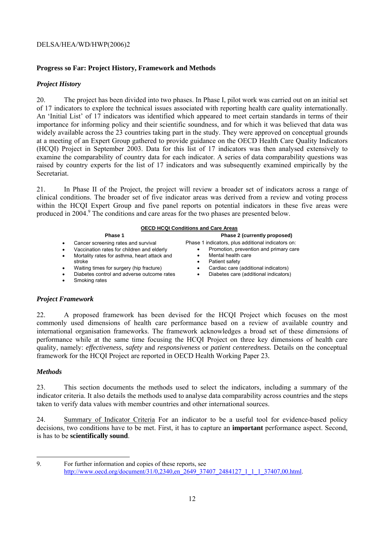# **Progress so Far: Project History, Framework and Methods**

### *Project History*

20. The project has been divided into two phases. In Phase I, pilot work was carried out on an initial set of 17 indicators to explore the technical issues associated with reporting health care quality internationally. An 'Initial List' of 17 indicators was identified which appeared to meet certain standards in terms of their importance for informing policy and their scientific soundness, and for which it was believed that data was widely available across the 23 countries taking part in the study. They were approved on conceptual grounds at a meeting of an Expert Group gathered to provide guidance on the OECD Health Care Quality Indicators (HCQI) Project in September 2003. Data for this list of 17 indicators was then analysed extensively to examine the comparability of country data for each indicator. A series of data comparability questions was raised by country experts for the list of 17 indicators and was subsequently examined empirically by the Secretariat.

21. In Phase II of the Project, the project will review a broader set of indicators across a range of clinical conditions. The broader set of five indicator areas was derived from a review and voting process within the HCQI Expert Group and five panel reports on potential indicators in these five areas were produced in 2004.<sup>9</sup> The conditions and care areas for the two phases are presented below.

### **OECD HCQI Conditions and Care Areas**

| Phase 1                                                                                                                                                                                                                                                               | Phase 2 (currently proposed)                                                                                                                                                                                          |
|-----------------------------------------------------------------------------------------------------------------------------------------------------------------------------------------------------------------------------------------------------------------------|-----------------------------------------------------------------------------------------------------------------------------------------------------------------------------------------------------------------------|
| Cancer screening rates and survival<br>Vaccination rates for children and elderly<br>٠<br>Mortality rates for asthma, heart attack and<br>٠<br>stroke<br>Waiting times for surgery (hip fracture)<br>٠<br>Diabetes control and adverse outcome rates<br>Smoking rates | Phase 1 indicators, plus additional indicators on:<br>Promotion, prevention and primary care<br>Mental health care<br>Patient safety<br>Cardiac care (additional indicators)<br>Diabetes care (additional indicators) |

#### *Project Framework*

22. A proposed framework has been devised for the HCQI Project which focuses on the most commonly used dimensions of health care performance based on a review of available country and international organisation frameworks. The framework acknowledges a broad set of these dimensions of performance while at the same time focusing the HCQI Project on three key dimensions of health care quality, namely: *effectiveness*, *safety* and *responsiveness* or *patient centeredness.* Details on the conceptual framework for the HCQI Project are reported in OECD Health Working Paper 23*.* 

### *Methods*

23. This section documents the methods used to select the indicators, including a summary of the indicator criteria. It also details the methods used to analyse data comparability across countries and the steps taken to verify data values with member countries and other international sources.

24. Summary of Indicator Criteria For an indicator to be a useful tool for evidence-based policy decisions, two conditions have to be met. First, it has to capture an **important** performance aspect. Second, is has to be **scientifically sound**.

l 9. For further information and copies of these reports, see http://www.oecd.org/document/31/0,2340,en\_2649\_37407\_2484127\_1\_1\_1\_37407,00.html.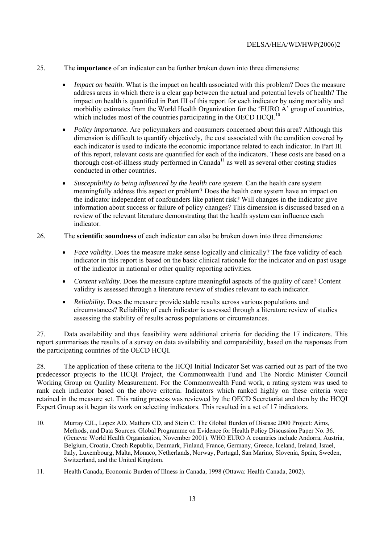- 25. The **importance** of an indicator can be further broken down into three dimensions:
	- *Impact on health*. What is the impact on health associated with this problem? Does the measure address areas in which there is a clear gap between the actual and potential levels of health? The impact on health is quantified in Part III of this report for each indicator by using mortality and morbidity estimates from the World Health Organization for the 'EURO A' group of countries, which includes most of the countries participating in the OECD HCOI.<sup>10</sup>
	- *Policy importance.* Are policymakers and consumers concerned about this area? Although this dimension is difficult to quantify objectively, the cost associated with the condition covered by each indicator is used to indicate the economic importance related to each indicator. In Part III of this report, relevant costs are quantified for each of the indicators. These costs are based on a thorough cost-of-illness study performed in Canada<sup>11</sup> as well as several other costing studies conducted in other countries.
	- *Susceptibility to being influenced by the health care system*. Can the health care system meaningfully address this aspect or problem? Does the health care system have an impact on the indicator independent of confounders like patient risk? Will changes in the indicator give information about success or failure of policy changes? This dimension is discussed based on a review of the relevant literature demonstrating that the health system can influence each indicator.
- 26. The **scientific soundness** of each indicator can also be broken down into three dimensions:
	- *Face validity*. Does the measure make sense logically and clinically? The face validity of each indicator in this report is based on the basic clinical rationale for the indicator and on past usage of the indicator in national or other quality reporting activities.
	- *Content validity*. Does the measure capture meaningful aspects of the quality of care? Content validity is assessed through a literature review of studies relevant to each indicator.
	- *Reliability*. Does the measure provide stable results across various populations and circumstances? Reliability of each indicator is assessed through a literature review of studies assessing the stability of results across populations or circumstances.

27. Data availability and thus feasibility were additional criteria for deciding the 17 indicators. This report summarises the results of a survey on data availability and comparability, based on the responses from the participating countries of the OECD HCQI.

28. The application of these criteria to the HCQI Initial Indicator Set was carried out as part of the two predecessor projects to the HCQI Project, the Commonwealth Fund and The Nordic Minister Council Working Group on Quality Measurement. For the Commonwealth Fund work, a rating system was used to rank each indicator based on the above criteria. Indicators which ranked highly on these criteria were retained in the measure set. This rating process was reviewed by the OECD Secretariat and then by the HCQI Expert Group as it began its work on selecting indicators. This resulted in a set of 17 indicators.

 $\overline{a}$ 10. Murray CJL, Lopez AD, Mathers CD, and Stein C. The Global Burden of Disease 2000 Project: Aims, Methods, and Data Sources. Global Programme on Evidence for Health Policy Discussion Paper No. 36. (Geneva: World Health Organization, November 2001). WHO EURO A countries include Andorra, Austria, Belgium, Croatia, Czech Republic, Denmark, Finland, France, Germany, Greece, Iceland, Ireland, Israel, Italy, Luxembourg, Malta, Monaco, Netherlands, Norway, Portugal, San Marino, Slovenia, Spain, Sweden, Switzerland, and the United Kingdom.

<sup>11.</sup> Health Canada, Economic Burden of Illness in Canada, 1998 (Ottawa: Health Canada, 2002).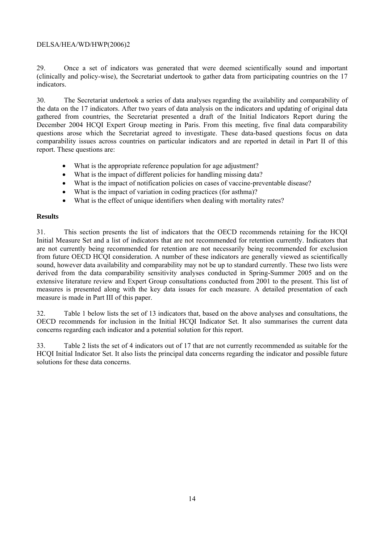29. Once a set of indicators was generated that were deemed scientifically sound and important (clinically and policy-wise), the Secretariat undertook to gather data from participating countries on the 17 indicators.

30. The Secretariat undertook a series of data analyses regarding the availability and comparability of the data on the 17 indicators. After two years of data analysis on the indicators and updating of original data gathered from countries, the Secretariat presented a draft of the Initial Indicators Report during the December 2004 HCQI Expert Group meeting in Paris. From this meeting, five final data comparability questions arose which the Secretariat agreed to investigate. These data-based questions focus on data comparability issues across countries on particular indicators and are reported in detail in Part II of this report. These questions are:

- What is the appropriate reference population for age adjustment?
- What is the impact of different policies for handling missing data?
- What is the impact of notification policies on cases of vaccine-preventable disease?
- What is the impact of variation in coding practices (for asthma)?
- What is the effect of unique identifiers when dealing with mortality rates?

### **Results**

31. This section presents the list of indicators that the OECD recommends retaining for the HCQI Initial Measure Set and a list of indicators that are not recommended for retention currently. Indicators that are not currently being recommended for retention are not necessarily being recommended for exclusion from future OECD HCQI consideration. A number of these indicators are generally viewed as scientifically sound, however data availability and comparability may not be up to standard currently. These two lists were derived from the data comparability sensitivity analyses conducted in Spring-Summer 2005 and on the extensive literature review and Expert Group consultations conducted from 2001 to the present. This list of measures is presented along with the key data issues for each measure. A detailed presentation of each measure is made in Part III of this paper.

32. Table 1 below lists the set of 13 indicators that, based on the above analyses and consultations, the OECD recommends for inclusion in the Initial HCQI Indicator Set. It also summarises the current data concerns regarding each indicator and a potential solution for this report.

33. Table 2 lists the set of 4 indicators out of 17 that are not currently recommended as suitable for the HCQI Initial Indicator Set. It also lists the principal data concerns regarding the indicator and possible future solutions for these data concerns.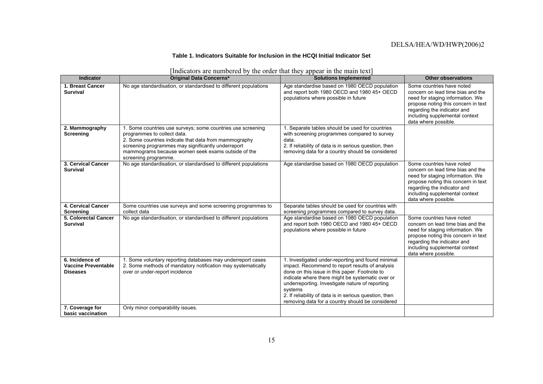#### **Table 1. Indicators Suitable for Inclusion in the HCQI Initial Indicator Set**

| <b>Indicator</b>                                                 | <b>Original Data Concerns*</b>                                                                                                                                                                                                                                                          | <b>Solutions Implemented</b>                                                                                                                                                                                                                                                                                                                                                          | <b>Other observations</b>                                                                                                                                                                                                          |
|------------------------------------------------------------------|-----------------------------------------------------------------------------------------------------------------------------------------------------------------------------------------------------------------------------------------------------------------------------------------|---------------------------------------------------------------------------------------------------------------------------------------------------------------------------------------------------------------------------------------------------------------------------------------------------------------------------------------------------------------------------------------|------------------------------------------------------------------------------------------------------------------------------------------------------------------------------------------------------------------------------------|
| 1. Breast Cancer<br><b>Survival</b>                              | No age standardisation, or standardised to different populations                                                                                                                                                                                                                        | Age standardise based on 1980 OECD population<br>and report both 1980 OECD and 1980 45+ OECD<br>populations where possible in future                                                                                                                                                                                                                                                  | Some countries have noted<br>concern on lead time bias and the<br>need for staging information. We<br>propose noting this concern in text<br>regarding the indicator and<br>including supplemental context<br>data where possible. |
| 2. Mammography<br>Screening                                      | 1. Some countries use surveys; some countries use screening<br>programmes to collect data.<br>2. Some countries indicate that data from mammography<br>screening programmes may significantly underreport<br>mammograms because women seek exams outside of the<br>screening programme. | 1. Separate tables should be used for countries<br>with screening programmes compared to survey<br>data.<br>2. If reliability of data is in serious question, then<br>removing data for a country should be considered                                                                                                                                                                |                                                                                                                                                                                                                                    |
| 3. Cervical Cancer<br><b>Survival</b>                            | No age standardisation, or standardised to different populations                                                                                                                                                                                                                        | Age standardise based on 1980 OECD population                                                                                                                                                                                                                                                                                                                                         | Some countries have noted<br>concern on lead time bias and the<br>need for staging information. We<br>propose noting this concern in text<br>regarding the indicator and<br>including supplemental context<br>data where possible. |
| 4. Cervical Cancer<br><b>Screening</b>                           | Some countries use surveys and some screening programmes to<br>collect data                                                                                                                                                                                                             | Separate tables should be used for countries with<br>screening programmes compared to survey data.                                                                                                                                                                                                                                                                                    |                                                                                                                                                                                                                                    |
| 5. Colorectal Cancer<br><b>Survival</b>                          | No age standardisation, or standardised to different populations                                                                                                                                                                                                                        | Age standardise based on 1980 OECD population<br>and report both 1980 OECD and 1980 45+ OECD<br>populations where possible in future                                                                                                                                                                                                                                                  | Some countries have noted<br>concern on lead time bias and the<br>need for staging information. We<br>propose noting this concern in text<br>regarding the indicator and<br>including supplemental context<br>data where possible. |
| 6. Incidence of<br><b>Vaccine Preventable</b><br><b>Diseases</b> | 1. Some voluntary reporting databases may underreport cases<br>2. Some methods of mandatory notification may systematically<br>over or under-report incidence                                                                                                                           | 1. Investigated under-reporting and found minimal<br>impact. Recommend to report results of analysis<br>done on this issue in this paper. Footnote to<br>indicate where there might be systematic over or<br>underreporting. Investigate nature of reporting<br>systems<br>2. If reliability of data is in serious question, then<br>removing data for a country should be considered |                                                                                                                                                                                                                                    |
| 7. Coverage for<br>basic vaccination                             | Only minor comparability issues.                                                                                                                                                                                                                                                        |                                                                                                                                                                                                                                                                                                                                                                                       |                                                                                                                                                                                                                                    |

[Indicators are numbered by the order that they appear in the main text]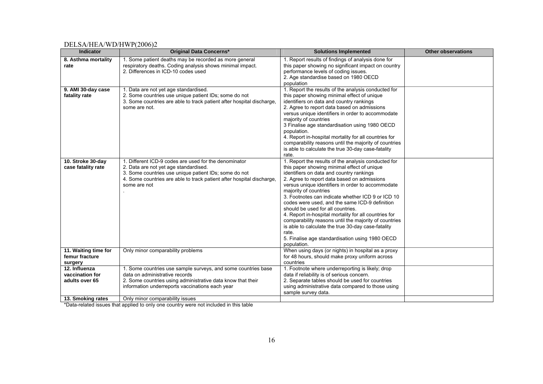| <b>Indicator</b>                                                        | <b>Original Data Concerns*</b>                                                                                                                                                                                                                       | <b>Solutions Implemented</b>                                                                                                                                                                                                                                                                                                                                                                                                                                                                                                                                                                                                                                               | <b>Other observations</b> |
|-------------------------------------------------------------------------|------------------------------------------------------------------------------------------------------------------------------------------------------------------------------------------------------------------------------------------------------|----------------------------------------------------------------------------------------------------------------------------------------------------------------------------------------------------------------------------------------------------------------------------------------------------------------------------------------------------------------------------------------------------------------------------------------------------------------------------------------------------------------------------------------------------------------------------------------------------------------------------------------------------------------------------|---------------------------|
| 8. Asthma mortality<br>rate                                             | 1. Some patient deaths may be recorded as more general<br>respiratory deaths. Coding analysis shows minimal impact.<br>2. Differences in ICD-10 codes used                                                                                           | 1. Report results of findings of analysis done for<br>this paper showing no significant impact on country<br>performance levels of coding issues.<br>2. Age standardise based on 1980 OECD<br>population                                                                                                                                                                                                                                                                                                                                                                                                                                                                   |                           |
| 9. AMI 30-day case<br>fatality rate                                     | 1. Data are not yet age standardised.<br>2. Some countries use unique patient IDs; some do not<br>3. Some countries are able to track patient after hospital discharge,<br>some are not.                                                             | 1. Report the results of the analysis conducted for<br>this paper showing minimal effect of unique<br>identifiers on data and country rankings<br>2. Agree to report data based on admissions<br>versus unique identifiers in order to accommodate<br>majority of countries<br>3 Finalise age standardisation using 1980 OECD<br>population.<br>4. Report in-hospital mortality for all countries for<br>comparability reasons until the majority of countries<br>is able to calculate the true 30-day case-fatality<br>rate.                                                                                                                                              |                           |
| 10. Stroke 30-day<br>case fatality rate                                 | 1. Different ICD-9 codes are used for the denominator<br>2. Data are not yet age standardised.<br>3. Some countries use unique patient IDs; some do not<br>4. Some countries are able to track patient after hospital discharge,<br>some are not     | 1. Report the results of the analysis conducted for<br>this paper showing minimal effect of unique<br>identifiers on data and country rankings<br>2. Agree to report data based on admissions<br>versus unique identifiers in order to accommodate<br>majority of countries<br>3. Footnotes can indicate whether ICD 9 or ICD 10<br>codes were used, and the same ICD-9 definition<br>should be used for all countries.<br>4. Report in-hospital mortality for all countries for<br>comparability reasons until the majority of countries<br>is able to calculate the true 30-day case-fatality<br>rate.<br>5. Finalise age standardisation using 1980 OECD<br>population. |                           |
| 11. Waiting time for<br>femur fracture<br>surgery                       | Only minor comparability problems                                                                                                                                                                                                                    | When using days (or nights) in hospital as a proxy<br>for 48 hours, should make proxy uniform across<br>countries                                                                                                                                                                                                                                                                                                                                                                                                                                                                                                                                                          |                           |
| 12. Influenza<br>vaccination for<br>adults over 65<br>13. Smoking rates | 1. Some countries use sample surveys, and some countries base<br>data on administrative records<br>2. Some countries using administrative data know that their<br>information underreports vaccinations each year<br>Only minor comparability issues | 1. Footnote where underreporting is likely; drop<br>data if reliability is of serious concern.<br>2. Separate tables should be used for countries<br>using administrative data compared to those using<br>sample survey data.                                                                                                                                                                                                                                                                                                                                                                                                                                              |                           |
|                                                                         |                                                                                                                                                                                                                                                      |                                                                                                                                                                                                                                                                                                                                                                                                                                                                                                                                                                                                                                                                            |                           |

\*Data-related issues that applied to only one country were not included in this table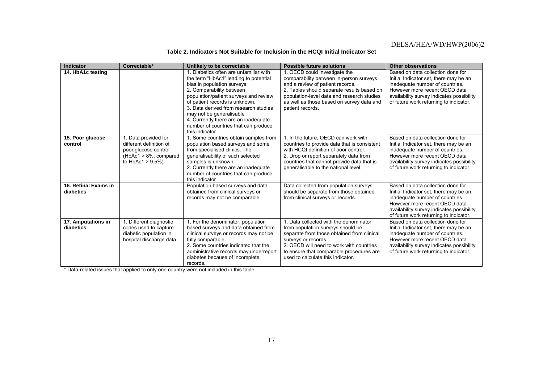| Indicator                       | Correctable*                                    | Unlikely to be correctable                                              | <b>Possible future solutions</b>                                  | <b>Other observations</b>                                        |
|---------------------------------|-------------------------------------------------|-------------------------------------------------------------------------|-------------------------------------------------------------------|------------------------------------------------------------------|
| 14. HbA1c testing               |                                                 | 1. Diabetics often are unfamiliar with                                  | 1. OECD could investigate the                                     | Based on data collection done for                                |
|                                 |                                                 | the term "HbAc1" leading to potential                                   | comparability between in-person surveys                           | Initial Indicator set, there may be an                           |
|                                 |                                                 | bias in population surveys.                                             | and a review of patient records.                                  | inadequate number of countries.                                  |
|                                 |                                                 | 2. Comparability between                                                | 2. Tables should separate results based on                        | However more recent OECD data                                    |
|                                 |                                                 | population/patient surveys and review<br>of patient records is unknown. | population-level data and research studies                        | availability survey indicates possibility                        |
|                                 |                                                 | 3. Data derived from research studies                                   | as well as those based on survey data and<br>patient records.     | of future work returning to indicator.                           |
|                                 |                                                 | may not be generalisable                                                |                                                                   |                                                                  |
|                                 |                                                 | 4. Currently there are an inadequate                                    |                                                                   |                                                                  |
|                                 |                                                 | number of countries that can produce                                    |                                                                   |                                                                  |
|                                 |                                                 | this indicator                                                          |                                                                   |                                                                  |
| 15. Poor glucose                | 1. Data provided for                            | 1. Some countries obtain samples from                                   | 1. In the future, OECD can work with                              | Based on data collection done for                                |
| control                         | different definition of                         | population based surveys and some                                       | countries to provide data that is consistent                      | Initial Indicator set, there may be an                           |
|                                 | poor glucose control                            | from specialised clinics. The                                           | with HCQI definition of poor control.                             | inadequate number of countries.                                  |
|                                 | $(HbAc1 > 8\%,$ compared                        | generalisability of such selected                                       | 2. Drop or report separately data from                            | However more recent OECD data                                    |
|                                 | to HbAc1 $> 9.5\%$ )                            | samples is unknown.                                                     | countries that cannot provide data that is                        | availability survey indicates possibility                        |
|                                 |                                                 | 2. Currently there are an inadequate                                    | generalisable to the national level.                              | of future work returning to indicator.                           |
|                                 |                                                 | number of countries that can produce                                    |                                                                   |                                                                  |
|                                 |                                                 | this indicator                                                          |                                                                   |                                                                  |
| 16. Retinal Exams in            |                                                 | Population based surveys and data                                       | Data collected from population surveys                            | Based on data collection done for                                |
| diabetics                       |                                                 | obtained from clinical surveys or                                       | should be separate from those obtained                            | Initial Indicator set, there may be an                           |
|                                 |                                                 | records may not be comparable.                                          | from clinical surveys or records.                                 | inadequate number of countries.                                  |
|                                 |                                                 |                                                                         |                                                                   | However more recent OECD data                                    |
|                                 |                                                 |                                                                         |                                                                   | availability survey indicates possibility                        |
|                                 |                                                 |                                                                         |                                                                   | of future work returning to indicator.                           |
| 17. Amputations in<br>diabetics | 1. Different diagnostic                         | 1. For the denominator, population                                      | 1. Data collected with the denominator                            | Based on data collection done for                                |
|                                 | codes used to capture<br>diabetic population in | based surveys and data obtained from                                    | from population surveys should be                                 | Initial Indicator set, there may be an                           |
|                                 | hospital discharge data.                        | clinical surveys or records may not be<br>fully comparable.             | separate from those obtained from clinical<br>surveys or records. | inadequate number of countries.<br>However more recent OECD data |
|                                 |                                                 | 2. Some countries indicated that the                                    | 2. OECD will need to work with countries                          | availability survey indicates possibility                        |
|                                 |                                                 | administrative records may underreport                                  | to ensure that comparable procedures are                          | of future work returning to indicator.                           |
|                                 |                                                 | diabetes because of incomplete                                          | used to calculate this indicator.                                 |                                                                  |
|                                 |                                                 | records.                                                                |                                                                   |                                                                  |

#### **Table 2. Indicators Not Suitable for Inclusion in the HCQI Initial Indicator Set**

\* Data-related issues that applied to only one country were not included in this table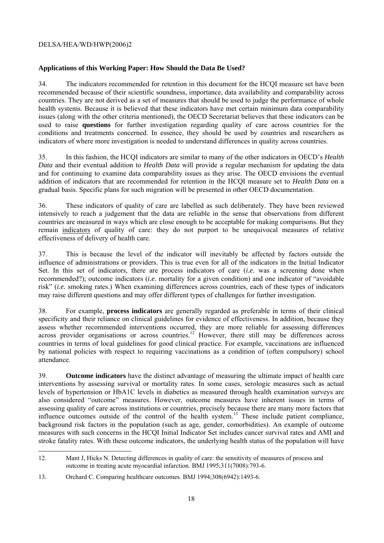### **Applications of this Working Paper: How Should the Data Be Used?**

34. The indicators recommended for retention in this document for the HCQI measure set have been recommended because of their scientific soundness, importance, data availability and comparability across countries. They are not derived as a set of measures that should be used to judge the performance of whole health systems. Because it is believed that these indicators have met certain minimum data comparability issues (along with the other criteria mentioned), the OECD Secretariat believes that these indicators can be used to raise **questions** for further investigation regarding quality of care across countries for the conditions and treatments concerned. In essence, they should be used by countries and researchers as indicators of where more investigation is needed to understand differences in quality across countries.

35. In this fashion, the HCQI indicators are similar to many of the other indicators in OECD's *Health Data* and their eventual addition to *Health Data* will provide a regular mechanism for updating the data and for continuing to examine data comparability issues as they arise. The OECD envisions the eventual addition of indicators that are recommended for retention in the HCQI measure set to *Health Data* on a gradual basis. Specific plans for such migration will be presented in other OECD documentation.

36. These indicators of quality of care are labelled as such deliberately. They have been reviewed intensively to reach a judgement that the data are reliable in the sense that observations from different countries are measured in ways which are close enough to be acceptable for making comparisons. But they remain indicators of quality of care: they do not purport to be unequivocal measures of relative effectiveness of delivery of health care.

37. This is because the level of the indicator will inevitably be affected by factors outside the influence of administrations or providers. This is true even for all of the indicators in the Initial Indicator Set. In this set of indicators, there are process indicators of care (*i.e.* was a screening done when recommended?); outcome indicators (*i.e.* mortality for a given condition) and one indicator of "avoidable risk" (*i.e.* smoking rates.) When examining differences across countries, each of these types of indicators may raise different questions and may offer different types of challenges for further investigation.

38. For example, **process indicators** are generally regarded as preferable in terms of their clinical specificity and their reliance on clinical guidelines for evidence of effectiveness. In addition, because they assess whether recommended interventions occurred, they are more reliable for assessing differences across provider organisations or across countries.<sup>12</sup> However, there still may be differences across countries in terms of local guidelines for good clinical practice. For example, vaccinations are influenced by national policies with respect to requiring vaccinations as a condition of (often compulsory) school attendance.

39. **Outcome indicators** have the distinct advantage of measuring the ultimate impact of health care interventions by assessing survival or mortality rates. In some cases, serologic measures such as actual levels of hypertension or HbA1C levels in diabetics as measured through health examination surveys are also considered "outcome" measures. However, outcome measures have inherent issues in terms of assessing quality of care across institutions or countries, precisely because there are many more factors that influence outcomes outside of the control of the health system.<sup>13</sup> These include patient compliance, background risk factors in the population (such as age, gender, comorbidities). An example of outcome measures with such concerns in the HCQI Initial Indicator Set includes cancer survival rates and AMI and stroke fatality rates. With these outcome indicators, the underlying health status of the population will have

<sup>12.</sup> Mant J, Hicks N. Detecting differences in quality of care: the sensitivity of measures of process and outcome in treating acute myocardial infarction. BMJ 1995;311(7008):793-6.

<sup>13.</sup> Orchard C. Comparing healthcare outcomes. BMJ 1994;308(6942):1493-6.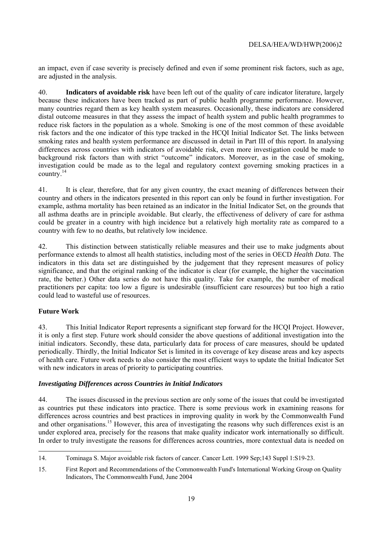an impact, even if case severity is precisely defined and even if some prominent risk factors, such as age, are adjusted in the analysis.

40. **Indicators of avoidable risk** have been left out of the quality of care indicator literature, largely because these indicators have been tracked as part of public health programme performance. However, many countries regard them as key health system measures. Occasionally, these indicators are considered distal outcome measures in that they assess the impact of health system and public health programmes to reduce risk factors in the population as a whole. Smoking is one of the most common of these avoidable risk factors and the one indicator of this type tracked in the HCQI Initial Indicator Set. The links between smoking rates and health system performance are discussed in detail in Part III of this report. In analysing differences across countries with indicators of avoidable risk, even more investigation could be made to background risk factors than with strict "outcome" indicators. Moreover, as in the case of smoking, investigation could be made as to the legal and regulatory context governing smoking practices in a country.14

41. It is clear, therefore, that for any given country, the exact meaning of differences between their country and others in the indicators presented in this report can only be found in further investigation. For example, asthma mortality has been retained as an indicator in the Initial Indicator Set, on the grounds that all asthma deaths are in principle avoidable. But clearly, the effectiveness of delivery of care for asthma could be greater in a country with high incidence but a relatively high mortality rate as compared to a country with few to no deaths, but relatively low incidence.

42. This distinction between statistically reliable measures and their use to make judgments about performance extends to almost all health statistics, including most of the series in OECD *Health Data*. The indicators in this data set are distinguished by the judgement that they represent measures of policy significance, and that the original ranking of the indicator is clear (for example, the higher the vaccination rate, the better.) Other data series do not have this quality. Take for example, the number of medical practitioners per capita: too low a figure is undesirable (insufficient care resources) but too high a ratio could lead to wasteful use of resources.

## **Future Work**

43. This Initial Indicator Report represents a significant step forward for the HCQI Project. However, it is only a first step. Future work should consider the above questions of additional investigation into the initial indicators. Secondly, these data, particularly data for process of care measures, should be updated periodically. Thirdly, the Initial Indicator Set is limited in its coverage of key disease areas and key aspects of health care. Future work needs to also consider the most efficient ways to update the Initial Indicator Set with new indicators in areas of priority to participating countries.

## *Investigating Differences across Countries in Initial Indicators*

44. The issues discussed in the previous section are only some of the issues that could be investigated as countries put these indicators into practice. There is some previous work in examining reasons for differences across countries and best practices in improving quality in work by the Commonwealth Fund and other organisations.<sup>15</sup> However, this area of investigating the reasons why such differences exist is an under explored area, precisely for the reasons that make quality indicator work internationally so difficult. In order to truly investigate the reasons for differences across countries, more contextual data is needed on

 14. Tominaga S. Major avoidable risk factors of cancer. Cancer Lett. 1999 Sep;143 Suppl 1:S19-23.

<sup>15.</sup> First Report and Recommendations of the Commonwealth Fund's International Working Group on Quality Indicators, The Commonwealth Fund, June 2004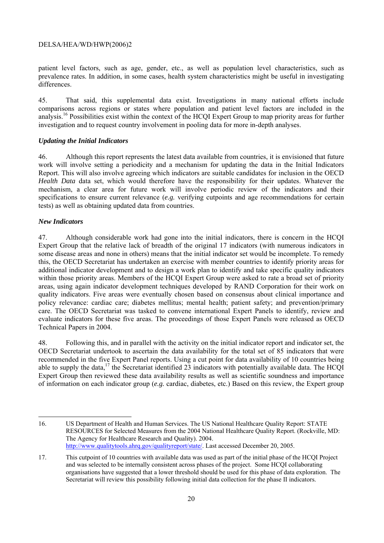patient level factors, such as age, gender, etc., as well as population level characteristics, such as prevalence rates. In addition, in some cases, health system characteristics might be useful in investigating differences.

45. That said, this supplemental data exist. Investigations in many national efforts include comparisons across regions or states where population and patient level factors are included in the analysis.16 Possibilities exist within the context of the HCQI Expert Group to map priority areas for further investigation and to request country involvement in pooling data for more in-depth analyses.

#### *Updating the Initial Indicators*

46. Although this report represents the latest data available from countries, it is envisioned that future work will involve setting a periodicity and a mechanism for updating the data in the Initial Indicators Report. This will also involve agreeing which indicators are suitable candidates for inclusion in the OECD *Health Data* data set, which would therefore have the responsibility for their updates. Whatever the mechanism, a clear area for future work will involve periodic review of the indicators and their specifications to ensure current relevance (*e.g.* verifying cutpoints and age recommendations for certain tests) as well as obtaining updated data from countries.

#### *New Indicators*

 $\overline{a}$ 

47. Although considerable work had gone into the initial indicators, there is concern in the HCQI Expert Group that the relative lack of breadth of the original 17 indicators (with numerous indicators in some disease areas and none in others) means that the initial indicator set would be incomplete. To remedy this, the OECD Secretariat has undertaken an exercise with member countries to identify priority areas for additional indicator development and to design a work plan to identify and take specific quality indicators within those priority areas. Members of the HCQI Expert Group were asked to rate a broad set of priority areas, using again indicator development techniques developed by RAND Corporation for their work on quality indicators. Five areas were eventually chosen based on consensus about clinical importance and policy relevance: cardiac care; diabetes mellitus; mental health; patient safety; and prevention/primary care. The OECD Secretariat was tasked to convene international Expert Panels to identify, review and evaluate indicators for these five areas. The proceedings of those Expert Panels were released as OECD Technical Papers in 2004.

48. Following this, and in parallel with the activity on the initial indicator report and indicator set, the OECD Secretariat undertook to ascertain the data availability for the total set of 85 indicators that were recommended in the five Expert Panel reports. Using a cut point for data availability of 10 countries being able to supply the data,<sup>17</sup> the Secretariat identified 23 indicators with potentially available data. The HCOI Expert Group then reviewed these data availability results as well as scientific soundness and importance of information on each indicator group (*e.g.* cardiac, diabetes, etc.) Based on this review, the Expert group

<sup>16.</sup> US Department of Health and Human Services. The US National Healthcare Quality Report: STATE RESOURCES for Selected Measures from the 2004 National Healthcare Quality Report. (Rockville, MD: The Agency for Healthcare Research and Quality). 2004. http://www.qualitytools.ahrq.gov/qualityreport/state/. Last accessed December 20, 2005.

<sup>17.</sup> This cutpoint of 10 countries with available data was used as part of the initial phase of the HCQI Project and was selected to be internally consistent across phases of the project. Some HCQI collaborating organisations have suggested that a lower threshold should be used for this phase of data exploration. The Secretariat will review this possibility following initial data collection for the phase II indicators.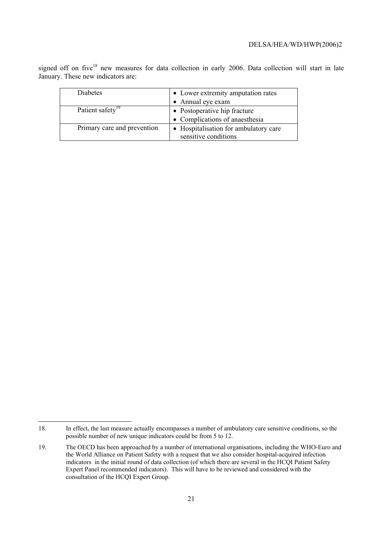signed off on five<sup>18</sup> new measures for data collection in early 2006. Data collection will start in late January. These new indicators are:

| <b>Diabetes</b>              | • Lower extremity amputation rates                            |
|------------------------------|---------------------------------------------------------------|
|                              | • Annual eye exam                                             |
| Patient safety <sup>19</sup> | • Postoperative hip fracture                                  |
|                              | • Complications of anaesthesia                                |
| Primary care and prevention  | • Hospitalisation for ambulatory care<br>sensitive conditions |

 $\overline{a}$ 

<sup>18.</sup> In effect, the last measure actually encompasses a number of ambulatory care sensitive conditions, so the possible number of new unique indicators could be from 5 to 12.

<sup>19.</sup> The OECD has been approached by a number of international organisations, including the WHO-Euro and the World Alliance on Patient Safety with a request that we also consider hospital-acquired infection indicators in the initial round of data collection (of which there are several in the HCQI Patient Safety Expert Panel recommended indicators). This will have to be reviewed and considered with the consultation of the HCQI Expert Group.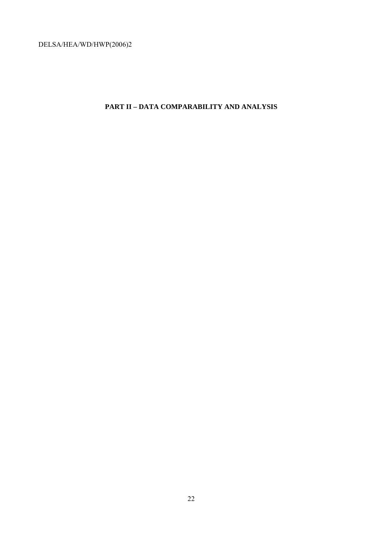# **PART II – DATA COMPARABILITY AND ANALYSIS**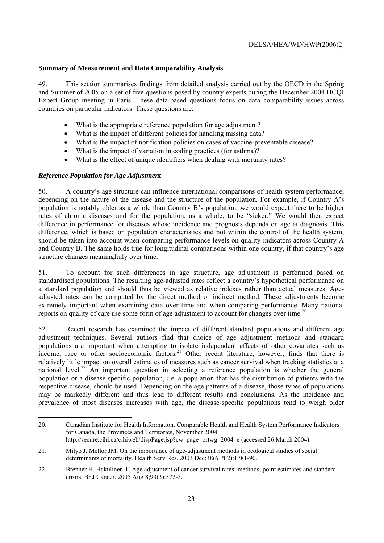#### **Summary of Measurement and Data Comparability Analysis**

49. This section summarises findings from detailed analysis carried out by the OECD in the Spring and Summer of 2005 on a set of five questions posed by country experts during the December 2004 HCQI Expert Group meeting in Paris. These data-based questions focus on data comparability issues across countries on particular indicators. These questions are:

- What is the appropriate reference population for age adjustment?
- What is the impact of different policies for handling missing data?
- What is the impact of notification policies on cases of vaccine-preventable disease?
- What is the impact of variation in coding practices (for asthma)?
- What is the effect of unique identifiers when dealing with mortality rates?

#### *Reference Population for Age Adjustment*

 $\overline{a}$ 

50. A country's age structure can influence international comparisons of health system performance, depending on the nature of the disease and the structure of the population. For example, if Country A's population is notably older as a whole than Country B's population, we would expect there to be higher rates of chronic diseases and for the population, as a whole, to be "sicker." We would then expect difference in performance for diseases whose incidence and prognosis depends on age at diagnosis. This difference, which is based on population characteristics and not within the control of the health system, should be taken into account when comparing performance levels on quality indicators across Country A and Country B. The same holds true for longitudinal comparisons within one country, if that country's age structure changes meaningfully over time.

51. To account for such differences in age structure, age adjustment is performed based on standardised populations. The resulting age-adjusted rates reflect a country's hypothetical performance on a standard population and should thus be viewed as relative indexes rather than actual measures. Ageadjusted rates can be computed by the direct method or indirect method. These adjustments become extremely important when examining data over time and when comparing performance. Many national reports on quality of care use some form of age adjustment to account for changes over time.<sup>20</sup>

52. Recent research has examined the impact of different standard populations and different age adjustment techniques. Several authors find that choice of age adjustment methods and standard populations are important when attempting to isolate independent effects of other covariates such as income, race or other socioeconomic factors.<sup>21</sup> Other recent literature, however, finds that there is relatively little impact on overall estimates of measures such as cancer survival when tracking statistics at a national level.<sup>22</sup> An important question in selecting a reference population is whether the general population or a disease-specific population, *i.e.* a population that has the distribution of patients with the respective disease, should be used. Depending on the age patterns of a disease, those types of populations may be markedly different and thus lead to different results and conclusions. As the incidence and prevalence of most diseases increases with age, the disease-specific populations tend to weigh older

<sup>20.</sup> Canadian Institute for Health Information. Comparable Health and Health System Performance Indicators for Canada, the Provinces and Territories, November 2004. http://secure.cihi.ca/cihiweb/dispPage.jsp?cw\_page=prtwg\_2004\_e (accessed 26 March 2004).

<sup>21.</sup> Milyo J, Mellor JM. On the importance of age-adjustment methods in ecological studies of social determinants of mortality. Health Serv Res. 2003 Dec;38(6 Pt 2):1781-90.

<sup>22.</sup> Brenner H, Hakulinen T. Age adjustment of cancer survival rates: methods, point estimates and standard errors. Br J Cancer. 2005 Aug 8;93(3):372-5.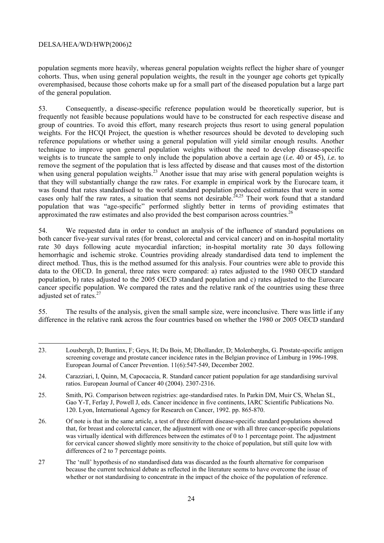$\overline{a}$ 

population segments more heavily, whereas general population weights reflect the higher share of younger cohorts. Thus, when using general population weights, the result in the younger age cohorts get typically overemphasised, because those cohorts make up for a small part of the diseased population but a large part of the general population.

53. Consequently, a disease-specific reference population would be theoretically superior, but is frequently not feasible because populations would have to be constructed for each respective disease and group of countries. To avoid this effort, many research projects thus resort to using general population weights. For the HCQI Project, the question is whether resources should be devoted to developing such reference populations or whether using a general population will yield similar enough results. Another technique to improve upon general population weights without the need to develop disease-specific weights is to truncate the sample to only include the population above a certain age (*i.e.* 40 or 45), *i.e.* to remove the segment of the population that is less affected by disease and that causes most of the distortion when using general population weights.<sup>23</sup> Another issue that may arise with general population weights is that they will substantially change the raw rates. For example in empirical work by the Eurocare team, it was found that rates standardised to the world standard population produced estimates that were in some cases only half the raw rates, a situation that seems not desirable.<sup> $24,25$ </sup> Their work found that a standard population that was "age-specific" performed slightly better in terms of providing estimates that approximated the raw estimates and also provided the best comparison across countries.<sup>26</sup>

54. We requested data in order to conduct an analysis of the influence of standard populations on both cancer five-year survival rates (for breast, colorectal and cervical cancer) and on in-hospital mortality rate 30 days following acute myocardial infarction; in-hospital mortality rate 30 days following hemorrhagic and ischemic stroke. Countries providing already standardised data tend to implement the direct method. Thus, this is the method assumed for this analysis. Four countries were able to provide this data to the OECD. In general, three rates were compared: a) rates adjusted to the 1980 OECD standard population, b) rates adjusted to the 2005 OECD standard population and c) rates adjusted to the Eurocare cancer specific population. We compared the rates and the relative rank of the countries using these three adjusted set of rates. $27$ 

55. The results of the analysis, given the small sample size, were inconclusive. There was little if any difference in the relative rank across the four countries based on whether the 1980 or 2005 OECD standard

<sup>23.</sup> Lousbergh, D; Buntinx, F; Geys, H; Du Bois, M; Dhollander, D; Molenberghs, G. Prostate-specific antigen screening coverage and prostate cancer incidence rates in the Belgian province of Limburg in 1996-1998. European Journal of Cancer Prevention. 11(6):547-549, December 2002.

<sup>24.</sup> Carazziari, I, Quinn, M, Capocaccia, R. Standard cancer patient population for age standardising survival ratios. European Journal of Cancer 40 (2004). 2307-2316.

<sup>25.</sup> Smith, PG. Comparison between registries: age-standardised rates. In Parkin DM, Muir CS, Whelan SL, Gao Y-T, Ferlay J, Powell J, eds. Cancer incidence in five continents, IARC Scientific Publications No. 120. Lyon, International Agency for Research on Cancer, 1992. pp. 865-870.

<sup>26.</sup> Of note is that in the same article, a test of three different disease-specific standard populations showed that, for breast and colorectal cancer, the adjustment with one or with all three cancer-specific populations was virtually identical with differences between the estimates of 0 to 1 percentage point. The adjustment for cervical cancer showed slightly more sensitivity to the choice of population, but still quite low with differences of 2 to 7 percentage points.

<sup>27</sup> The 'null' hypothesis of no standardised data was discarded as the fourth alternative for comparison because the current technical debate as reflected in the literature seems to have overcome the issue of whether or not standardising to concentrate in the impact of the choice of the population of reference.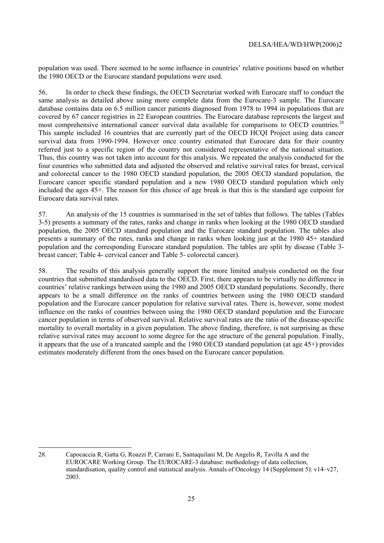population was used. There seemed to be some influence in countries' relative positions based on whether the 1980 OECD or the Eurocare standard populations were used.

56. In order to check these findings, the OECD Secretariat worked with Eurocare staff to conduct the same analysis as detailed above using more complete data from the Eurocare-3 sample. The Eurocare database contains data on 6.5 million cancer patients diagnosed from 1978 to 1994 in populations that are covered by 67 cancer registries in 22 European countries. The Eurocare database represents the largest and most comprehensive international cancer survival data available for comparisons to OECD countries.<sup>28</sup> This sample included 16 countries that are currently part of the OECD HCQI Project using data cancer survival data from 1990-1994. However once country estimated that Eurocare data for their country referred just to a specific region of the country not considered representative of the national situation. Thus, this country was not taken into account for this analysis. We repeated the analysis conducted for the four countries who submitted data and adjusted the observed and relative survival rates for breast, cervical and colorectal cancer to the 1980 OECD standard population, the 2005 OECD standard population, the Eurocare cancer specific standard population and a new 1980 OECD standard population which only included the ages 45+. The reason for this choice of age break is that this is the standard age cutpoint for Eurocare data survival rates.

57. An analysis of the 15 countries is summarised in the set of tables that follows. The tables (Tables 3-5) presents a summary of the rates, ranks and change in ranks when looking at the 1980 OECD standard population, the 2005 OECD standard population and the Eurocare standard population. The tables also presents a summary of the rates, ranks and change in ranks when looking just at the 1980 45+ standard population and the corresponding Eurocare standard population. The tables are split by disease (Table 3 breast cancer; Table 4- cervical cancer and Table 5- colorectal cancer).

58. The results of this analysis generally support the more limited analysis conducted on the four countries that submitted standardised data to the OECD. First, there appears to be virtually no difference in countries' relative rankings between using the 1980 and 2005 OECD standard populations. Secondly, there appears to be a small difference on the ranks of countries between using the 1980 OECD standard population and the Eurocare cancer population for relative survival rates. There is, however, some modest influence on the ranks of countries between using the 1980 OECD standard population and the Eurocare cancer population in terms of observed survival. Relative survival rates are the ratio of the disease-specific mortality to overall mortality in a given population. The above finding, therefore, is not surprising as these relative survival rates may account to some degree for the age structure of the general population. Finally, it appears that the use of a truncated sample and the 1980 OECD standard population (at age 45+) provides estimates moderately different from the ones based on the Eurocare cancer population.

 $\overline{a}$ 

<sup>28.</sup> Capocaccia R, Gatta G, Roazzi P, Carrani E, Santaquilani M, De Angelis R, Tavilla A and the EUROCARE Working Group. The EUROCARE-3 database: methodology of data collection, standardisation, quality control and statistical analysis. Annals of Oncology 14 (Supplement 5): v14–v27, 2003.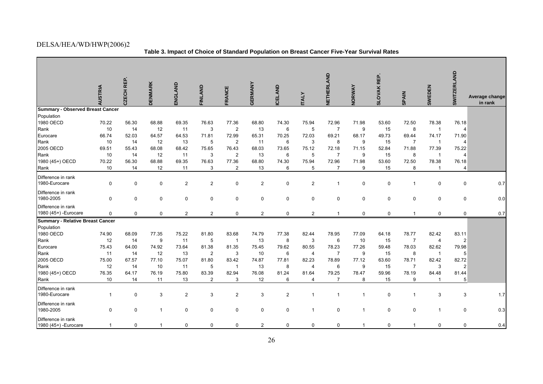**Table 3. Impact of Choice of Standard Population on Breast Cancer Five-Year Survival Rates** 

|                                             | <b>AUSTRIA</b> | REP.<br>CZECH | <b>DENMARK</b> | ENGLAND        | <b>FINLAND</b> | FRANCE         | <b>GERMANY</b> | <b>CELAND</b>  | <b>ITALY</b>   | NETHERLAND     | NORWAY       | <b>SLOVAK REP.</b> | <b>SPAIN</b>   | <b>SWEDEN</b>  | <b>SWITZERLAND</b> | Average change |
|---------------------------------------------|----------------|---------------|----------------|----------------|----------------|----------------|----------------|----------------|----------------|----------------|--------------|--------------------|----------------|----------------|--------------------|----------------|
|                                             |                |               |                |                |                |                |                |                |                |                |              |                    |                |                |                    | in rank        |
| Summary - Observed Breast Cancer            |                |               |                |                |                |                |                |                |                |                |              |                    |                |                |                    |                |
| Population                                  |                |               |                |                |                |                |                |                |                |                |              |                    |                |                |                    |                |
| 1980 OECD                                   | 70.22          | 56.30         | 68.88          | 69.35          | 76.63          | 77.36          | 68.80          | 74.30          | 75.94          | 72.96          | 71.98        | 53.60              | 72.50          | 78.38          | 76.18              |                |
| Rank                                        | 10             | 14            | 12             | 11             | 3              | $\overline{2}$ | 13             | 6              | 5              | $\overline{7}$ | 9            | 15                 | 8              | $\overline{1}$ | $\overline{4}$     |                |
| Eurocare                                    | 66.74          | 52.03         | 64.57          | 64.53          | 71.81          | 72.99          | 65.31          | 70.25          | 72.03          | 69.21          | 68.17        | 49.73              | 69.44          | 74.17          | 71.90              |                |
| Rank                                        | 10             | 14            | 12             | 13             | 5              | $\overline{2}$ | 11             | 6              | 3              | 8              | 9            | 15                 | $\overline{7}$ | $\overline{1}$ | $\overline{4}$     |                |
| 2005 OECD                                   | 69.51          | 55.43         | 68.08          | 68.42          | 75.65          | 76.43          | 68.03          | 73.65          | 75.12          | 72.18          | 71.15        | 52.84              | 71.88          | 77.39          | 75.22              |                |
| Rank                                        | 10             | 14            | 12             | 11             | 3              | 2              | 13             | 6              | 5              | $\overline{7}$ | 9            | 15                 | 8              | $\mathbf{1}$   | $\overline{4}$     |                |
| 1980 (45+) OECD                             | 70.22          | 56.30         | 68.88          | 69.35          | 76.63          | 77.36          | 68.80          | 74.30          | 75.94          | 72.96          | 71.98        | 53.60              | 72.50          | 78.38          | 76.18              |                |
| Rank                                        | 10             | 14            | 12             | 11             | 3              | $\overline{2}$ | 13             | 6              | 5              | $\overline{7}$ | 9            | 15                 | 8              | $\overline{1}$ | $\overline{4}$     |                |
| Difference in rank<br>1980-Eurocare         | 0              | 0             | 0              | $\overline{c}$ | $\overline{2}$ | 0              | $\overline{c}$ | 0              | $\overline{2}$ | $\mathbf{1}$   | 0            | $\mathsf 0$        | $\mathbf{1}$   | $\mathbf 0$    | $\mathbf 0$        | 0.7            |
| Difference in rank<br>1980-2005             | 0              | 0             | 0              | $\mathbf 0$    | $\mathbf 0$    | 0              | 0              | $\mathbf 0$    | $\mathbf 0$    | $\mathbf 0$    | $\mathsf 0$  | $\mathsf 0$        | $\mathbf 0$    | $\mathbf 0$    | $\pmb{0}$          | 0.0            |
| Difference in rank<br>1980 (45+) - Eurocare | 0              | 0             | 0              | $\overline{2}$ | 2              | $\mathbf 0$    | 2              | $\mathbf 0$    | $\overline{2}$ | $\overline{1}$ | $\mathbf 0$  | $\mathbf 0$        | $\mathbf{1}$   | $\mathbf 0$    | $\mathbf 0$        | 0.7            |
| Summary - Relative Breast Cancer            |                |               |                |                |                |                |                |                |                |                |              |                    |                |                |                    |                |
| Population                                  |                |               |                |                |                |                |                |                |                |                |              |                    |                |                |                    |                |
| 1980 OECD                                   | 74.90          | 68.09         | 77.35          | 75.22          | 81.80          | 83.68          | 74.79          | 77.38          | 82.44          | 78.95          | 77.09        | 64.18              | 78.77          | 82.42          | 83.11              |                |
| Rank                                        | 12             | 14            | 9              | 11             | 5              | $\overline{1}$ | 13             | 8              | 3              | 6              | 10           | 15                 | 7              | $\overline{4}$ | $\overline{c}$     |                |
| Eurocare                                    | 75.43          | 64.00         | 74.92          | 73.64          | 81.38          | 81.35          | 75.45          | 79.62          | 80.55          | 78.23          | 77.26        | 59.48              | 78.03          | 82.62          | 79.98              |                |
| Rank                                        | 11             | 14            | 12             | 13             | $\overline{2}$ | 3              | 10             | 6              | $\overline{4}$ | $\overline{7}$ | 9            | 15                 | 8              | $\mathbf{1}$   | 5                  |                |
| 2005 OECD                                   | 75.00          | 67.57         | 77.10          | 75.07          | 81.80          | 83.42          | 74.87          | 77.81          | 82.23          | 78.89          | 77.12        | 63.60              | 78.71          | 82.42          | 82.72              |                |
| Rank                                        | 12             | 14            | 10             | 11             | 5              | $\mathbf{1}$   | 13             | 8              | $\overline{4}$ | 6              | 9            | 15                 | $\overline{7}$ | 3              | $\overline{2}$     |                |
| 1980 (45+) OECD                             | 76.35          | 64.17         | 76.19          | 75.80          | 83.39          | 82.94          | 76.08          | 81.24          | 81.64          | 79.25          | 78.47        | 59.96              | 78.19          | 84.48          | 81.44              |                |
| Rank                                        | 10             | 14            | 11             | 13             | 2              | 3              | 12             | 6              | $\overline{4}$ | $\overline{7}$ | 8            | 15                 | 9              | $\overline{1}$ | 5                  |                |
| Difference in rank<br>1980-Eurocare         | $\mathbf{1}$   | 0             | 3              | $\overline{2}$ | 3              | $\overline{2}$ | 3              | $\overline{2}$ | $\mathbf{1}$   | $\mathbf{1}$   | $\mathbf{1}$ | $\mathsf 0$        | $\mathbf{1}$   | $\sqrt{3}$     | 3                  | 1.7            |
| Difference in rank<br>1980-2005             | 0              | 0             | $\overline{1}$ | 0              | 0              | 0              | 0              | 0              | $\mathbf{1}$   | $\mathbf 0$    | $\mathbf{1}$ | $\mathbf 0$        | 0              | $\overline{1}$ | $\mathbf 0$        | 0.3            |
| Difference in rank<br>1980 (45+) - Eurocare | $\mathbf{1}$   | 0             | -1             | 0              | $\mathbf 0$    | $\mathbf 0$    | $\overline{2}$ | 0              | 0              | 0              | $\mathbf{1}$ | $\mathbf 0$        | $\mathbf{1}$   | 0              | 0                  | 0.4            |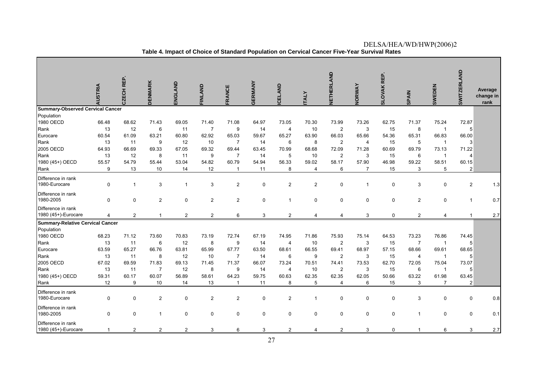|                                                           | AUSTRIA                    | CZECH REP.                 | <b>DENMARK</b>                | ENGLAND                     | <b>FINLAND</b>                   | FRANCE                                             | GERMANY                    | <b>CELAND</b>                  | <b>TALY</b>               | <b>NETHERLAND</b>                                  | NORWAY                                | SLOVAK REP.                | <b>SPAIN</b>                     | <b>SWEDEN</b>                                      | <b>SWITZERLAND</b>                    | Average<br>change in<br>rank |
|-----------------------------------------------------------|----------------------------|----------------------------|-------------------------------|-----------------------------|----------------------------------|----------------------------------------------------|----------------------------|--------------------------------|---------------------------|----------------------------------------------------|---------------------------------------|----------------------------|----------------------------------|----------------------------------------------------|---------------------------------------|------------------------------|
| <b>Summary-Observed Cervical Cancer</b>                   |                            |                            |                               |                             |                                  |                                                    |                            |                                |                           |                                                    |                                       |                            |                                  |                                                    |                                       |                              |
| Population<br>1980 OECD<br>Rank<br>Eurocare               | 66.48<br>13<br>60.54       | 68.62<br>12<br>61.09       | 71.43<br>6<br>63.21           | 69.05<br>11<br>60.80        | 71.40<br>$\overline{7}$<br>62.92 | 71.08<br>9<br>65.03                                | 64.97<br>14<br>59.67       | 73.05<br>4<br>65.27            | 70.30<br>10<br>63.90      | 73.99<br>$\overline{2}$<br>66.03                   | 73.26<br>3<br>65.66                   | 62.75<br>15<br>54.36       | 71.37<br>8<br>65.31              | 75.24<br>$\overline{1}$<br>66.83                   | 72.87<br>5<br>66.00                   |                              |
| Rank<br>2005 OECD<br>Rank<br>1980 (45+) OECD              | 13<br>64.93<br>13<br>55.57 | 11<br>66.69<br>12<br>54.79 | 9<br>69.33<br>8<br>55.44      | 12<br>67.05<br>11<br>53.04  | 10<br>69.32<br>9<br>54.82        | $\overline{7}$<br>69.44<br>$\overline{7}$<br>60.79 | 14<br>63.45<br>14<br>54.94 | 6<br>70.99<br>5<br>56.33       | 8<br>68.68<br>10<br>59.02 | $\overline{2}$<br>72.09<br>$\overline{2}$<br>58.17 | $\overline{4}$<br>71.28<br>3<br>57.90 | 15<br>60.69<br>15<br>46.98 | 5<br>69.79<br>6<br>59.22         | $\overline{1}$<br>73.13<br>$\overline{1}$<br>58.51 | 3<br>71.22<br>$\overline{4}$<br>60.15 |                              |
| Rank                                                      | 9                          | 13                         | 10                            | 14                          | 12                               | $\overline{1}$                                     | 11                         | 8                              | $\overline{4}$            | 6                                                  | $\overline{7}$                        | 15                         | 3                                | 5                                                  | $\overline{2}$                        |                              |
| Difference in rank<br>1980-Eurocare<br>Difference in rank | 0                          | $\overline{1}$             | 3                             | 1                           | 3                                | $\overline{2}$                                     | $\mathbf 0$                | $\overline{2}$                 | $\overline{2}$            | 0                                                  | $\overline{1}$                        | $\mathbf 0$                | 3                                | 0                                                  | $\overline{2}$                        | 1.3                          |
| 1980-2005<br>Difference in rank<br>1980 (45+)-Eurocare    | 0<br>4                     | 0<br>$\overline{2}$        | $\overline{2}$                | $\pmb{0}$<br>$\overline{2}$ | $\overline{c}$<br>$\overline{c}$ | $\sqrt{2}$<br>6                                    | $\pmb{0}$<br>3             | $\mathbf{1}$<br>$\overline{2}$ | 0<br>4                    | 0<br>4                                             | $\mathsf 0$<br>3                      | $\pmb{0}$<br>$\mathbf 0$   | $\overline{c}$<br>$\sqrt{2}$     | 0<br>4                                             | $\mathbf{1}$                          | 0.7<br>2.7                   |
| <b>Summary-Relative Cervical Cancer</b><br>Population     |                            |                            |                               |                             |                                  |                                                    |                            |                                |                           |                                                    |                                       |                            |                                  |                                                    |                                       |                              |
| 1980 OECD<br>Rank                                         | 68.23<br>13<br>63.59       | 71.12<br>11<br>65.27       | 73.60<br>6<br>66.76           | 70.83<br>12<br>63.81        | 73.19<br>8<br>65.99              | 72.74<br>9<br>67.77                                | 67.19<br>14<br>63.50       | 74.95<br>4<br>68.61            | 71.86<br>10<br>66.55      | 75.93<br>2<br>69.41                                | 75.14<br>3<br>68.97                   | 64.53<br>15<br>57.15       | 73.23<br>$\overline{7}$<br>68.66 | 76.86<br>$\overline{1}$<br>69.61                   | 74.45<br>5                            |                              |
| Eurocare<br>Rank<br>2005 OECD                             | 13<br>67.02                | 11<br>69.59                | 8<br>71.83                    | 12<br>69.13                 | 10<br>71.45                      | $\overline{7}$<br>71.37                            | 14<br>66.07                | 6<br>73.24                     | 9<br>70.51                | $\overline{2}$<br>74.41                            | 3<br>73.53                            | 15<br>62.70                | 4<br>72.05                       | $\overline{1}$<br>75.04                            | 68.65<br>5<br>73.07                   |                              |
| Rank<br>1980 (45+) OECD<br>Rank                           | 13<br>59.31<br>12          | 11<br>60.17<br>9           | $\overline{7}$<br>60.07<br>10 | 12<br>56.89<br>14           | 8<br>58.61<br>13                 | 9<br>64.23<br>$\overline{1}$                       | 14<br>59.75<br>11          | $\overline{4}$<br>60.63<br>8   | 10<br>62.35<br>5          | $\overline{2}$<br>62.35<br>$\overline{4}$          | 3<br>62.05<br>6                       | 15<br>50.66<br>15          | 6<br>63.22<br>3                  | $\overline{1}$<br>61.98<br>$\overline{7}$          | 5<br>63.45<br>$\overline{2}$          |                              |
| Difference in rank<br>1980-Eurocare                       | 0                          | 0                          | $\overline{2}$                | $\mathbf 0$                 | $\overline{2}$                   | $\overline{2}$                                     | $\mathbf 0$                | $\overline{2}$                 | $\mathbf{1}$              | 0                                                  | $\mathbf 0$                           | $\mathbf 0$                | 3                                | 0                                                  | 0                                     | 0.8                          |
| Difference in rank<br>1980-2005                           | 0                          | 0                          | $\mathbf{1}$                  | $\pmb{0}$                   | 0                                | $\pmb{0}$                                          | $\mathsf 0$                | 0                              | 0                         | 0                                                  | $\mathsf 0$                           | 0                          | $\mathbf 1$                      | 0                                                  | 0                                     | 0.1                          |
| Difference in rank<br>1980 (45+)-Eurocare                 |                            | $\overline{2}$             | $\overline{2}$                | $\overline{2}$              | 3                                | 6                                                  | 3                          | 2                              | 4                         | $\overline{2}$                                     | 3                                     | $\Omega$                   | 1                                | 6                                                  | 3                                     | 2.7                          |

DELSA/HEA/WD/HWP(2006)2 **Table 4. Impact of Choice of Standard Population on Cervical Cancer Five-Year Survival Rates**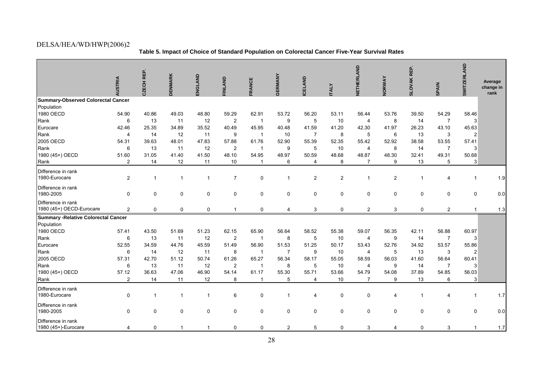**Table 5. Impact of Choice of Standard Population on Colorectal Cancer Five-Year Survival Rates** 

|                                             |                |              |                |                |                |                |                     |                     |                | NETHERLAND     |                     | SLOVAK REP.         |                | <b>SWITZERLAND</b> |                   |
|---------------------------------------------|----------------|--------------|----------------|----------------|----------------|----------------|---------------------|---------------------|----------------|----------------|---------------------|---------------------|----------------|--------------------|-------------------|
|                                             |                |              |                |                |                |                |                     |                     |                |                |                     |                     |                |                    | Average           |
|                                             | <b>AUSTRIA</b> | CZECH REP.   | <b>DENMARK</b> | ENGLAND        | <b>FINLAND</b> | <b>FRANCE</b>  | <b>GERMANY</b>      | <b>CELAND</b>       | <b>TALY</b>    |                | <b>NORWAY</b>       |                     | <b>SPAIN</b>   |                    | change in<br>rank |
| Summary-Observed Colorectal Cancer          |                |              |                |                |                |                |                     |                     |                |                |                     |                     |                |                    |                   |
| Population                                  |                |              |                |                |                |                |                     |                     |                |                |                     |                     |                |                    |                   |
| 1980 OECD                                   | 54.90          | 40.86        | 49.03          | 48.80          | 59.29          | 62.91          | 53.72               | 56.20               | 53.11          | 56.44          | 53.76               | 39.50               | 54.29          | 58.46              |                   |
| Rank                                        | 6              | 13           | 11             | 12             | $\overline{2}$ | $\overline{1}$ | 9                   | 5                   | 10             | 4              | 8                   | 14                  | $\overline{7}$ |                    |                   |
| Eurocare                                    | 42.46          | 25.35        | 34.89          | 35.52          | 40.49          | 45.95          | 40.48               | 41.59               | 41.20          | 42.30          | 41.97               | 26.23               | 43.10          | 45.63              |                   |
| Rank                                        | 4              | 14           | 12             | 11             | 9              | $\overline{1}$ | 10                  | $\overline{7}$      | 8              | 5              | 6                   | 13                  | 3              | $\overline{2}$     |                   |
| 2005 OECD                                   | 54.31          | 39.63        | 48.01          | 47.83          | 57.88          | 61.76          | 52.90               | 55.39               | 52.35          | 55.42          | 52.92               | 38.58               | 53.55          | 57.41              |                   |
| Rank                                        | 6              | 13           | 11             | 12             | $\overline{2}$ | $\overline{1}$ | 9                   | 5                   | 10             | 4              | 8                   | 14                  | $\overline{7}$ | 3                  |                   |
| 1980 (45+) OECD                             | 51.60          | 31.05        | 41.40          | 41.50          | 48.10          | 54.95          | 48.97               | 50.59               | 48.68          | 48.87          | 48.30               | 32.41               | 49.31          | 50.68              |                   |
| Rank                                        | $\overline{2}$ | 14           | 12             | 11             | 10             | $\overline{1}$ | 6                   | 4                   | 8              | $\overline{7}$ | 9                   | 13                  | 5              | 3                  |                   |
| Difference in rank                          |                |              |                |                |                |                |                     |                     |                |                |                     |                     |                |                    |                   |
| 1980-Eurocare                               | $\overline{2}$ | $\mathbf{1}$ | $\overline{1}$ | $\overline{1}$ | $\overline{7}$ | 0              | $\overline{1}$      | $\overline{2}$      | $\overline{2}$ | $\mathbf{1}$   | $\overline{2}$      | $\overline{1}$      | 4              | $\mathbf{1}$       | 1.9               |
| Difference in rank                          |                |              |                |                |                |                |                     |                     |                |                |                     |                     |                |                    |                   |
| 1980-2005                                   | $\mathbf 0$    | 0            | 0              | 0              | $\mathbf 0$    | 0              | $\pmb{0}$           | $\mathbf 0$         | $\pmb{0}$      | 0              | $\mathsf{O}\xspace$ | $\mathsf{O}\xspace$ | $\mathsf 0$    | $\mathbf 0$        | 0.0               |
| Difference in rank                          |                |              |                |                |                |                |                     |                     |                |                |                     |                     |                |                    |                   |
| 1980 (45+) OECD-Eurocare                    | $\overline{2}$ | 0            | 0              | 0              | $\mathbf{1}$   | 0              | $\overline{4}$      | 3                   | $\mathbf 0$    | $\overline{2}$ | 3                   | $\mathbf 0$         | $\overline{2}$ | $\mathbf{1}$       | 1.3               |
| <b>Summary - Relative Colorectal Cancer</b> |                |              |                |                |                |                |                     |                     |                |                |                     |                     |                |                    |                   |
| Population                                  |                |              |                |                |                |                |                     |                     |                |                |                     |                     |                |                    |                   |
| 1980 OECD                                   | 57.41          | 43.50        | 51.69          | 51.23          | 62.15          | 65.90          | 56.64               | 58.52               | 55.38          | 59.07          | 56.35               | 42.11               | 56.88          | 60.97              |                   |
| Rank                                        | 6              | 13           | 11             | 12             | $\overline{2}$ | $\overline{1}$ | 8                   | 5                   | 10             | 4              | 9                   | 14                  | $\overline{7}$ | 3                  |                   |
| Eurocare                                    | 52.55          | 34.59        | 44.76          | 45.59          | 51.49          | 56.90          | 51.53               | 51.25               | 50.17          | 53.43          | 52.76               | 34.92               | 53.57          | 55.86              |                   |
| Rank                                        | 6              | 14           | 12             | 11             | 8              | $\overline{1}$ | $\overline{7}$      | $\boldsymbol{9}$    | 10             | 4              | 5                   | 13                  | 3              | $\overline{2}$     |                   |
| 2005 OECD                                   | 57.31          | 42.70        | 51.12          | 50.74          | 61.26          | 65.27          | 56.34               | 58.17               | 55.05          | 58.59          | 56.03               | 41.60               | 56.64          | 60.41              |                   |
| Rank                                        | 6              | 13           | 11             | 12             | $\overline{2}$ | $\overline{1}$ | 8                   | 5                   | 10             | $\overline{4}$ | 9                   | 14                  | $\overline{7}$ | 3                  |                   |
| 1980 (45+) OECD                             | 57.12          | 36.63        | 47.06          | 46.90          | 54.14          | 61.17          | 55.30               | 55.71               | 53.66          | 54.79          | 54.08               | 37.89               | 54.85          | 56.03              |                   |
| Rank                                        | $\overline{2}$ | 14           | 11             | 12             | 8              | $\mathbf{1}$   | 5                   | $\overline{4}$      | 10             | $\overline{7}$ | 9                   | 13                  | 6              | 3                  |                   |
| Difference in rank                          |                |              |                |                |                |                |                     |                     |                |                |                     |                     |                |                    |                   |
| 1980-Eurocare                               | $\mathbf 0$    | $\mathbf{1}$ | $\overline{1}$ | $\overline{1}$ | 6              | 0              | $\mathbf{1}$        | 4                   | 0              | 0              | $\overline{4}$      | $\mathbf 1$         | 4              | $\mathbf{1}$       | 1.7               |
| Difference in rank                          |                |              |                |                |                |                |                     |                     |                |                |                     |                     |                |                    |                   |
| 1980-2005                                   | $\mathbf 0$    | 0            | 0              | 0              | $\mathbf 0$    | 0              | $\mathsf{O}\xspace$ | $\mathsf{O}\xspace$ | $\pmb{0}$      | $\mathbf 0$    | $\mathbf 0$         | $\mathsf 0$         | $\mathsf 0$    | $\mathbf 0$        | 0.0               |
| Difference in rank                          |                |              |                |                |                |                |                     |                     |                |                |                     |                     |                |                    |                   |
| 1980 (45+)-Eurocare                         | 4              | 0            | $\mathbf{1}$   | $\overline{1}$ | 0              | 0              | $\overline{c}$      | 5                   | 0              | 3              | 4                   | 0                   | 3              | $\mathbf{1}$       | 1.7               |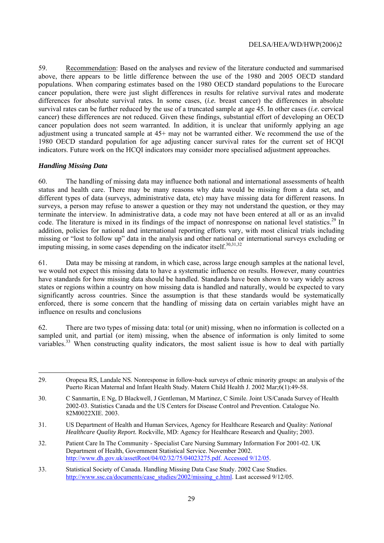59. Recommendation: Based on the analyses and review of the literature conducted and summarised above, there appears to be little difference between the use of the 1980 and 2005 OECD standard populations. When comparing estimates based on the 1980 OECD standard populations to the Eurocare cancer population, there were just slight differences in results for relative survival rates and moderate differences for absolute survival rates. In some cases, (*i.e.* breast cancer) the differences in absolute survival rates can be further reduced by the use of a truncated sample at age 45. In other cases (*i.e.* cervical cancer) these differences are not reduced. Given these findings, substantial effort of developing an OECD cancer population does not seem warranted. In addition, it is unclear that uniformly applying an age adjustment using a truncated sample at 45+ may not be warranted either. We recommend the use of the 1980 OECD standard population for age adjusting cancer survival rates for the current set of HCQI indicators. Future work on the HCQI indicators may consider more specialised adjustment approaches.

#### *Handling Missing Data*

60. The handling of missing data may influence both national and international assessments of health status and health care. There may be many reasons why data would be missing from a data set, and different types of data (surveys, administrative data, etc) may have missing data for different reasons. In surveys, a person may refuse to answer a question or they may not understand the question, or they may terminate the interview. In administrative data, a code may not have been entered at all or as an invalid code. The literature is mixed in its findings of the impact of nonresponse on national level statistics.<sup>29</sup> In addition, policies for national and international reporting efforts vary, with most clinical trials including missing or "lost to follow up" data in the analysis and other national or international surveys excluding or imputing missing, in some cases depending on the indicator itself. $30,31,32$ 

61. Data may be missing at random, in which case, across large enough samples at the national level, we would not expect this missing data to have a systematic influence on results. However, many countries have standards for how missing data should be handled. Standards have been shown to vary widely across states or regions within a country on how missing data is handled and naturally, would be expected to vary significantly across countries. Since the assumption is that these standards would be systematically enforced, there is some concern that the handling of missing data on certain variables might have an influence on results and conclusions

62. There are two types of missing data: total (or unit) missing, when no information is collected on a sampled unit, and partial (or item) missing, when the absence of information is only limited to some variables.<sup>33</sup> When constructing quality indicators, the most salient issue is how to deal with partially

<sup>29.</sup> Oropesa RS, Landale NS. Nonresponse in follow-back surveys of ethnic minority groups: an analysis of the Puerto Rican Maternal and Infant Health Study. Matern Child Health J. 2002 Mar;6(1):49-58.

<sup>30.</sup> C Sanmartin, E Ng, D Blackwell, J Gentleman, M Martinez, C Simile. Joint US/Canada Survey of Health 2002-03. Statistics Canada and the US Centers for Disease Control and Prevention. Catalogue No. 82M0022XIE. 2003.

<sup>31.</sup> US Department of Health and Human Services, Agency for Healthcare Research and Quality: *National Healthcare Quality Report.* Rockville, MD: Agency for Healthcare Research and Quality; 2003.

<sup>32.</sup> Patient Care In The Community - Specialist Care Nursing Summary Information For 2001-02. UK Department of Health, Government Statistical Service. November 2002. http://www.dh.gov.uk/assetRoot/04/02/32/75/04023275.pdf. Accessed 9/12/05.

<sup>33.</sup> Statistical Society of Canada. Handling Missing Data Case Study. 2002 Case Studies. http://www.ssc.ca/documents/case\_studies/2002/missing\_e.html. Last accessed 9/12/05.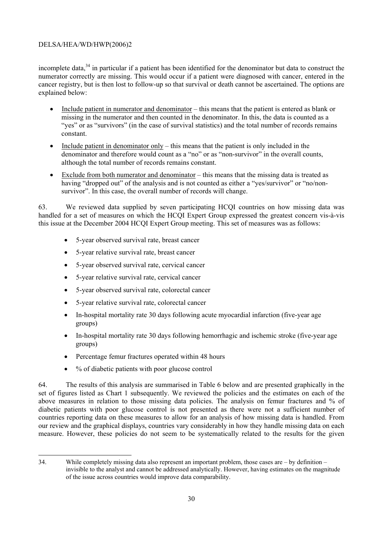incomplete data,<sup>34</sup> in particular if a patient has been identified for the denominator but data to construct the numerator correctly are missing. This would occur if a patient were diagnosed with cancer, entered in the cancer registry, but is then lost to follow-up so that survival or death cannot be ascertained. The options are explained below:

- Include patient in numerator and denominator this means that the patient is entered as blank or missing in the numerator and then counted in the denominator. In this, the data is counted as a "yes" or as "survivors" (in the case of survival statistics) and the total number of records remains constant.
- Include patient in denominator only  $-$  this means that the patient is only included in the denominator and therefore would count as a "no" or as "non-survivor" in the overall counts, although the total number of records remains constant.
- Exclude from both numerator and denominator  $-$  this means that the missing data is treated as having "dropped out" of the analysis and is not counted as either a "yes/survivor" or "no/nonsurvivor". In this case, the overall number of records will change.

63. We reviewed data supplied by seven participating HCQI countries on how missing data was handled for a set of measures on which the HCQI Expert Group expressed the greatest concern vis-à-vis this issue at the December 2004 HCQI Expert Group meeting. This set of measures was as follows:

- 5-year observed survival rate, breast cancer
- 5-year relative survival rate, breast cancer
- 5-year observed survival rate, cervical cancer
- 5-year relative survival rate, cervical cancer
- 5-year observed survival rate, colorectal cancer
- 5-year relative survival rate, colorectal cancer
- In-hospital mortality rate 30 days following acute myocardial infarction (five-year age groups)
- In-hospital mortality rate 30 days following hemorrhagic and ischemic stroke (five-year age groups)
- Percentage femur fractures operated within 48 hours
- % of diabetic patients with poor glucose control

64. The results of this analysis are summarised in Table 6 below and are presented graphically in the set of figures listed as Chart 1 subsequently. We reviewed the policies and the estimates on each of the above measures in relation to those missing data policies. The analysis on femur fractures and % of diabetic patients with poor glucose control is not presented as there were not a sufficient number of countries reporting data on these measures to allow for an analysis of how missing data is handled. From our review and the graphical displays, countries vary considerably in how they handle missing data on each measure. However, these policies do not seem to be systematically related to the results for the given

 34. While completely missing data also represent an important problem, those cases are – by definition – invisible to the analyst and cannot be addressed analytically. However, having estimates on the magnitude of the issue across countries would improve data comparability.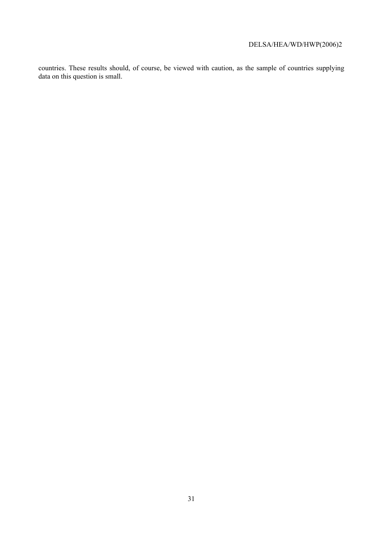countries. These results should, of course, be viewed with caution, as the sample of countries supplying data on this question is small.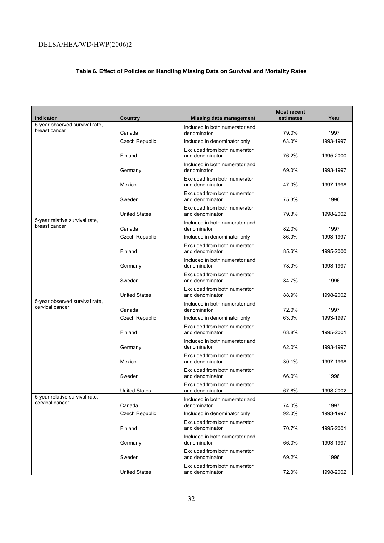# **Table 6. Effect of Policies on Handling Missing Data on Survival and Mortality Rates**

| <b>Indicator</b>                                  | Country              | <b>Missing data management</b>                  | <b>Most recent</b><br>estimates | Year      |
|---------------------------------------------------|----------------------|-------------------------------------------------|---------------------------------|-----------|
| 5-year observed survival rate,<br>breast cancer   | Canada               | Included in both numerator and<br>denominator   | 79.0%                           | 1997      |
|                                                   | Czech Republic       | Included in denominator only                    | 63.0%                           | 1993-1997 |
|                                                   | Finland              | Excluded from both numerator<br>and denominator | 76.2%                           | 1995-2000 |
|                                                   | Germany              | Included in both numerator and<br>denominator   | 69.0%                           | 1993-1997 |
|                                                   | Mexico               | Excluded from both numerator<br>and denominator | 47.0%                           | 1997-1998 |
|                                                   | Sweden               | Excluded from both numerator<br>and denominator | 75.3%                           | 1996      |
|                                                   | <b>United States</b> | Excluded from both numerator<br>and denominator | 79.3%                           | 1998-2002 |
| 5-year relative survival rate,<br>breast cancer   | Canada               | Included in both numerator and<br>denominator   | 82.0%                           | 1997      |
|                                                   | Czech Republic       | Included in denominator only                    | 86.0%                           | 1993-1997 |
|                                                   | Finland              | Excluded from both numerator<br>and denominator | 85.6%                           | 1995-2000 |
|                                                   | Germany              | Included in both numerator and<br>denominator   | 78.0%                           | 1993-1997 |
|                                                   | Sweden               | Excluded from both numerator<br>and denominator | 84.7%                           | 1996      |
|                                                   | <b>United States</b> | Excluded from both numerator<br>and denominator | 88.9%                           | 1998-2002 |
| 5-year observed survival rate,<br>cervical cancer | Canada               | Included in both numerator and<br>denominator   | 72.0%                           | 1997      |
|                                                   | Czech Republic       | Included in denominator only                    | 63.0%                           | 1993-1997 |
|                                                   | Finland              | Excluded from both numerator<br>and denominator | 63.8%                           | 1995-2001 |
|                                                   | Germany              | Included in both numerator and<br>denominator   | 62.0%                           | 1993-1997 |
|                                                   | Mexico               | Excluded from both numerator<br>and denominator | 30.1%                           | 1997-1998 |
|                                                   | Sweden               | Excluded from both numerator<br>and denominator | 66.0%                           | 1996      |
|                                                   | <b>United States</b> | Excluded from both numerator<br>and denominator | 67.8%                           | 1998-2002 |
| 5-year relative survival rate,<br>cervical cancer | Canada               | Included in both numerator and<br>denominator   | 74.0%                           | 1997      |
|                                                   | Czech Republic       | Included in denominator only                    | 92.0%                           | 1993-1997 |
|                                                   | Finland              | Excluded from both numerator<br>and denominator | 70.7%                           | 1995-2001 |
|                                                   | Germany              | Included in both numerator and<br>denominator   | 66.0%                           | 1993-1997 |
|                                                   | Sweden               | Excluded from both numerator<br>and denominator | 69.2%                           | 1996      |
|                                                   | <b>United States</b> | Excluded from both numerator<br>and denominator | 72.0%                           | 1998-2002 |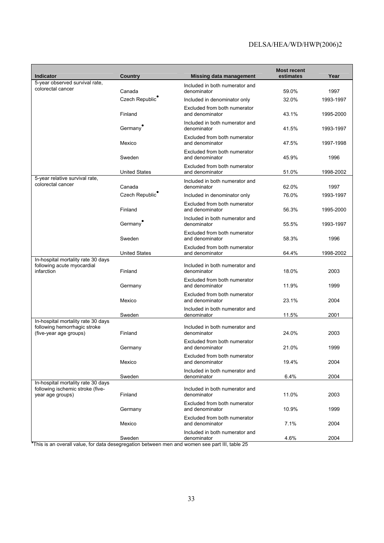| <b>Indicator</b>                                                                               | <b>Country</b>                        | <b>Missing data management</b>                  | <b>Most recent</b><br>estimates | Year              |
|------------------------------------------------------------------------------------------------|---------------------------------------|-------------------------------------------------|---------------------------------|-------------------|
| 5-year observed survival rate,<br>colorectal cancer                                            |                                       | Included in both numerator and                  |                                 |                   |
|                                                                                                | Canada<br>Czech Republic <sup>®</sup> | denominator<br>Included in denominator only     | 59.0%<br>32.0%                  | 1997<br>1993-1997 |
|                                                                                                |                                       | Excluded from both numerator                    |                                 |                   |
|                                                                                                | Finland                               | and denominator                                 | 43.1%                           | 1995-2000         |
|                                                                                                | Germany <sup>®</sup>                  | Included in both numerator and<br>denominator   | 41.5%                           | 1993-1997         |
|                                                                                                | Mexico                                | Excluded from both numerator<br>and denominator | 47.5%                           | 1997-1998         |
|                                                                                                | Sweden                                | Excluded from both numerator<br>and denominator | 45.9%                           | 1996              |
|                                                                                                | <b>United States</b>                  | Excluded from both numerator<br>and denominator | 51.0%                           | 1998-2002         |
| 5-year relative survival rate,<br>colorectal cancer                                            | Canada                                | Included in both numerator and<br>denominator   | 62.0%                           | 1997              |
|                                                                                                | Czech Republic                        | Included in denominator only                    | 76.0%                           | 1993-1997         |
|                                                                                                | Finland                               | Excluded from both numerator<br>and denominator | 56.3%                           | 1995-2000         |
|                                                                                                | Germany <sup>®</sup>                  | Included in both numerator and<br>denominator   | 55.5%                           | 1993-1997         |
|                                                                                                | Sweden                                | Excluded from both numerator<br>and denominator | 58.3%                           | 1996              |
|                                                                                                | <b>United States</b>                  | Excluded from both numerator<br>and denominator | 64.4%                           | 1998-2002         |
| In-hospital mortality rate 30 days<br>following acute myocardial<br>infarction                 | Finland                               | Included in both numerator and<br>denominator   | 18.0%                           | 2003              |
|                                                                                                | Germany                               | Excluded from both numerator<br>and denominator | 11.9%                           | 1999              |
|                                                                                                | Mexico                                | Excluded from both numerator<br>and denominator | 23.1%                           | 2004              |
|                                                                                                | Sweden                                | Included in both numerator and<br>denominator   | 11.5%                           | 2001              |
| In-hospital mortality rate 30 days                                                             |                                       |                                                 |                                 |                   |
| following hemorrhagic stroke<br>(five-year age groups)                                         | Finland                               | Included in both numerator and<br>denominator   | 24.0%                           | 2003              |
|                                                                                                | Germany                               | Excluded from both numerator<br>and denominator | 21.0%                           | 1999              |
|                                                                                                | Mexico                                | Excluded from both numerator<br>and denominator | 19.4%                           | 2004              |
|                                                                                                | Sweden                                | Included in both numerator and<br>denominator   | 6.4%                            | 2004              |
| In-hospital mortality rate 30 days                                                             |                                       |                                                 |                                 |                   |
| following ischemic stroke (five-<br>year age groups)                                           | Finland                               | Included in both numerator and<br>denominator   | 11.0%                           | 2003              |
|                                                                                                | Germany                               | Excluded from both numerator<br>and denominator | 10.9%                           | 1999              |
|                                                                                                | Mexico                                | Excluded from both numerator<br>and denominator | 7.1%                            | 2004              |
| *This is an overall value, for data desegregation between men and women see part III, table 25 | Sweden                                | Included in both numerator and<br>denominator   | 4.6%                            | 2004              |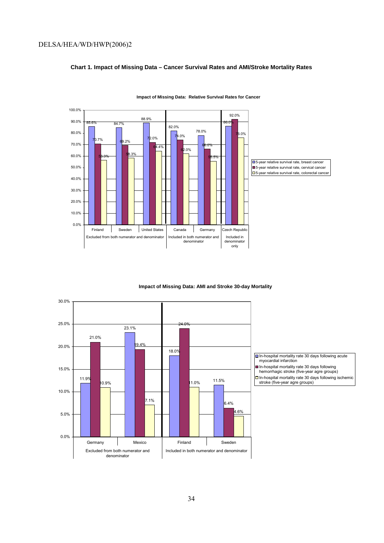#### **Chart 1. Impact of Missing Data – Cancer Survival Rates and AMI/Stroke Mortality Rates**



**Impact of Missing Data: Relative Survival Rates for Cancer**

**Impact of Missing Data: AMI and Stroke 30-day Mortality** 

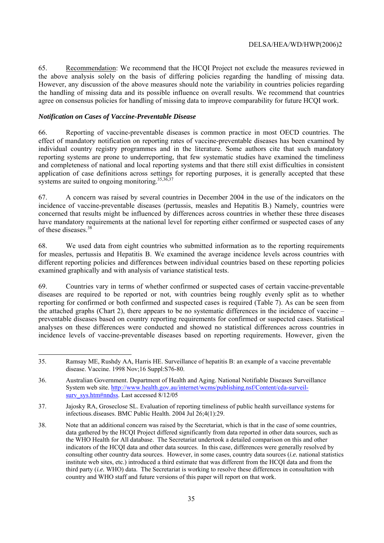65. Recommendation: We recommend that the HCQI Project not exclude the measures reviewed in the above analysis solely on the basis of differing policies regarding the handling of missing data. However, any discussion of the above measures should note the variability in countries policies regarding the handling of missing data and its possible influence on overall results. We recommend that countries agree on consensus policies for handling of missing data to improve comparability for future HCQI work.

#### *Notification on Cases of Vaccine-Preventable Disease*

66. Reporting of vaccine-preventable diseases is common practice in most OECD countries. The effect of mandatory notification on reporting rates of vaccine-preventable diseases has been examined by individual country registry programmes and in the literature. Some authors cite that such mandatory reporting systems are prone to underreporting, that few systematic studies have examined the timeliness and completeness of national and local reporting systems and that there still exist difficulties in consistent application of case definitions across settings for reporting purposes, it is generally accepted that these systems are suited to ongoing monitoring.<sup>35,36,37</sup>

67. A concern was raised by several countries in December 2004 in the use of the indicators on the incidence of vaccine-preventable diseases (pertussis, measles and Hepatitis B.) Namely, countries were concerned that results might be influenced by differences across countries in whether these three diseases have mandatory requirements at the national level for reporting either confirmed or suspected cases of any of these diseases.<sup>38</sup>

68. We used data from eight countries who submitted information as to the reporting requirements for measles, pertussis and Hepatitis B. We examined the average incidence levels across countries with different reporting policies and differences between individual countries based on these reporting policies examined graphically and with analysis of variance statistical tests.

69. Countries vary in terms of whether confirmed or suspected cases of certain vaccine-preventable diseases are required to be reported or not, with countries being roughly evenly split as to whether reporting for confirmed or both confirmed and suspected cases is required (Table 7). As can be seen from the attached graphs (Chart 2), there appears to be no systematic differences in the incidence of vaccine – preventable diseases based on country reporting requirements for confirmed or suspected cases. Statistical analyses on these differences were conducted and showed no statistical differences across countries in incidence levels of vaccine-preventable diseases based on reporting requirements. However, given the

<sup>35.</sup> Ramsay ME, Rushdy AA, Harris HE. Surveillance of hepatitis B: an example of a vaccine preventable disease. Vaccine. 1998 Nov;16 Suppl:S76-80.

<sup>36.</sup> Australian Government. Department of Health and Aging. National Notifiable Diseases Surveillance System web site. http://www.health.gov.au/internet/wcms/publishing.nsf/Content/cda-surveilsurv\_sys.htm#nndss. Last accessed 8/12/05

<sup>37.</sup> Jajosky RA, Groseclose SL. Evaluation of reporting timeliness of public health surveillance systems for infectious. diseases. BMC Public Health. 2004 Jul 26;4(1):29.

<sup>38.</sup> Note that an additional concern was raised by the Secretariat, which is that in the case of some countries, data gathered by the HCQI Project differed significantly from data reported in other data sources, such as the WHO Health for All database. The Secretariat undertook a detailed comparison on this and other indicators of the HCQI data and other data sources. In this case, differences were generally resolved by consulting other country data sources. However, in some cases, country data sources (*i.e.* national statistics institute web sites, etc.) introduced a third estimate that was different from the HCQI data and from the third party (*i.e.* WHO) data. The Secretariat is working to resolve these differences in consultation with country and WHO staff and future versions of this paper will report on that work.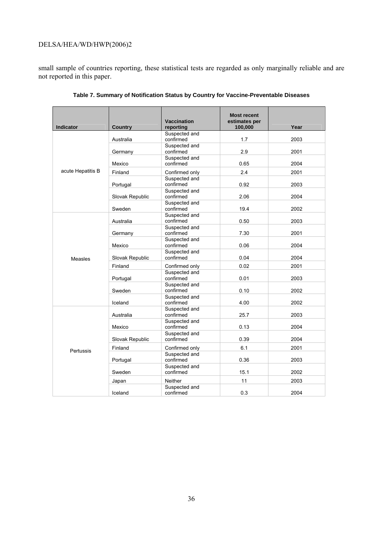small sample of countries reporting, these statistical tests are regarded as only marginally reliable and are not reported in this paper.

| Indicator         | <b>Country</b>  | <b>Vaccination</b><br>reporting | <b>Most recent</b><br>estimates per<br>100,000 | Year |
|-------------------|-----------------|---------------------------------|------------------------------------------------|------|
|                   | Australia       | Suspected and<br>confirmed      | 1.7                                            | 2003 |
| acute Hepatitis B | Germany         | Suspected and<br>confirmed      | 2.9                                            | 2001 |
|                   | Mexico          | Suspected and<br>confirmed      | 0.65                                           | 2004 |
|                   | Finland         | Confirmed only                  | 2.4                                            | 2001 |
|                   | Portugal        | Suspected and<br>confirmed      | 0.92                                           | 2003 |
|                   | Slovak Republic | Suspected and<br>confirmed      | 2.06                                           | 2004 |
|                   | Sweden          | Suspected and<br>confirmed      | 19.4                                           | 2002 |
|                   | Australia       | Suspected and<br>confirmed      | 0.50                                           | 2003 |
|                   | Germany         | Suspected and<br>confirmed      | 7.30                                           | 2001 |
|                   | Mexico          | Suspected and<br>confirmed      | 0.06                                           | 2004 |
| Measles           | Slovak Republic | Suspected and<br>confirmed      | 0.04                                           | 2004 |
|                   | Finland         | Confirmed only                  | 0.02                                           | 2001 |
|                   | Portugal        | Suspected and<br>confirmed      | 0.01                                           | 2003 |
|                   | Sweden          | Suspected and<br>confirmed      | 0.10                                           | 2002 |
|                   | Iceland         | Suspected and<br>confirmed      | 4.00                                           | 2002 |
|                   | Australia       | Suspected and<br>confirmed      | 25.7                                           | 2003 |
|                   | Mexico          | Suspected and<br>confirmed      | 0.13                                           | 2004 |
|                   | Slovak Republic | Suspected and<br>confirmed      | 0.39                                           | 2004 |
| Pertussis         | Finland         | Confirmed only                  | 6.1                                            | 2001 |
|                   | Portugal        | Suspected and<br>confirmed      | 0.36                                           | 2003 |
|                   | Sweden          | Suspected and<br>confirmed      | 15.1                                           | 2002 |
|                   | Japan           | <b>Neither</b>                  | 11                                             | 2003 |
|                   | Iceland         | Suspected and<br>confirmed      | 0.3                                            | 2004 |

**Table 7. Summary of Notification Status by Country for Vaccine-Preventable Diseases**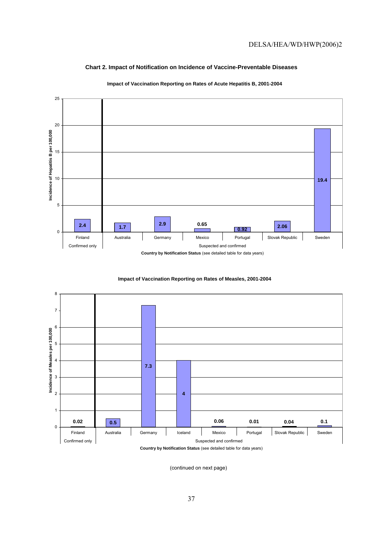## **Chart 2. Impact of Notification on Incidence of Vaccine-Preventable Diseases**



#### **Impact of Vaccination Reporting on Rates of Acute Hepatitis B, 2001-2004**





(continued on next page)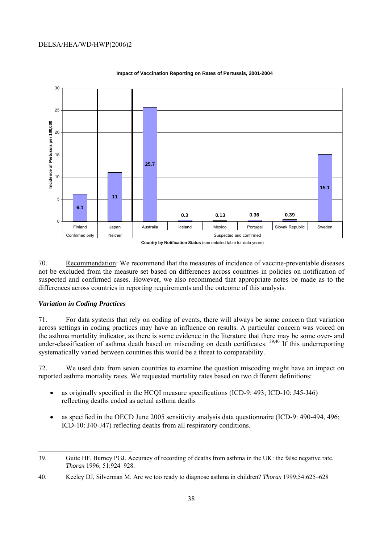

#### **Impact of Vaccination Reporting on Rates of Pertussis, 2001-2004**

70. Recommendation: We recommend that the measures of incidence of vaccine-preventable diseases not be excluded from the measure set based on differences across countries in policies on notification of suspected and confirmed cases. However, we also recommend that appropriate notes be made as to the differences across countries in reporting requirements and the outcome of this analysis.

#### *Variation in Coding Practices*

71. For data systems that rely on coding of events, there will always be some concern that variation across settings in coding practices may have an influence on results. A particular concern was voiced on the asthma mortality indicator, as there is some evidence in the literature that there may be some over- and under-classification of asthma death based on miscoding on death certificates. <sup>39,40</sup> If this underreporting systematically varied between countries this would be a threat to comparability.

72. We used data from seven countries to examine the question miscoding might have an impact on reported asthma mortality rates. We requested mortality rates based on two different definitions:

- as originally specified in the HCQI measure specifications (ICD-9: 493; ICD-10: J45-J46) reflecting deaths coded as actual asthma deaths
- as specified in the OECD June 2005 sensitivity analysis data questionnaire (ICD-9: 490-494, 496; ICD-10: J40-J47) reflecting deaths from all respiratory conditions.

<sup>39.</sup> Guite HF, Burney PGJ. Accuracy of recording of deaths from asthma in the UK: the false negative rate. *Thorax* 1996; 51:924–928.

<sup>40.</sup> Keeley DJ, Silverman M. Are we too ready to diagnose asthma in children? *Thorax* 1999;54:625–628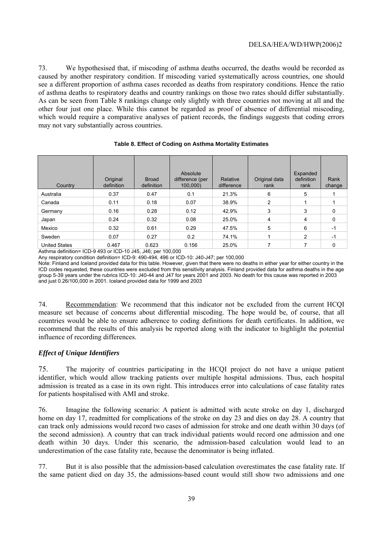73. We hypothesised that, if miscoding of asthma deaths occurred, the deaths would be recorded as caused by another respiratory condition. If miscoding varied systematically across countries, one should see a different proportion of asthma cases recorded as deaths from respiratory conditions. Hence the ratio of asthma deaths to respiratory deaths and country rankings on those two rates should differ substantially. As can be seen from Table 8 rankings change only slightly with three countries not moving at all and the other four just one place. While this cannot be regarded as proof of absence of differential miscoding, which would require a comparative analyses of patient records, the findings suggests that coding errors may not vary substantially across countries.

| Country              | Original<br>definition | <b>Broad</b><br>definition | Absolute<br>difference (per<br>100,000) | Relative<br>difference | Original data<br>rank | Expanded<br>definition<br>rank | Rank<br>change |
|----------------------|------------------------|----------------------------|-----------------------------------------|------------------------|-----------------------|--------------------------------|----------------|
| Australia            | 0.37                   | 0.47                       | 0.1                                     | 21.3%                  | 6                     | 5                              |                |
| Canada               | 0.11                   | 0.18                       | 0.07                                    | 38.9%                  | $\overline{2}$        |                                |                |
| Germany              | 0.16                   | 0.28                       | 0.12                                    | 42.9%                  | 3                     | 3                              | 0              |
| Japan                | 0.24                   | 0.32                       | 0.08                                    | 25.0%                  | 4                     | 4                              | 0              |
| Mexico               | 0.32                   | 0.61                       | 0.29                                    | 47.5%                  | 5                     | 6                              | $-1$           |
| Sweden               | 0.07                   | 0.27                       | 0.2                                     | 74.1%                  |                       | 2                              | $-1$           |
| <b>United States</b> | 0.467                  | 0.623                      | 0.156                                   | 25.0%                  |                       |                                | 0              |

## **Table 8. Effect of Coding on Asthma Mortality Estimates**

Asthma definition= ICD-9 493 or ICD-10 J45, J46; per 100,000

Any respiratory condition definition= ICD-9: 490-494, 496 or ICD-10: J40-J47; per 100,000

Note: Finland and Iceland provided data for this table. However, given that there were no deaths in either year for either country in the ICD codes requested, these countries were excluded from this sensitivity analysis. Finland provided data for asthma deaths in the age group 5-39 years under the rubrics ICD-10: J40-44 and J47 for years 2001 and 2003. No death for this cause was reported in 2003 and just 0.26/100,000 in 2001. Iceland provided data for 1999 and 2003

74. Recommendation: We recommend that this indicator not be excluded from the current HCQI measure set because of concerns about differential miscoding. The hope would be, of course, that all countries would be able to ensure adherence to coding definitions for death certificates. In addition, we recommend that the results of this analysis be reported along with the indicator to highlight the potential influence of recording differences.

## *Effect of Unique Identifiers*

75. The majority of countries participating in the HCQI project do not have a unique patient identifier, which would allow tracking patients over multiple hospital admissions. Thus, each hospital admission is treated as a case in its own right. This introduces error into calculations of case fatality rates for patients hospitalised with AMI and stroke.

76. Imagine the following scenario: A patient is admitted with acute stroke on day 1, discharged home on day 17, readmitted for complications of the stroke on day 23 and dies on day 28. A country that can track only admissions would record two cases of admission for stroke and one death within 30 days (of the second admission). A country that can track individual patients would record one admission and one death within 30 days. Under this scenario, the admission-based calculation would lead to an underestimation of the case fatality rate, because the denominator is being inflated.

77. But it is also possible that the admission-based calculation overestimates the case fatality rate. If the same patient died on day 35, the admissions-based count would still show two admissions and one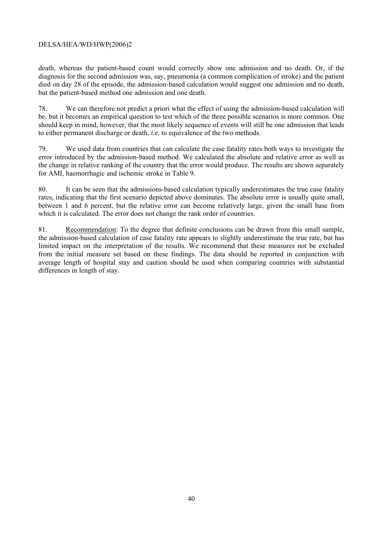death, whereas the patient-based count would correctly show one admission and no death. Or, if the diagnosis for the second admission was, say, pneumonia (a common complication of stroke) and the patient died on day 28 of the episode, the admission-based calculation would suggest one admission and no death, but the patient-based method one admission and one death.

78. We can therefore not predict a priori what the effect of using the admission-based calculation will be, but it becomes an empirical question to test which of the three possible scenarios is more common. One should keep in mind, however, that the most likely sequence of events will still be one admission that leads to either permanent discharge or death, *i.e.* to equivalence of the two methods.

79. We used data from countries that can calculate the case fatality rates both ways to investigate the error introduced by the admission-based method. We calculated the absolute and relative error as well as the change in relative ranking of the country that the error would produce. The results are shown separately for AMI, haemorrhagic and ischemic stroke in Table 9.

80. It can be seen that the admissions-based calculation typically underestimates the true case fatality rates, indicating that the first scenario depicted above dominates. The absolute error is usually quite small, between 1 and 6 percent, but the relative error can become relatively large, given the small base from which it is calculated. The error does not change the rank order of countries.

81. Recommendation: To the degree that definite conclusions can be drawn from this small sample, the admission-based calculation of case fatality rate appears to slightly underestimate the true rate, but has limited impact on the interpretation of the results. We recommend that these measures not be excluded from the initial measure set based on these findings. The data should be reported in conjunction with average length of hospital stay and caution should be used when comparing countries with substantial differences in length of stay.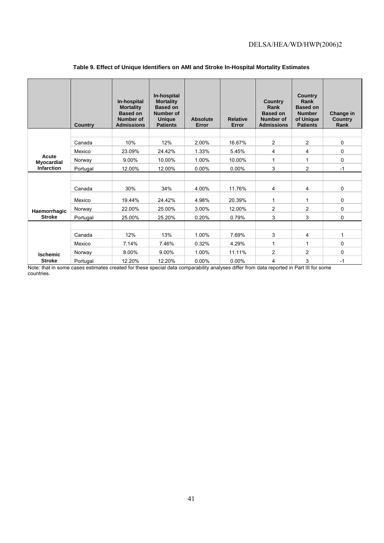|                            | <b>Country</b> | In-hospital<br><b>Mortality</b><br><b>Based on</b><br>Number of<br><b>Admissions</b> | In-hospital<br><b>Mortality</b><br><b>Based on</b><br><b>Number of</b><br><b>Unique</b><br><b>Patients</b> | Absolute<br>Error | <b>Relative</b><br>Error | <b>Country</b><br>Rank<br><b>Based on</b><br><b>Number of</b><br><b>Admissions</b> | <b>Country</b><br>Rank<br><b>Based on</b><br><b>Number</b><br>of Unique<br><b>Patients</b> | Change in<br>Country<br>Rank |
|----------------------------|----------------|--------------------------------------------------------------------------------------|------------------------------------------------------------------------------------------------------------|-------------------|--------------------------|------------------------------------------------------------------------------------|--------------------------------------------------------------------------------------------|------------------------------|
|                            |                |                                                                                      |                                                                                                            |                   |                          |                                                                                    |                                                                                            |                              |
|                            | Canada         | 10%                                                                                  | 12%                                                                                                        | 2.00%             | 16.67%                   | $\overline{2}$                                                                     | $\overline{2}$                                                                             | $\mathbf 0$                  |
|                            | Mexico         | 23.09%                                                                               | 24.42%                                                                                                     | 1.33%             | 5.45%                    | 4                                                                                  | 4                                                                                          | 0                            |
| Acute<br><b>Myocardial</b> | Norway         | 9.00%                                                                                | 10.00%                                                                                                     | 1.00%             | 10.00%                   | 1                                                                                  | 1                                                                                          | 0                            |
| Infarction                 | Portugal       | 12.00%                                                                               | 12.00%                                                                                                     | $0.00\%$          | $0.00\%$                 | 3                                                                                  | $\overline{2}$                                                                             | $-1$                         |
|                            |                |                                                                                      |                                                                                                            |                   |                          |                                                                                    |                                                                                            |                              |
|                            | Canada         | 30%                                                                                  | 34%                                                                                                        | 4.00%             | 11.76%                   | 4                                                                                  | 4                                                                                          | 0                            |
|                            | Mexico         | 19.44%                                                                               | 24.42%                                                                                                     | 4.98%             | 20.39%                   | 1                                                                                  | 1                                                                                          | 0                            |
| Haemorrhagic               | Norway         | 22.00%                                                                               | 25.00%                                                                                                     | 3.00%             | 12.00%                   | $\overline{2}$                                                                     | $\overline{2}$                                                                             | 0                            |
| <b>Stroke</b>              | Portugal       | 25.00%                                                                               | 25.20%                                                                                                     | 0.20%             | 0.79%                    | 3                                                                                  | 3                                                                                          | 0                            |
|                            |                |                                                                                      |                                                                                                            |                   |                          |                                                                                    |                                                                                            |                              |
|                            | Canada         | 12%                                                                                  | 13%                                                                                                        | 1.00%             | 7.69%                    | 3                                                                                  | 4                                                                                          | 1                            |
|                            | Mexico         | 7.14%                                                                                | 7.46%                                                                                                      | 0.32%             | 4.29%                    | 1                                                                                  | $\mathbf 1$                                                                                | 0                            |
| <b>Ischemic</b>            | Norway         | 8.00%                                                                                | 9.00%                                                                                                      | 1.00%             | 11.11%                   | $\overline{2}$                                                                     | $\overline{2}$                                                                             | 0                            |
| <b>Stroke</b>              | Portugal       | 12.20%                                                                               | 12.20%                                                                                                     | 0.00%             | 0.00%                    | 4                                                                                  | 3                                                                                          | $-1$                         |

#### **Table 9. Effect of Unique Identifiers on AMI and Stroke In-Hospital Mortality Estimates**

Note: that in some cases estimates created for these special data comparability analyses differ from data reported in Part III for some countries.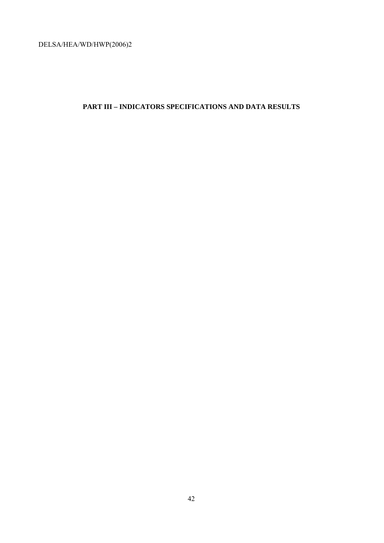# **PART III – INDICATORS SPECIFICATIONS AND DATA RESULTS**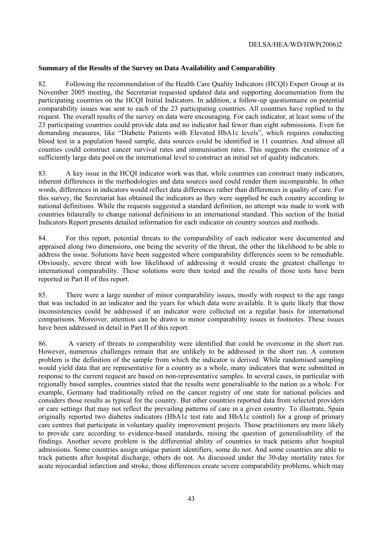#### **Summary of the Results of the Survey on Data Availability and Comparability**

82. Following the recommendation of the Health Care Quality Indicators (HCQI) Expert Group at its November 2005 meeting, the Secretariat requested updated data and supporting documentation from the participating countries on the HCQI Initial Indicators. In addition, a follow-up questionnaire on potential comparability issues was sent to each of the 23 participating countries. All countries have replied to the request. The overall results of the survey on data were encouraging. For each indicator, at least some of the 23 participating countries could provide data and no indicator had fewer than eight submissions. Even for demanding measures, like "Diabetic Patients with Elevated HbA1c levels", which requires conducting blood test in a population based sample, data sources could be identified in 11 countries. And almost all counties could construct cancer survival rates and immunisation rates. This suggests the existence of a sufficiently large data pool on the international level to construct an initial set of quality indicators.

83. A key issue in the HCQI indicator work was that, while countries can construct many indicators, inherent differences in the methodologies and data sources used could render them incomparable. In other words, differences in indicators would reflect data differences rather than differences in quality of care. For this survey, the Secretariat has obtained the indicators as they were supplied be each country according to national definitions. While the requests suggested a standard definition, no attempt was made to work with countries bilaterally to change national definitions to an international standard. This section of the Initial Indicators Report presents detailed information for each indicator on country sources and methods.

84. For this report, potential threats to the comparability of each indicator were documented and appraised along two dimensions, one being the severity of the threat, the other the likelihood to be able to address the issue. Solutions have been suggested where comparability differences seem to be remediable. Obviously, severe threat with low likelihood of addressing it would create the greatest challenge to international comparability. These solutions were then tested and the results of those tests have been reported in Part II of this report.

85. There were a large number of minor comparability issues, mostly with respect to the age range that was included in an indicator and the years for which data were available. It is quite likely that those inconsistencies could be addressed if an indicator were collected on a regular basis for international comparisons. Moreover, attention can be drawn to minor comparability issues in footnotes. These issues have been addressed in detail in Part II of this report.

86. A variety of threats to comparability were identified that could be overcome in the short run. However, numerous challenges remain that are unlikely to be addressed in the short run. A common problem is the definition of the sample from which the indicator is derived. While randomised sampling would yield data that are representative for a country as a whole, many indicators that were submitted in response to the current request are based on non-representative samples. In several cases, in particular with regionally based samples, countries stated that the results were generalisable to the nation as a whole. For example, Germany had traditionally relied on the cancer registry of one state for national policies and considers those results as typical for the country. But other countries reported data from selected providers or care settings that may not reflect the prevailing patterns of care in a given country. To illustrate, Spain originally reported two diabetes indicators (HbA1c test rate and HbA1c control) for a group of primary care centres that participate in voluntary quality improvement projects. Those practitioners are more likely to provide care according to evidence-based standards, raising the question of generalisability of the findings. Another severe problem is the differential ability of countries to track patients after hospital admissions. Some countries assign unique patient identifiers, some do not. And some countries are able to track patients after hospital discharge, others do not. As discussed under the 30-day mortality rates for acute myocardial infarction and stroke, those differences create severe comparability problems, which may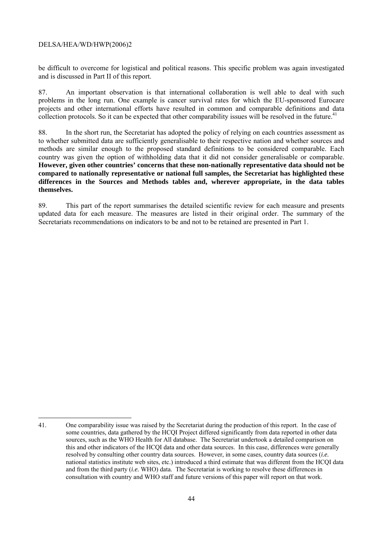be difficult to overcome for logistical and political reasons. This specific problem was again investigated and is discussed in Part II of this report.

87. An important observation is that international collaboration is well able to deal with such problems in the long run. One example is cancer survival rates for which the EU-sponsored Eurocare projects and other international efforts have resulted in common and comparable definitions and data collection protocols. So it can be expected that other comparability issues will be resolved in the future.<sup>41</sup>

88. In the short run, the Secretariat has adopted the policy of relying on each countries assessment as to whether submitted data are sufficiently generalisable to their respective nation and whether sources and methods are similar enough to the proposed standard definitions to be considered comparable. Each country was given the option of withholding data that it did not consider generalisable or comparable. **However, given other countries' concerns that these non-nationally representative data should not be compared to nationally representative or national full samples, the Secretariat has highlighted these differences in the Sources and Methods tables and, wherever appropriate, in the data tables themselves.**

89. This part of the report summarises the detailed scientific review for each measure and presents updated data for each measure. The measures are listed in their original order. The summary of the Secretariats recommendations on indicators to be and not to be retained are presented in Part 1.

<sup>41.</sup> One comparability issue was raised by the Secretariat during the production of this report. In the case of some countries, data gathered by the HCQI Project differed significantly from data reported in other data sources, such as the WHO Health for All database. The Secretariat undertook a detailed comparison on this and other indicators of the HCQI data and other data sources. In this case, differences were generally resolved by consulting other country data sources. However, in some cases, country data sources (*i.e.* national statistics institute web sites, etc.) introduced a third estimate that was different from the HCQI data and from the third party (*i.e.* WHO) data. The Secretariat is working to resolve these differences in consultation with country and WHO staff and future versions of this paper will report on that work.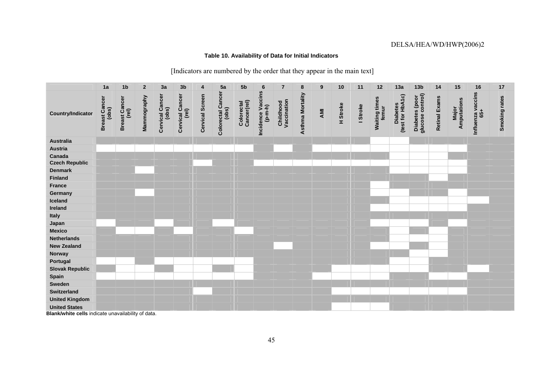## **Table 10. Availability of Data for Initial Indicators**

## [Indicators are numbered by the order that they appear in the main text]

|                          | 1a                                          | 1 <sub>b</sub>                | $\overline{2}$ | 3a                       | 3 <sub>b</sub>           | 4               | 5a                                | 5 <sub>b</sub>            | $6\phantom{1}6$                | $\overline{7}$           | $\pmb{8}$               | 9   | 10       | 11       | 12                            | 13a                          | 13 <sub>b</sub>                    | 14                   | 15                          | 16                       | $17$          |
|--------------------------|---------------------------------------------|-------------------------------|----------------|--------------------------|--------------------------|-----------------|-----------------------------------|---------------------------|--------------------------------|--------------------------|-------------------------|-----|----------|----------|-------------------------------|------------------------------|------------------------------------|----------------------|-----------------------------|--------------------------|---------------|
| <b>Country/Indicator</b> | <b>Ist Cancer</b><br>(obs)<br><b>Breast</b> | <b>Breast Cancer</b><br>(rel) | Mammography    | Cervical Cancer<br>(obs) | Cervical Cancer<br>(rel) | Cervical Screen | <b>Colorectal Cancer</b><br>(obs) | Colorectal<br>Cancer(rel) | Incidence Vaccins<br>$(p-m-h)$ | Childhood<br>Vaccination | <b>Asthma Mortality</b> | AMI | H Stroke | I Stroke | <b>Waiting times</b><br>femur | Diabetes<br>(test for HbA1c) | Diabetes (poor<br>glucose control) | <b>Retinal Exams</b> | <b>Major</b><br>Amputations | Influenza vaccins<br>65+ | Smoking rates |
| <b>Australia</b>         |                                             |                               |                |                          |                          |                 |                                   |                           |                                |                          |                         |     |          |          |                               |                              |                                    |                      |                             |                          |               |
| <b>Austria</b>           |                                             |                               |                |                          |                          |                 |                                   |                           |                                |                          |                         |     |          |          |                               |                              |                                    |                      |                             |                          |               |
| Canada                   |                                             |                               |                |                          |                          |                 |                                   |                           |                                |                          |                         |     |          |          |                               |                              |                                    |                      |                             |                          |               |
| <b>Czech Republic</b>    |                                             |                               |                |                          |                          |                 |                                   |                           |                                |                          |                         |     |          |          |                               |                              |                                    |                      |                             |                          |               |
| <b>Denmark</b>           |                                             |                               |                |                          |                          |                 |                                   |                           |                                |                          |                         |     |          |          |                               |                              |                                    |                      |                             |                          |               |
| <b>Finland</b>           |                                             |                               |                |                          |                          |                 |                                   |                           |                                |                          |                         |     |          |          |                               |                              |                                    |                      |                             |                          |               |
| <b>France</b>            |                                             |                               |                |                          |                          |                 |                                   |                           |                                |                          |                         |     |          |          |                               |                              |                                    |                      |                             |                          |               |
| Germany                  |                                             |                               |                |                          |                          |                 |                                   |                           |                                |                          |                         |     |          |          |                               |                              |                                    |                      |                             |                          |               |
| Iceland                  |                                             |                               |                |                          |                          |                 |                                   |                           |                                |                          |                         |     |          |          |                               |                              |                                    |                      |                             |                          |               |
| Ireland                  |                                             |                               |                |                          |                          |                 |                                   |                           |                                |                          |                         |     |          |          |                               |                              |                                    |                      |                             |                          |               |
| Italy                    |                                             |                               |                |                          |                          |                 |                                   |                           |                                |                          |                         |     |          |          |                               |                              |                                    |                      |                             |                          |               |
| Japan                    |                                             |                               |                |                          |                          |                 |                                   |                           |                                |                          |                         |     |          |          |                               |                              |                                    |                      |                             |                          |               |
| <b>Mexico</b>            |                                             |                               |                |                          |                          |                 |                                   |                           |                                |                          |                         |     |          |          |                               |                              |                                    |                      |                             |                          |               |
| <b>Netherlands</b>       |                                             |                               |                |                          |                          |                 |                                   |                           |                                |                          |                         |     |          |          |                               |                              |                                    |                      |                             |                          |               |
| <b>New Zealand</b>       |                                             |                               |                |                          |                          |                 |                                   |                           |                                |                          |                         |     |          |          |                               |                              |                                    |                      |                             |                          |               |
| Norway                   |                                             |                               |                |                          |                          |                 |                                   |                           |                                |                          |                         |     |          |          |                               |                              |                                    |                      |                             |                          |               |
| Portugal                 |                                             |                               |                |                          |                          |                 |                                   |                           |                                |                          |                         |     |          |          |                               |                              |                                    |                      |                             |                          |               |
| <b>Slovak Republic</b>   |                                             |                               |                |                          |                          |                 |                                   |                           |                                |                          |                         |     |          |          |                               |                              |                                    |                      |                             |                          |               |
| Spain                    |                                             |                               |                |                          |                          |                 |                                   |                           |                                |                          |                         |     |          |          |                               |                              |                                    |                      |                             |                          |               |
| Sweden                   |                                             |                               |                |                          |                          |                 |                                   |                           |                                |                          |                         |     |          |          |                               |                              |                                    |                      |                             |                          |               |
| <b>Switzerland</b>       |                                             |                               |                |                          |                          |                 |                                   |                           |                                |                          |                         |     |          |          |                               |                              |                                    |                      |                             |                          |               |
| <b>United Kingdom</b>    |                                             |                               |                |                          |                          |                 |                                   |                           |                                |                          |                         |     |          |          |                               |                              |                                    |                      |                             |                          |               |
| <b>United States</b>     |                                             |                               |                |                          |                          |                 |                                   |                           |                                |                          |                         |     |          |          |                               |                              |                                    |                      |                             |                          |               |

**Blank/white cells** indicate unavailability of data.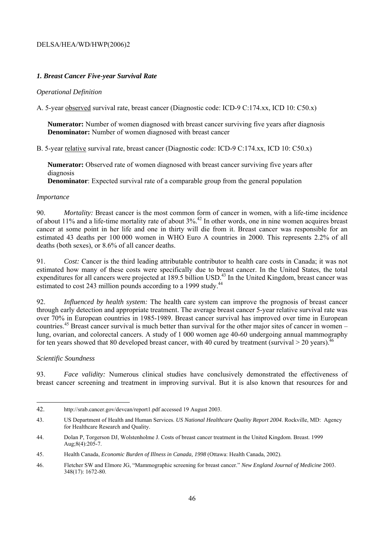## *1. Breast Cancer Five-year Survival Rate*

## *Operational Definition*

A. 5-year observed survival rate, breast cancer (Diagnostic code: ICD-9 C:174.xx, ICD 10: C50.x)

**Numerator:** Number of women diagnosed with breast cancer surviving five years after diagnosis **Denominator:** Number of women diagnosed with breast cancer

B. 5-year relative survival rate, breast cancer (Diagnostic code: ICD-9 C:174.xx, ICD 10: C50.x)

**Numerator:** Observed rate of women diagnosed with breast cancer surviving five years after diagnosis

 **Denominator**: Expected survival rate of a comparable group from the general population

#### *Importance*

90. *Mortality:* Breast cancer is the most common form of cancer in women, with a life-time incidence of about 11% and a life-time mortality rate of about 3%.42 In other words, one in nine women acquires breast cancer at some point in her life and one in thirty will die from it. Breast cancer was responsible for an estimated 43 deaths per 100 000 women in WHO Euro A countries in 2000. This represents 2.2% of all deaths (both sexes), or 8.6% of all cancer deaths.

91. *Cost:* Cancer is the third leading attributable contributor to health care costs in Canada; it was not estimated how many of these costs were specifically due to breast cancer. In the United States, the total expenditures for all cancers were projected at 189.5 billion USD.<sup>43</sup> In the United Kingdom, breast cancer was estimated to cost 243 million pounds according to a 1999 study.<sup>44</sup>

92. *Influenced by health system:* The health care system can improve the prognosis of breast cancer through early detection and appropriate treatment. The average breast cancer 5-year relative survival rate was over 70% in European countries in 1985-1989. Breast cancer survival has improved over time in European countries.45 Breast cancer survival is much better than survival for the other major sites of cancer in women – lung, ovarian, and colorectal cancers. A study of 1 000 women age 40-60 undergoing annual mammography for ten years showed that 80 developed breast cancer, with 40 cured by treatment (survival  $>$  20 years).<sup>46</sup>

## *Scientific Soundness*

l

93. *Face validity:* Numerous clinical studies have conclusively demonstrated the effectiveness of breast cancer screening and treatment in improving survival. But it is also known that resources for and

<sup>42.</sup> http://srab.cancer.gov/devcan/report1.pdf accessed 19 August 2003.

<sup>43.</sup> US Department of Health and Human Services. *US National Healthcare Quality Report 2004*. Rockville, MD: Agency for Healthcare Research and Quality.

<sup>44.</sup> Dolan P, Torgerson DJ, Wolstenholme J. Costs of breast cancer treatment in the United Kingdom. Breast. 1999 Aug;8(4):205-7.

<sup>45.</sup> Health Canada, *Economic Burden of Illness in Canada, 1998* (Ottawa: Health Canada, 2002).

<sup>46.</sup> Fletcher SW and Elmore JG, "Mammographic screening for breast cancer." *New England Journal of Medicine* 2003. 348(17): 1672-80.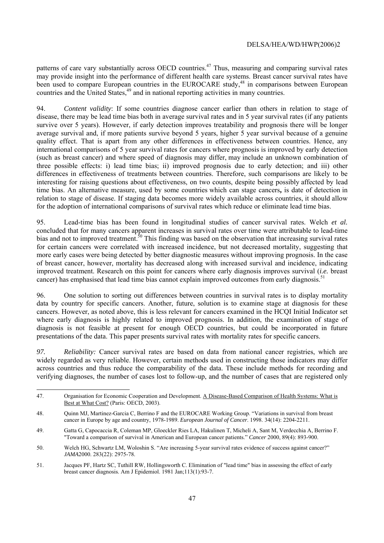patterns of care vary substantially across OECD countries.<sup>47</sup> Thus, measuring and comparing survival rates may provide insight into the performance of different health care systems. Breast cancer survival rates have been used to compare European countries in the EUROCARE study,<sup>48</sup> in comparisons between European countries and the United States,<sup>49</sup> and in national reporting activities in many countries.

94. *Content validity*: If some countries diagnose cancer earlier than others in relation to stage of disease, there may be lead time bias both in average survival rates and in 5 year survival rates (if any patients survive over 5 years). However, if early detection improves treatability and prognosis there will be longer average survival and, if more patients survive beyond 5 years, higher 5 year survival because of a genuine quality effect. That is apart from any other differences in effectiveness between countries. Hence, any international comparisons of 5 year survival rates for cancers where prognosis is improved by early detection (such as breast cancer) and where speed of diagnosis may differ, may include an unknown combination of three possible effects: i) lead time bias; ii) improved prognosis due to early detection; and iii) other differences in effectiveness of treatments between countries. Therefore, such comparisons are likely to be interesting for raising questions about effectiveness, on two counts, despite being possibly affected by lead time bias. An alternative measure, used by some countries which can stage cancers**,** is date of detection in relation to stage of disease. If staging data becomes more widely available across countries, it should allow for the adoption of international comparisons of survival rates which reduce or eliminate lead time bias.

95. Lead-time bias has been found in longitudinal studies of cancer survival rates. Welch *et al.*  concluded that for many cancers apparent increases in survival rates over time were attributable to lead-time bias and not to improved treatment.<sup>50</sup> This finding was based on the observation that increasing survival rates for certain cancers were correlated with increased incidence, but not decreased mortality, suggesting that more early cases were being detected by better diagnostic measures without improving prognosis. In the case of breast cancer, however, mortality has decreased along with increased survival and incidence, indicating improved treatment. Research on this point for cancers where early diagnosis improves survival (*i.e.* breast cancer) has emphasised that lead time bias cannot explain improved outcomes from early diagnosis.<sup>51</sup>

96. One solution to sorting out differences between countries in survival rates is to display mortality data by country for specific cancers. Another, future, solution is to examine stage at diagnosis for these cancers. However, as noted above, this is less relevant for cancers examined in the HCQI Initial Indicator set where early diagnosis is highly related to improved prognosis. In addition, the examination of stage of diagnosis is not feasible at present for enough OECD countries, but could be incorporated in future presentations of the data. This paper presents survival rates with mortality rates for specific cancers.

*97. Reliability:* Cancer survival rates are based on data from national cancer registries, which are widely regarded as very reliable. However, certain methods used in constructing those indicators may differ across countries and thus reduce the comparability of the data. These include methods for recording and verifying diagnoses, the number of cases lost to follow-up, and the number of cases that are registered only

l

<sup>47.</sup> Organisation for Economic Cooperation and Development. A Disease-Based Comparison of Health Systems: What is Best at What Cost? (Paris: OECD, 2003).

<sup>48.</sup> Quinn MJ, Martinez-Garcia C, Berrino F and the EUROCARE Working Group. "Variations in survival from breast cancer in Europe by age and country, 1978-1989. *European Journal of Cancer*. 1998. 34(14): 2204-2211.

<sup>49.</sup> Gatta G, Capocaccia R, Coleman MP, Gloeckler Ries LA, Hakulinen T, Micheli A, Sant M, Verdecchia A, Berrino F. "Toward a comparison of survival in American and European cancer patients." *Cancer* 2000, 89(4): 893-900.

<sup>50.</sup> Welch HG, Schwartz LM, Woloshin S. "Are increasing 5-year survival rates evidence of success against cancer?" *JAMA*2000. 283(22): 2975-78.

<sup>51.</sup> Jacques PF, Hartz SC, Tuthill RW, Hollingsworth C. Elimination of "lead time" bias in assessing the effect of early breast cancer diagnosis. Am J Epidemiol. 1981 Jan;113(1):93-7.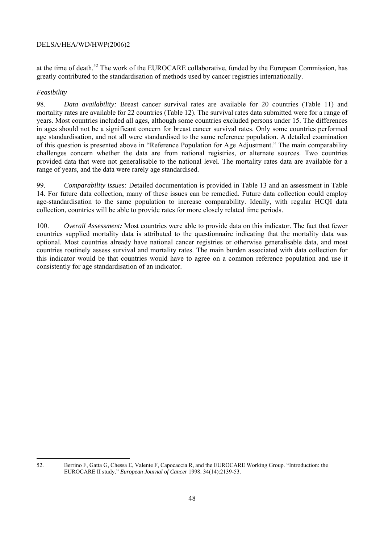at the time of death.<sup>52</sup> The work of the EUROCARE collaborative, funded by the European Commission, has greatly contributed to the standardisation of methods used by cancer registries internationally.

## *Feasibility*

98. *Data availability:* Breast cancer survival rates are available for 20 countries (Table 11) and mortality rates are available for 22 countries (Table 12). The survival rates data submitted were for a range of years. Most countries included all ages, although some countries excluded persons under 15. The differences in ages should not be a significant concern for breast cancer survival rates. Only some countries performed age standardisation, and not all were standardised to the same reference population. A detailed examination of this question is presented above in "Reference Population for Age Adjustment." The main comparability challenges concern whether the data are from national registries, or alternate sources. Two countries provided data that were not generalisable to the national level. The mortality rates data are available for a range of years, and the data were rarely age standardised.

99. *Comparability issues:* Detailed documentation is provided in Table 13 and an assessment in Table 14. For future data collection, many of these issues can be remedied. Future data collection could employ age-standardisation to the same population to increase comparability. Ideally, with regular HCQI data collection, countries will be able to provide rates for more closely related time periods.

100. *Overall Assessment:* Most countries were able to provide data on this indicator. The fact that fewer countries supplied mortality data is attributed to the questionnaire indicating that the mortality data was optional. Most countries already have national cancer registries or otherwise generalisable data, and most countries routinely assess survival and mortality rates. The main burden associated with data collection for this indicator would be that countries would have to agree on a common reference population and use it consistently for age standardisation of an indicator.

l 52. Berrino F, Gatta G, Chessa E, Valente F, Capocaccia R, and the EUROCARE Working Group. "Introduction: the EUROCARE II study." *European Journal of Cancer* 1998. 34(14):2139-53.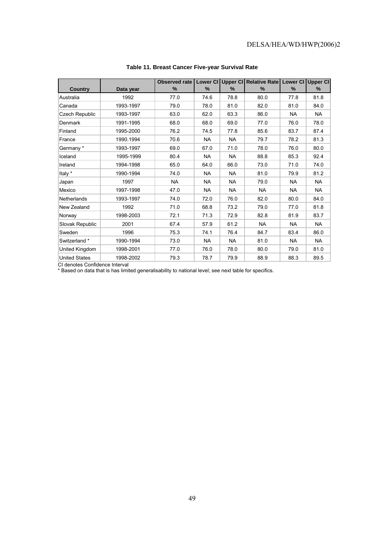|                       |           | Observed rate | Lower CI  |           | Upper CI Relative Rate | Lower CI Upper CI |           |
|-----------------------|-----------|---------------|-----------|-----------|------------------------|-------------------|-----------|
| <b>Country</b>        | Data year | $\%$          | %         | $\%$      | %                      | $\%$              | $\%$      |
| Australia             | 1992      | 77.0          | 74.6      | 78.8      | 80.0                   | 77.8              | 81.8      |
| Canada                | 1993-1997 | 79.0          | 78.0      | 81.0      | 82.0                   | 81.0              | 84.0      |
| <b>Czech Republic</b> | 1993-1997 | 63.0          | 62.0      | 63.3      | 86.0                   | <b>NA</b>         | <b>NA</b> |
| Denmark               | 1991-1995 | 68.0          | 68.0      | 69.0      | 77.0                   | 76.0              | 78.0      |
| Finland               | 1995-2000 | 76.2          | 74.5      | 77.8      | 85.6                   | 83.7              | 87.4      |
| France                | 1990.1994 | 70.6          | <b>NA</b> | <b>NA</b> | 79.7                   | 78.2              | 81.3      |
| Germany*              | 1993-1997 | 69.0          | 67.0      | 71.0      | 78.0                   | 76.0              | 80.0      |
| Iceland               | 1995-1999 | 80.4          | <b>NA</b> | <b>NA</b> | 88.8                   | 85.3              | 92.4      |
| Ireland               | 1994-1998 | 65.0          | 64.0      | 66.0      | 73.0                   | 71.0              | 74.0      |
| Italy *               | 1990-1994 | 74.0          | <b>NA</b> | <b>NA</b> | 81.0                   | 79.9              | 81.2      |
| Japan                 | 1997      | <b>NA</b>     | <b>NA</b> | <b>NA</b> | 79.0                   | <b>NA</b>         | <b>NA</b> |
| Mexico                | 1997-1998 | 47.0          | <b>NA</b> | NA        | <b>NA</b>              | <b>NA</b>         | <b>NA</b> |
| Netherlands           | 1993-1997 | 74.0          | 72.0      | 76.0      | 82.0                   | 80.0              | 84.0      |
| New Zealand           | 1992      | 71.0          | 68.8      | 73.2      | 79.0                   | 77.0              | 81.8      |
| Norway                | 1998-2003 | 72.1          | 71.3      | 72.9      | 82.8                   | 81.9              | 83.7      |
| Slovak Republic       | 2001      | 67.4          | 57.9      | 61.2      | <b>NA</b>              | <b>NA</b>         | <b>NA</b> |
| Sweden                | 1996      | 75.3          | 74.1      | 76.4      | 84.7                   | 83.4              | 86.0      |
| Switzerland *         | 1990-1994 | 73.0          | <b>NA</b> | <b>NA</b> | 81.0                   | <b>NA</b>         | <b>NA</b> |
| United Kingdom        | 1998-2001 | 77.0          | 76.0      | 78.0      | 80.0                   | 79.0              | 81.0      |
| <b>United States</b>  | 1998-2002 | 79.3          | 78.7      | 79.9      | 88.9                   | 88.3              | 89.5      |

#### **Table 11. Breast Cancer Five-year Survival Rate**

CI denotes Confidence Interval

\* Based on data that is has limited generalisability to national level; see next table for specifics.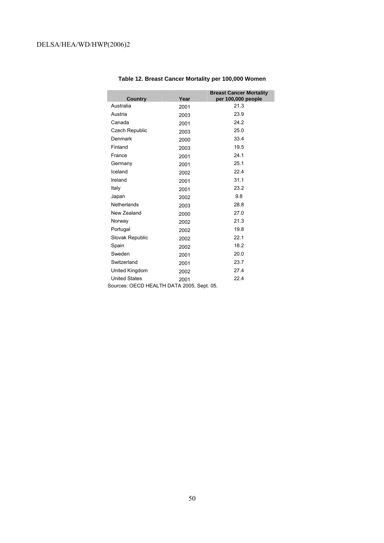| Country                                 | Year | <b>Breast Cancer Mortality</b><br>per 100,000 people |
|-----------------------------------------|------|------------------------------------------------------|
| Australia                               | 2001 | 21.3                                                 |
| Austria                                 | 2003 | 23.9                                                 |
| Canada                                  | 2001 | 24.2                                                 |
| <b>Czech Republic</b>                   | 2003 | 25.0                                                 |
| Denmark                                 | 2000 | 33.4                                                 |
| Finland                                 | 2003 | 19.5                                                 |
| France                                  | 2001 | 24.1                                                 |
| Germany                                 | 2001 | 25.1                                                 |
| Iceland                                 | 2002 | 22.4                                                 |
| Ireland                                 | 2001 | 31.1                                                 |
| Italy                                   | 2001 | 23.2                                                 |
| Japan                                   | 2002 | 9.8                                                  |
| Netherlands                             | 2003 | 28.8                                                 |
| New Zealand                             | 2000 | 27.0                                                 |
| Norway                                  | 2002 | 21.3                                                 |
| Portugal                                | 2002 | 19.8                                                 |
| Slovak Republic                         | 2002 | 22.1                                                 |
| Spain                                   | 2002 | 18.2                                                 |
| Sweden                                  | 2001 | 20.0                                                 |
| Switzerland                             | 2001 | 23.7                                                 |
| United Kingdom                          | 2002 | 27.4                                                 |
| <b>United States</b><br>221171717171777 | 2001 | 22.4                                                 |

## **Table 12. Breast Cancer Mortality per 100,000 Women**

Sources: OECD HEALTH DATA 2005, Sept. 05.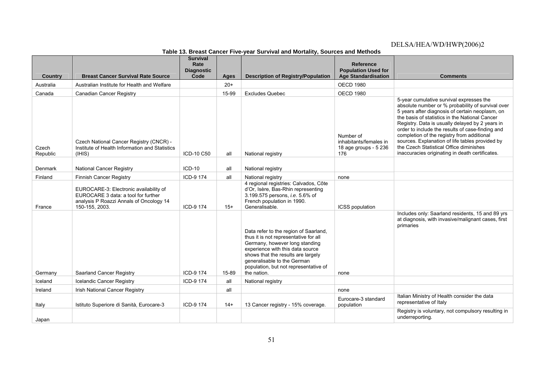|                   |                                                                                                                                            | <b>Survival</b><br>Rate   |       | , oar oar m ar ana mortant ji ooarooo ana mothodo                                                                                                                                                                                                                                 | <b>Reference</b>                                                    |                                                                                                                                                                                                                                                                                                                                                                                                                                                                                                          |
|-------------------|--------------------------------------------------------------------------------------------------------------------------------------------|---------------------------|-------|-----------------------------------------------------------------------------------------------------------------------------------------------------------------------------------------------------------------------------------------------------------------------------------|---------------------------------------------------------------------|----------------------------------------------------------------------------------------------------------------------------------------------------------------------------------------------------------------------------------------------------------------------------------------------------------------------------------------------------------------------------------------------------------------------------------------------------------------------------------------------------------|
| Country           | <b>Breast Cancer Survival Rate Source</b>                                                                                                  | <b>Diagnostic</b><br>Code | Ages  | <b>Description of Registry/Population</b>                                                                                                                                                                                                                                         | <b>Population Used for</b><br><b>Age Standardisation</b>            | <b>Comments</b>                                                                                                                                                                                                                                                                                                                                                                                                                                                                                          |
| Australia         | Australian Institute for Health and Welfare                                                                                                |                           | $20+$ |                                                                                                                                                                                                                                                                                   | <b>OECD 1980</b>                                                    |                                                                                                                                                                                                                                                                                                                                                                                                                                                                                                          |
| Canada            | Canadian Cancer Registry                                                                                                                   |                           | 15-99 | <b>Excludes Quebec</b>                                                                                                                                                                                                                                                            | <b>OECD 1980</b>                                                    |                                                                                                                                                                                                                                                                                                                                                                                                                                                                                                          |
| Czech<br>Republic | Czech National Cancer Registry (CNCR) -<br>Institute of Health Information and Statistics<br>(HHS)                                         | ICD-10 C50                | all   | National registry                                                                                                                                                                                                                                                                 | Number of<br>inhabitants/females in<br>18 age groups - 5 236<br>176 | 5-year cumulative survival expresses the<br>absolute number or % probability of survival over<br>5 years after diagnosis of certain neoplasm, on<br>the basis of statistics in the National Cancer<br>Registry. Data is usually delayed by 2 years in<br>order to include the results of case-finding and<br>completion of the registry from additional<br>sources. Explanation of life tables provided by<br>the Czech Statistical Office diminishes<br>inaccuracies originating in death certificates. |
|                   |                                                                                                                                            |                           |       |                                                                                                                                                                                                                                                                                   |                                                                     |                                                                                                                                                                                                                                                                                                                                                                                                                                                                                                          |
| Denmark           | National Cancer Registry                                                                                                                   | $ICD-10$                  | all   | National registry                                                                                                                                                                                                                                                                 |                                                                     |                                                                                                                                                                                                                                                                                                                                                                                                                                                                                                          |
| Finland           | <b>Finnish Cancer Registry</b>                                                                                                             | ICD-9 174                 | all   | National registry<br>4 regional registries: Calvados, Côte                                                                                                                                                                                                                        | none                                                                |                                                                                                                                                                                                                                                                                                                                                                                                                                                                                                          |
| France            | EUROCARE-3: Electronic availability of<br>EUROCARE 3 data: a tool for further<br>analysis P Roazzi Annals of Oncology 14<br>150-155, 2003. | ICD-9 174                 | $15+$ | d'Or, Isère, Bas-Rhin representing<br>3.199.575 persons, i.e. 5.6% of<br>French population in 1990.<br>Generalisable.                                                                                                                                                             | ICSS population                                                     |                                                                                                                                                                                                                                                                                                                                                                                                                                                                                                          |
| Germany           | Saarland Cancer Registry                                                                                                                   | ICD-9 174                 | 15-89 | Data refer to the region of Saarland,<br>thus it is not representative for all<br>Germany, however long standing<br>experience with this data source<br>shows that the results are largely<br>generalisable to the German<br>population, but not representative of<br>the nation. | none                                                                | Includes only: Saarland residents, 15 and 89 yrs<br>at diagnosis, with invasive/malignant cases, first<br>primaries                                                                                                                                                                                                                                                                                                                                                                                      |
| Iceland           | Icelandic Cancer Registry                                                                                                                  | ICD-9 174                 | all   | National registry                                                                                                                                                                                                                                                                 |                                                                     |                                                                                                                                                                                                                                                                                                                                                                                                                                                                                                          |
| Ireland           | Irish National Cancer Registry                                                                                                             |                           | all   |                                                                                                                                                                                                                                                                                   | none                                                                |                                                                                                                                                                                                                                                                                                                                                                                                                                                                                                          |
| Italy             | Istituto Superiore di Sanità, Eurocare-3                                                                                                   | ICD-9 174                 | $14+$ | 13 Cancer registry - 15% coverage.                                                                                                                                                                                                                                                | Eurocare-3 standard<br>population                                   | Italian Ministry of Health consider the data<br>representative of Italy                                                                                                                                                                                                                                                                                                                                                                                                                                  |
| Japan             |                                                                                                                                            |                           |       |                                                                                                                                                                                                                                                                                   |                                                                     | Registry is voluntary, not compulsory resulting in<br>underreporting.                                                                                                                                                                                                                                                                                                                                                                                                                                    |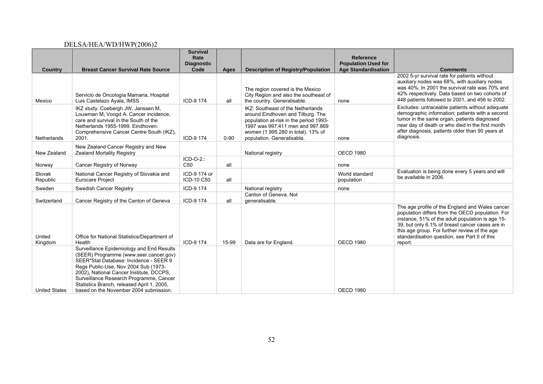| Country              | <b>Breast Cancer Survival Rate Source</b>                                                                                                                                                                                                                                                                                                            | <b>Survival</b><br>Rate<br><b>Diagnostic</b><br>Code | Ages     | <b>Description of Registry/Population</b>                                                                                                                                                                                | Reference<br><b>Population Used for</b><br><b>Age Standardisation</b> | <b>Comments</b>                                                                                                                                                                                                                                                                                                         |
|----------------------|------------------------------------------------------------------------------------------------------------------------------------------------------------------------------------------------------------------------------------------------------------------------------------------------------------------------------------------------------|------------------------------------------------------|----------|--------------------------------------------------------------------------------------------------------------------------------------------------------------------------------------------------------------------------|-----------------------------------------------------------------------|-------------------------------------------------------------------------------------------------------------------------------------------------------------------------------------------------------------------------------------------------------------------------------------------------------------------------|
| Mexico               | Servicio de Oncología Mamaria, Hospital<br>Luis Castelazo Ayala, IMSS                                                                                                                                                                                                                                                                                | ICD-9 174                                            | all      | The region covered is the Mexico<br>City Region and also the southeast of<br>the country. Generalisable.                                                                                                                 | none                                                                  | 2002 5-yr survival rate for patients without<br>auxiliary nodes was 68%, with auxiliary nodes<br>was 40%. In 2001 the survival rate was 70% and<br>42% respectively. Data based on two cohorts of<br>448 patients followed to 2001, and 456 to 2002.                                                                    |
| <b>Netherlands</b>   | IKZ study. Coebergh JW, Janssen M,<br>Louwman M, Voogd A. Cancer incidence,<br>care and survival in the South of the<br>Netherlands 1955-1999. Eindhoven:<br>Comprehensive Cancer Centre South (IKZ),<br>2001.                                                                                                                                       | ICD-9 174                                            | $0 - 90$ | IKZ: Southeast of the Netherlands<br>around Eindhoven and Tilburg. The<br>population at-risk in the period 1993-<br>1997 was 997.411 men and 997.869<br>women (1.995.280 in total). 13% of<br>population. Generalisable. | none                                                                  | Excludes: untraceable patients without adequate<br>demographic information; patients with a second<br>tumor in the same organ, patients diagnosed<br>near day of death or who died in the first month<br>after diagnosis, patients older than 90 years at<br>diagnosis.                                                 |
| New Zealand          | New Zealand Cancer Registry and New<br>Zealand Mortality Registry                                                                                                                                                                                                                                                                                    |                                                      |          | National registry                                                                                                                                                                                                        | <b>OECD 1980</b>                                                      |                                                                                                                                                                                                                                                                                                                         |
| Norway               | Cancer Registry of Norway                                                                                                                                                                                                                                                                                                                            | $ICD-O-2$ :<br>C <sub>50</sub>                       | all      |                                                                                                                                                                                                                          | none                                                                  |                                                                                                                                                                                                                                                                                                                         |
| Slovak<br>Republic   | National Cancer Registry of Slovakia and<br><b>Eurocare Project</b>                                                                                                                                                                                                                                                                                  | ICD-9 174 or<br>ICD-10 C50                           | all      |                                                                                                                                                                                                                          | World standard<br>population                                          | Evaluation is being done every 5 years and will<br>be available in 2006.                                                                                                                                                                                                                                                |
| Sweden               | Swedish Cancer Registry                                                                                                                                                                                                                                                                                                                              | ICD-9 174                                            |          | National registry                                                                                                                                                                                                        | none                                                                  |                                                                                                                                                                                                                                                                                                                         |
| Switzerland          | Cancer Registry of the Canton of Geneva                                                                                                                                                                                                                                                                                                              | ICD-9 174                                            | all      | Canton of Geneva. Not<br>generalisable.                                                                                                                                                                                  |                                                                       |                                                                                                                                                                                                                                                                                                                         |
| United<br>Kingdom    | Office for National Statistics/Department of<br>Health                                                                                                                                                                                                                                                                                               | ICD-9 174                                            | 15-99    | Data are for England.                                                                                                                                                                                                    | <b>OECD 1980</b>                                                      | The age profile of the England and Wales cancer<br>population differs from the OECD population. For<br>instance, 51% of the adult population is age 15-<br>39, but only 6.1% of breast cancer cases are in<br>this age group. For further review of the age<br>standardisation question, see Part II of this<br>report. |
| <b>United States</b> | Surveillance Epidemiology and End Results<br>(SEER) Programme (www.seer.cancer.gov)<br>SEER*Stat Database: Incidence - SEER 9<br>Regs Public-Use, Nov 2004 Sub (1973-<br>2002), National Cancer Institute, DCCPS,<br>Surveillance Research Programme, Cancer<br>Statistics Branch, released April 1, 2005,<br>based on the November 2004 submission. |                                                      |          |                                                                                                                                                                                                                          | <b>OECD 1980</b>                                                      |                                                                                                                                                                                                                                                                                                                         |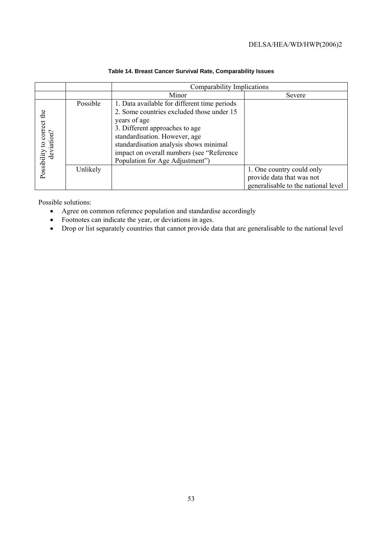|                                          |          | Comparability Implications                                                                                                                                                                                                                                                                             |                                                                                               |  |  |  |  |  |  |  |
|------------------------------------------|----------|--------------------------------------------------------------------------------------------------------------------------------------------------------------------------------------------------------------------------------------------------------------------------------------------------------|-----------------------------------------------------------------------------------------------|--|--|--|--|--|--|--|
|                                          |          | Minor                                                                                                                                                                                                                                                                                                  | Severe                                                                                        |  |  |  |  |  |  |  |
| Possibility to correct the<br>deviation? | Possible | 1. Data available for different time periods<br>2. Some countries excluded those under 15<br>years of age<br>3. Different approaches to age<br>standardisation. However, age<br>standardisation analysis shows minimal<br>impact on overall numbers (see "Reference<br>Population for Age Adjustment") |                                                                                               |  |  |  |  |  |  |  |
|                                          | Unlikely |                                                                                                                                                                                                                                                                                                        | 1. One country could only<br>provide data that was not<br>generalisable to the national level |  |  |  |  |  |  |  |

## **Table 14. Breast Cancer Survival Rate, Comparability Issues**

Possible solutions:

- Agree on common reference population and standardise accordingly
- Footnotes can indicate the year, or deviations in ages.
- Drop or list separately countries that cannot provide data that are generalisable to the national level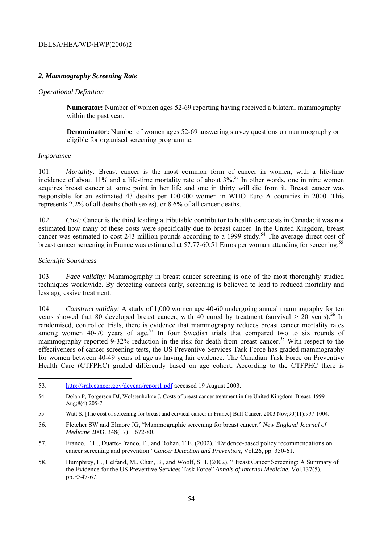## *2. Mammography Screening Rate*

#### *Operational Definition*

**Numerator:** Number of women ages 52-69 reporting having received a bilateral mammography within the past year.

**Denominator:** Number of women ages 52-69 answering survey questions on mammography or eligible for organised screening programme.

#### *Importance*

101. *Mortality:* Breast cancer is the most common form of cancer in women, with a life-time incidence of about 11% and a life-time mortality rate of about 3%.<sup>53</sup> In other words, one in nine women acquires breast cancer at some point in her life and one in thirty will die from it. Breast cancer was responsible for an estimated 43 deaths per 100 000 women in WHO Euro A countries in 2000. This represents 2.2% of all deaths (both sexes), or 8.6% of all cancer deaths.

102. *Cost:* Cancer is the third leading attributable contributor to health care costs in Canada; it was not estimated how many of these costs were specifically due to breast cancer. In the United Kingdom, breast cancer was estimated to cost 243 million pounds according to a 1999 study.<sup>54</sup> The average direct cost of breast cancer screening in France was estimated at 57.77-60.51 Euros per woman attending for screening.<sup>55</sup>

#### *Scientific Soundness*

103. *Face validity:* Mammography in breast cancer screening is one of the most thoroughly studied techniques worldwide. By detecting cancers early, screening is believed to lead to reduced mortality and less aggressive treatment.

104. *Construct validity:* A study of 1,000 women age 40-60 undergoing annual mammography for ten years showed that 80 developed breast cancer, with 40 cured by treatment (survival > 20 years).**<sup>56</sup>** In randomised, controlled trials, there is evidence that mammography reduces breast cancer mortality rates among women 40-70 years of age.<sup>57</sup> In four Swedish trials that compared two to six rounds of mammography reported 9-32% reduction in the risk for death from breast cancer.<sup>58</sup> With respect to the effectiveness of cancer screening tests, the US Preventive Services Task Force has graded mammography for women between 40-49 years of age as having fair evidence. The Canadian Task Force on Preventive Health Care (CTFPHC) graded differently based on age cohort. According to the CTFPHC there is

<sup>53.</sup> http://srab.cancer.gov/devcan/report1.pdf accessed 19 August 2003.

<sup>54.</sup> Dolan P, Torgerson DJ, Wolstenholme J. Costs of breast cancer treatment in the United Kingdom. Breast. 1999 Aug;8(4):205-7.

<sup>55.</sup> Watt S. [The cost of screening for breast and cervical cancer in France] Bull Cancer. 2003 Nov;90(11):997-1004.

<sup>56.</sup> Fletcher SW and Elmore JG, "Mammographic screening for breast cancer." *New England Journal of Medicine* 2003. 348(17): 1672-80.

<sup>57.</sup> Franco, E.L., Duarte-Franco, E., and Rohan, T.E. (2002), "Evidence-based policy recommendations on cancer screening and prevention" *Cancer Detection and Prevention*, Vol.26, pp. 350-61.

<sup>58.</sup> Humphrey, L., Helfand, M., Chan, B., and Woolf, S.H. (2002), "Breast Cancer Screening: A Summary of the Evidence for the US Preventive Services Task Force" *Annals of Internal Medicine*, Vol.137(5), pp.E347-67.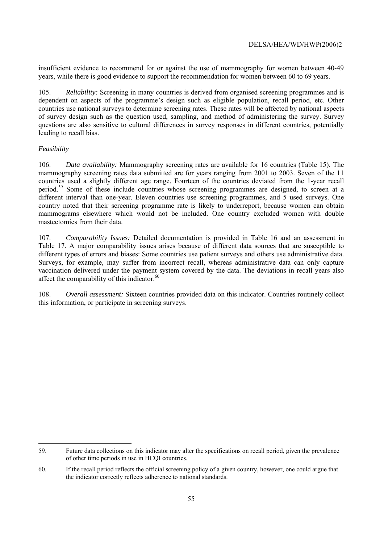insufficient evidence to recommend for or against the use of mammography for women between 40-49 years, while there is good evidence to support the recommendation for women between 60 to 69 years.

105. *Reliability:* Screening in many countries is derived from organised screening programmes and is dependent on aspects of the programme's design such as eligible population, recall period, etc. Other countries use national surveys to determine screening rates. These rates will be affected by national aspects of survey design such as the question used, sampling, and method of administering the survey. Survey questions are also sensitive to cultural differences in survey responses in different countries, potentially leading to recall bias.

## *Feasibility*

 $\overline{a}$ 

106. *Data availability:* Mammography screening rates are available for 16 countries (Table 15). The mammography screening rates data submitted are for years ranging from 2001 to 2003. Seven of the 11 countries used a slightly different age range. Fourteen of the countries deviated from the 1-year recall period.<sup>59</sup> Some of these include countries whose screening programmes are designed, to screen at a different interval than one-year. Eleven countries use screening programmes, and 5 used surveys. One country noted that their screening programme rate is likely to underreport, because women can obtain mammograms elsewhere which would not be included. One country excluded women with double mastectomies from their data.

107. *Comparability Issues:* Detailed documentation is provided in Table 16 and an assessment in Table 17. A major comparability issues arises because of different data sources that are susceptible to different types of errors and biases: Some countries use patient surveys and others use administrative data. Surveys, for example, may suffer from incorrect recall, whereas administrative data can only capture vaccination delivered under the payment system covered by the data. The deviations in recall years also affect the comparability of this indicator.<sup>60</sup>

108. *Overall assessment:* Sixteen countries provided data on this indicator. Countries routinely collect this information, or participate in screening surveys.

<sup>59.</sup> Future data collections on this indicator may alter the specifications on recall period, given the prevalence of other time periods in use in HCQI countries.

<sup>60.</sup> If the recall period reflects the official screening policy of a given country, however, one could argue that the indicator correctly reflects adherence to national standards.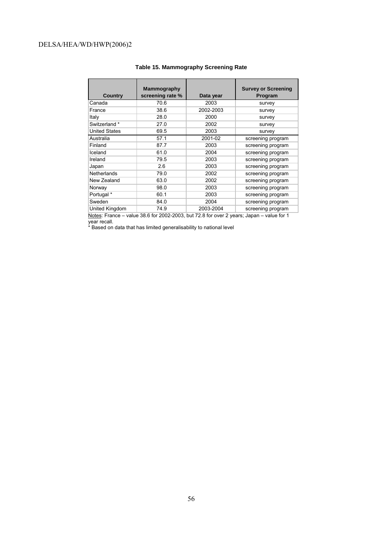| <b>Country</b>       | Mammography<br>screening rate % | Data year | <b>Survey or Screening</b><br>Program |
|----------------------|---------------------------------|-----------|---------------------------------------|
| Canada               | 70.6                            | 2003      | survey                                |
| France               | 38.6                            | 2002-2003 | survey                                |
| Italy                | 28.0                            | 2000      | survey                                |
| Switzerland *        | 27.0                            | 2002      | survey                                |
| <b>United States</b> | 69.5                            | 2003      | survey                                |
| Australia            | 57.1                            | 2001-02   | screening program                     |
| Finland              | 87.7                            | 2003      | screening program                     |
| Iceland              | 61.0                            | 2004      | screening program                     |
| Ireland              | 79.5                            | 2003      | screening program                     |
| Japan                | 2.6                             | 2003      | screening program                     |
| <b>Netherlands</b>   | 79.0                            | 2002      | screening program                     |
| New Zealand          | 63.0                            | 2002      | screening program                     |
| Norway               | 98.0                            | 2003      | screening program                     |
| Portugal *           | 60.1                            | 2003      | screening program                     |
| Sweden               | 84.0                            | 2004      | screening program                     |
| United Kingdom       | 74.9                            | 2003-2004 | screening program                     |

#### **Table 15. Mammography Screening Rate**

Notes: France – value 38.6 for 2002-2003, but 72.8 for over 2 years; Japan – value for 1 year recall.

\* Based on data that has limited generalisability to national level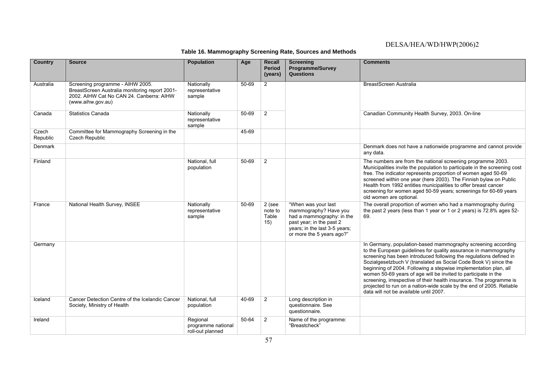**Table 16. Mammography Screening Rate, Sources and Methods**

| <b>Country</b>    | <b>Source</b>                                                                                                                                       | <b>Population</b>                                  | Age       | <b>Recall</b><br><b>Period</b><br>(years) | <b>Screening</b><br>Programme/Survey<br><b>Questions</b>                                                                                                            | <b>Comments</b>                                                                                                                                                                                                                                                                                                                                                                                                                                                                                                                                                                                         |
|-------------------|-----------------------------------------------------------------------------------------------------------------------------------------------------|----------------------------------------------------|-----------|-------------------------------------------|---------------------------------------------------------------------------------------------------------------------------------------------------------------------|---------------------------------------------------------------------------------------------------------------------------------------------------------------------------------------------------------------------------------------------------------------------------------------------------------------------------------------------------------------------------------------------------------------------------------------------------------------------------------------------------------------------------------------------------------------------------------------------------------|
| Australia         | Screening programme - AIHW 2005.<br>BreastScreen Australia monitoring report 2001-<br>2002. AIHW Cat No CAN 24. Canberra: AIHW<br>(www.aihw.gov.au) | Nationally<br>representative<br>sample             | $50 - 69$ | $\overline{2}$                            |                                                                                                                                                                     | BreastScreen Australia                                                                                                                                                                                                                                                                                                                                                                                                                                                                                                                                                                                  |
| Canada            | <b>Statistics Canada</b>                                                                                                                            | Nationally<br>representative<br>sample             | $50 - 69$ | 2                                         |                                                                                                                                                                     | Canadian Community Health Survey, 2003. On-line                                                                                                                                                                                                                                                                                                                                                                                                                                                                                                                                                         |
| Czech<br>Republic | Committee for Mammography Screening in the<br>Czech Republic                                                                                        |                                                    | 45-69     |                                           |                                                                                                                                                                     |                                                                                                                                                                                                                                                                                                                                                                                                                                                                                                                                                                                                         |
| Denmark           |                                                                                                                                                     |                                                    |           |                                           |                                                                                                                                                                     | Denmark does not have a nationwide programme and cannot provide<br>any data.                                                                                                                                                                                                                                                                                                                                                                                                                                                                                                                            |
| Finland           |                                                                                                                                                     | National, full<br>population                       | 50-69     | $\overline{2}$                            |                                                                                                                                                                     | The numbers are from the national screening programme 2003.<br>Municipalities invite the population to participate in the screening cost<br>free. The indicator represents proportion of women aged 50-69<br>screened within one year (here 2003). The Finnish bylaw on Public<br>Health from 1992 entitles municipalities to offer breast cancer<br>screening for women aged 50-59 years; screenings for 60-69 years<br>old women are optional.                                                                                                                                                        |
| France            | National Health Survey, INSEE                                                                                                                       | Nationally<br>representative<br>sample             | 50-69     | 2 (see<br>note to<br>Table<br>15)         | "When was your last<br>mammography? Have you<br>had a mammography: in the<br>past year; in the past 2<br>years; in the last 3-5 years;<br>or more the 5 years ago?" | The overall proportion of women who had a mammography during<br>the past 2 years (less than 1 year or 1 or 2 years) is 72.8% ages 52-<br>69.                                                                                                                                                                                                                                                                                                                                                                                                                                                            |
| Germany           |                                                                                                                                                     |                                                    |           |                                           |                                                                                                                                                                     | In Germany, population-based mammography screening according<br>to the European guidelines for quality assurance in mammography<br>screening has been introduced following the regulations defined in<br>Sozialgesetzbuch V (translated as Social Code Book V) since the<br>beginning of 2004. Following a stepwise implementation plan, all<br>women 50-69 years of age will be invited to participate in the<br>screening, irrespective of their health insurance. The programme is<br>projected to run on a nation-wide scale by the end of 2005. Reliable<br>data will not be available until 2007. |
| Iceland           | Cancer Detection Centre of the Icelandic Cancer<br>Society, Ministry of Health                                                                      | National, full<br>population                       | 40-69     | $\overline{2}$                            | Long description in<br>questionnaire. See<br>questionnaire.                                                                                                         |                                                                                                                                                                                                                                                                                                                                                                                                                                                                                                                                                                                                         |
| Ireland           |                                                                                                                                                     | Regional<br>programme national<br>roll-out planned | $50 - 64$ | 2                                         | Name of the programme:<br>"Breastcheck"                                                                                                                             |                                                                                                                                                                                                                                                                                                                                                                                                                                                                                                                                                                                                         |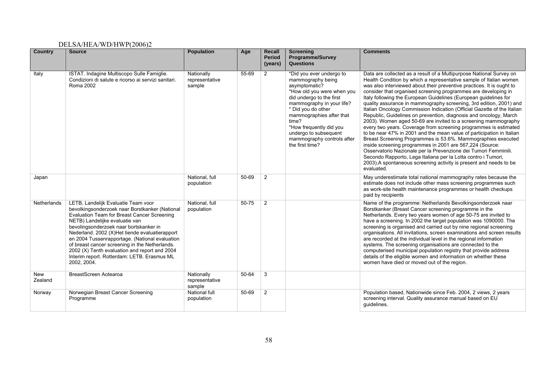| <b>Country</b>        | <b>Source</b>                                                                                                                                                                                                                                                                                                                                                                                                                                                                         | <b>Population</b>                      | Age       | <b>Recall</b><br><b>Period</b><br>(years) | <b>Screening</b><br><b>Programme/Survey</b><br><b>Questions</b>                                                                                                                                                                                                                                                       | <b>Comments</b>                                                                                                                                                                                                                                                                                                                                                                                                                                                                                                                                                                                                                                                                                                                                                                                                                                                                                                                                                                                                                                                                                                                                   |
|-----------------------|---------------------------------------------------------------------------------------------------------------------------------------------------------------------------------------------------------------------------------------------------------------------------------------------------------------------------------------------------------------------------------------------------------------------------------------------------------------------------------------|----------------------------------------|-----------|-------------------------------------------|-----------------------------------------------------------------------------------------------------------------------------------------------------------------------------------------------------------------------------------------------------------------------------------------------------------------------|---------------------------------------------------------------------------------------------------------------------------------------------------------------------------------------------------------------------------------------------------------------------------------------------------------------------------------------------------------------------------------------------------------------------------------------------------------------------------------------------------------------------------------------------------------------------------------------------------------------------------------------------------------------------------------------------------------------------------------------------------------------------------------------------------------------------------------------------------------------------------------------------------------------------------------------------------------------------------------------------------------------------------------------------------------------------------------------------------------------------------------------------------|
| Italy                 | ISTAT. Indagine Multiscopo Sulle Famiglie.<br>Condizioni di salute e ricorso ai servizi sanitari.<br>Roma 2002                                                                                                                                                                                                                                                                                                                                                                        | Nationally<br>representative<br>sample | 55-69     | 2                                         | *Did you ever undergo to<br>mammography being<br>asymptomatic?<br>*How old you were when you<br>did undergo to the first<br>mammography in your life?<br>* Did you do other<br>mammographies after that<br>time?<br>*How frequently did you<br>undergo to subsequent<br>mammography controls after<br>the first time? | Data are collected as a result of a Multipurpose National Survey on<br>Health Condition by which a representative sample of Italian women<br>was also interviewed about their preventive practices. It is ought to<br>consider that organised screening programmes are developing in<br>Italy following the European Guidelines (European guidelines for<br>quality assurance in mammography screening, 3rd edition, 2001) and<br>Italian Oncology Commission Indication (Official Gazette of the Italian<br>Republic, Guidelines on prevention, diagnosis and oncology, March<br>2003). Women aged 50-69 are invited to a screening mammography<br>every two years. Coverage from screening programmes is estimated<br>to be near 47% in 2001 and the mean value of participation in Italian<br>Breast Screening Programmes is 53.6%. Mammographies executed<br>inside screening programmes in 2001 are 567,224 (Source:<br>Osservatorio Nazionale per la Prevenzione dei Tumori Femminili.<br>Secondo Rapporto, Lega Italiana per la Lotta contro i Tumori,<br>2003). A spontaneous screening activity is present and needs to be<br>evaluated. |
| Japan                 |                                                                                                                                                                                                                                                                                                                                                                                                                                                                                       | National, full<br>population           | 50-69     | $\overline{2}$                            |                                                                                                                                                                                                                                                                                                                       | May underestimate total national mammography rates because the<br>estimate does not include other mass screening programmes such<br>as work-site health maintenance programmes or health checkups<br>paid by recipients                                                                                                                                                                                                                                                                                                                                                                                                                                                                                                                                                                                                                                                                                                                                                                                                                                                                                                                           |
| Netherlands           | LETB, Landelijk Evaluatie Team voor<br>bevolkingsonderzoek naar Borstkanker (National<br>Evaluation Team for Breast Cancer Screening<br>NETB) Landelijke evaluatie van<br>bevolingsonderzoek naar bortskanker in<br>Nederland. 2002 (X)Het tiende evaluatierapport<br>en 2004 Tussenrapportage. (National evaluation<br>of breast cancer screening in the Netherlands.<br>2002 (X) Tenth evaluation and report and 2004<br>Interim report. Rotterdam: LETB. Erasmus ML<br>2002, 2004. | National, full<br>population           | $50 - 75$ | $\overline{2}$                            |                                                                                                                                                                                                                                                                                                                       | Name of the programme: Netherlands Bevolkingsonderzoek naar<br>Borstkanker (Breast Cancer screening programme in the<br>Netherlands. Every two years women of age 50-75 are invited to<br>have a screening. In 2002 the target population was 1090000. The<br>screening is organised and carried out by nine regional screening<br>organisations. All invitations, screen examinations and screen results<br>are recorded at the individual level in the regional information<br>systems. The screening organisations are connected to the<br>computerised municipal population registry that provide address<br>details of the eligible women and information on whether these<br>women have died or moved out of the region.                                                                                                                                                                                                                                                                                                                                                                                                                    |
| <b>New</b><br>Zealand | BreastScreen Aotearoa                                                                                                                                                                                                                                                                                                                                                                                                                                                                 | Nationally<br>representative<br>sample | 50-64     | 3                                         |                                                                                                                                                                                                                                                                                                                       |                                                                                                                                                                                                                                                                                                                                                                                                                                                                                                                                                                                                                                                                                                                                                                                                                                                                                                                                                                                                                                                                                                                                                   |
| Norway                | Norwegian Breast Cancer Screening<br>Programme                                                                                                                                                                                                                                                                                                                                                                                                                                        | <b>National full</b><br>population     | 50-69     | 2                                         |                                                                                                                                                                                                                                                                                                                       | Population based, Nationwide since Feb. 2004, 2 views, 2 years<br>screening interval. Quality assurance manual based on EU<br>quidelines.                                                                                                                                                                                                                                                                                                                                                                                                                                                                                                                                                                                                                                                                                                                                                                                                                                                                                                                                                                                                         |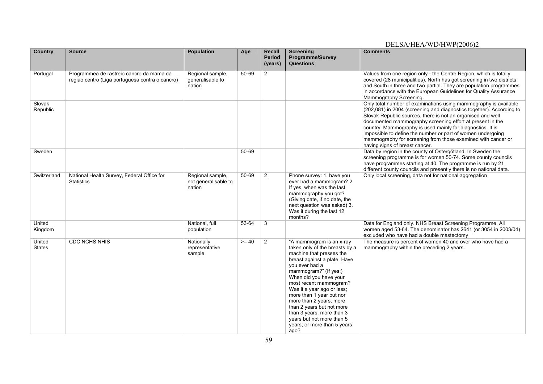| <b>Country</b>     | <b>Source</b>                                                                               | <b>Population</b>                                  | Age     | <b>Recall</b><br><b>Period</b><br>(years) | <b>Screening</b><br><b>Programme/Survey</b><br><b>Questions</b>                                                                                                                                                                                                                                                                                                                                                                          | <b>Comments</b>                                                                                                                                                                                                                                                                                                                                                                                                                                                                                     |
|--------------------|---------------------------------------------------------------------------------------------|----------------------------------------------------|---------|-------------------------------------------|------------------------------------------------------------------------------------------------------------------------------------------------------------------------------------------------------------------------------------------------------------------------------------------------------------------------------------------------------------------------------------------------------------------------------------------|-----------------------------------------------------------------------------------------------------------------------------------------------------------------------------------------------------------------------------------------------------------------------------------------------------------------------------------------------------------------------------------------------------------------------------------------------------------------------------------------------------|
| Portugal           | Programmea de rastreio cancro da mama da<br>regiao centro (Liga portuguesa contra o cancro) | Regional sample,<br>generalisable to<br>nation     | 50-69   | 2                                         |                                                                                                                                                                                                                                                                                                                                                                                                                                          | Values from one region only - the Centre Region, which is totally<br>covered (28 municipalities). North has got screening in two districts<br>and South in three and two partial. They are population programmes<br>in accordance with the European Guidelines for Quality Assurance<br>Mammography Screening.                                                                                                                                                                                      |
| Slovak<br>Republic |                                                                                             |                                                    |         |                                           |                                                                                                                                                                                                                                                                                                                                                                                                                                          | Only total number of examinations using mammography is available<br>(202,081) in 2004 (screening and diagnostics together). According to<br>Slovak Republic sources, there is not an organised and well<br>documented mammography screening effort at present in the<br>country. Mammography is used mainly for diagnostics. It is<br>impossible to define the number or part of women undergoing<br>mammography for screening from those examined with cancer or<br>having signs of breast cancer. |
| Sweden             |                                                                                             |                                                    | 50-69   |                                           |                                                                                                                                                                                                                                                                                                                                                                                                                                          | Data by region in the county of Östergötland. In Sweden the<br>screening programme is for women 50-74. Some county councils<br>have programmes starting at 40. The programme is run by 21<br>different county councils and presently there is no national data.                                                                                                                                                                                                                                     |
| Switzerland        | National Health Survey, Federal Office for<br><b>Statistics</b>                             | Regional sample,<br>not generalisable to<br>nation | 50-69   | 2                                         | Phone survey: 1. have you<br>ever had a mammogram? 2.<br>If yes, when was the last<br>mammography you got?<br>(Giving date, if no date, the<br>next question was asked) 3.<br>Was it during the last 12<br>months?                                                                                                                                                                                                                       | Only local screening, data not for national aggregation                                                                                                                                                                                                                                                                                                                                                                                                                                             |
| United<br>Kingdom  |                                                                                             | National, full<br>population                       | 53-64   | 3                                         |                                                                                                                                                                                                                                                                                                                                                                                                                                          | Data for England only. NHS Breast Screening Programme. All<br>women aged 53-64. The denominator has 2641 (or 3054 in 2003/04)<br>excluded who have had a double mastectomy                                                                                                                                                                                                                                                                                                                          |
| United<br>States   | <b>CDC NCHS NHIS</b>                                                                        | Nationally<br>representative<br>sample             | $>= 40$ | 2                                         | "A mammogram is an x-ray<br>taken only of the breasts by a<br>machine that presses the<br>breast against a plate. Have<br>you ever had a<br>mammogram?" (If yes:)<br>When did you have your<br>most recent mammogram?<br>Was it a year ago or less;<br>more than 1 year but nor<br>more than 2 years; more<br>than 2 years but not more<br>than 3 years; more than 3<br>years but not more than 5<br>years; or more than 5 years<br>ago? | The measure is percent of women 40 and over who have had a<br>mammography within the preceding 2 years.                                                                                                                                                                                                                                                                                                                                                                                             |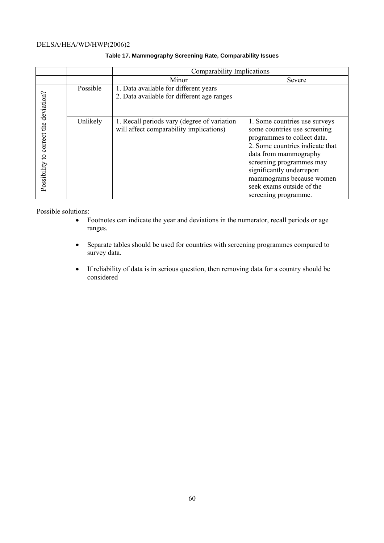|                            |          | Comparability Implications                                                             |                                                                                                                                                                                                                                                                                                    |  |  |  |  |
|----------------------------|----------|----------------------------------------------------------------------------------------|----------------------------------------------------------------------------------------------------------------------------------------------------------------------------------------------------------------------------------------------------------------------------------------------------|--|--|--|--|
|                            |          | Minor                                                                                  | Severe                                                                                                                                                                                                                                                                                             |  |  |  |  |
| deviation?                 | Possible | 1. Data available for different years<br>2. Data available for different age ranges    |                                                                                                                                                                                                                                                                                                    |  |  |  |  |
| Possibility to correct the | Unlikely | 1. Recall periods vary (degree of variation<br>will affect comparability implications) | 1. Some countries use surveys<br>some countries use screening<br>programmes to collect data.<br>2. Some countries indicate that<br>data from mammography<br>screening programmes may<br>significantly underreport<br>mammograms because women<br>seek exams outside of the<br>screening programme. |  |  |  |  |

### **Table 17. Mammography Screening Rate, Comparability Issues**

Possible solutions:

- Footnotes can indicate the year and deviations in the numerator, recall periods or age ranges.
- Separate tables should be used for countries with screening programmes compared to survey data.
- If reliability of data is in serious question, then removing data for a country should be considered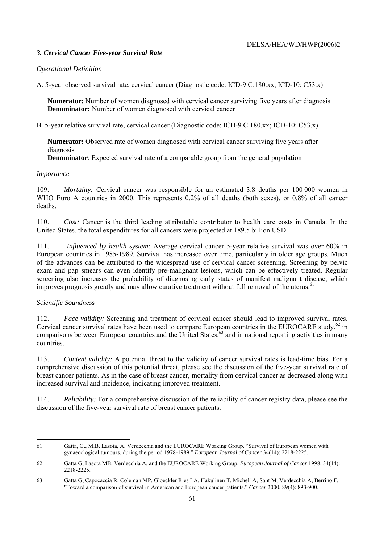## *3. Cervical Cancer Five-year Survival Rate*

## *Operational Definition*

A. 5-year observed survival rate, cervical cancer (Diagnostic code: ICD-9 C:180.xx; ICD-10: C53.x)

**Numerator:** Number of women diagnosed with cervical cancer surviving five years after diagnosis **Denominator:** Number of women diagnosed with cervical cancer

B. 5-year relative survival rate, cervical cancer (Diagnostic code: ICD-9 C:180.xx; ICD-10: C53.x)

**Numerator:** Observed rate of women diagnosed with cervical cancer surviving five years after diagnosis

 **Denominator**: Expected survival rate of a comparable group from the general population

#### *Importance*

109. *Mortality:* Cervical cancer was responsible for an estimated 3.8 deaths per 100 000 women in WHO Euro A countries in 2000. This represents 0.2% of all deaths (both sexes), or 0.8% of all cancer deaths.

110. *Cost:* Cancer is the third leading attributable contributor to health care costs in Canada. In the United States, the total expenditures for all cancers were projected at 189.5 billion USD.

111. *Influenced by health system:* Average cervical cancer 5-year relative survival was over 60% in European countries in 1985-1989. Survival has increased over time, particularly in older age groups. Much of the advances can be attributed to the widespread use of cervical cancer screening. Screening by pelvic exam and pap smears can even identify pre-malignant lesions, which can be effectively treated. Regular screening also increases the probability of diagnosing early states of manifest malignant disease, which improves prognosis greatly and may allow curative treatment without full removal of the uterus.<sup>61</sup>

## *Scientific Soundness*

l

112. *Face validity:* Screening and treatment of cervical cancer should lead to improved survival rates. Cervical cancer survival rates have been used to compare European countries in the EUROCARE study, $62$  in comparisons between European countries and the United States, $63$  and in national reporting activities in many countries.

113. *Content validity:* A potential threat to the validity of cancer survival rates is lead-time bias. For a comprehensive discussion of this potential threat, please see the discussion of the five-year survival rate of breast cancer patients. As in the case of breast cancer, mortality from cervical cancer as decreased along with increased survival and incidence, indicating improved treatment.

114. *Reliability:* For a comprehensive discussion of the reliability of cancer registry data, please see the discussion of the five-year survival rate of breast cancer patients.

<sup>61.</sup> Gatta, G., M.B. Lasota, A. Verdecchia and the EUROCARE Working Group. "Survival of European women with gynaecological tumours, during the period 1978-1989." *European Journal of Cancer* 34(14): 2218-2225.

<sup>62.</sup> Gatta G, Lasota MB, Verdecchia A, and the EUROCARE Working Group. *European Journal of Cancer* 1998. 34(14): 2218-2225.

<sup>63.</sup> Gatta G, Capocaccia R, Coleman MP, Gloeckler Ries LA, Hakulinen T, Micheli A, Sant M, Verdecchia A, Berrino F. "Toward a comparison of survival in American and European cancer patients." *Cancer* 2000, 89(4): 893-900.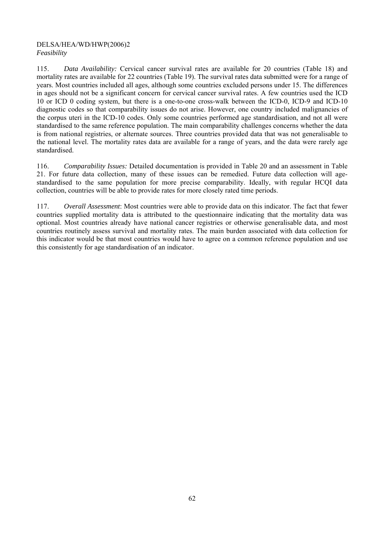## DELSA/HEA/WD/HWP(2006)2 *Feasibility*

115. *Data Availability:* Cervical cancer survival rates are available for 20 countries (Table 18) and mortality rates are available for 22 countries (Table 19). The survival rates data submitted were for a range of years. Most countries included all ages, although some countries excluded persons under 15. The differences in ages should not be a significant concern for cervical cancer survival rates. A few countries used the ICD 10 or ICD 0 coding system, but there is a one-to-one cross-walk between the ICD-0, ICD-9 and ICD-10 diagnostic codes so that comparability issues do not arise. However, one country included malignancies of the corpus uteri in the ICD-10 codes. Only some countries performed age standardisation, and not all were standardised to the same reference population. The main comparability challenges concerns whether the data is from national registries, or alternate sources. Three countries provided data that was not generalisable to the national level. The mortality rates data are available for a range of years, and the data were rarely age standardised.

116. *Comparability Issues:* Detailed documentation is provided in Table 20 and an assessment in Table 21. For future data collection, many of these issues can be remedied. Future data collection will agestandardised to the same population for more precise comparability. Ideally, with regular HCQI data collection, countries will be able to provide rates for more closely rated time periods.

117. *Overall Assessment*: Most countries were able to provide data on this indicator. The fact that fewer countries supplied mortality data is attributed to the questionnaire indicating that the mortality data was optional. Most countries already have national cancer registries or otherwise generalisable data, and most countries routinely assess survival and mortality rates. The main burden associated with data collection for this indicator would be that most countries would have to agree on a common reference population and use this consistently for age standardisation of an indicator.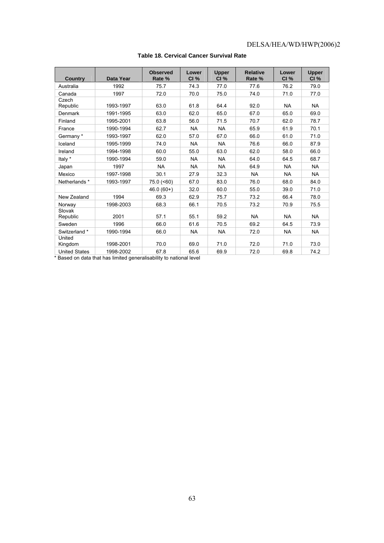| Country              | <b>Data Year</b> | <b>Observed</b><br>Rate % | Lower<br>CI% | <b>Upper</b><br>CI% | <b>Relative</b><br>Rate % | Lower<br>CI% | <b>Upper</b><br>CI% |
|----------------------|------------------|---------------------------|--------------|---------------------|---------------------------|--------------|---------------------|
| Australia            | 1992             | 75.7                      | 74.3         | 77.0                | 77.6                      | 76.2         | 79.0                |
| Canada               | 1997             | 72.0                      | 70.0         | 75.0                | 74.0                      | 71.0         | 77.0                |
| Czech<br>Republic    | 1993-1997        | 63.0                      | 61.8         | 64.4                | 92.0                      | <b>NA</b>    | <b>NA</b>           |
| Denmark              | 1991-1995        | 63.0                      | 62.0         | 65.0                | 67.0                      | 65.0         | 69.0                |
| Finland              | 1995-2001        | 63.8                      | 56.0         | 71.5                | 70.7                      | 62.0         | 78.7                |
| France               | 1990-1994        | 62.7                      | <b>NA</b>    | <b>NA</b>           | 65.9                      | 61.9         | 70.1                |
| Germany*             | 1993-1997        | 62.0                      | 57.0         | 67.0                | 66.0                      | 61.0         | 71.0                |
| Iceland              | 1995-1999        | 74.0                      | <b>NA</b>    | <b>NA</b>           | 76.6                      | 66.0         | 87.9                |
| Ireland              | 1994-1998        | 60.0                      | 55.0         | 63.0                | 62.0                      | 58.0         | 66.0                |
| Italy *              | 1990-1994        | 59.0                      | <b>NA</b>    | <b>NA</b>           | 64.0                      | 64.5         | 68.7                |
| Japan                | 1997             | <b>NA</b>                 | <b>NA</b>    | <b>NA</b>           | 64.9                      | <b>NA</b>    | <b>NA</b>           |
| Mexico               | 1997-1998        | 30.1                      | 27.9         | 32.3                | <b>NA</b>                 | <b>NA</b>    | <b>NA</b>           |
| Netherlands *        | 1993-1997        | 75.0 (<60)                | 67.0         | 83.0                | 76.0                      | 68.0         | 84.0                |
|                      |                  | $46.0(60+)$               | 32.0         | 60.0                | 55.0                      | 39.0         | 71.0                |
| New Zealand          | 1994             | 69.3                      | 62.9         | 75.7                | 73.2                      | 66.4         | 78.0                |
| Norway               | 1998-2003        | 68.3                      | 66.1         | 70.5                | 73.2                      | 70.9         | 75.5                |
| Slovak<br>Republic   | 2001             | 57.1                      | 55.1         | 59.2                | <b>NA</b>                 | <b>NA</b>    | <b>NA</b>           |
| Sweden               | 1996             | 66.0                      | 61.6         | 70.5                | 69.2                      | 64.5         | 73.9                |
| Switzerland *        | 1990-1994        | 66.0                      | <b>NA</b>    | <b>NA</b>           | 72.0                      | <b>NA</b>    | <b>NA</b>           |
| United<br>Kingdom    | 1998-2001        | 70.0                      | 69.0         | 71.0                | 72.0                      | 71.0         | 73.0                |
| <b>United States</b> | 1998-2002        | 67.8                      | 65.6         | 69.9                | 72.0                      | 69.8         | 74.2                |

## **Table 18. Cervical Cancer Survival Rate**

\* Based on data that has limited generalisability to national level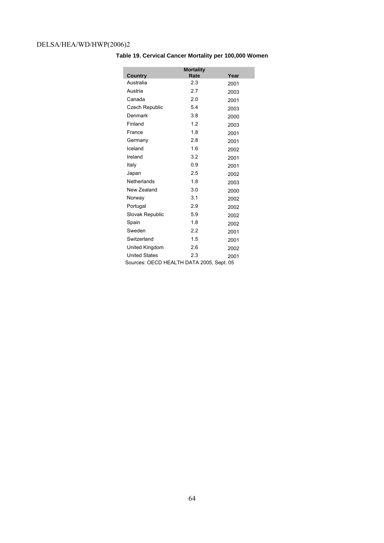|                                          | <b>Mortality</b> |      |  |  |  |  |
|------------------------------------------|------------------|------|--|--|--|--|
| Country                                  | Rate             | Year |  |  |  |  |
| Australia                                | 2.3              | 2001 |  |  |  |  |
| Austria                                  | 2.7              | 2003 |  |  |  |  |
| Canada                                   | 2.0              | 2001 |  |  |  |  |
| Czech Republic                           | 5.4              | 2003 |  |  |  |  |
| Denmark                                  | 3.8              | 2000 |  |  |  |  |
| Finland                                  | 1.2              | 2003 |  |  |  |  |
| France                                   | 1.8              | 2001 |  |  |  |  |
| Germany                                  | 2.8              | 2001 |  |  |  |  |
| Iceland                                  | 1.6              | 2002 |  |  |  |  |
| Ireland                                  | 3.2              | 2001 |  |  |  |  |
| Italy                                    | 0.9              | 2001 |  |  |  |  |
| Japan                                    | 2.5              | 2002 |  |  |  |  |
| Netherlands                              | 1.8              | 2003 |  |  |  |  |
| New Zealand                              | 3.0              | 2000 |  |  |  |  |
| Norway                                   | 3.1              | 2002 |  |  |  |  |
| Portugal                                 | 2.9              | 2002 |  |  |  |  |
| Slovak Republic                          | 5.9              | 2002 |  |  |  |  |
| Spain                                    | 1.8              | 2002 |  |  |  |  |
| Sweden                                   | 2.2              | 2001 |  |  |  |  |
| Switzerland                              | 1.5              | 2001 |  |  |  |  |
| United Kingdom                           | 2.6              | 2002 |  |  |  |  |
| <b>United States</b>                     | 2.3              | 2001 |  |  |  |  |
| Sources: OECD HEALTH DATA 2005, Sept. 05 |                  |      |  |  |  |  |

**Table 19. Cervical Cancer Mortality per 100,000 Women**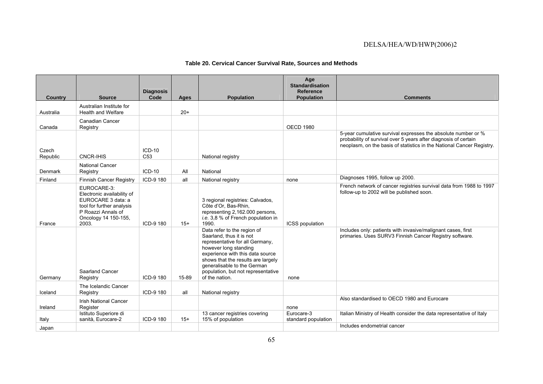## **Table 20. Cervical Cancer Survival Rate, Sources and Methods**

| <b>Country</b>    | <b>Source</b>                                                                                                                                       | <b>Diagnosis</b><br>Code    | Ages  | <b>Population</b>                                                                                                                                                                                                                                                                    | Age<br><b>Standardisation</b><br><b>Reference</b><br><b>Population</b> | <b>Comments</b>                                                                                                                                                                                           |
|-------------------|-----------------------------------------------------------------------------------------------------------------------------------------------------|-----------------------------|-------|--------------------------------------------------------------------------------------------------------------------------------------------------------------------------------------------------------------------------------------------------------------------------------------|------------------------------------------------------------------------|-----------------------------------------------------------------------------------------------------------------------------------------------------------------------------------------------------------|
| Australia         | Australian Institute for<br><b>Health and Welfare</b>                                                                                               |                             | $20+$ |                                                                                                                                                                                                                                                                                      |                                                                        |                                                                                                                                                                                                           |
| Canada            | Canadian Cancer<br>Registry                                                                                                                         |                             |       |                                                                                                                                                                                                                                                                                      | <b>OECD 1980</b>                                                       |                                                                                                                                                                                                           |
| Czech<br>Republic | <b>CNCR-IHIS</b>                                                                                                                                    | $ICD-10$<br>C <sub>53</sub> |       | National registry                                                                                                                                                                                                                                                                    |                                                                        | 5-year cumulative survival expresses the absolute number or %<br>probability of survival over 5 years after diagnosis of certain<br>neoplasm, on the basis of statistics in the National Cancer Registry. |
| Denmark           | <b>National Cancer</b><br>Registry                                                                                                                  | $ICD-10$                    | All   | National                                                                                                                                                                                                                                                                             |                                                                        |                                                                                                                                                                                                           |
| Finland           | <b>Finnish Cancer Registry</b>                                                                                                                      | ICD-9 180                   | all   | National registry                                                                                                                                                                                                                                                                    | none                                                                   | Diagnoses 1995, follow up 2000.                                                                                                                                                                           |
| France            | EUROCARE-3:<br>Electronic availability of<br>EUROCARE 3 data: a<br>tool for further analysis<br>P Roazzi Annals of<br>Oncology 14 150-155,<br>2003. | ICD-9 180                   | $15+$ | 3 regional registries: Calvados,<br>Côte d'Or. Bas-Rhin.<br>representing 2,162.000 persons,<br><i>i.e.</i> 3,8 % of French population in<br>1990.                                                                                                                                    | <b>ICSS</b> population                                                 | French network of cancer registries survival data from 1988 to 1997<br>follow-up to 2002 will be published soon.                                                                                          |
| Germany           | Saarland Cancer<br>Registry                                                                                                                         | ICD-9 180                   | 15-89 | Data refer to the region of<br>Saarland, thus it is not<br>representative for all Germany,<br>however long standing<br>experience with this data source<br>shows that the results are largely<br>generalisable to the German<br>population, but not representative<br>of the nation. | none                                                                   | Includes only: patients with invasive/malignant cases, first<br>primaries. Uses SURV3 Finnish Cancer Registry software.                                                                                   |
| Iceland           | The Icelandic Cancer<br>Registry                                                                                                                    | ICD-9 180                   | all   | National registry                                                                                                                                                                                                                                                                    |                                                                        |                                                                                                                                                                                                           |
| Ireland           | <b>Irish National Cancer</b><br>Register                                                                                                            |                             |       |                                                                                                                                                                                                                                                                                      | none                                                                   | Also standardised to OECD 1980 and Eurocare                                                                                                                                                               |
| Italy             | Istituto Superiore di<br>sanità. Eurocare-2                                                                                                         | ICD-9 180                   | $15+$ | 13 cancer registries covering<br>15% of population                                                                                                                                                                                                                                   | Eurocare-3<br>standard population                                      | Italian Ministry of Health consider the data representative of Italy                                                                                                                                      |
| Japan             |                                                                                                                                                     |                             |       |                                                                                                                                                                                                                                                                                      |                                                                        | Includes endometrial cancer                                                                                                                                                                               |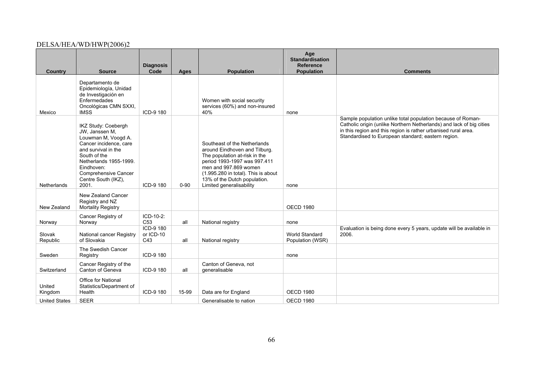| <b>Country</b>       | <b>Source</b>                                                                                                                                                                                                                 | <b>Diagnosis</b><br>Code      | Ages     | <b>Population</b>                                                                                                                                                                                                                                          | Age<br><b>Standardisation</b><br><b>Reference</b><br><b>Population</b> | <b>Comments</b>                                                                                                                                                                                                                                             |
|----------------------|-------------------------------------------------------------------------------------------------------------------------------------------------------------------------------------------------------------------------------|-------------------------------|----------|------------------------------------------------------------------------------------------------------------------------------------------------------------------------------------------------------------------------------------------------------------|------------------------------------------------------------------------|-------------------------------------------------------------------------------------------------------------------------------------------------------------------------------------------------------------------------------------------------------------|
| Mexico               | Departamento de<br>Epidemiología, Unidad<br>de Investigación en<br>Enfermedades<br>Oncológicas CMN SXXI,<br><b>IMSS</b>                                                                                                       | ICD-9 180                     |          | Women with social security<br>services (60%) and non-insured<br>40%                                                                                                                                                                                        | none                                                                   |                                                                                                                                                                                                                                                             |
| <b>Netherlands</b>   | IKZ Study: Coebergh<br>JW, Janssen M,<br>Louwman M, Voogd A.<br>Cancer incidence, care<br>and survival in the<br>South of the<br>Netherlands 1955-1999.<br>Eindhoven:<br>Comprehensive Cancer<br>Centre South (IKZ),<br>2001. | ICD-9 180                     | $0 - 90$ | Southeast of the Netherlands<br>around Eindhoven and Tilburg.<br>The population at-risk in the<br>period 1993-1997 was 997.411<br>men and 997.869 women<br>(1.995.280 in total). This is about<br>13% of the Dutch population.<br>Limited generalisability | none                                                                   | Sample population unlike total population because of Roman-<br>Catholic origin (unlike Northern Netherlands) and lack of big cities<br>in this region and this region is rather urbanised rural area.<br>Standardised to European standard; eastern region. |
| New Zealand          | New Zealand Cancer<br>Registry and NZ<br>Mortality Registry                                                                                                                                                                   |                               |          |                                                                                                                                                                                                                                                            | <b>OECD 1980</b>                                                       |                                                                                                                                                                                                                                                             |
| Norway               | Cancer Registry of<br>Norway                                                                                                                                                                                                  | ICD-10-2:<br>C <sub>53</sub>  | all      | National registry                                                                                                                                                                                                                                          | none                                                                   |                                                                                                                                                                                                                                                             |
| Slovak<br>Republic   | National cancer Registry<br>of Slovakia                                                                                                                                                                                       | ICD-9 180<br>or ICD-10<br>C43 | all      | National registry                                                                                                                                                                                                                                          | World Standard<br>Population (WSR)                                     | Evaluation is being done every 5 years, update will be available in<br>2006.                                                                                                                                                                                |
| Sweden               | The Swedish Cancer<br>Registry                                                                                                                                                                                                | ICD-9 180                     |          |                                                                                                                                                                                                                                                            | none                                                                   |                                                                                                                                                                                                                                                             |
| Switzerland          | Cancer Registry of the<br>Canton of Geneva                                                                                                                                                                                    | ICD-9 180                     | all      | Canton of Geneva, not<br>qeneralisable                                                                                                                                                                                                                     |                                                                        |                                                                                                                                                                                                                                                             |
| United<br>Kingdom    | <b>Office for National</b><br>Statistics/Department of<br>Health                                                                                                                                                              | ICD-9 180                     | 15-99    | Data are for England                                                                                                                                                                                                                                       | <b>OECD 1980</b>                                                       |                                                                                                                                                                                                                                                             |
| <b>United States</b> | <b>SEER</b>                                                                                                                                                                                                                   |                               |          | Generalisable to nation                                                                                                                                                                                                                                    | <b>OECD 1980</b>                                                       |                                                                                                                                                                                                                                                             |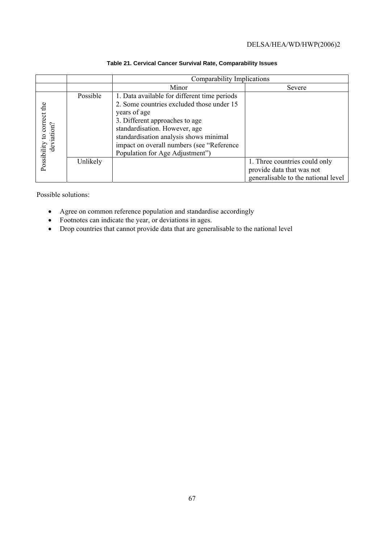|                                          |          | Comparability Implications                                                                                                                                                                                                                                                                             |                                                                                                   |  |  |  |  |  |
|------------------------------------------|----------|--------------------------------------------------------------------------------------------------------------------------------------------------------------------------------------------------------------------------------------------------------------------------------------------------------|---------------------------------------------------------------------------------------------------|--|--|--|--|--|
|                                          |          | Minor                                                                                                                                                                                                                                                                                                  | Severe                                                                                            |  |  |  |  |  |
| Possibility to correct the<br>deviation? | Possible | 1. Data available for different time periods<br>2. Some countries excluded those under 15<br>years of age<br>3. Different approaches to age<br>standardisation. However, age<br>standardisation analysis shows minimal<br>impact on overall numbers (see "Reference<br>Population for Age Adjustment") |                                                                                                   |  |  |  |  |  |
|                                          | Unlikely |                                                                                                                                                                                                                                                                                                        | 1. Three countries could only<br>provide data that was not<br>generalisable to the national level |  |  |  |  |  |

## **Table 21. Cervical Cancer Survival Rate, Comparability Issues**

Possible solutions:

- Agree on common reference population and standardise accordingly
- Footnotes can indicate the year, or deviations in ages.
- Drop countries that cannot provide data that are generalisable to the national level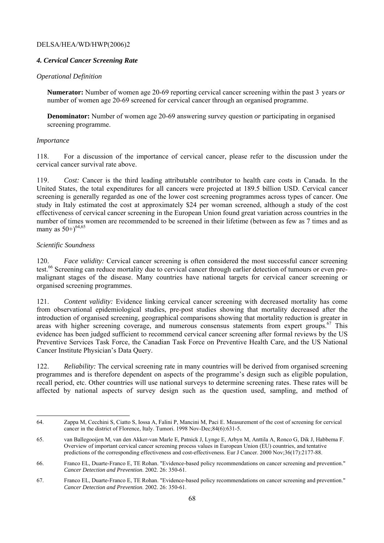## *4. Cervical Cancer Screening Rate*

## *Operational Definition*

**Numerator:** Number of women age 20-69 reporting cervical cancer screening within the past 3 years *or*  number of women age 20-69 screened for cervical cancer through an organised programme.

**Denominator:** Number of women age 20-69 answering survey question *or* participating in organised screening programme.

## *Importance*

118. For a discussion of the importance of cervical cancer, please refer to the discussion under the cervical cancer survival rate above.

119. *Cost:* Cancer is the third leading attributable contributor to health care costs in Canada. In the United States, the total expenditures for all cancers were projected at 189.5 billion USD. Cervical cancer screening is generally regarded as one of the lower cost screening programmes across types of cancer. One study in Italy estimated the cost at approximately \$24 per woman screened, although a study of the cost effectiveness of cervical cancer screening in the European Union found great variation across countries in the number of times women are recommended to be screened in their lifetime (between as few as 7 times and as many as  $50+$ <sup>64,65</sup>

## *Scientific Soundness*

l

120. *Face validity:* Cervical cancer screening is often considered the most successful cancer screening test.<sup>66</sup> Screening can reduce mortality due to cervical cancer through earlier detection of tumours or even premalignant stages of the disease. Many countries have national targets for cervical cancer screening or organised screening programmes.

121. *Content validity:* Evidence linking cervical cancer screening with decreased mortality has come from observational epidemiological studies, pre-post studies showing that mortality decreased after the introduction of organised screening, geographical comparisons showing that mortality reduction is greater in areas with higher screening coverage, and numerous consensus statements from expert groups.<sup>67</sup> This evidence has been judged sufficient to recommend cervical cancer screening after formal reviews by the US Preventive Services Task Force, the Canadian Task Force on Preventive Health Care, and the US National Cancer Institute Physician's Data Query.

122. *Reliability:* The cervical screening rate in many countries will be derived from organised screening programmes and is therefore dependent on aspects of the programme's design such as eligible population, recall period, etc. Other countries will use national surveys to determine screening rates. These rates will be affected by national aspects of survey design such as the question used, sampling, and method of

<sup>64.</sup> Zappa M, Cecchini S, Ciatto S, Iossa A, Falini P, Mancini M, Paci E. Measurement of the cost of screening for cervical cancer in the district of Florence, Italy. Tumori. 1998 Nov-Dec;84(6):631-5.

<sup>65.</sup> van Ballegooijen M, van den Akker-van Marle E, Patnick J, Lynge E, Arbyn M, Anttila A, Ronco G, Dik J, Habbema F. Overview of important cervical cancer screening process values in European Union (EU) countries, and tentative predictions of the corresponding effectiveness and cost-effectiveness. Eur J Cancer. 2000 Nov;36(17):2177-88.

<sup>66.</sup> Franco EL, Duarte-Franco E, TE Rohan. "Evidence-based policy recommendations on cancer screening and prevention." *Cancer Detection and Prevention*. 2002. 26: 350-61.

<sup>67.</sup> Franco EL, Duarte-Franco E, TE Rohan. "Evidence-based policy recommendations on cancer screening and prevention." *Cancer Detection and Prevention*. 2002. 26: 350-61.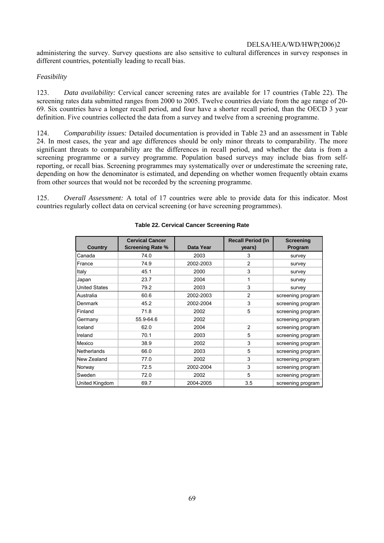administering the survey. Survey questions are also sensitive to cultural differences in survey responses in different countries, potentially leading to recall bias.

## *Feasibility*

123. *Data availability:* Cervical cancer screening rates are available for 17 countries (Table 22). The screening rates data submitted ranges from 2000 to 2005. Twelve countries deviate from the age range of 20- 69. Six countries have a longer recall period, and four have a shorter recall period, than the OECD 3 year definition. Five countries collected the data from a survey and twelve from a screening programme.

124. *Comparability issues:* Detailed documentation is provided in Table 23 and an assessment in Table 24. In most cases, the year and age differences should be only minor threats to comparability. The more significant threats to comparability are the differences in recall period, and whether the data is from a screening programme or a survey programme. Population based surveys may include bias from selfreporting, or recall bias. Screening programmes may systematically over or underestimate the screening rate, depending on how the denominator is estimated, and depending on whether women frequently obtain exams from other sources that would not be recorded by the screening programme.

125. *Overall Assessment:* A total of 17 countries were able to provide data for this indicator. Most countries regularly collect data on cervical screening (or have screening programmes).

| <b>Country</b>       | <b>Cervical Cancer</b><br><b>Screening Rate %</b> | Data Year | <b>Recall Period (in</b><br>years) | <b>Screening</b><br>Program |
|----------------------|---------------------------------------------------|-----------|------------------------------------|-----------------------------|
| Canada               | 74.0                                              | 2003      | 3                                  | survey                      |
| France               | 74.9                                              | 2002-2003 | $\overline{2}$                     | survey                      |
| Italy                | 45.1                                              | 2000      | 3                                  | survey                      |
| Japan                | 23.7                                              | 2004      | 1                                  | survey                      |
| <b>United States</b> | 79.2                                              | 2003      | 3                                  | survey                      |
| Australia            | 60.6                                              | 2002-2003 | $\overline{2}$                     | screening program           |
| Denmark              | 45.2                                              | 2002-2004 | 3                                  | screening program           |
| Finland              | 71.8                                              | 2002      | 5                                  | screening program           |
| Germany              | 55.9-64.6                                         | 2002      |                                    | screening program           |
| Iceland              | 62.0                                              | 2004      | $\overline{2}$                     | screening program           |
| Ireland              | 70.1                                              | 2003      | 5                                  | screening program           |
| Mexico               | 38.9                                              | 2002      | 3                                  | screening program           |
| Netherlands          | 66.0                                              | 2003      | 5                                  | screening program           |
| New Zealand          | 77.0                                              | 2002      | 3                                  | screening program           |
| Norway               | 72.5                                              | 2002-2004 | 3                                  | screening program           |
| Sweden               | 72.0                                              | 2002      | 5                                  | screening program           |
| United Kingdom       | 69.7                                              | 2004-2005 | 3.5                                | screening program           |

#### **Table 22. Cervical Cancer Screening Rate**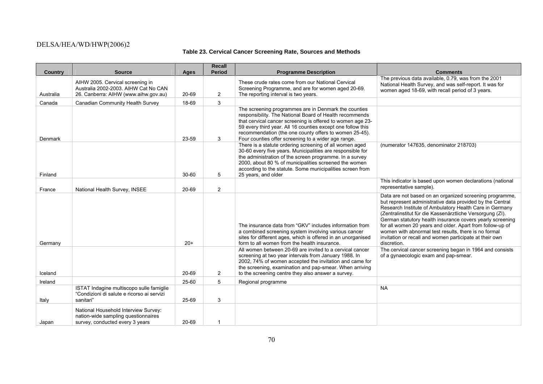## **Table 23. Cervical Cancer Screening Rate, Sources and Methods**

|                | <b>Source</b>                                                                                                  |           | <b>Recall</b><br><b>Period</b> |                                                                                                                                                                                                                                                                                                                                                               | <b>Comments</b>                                                                                                                                                                                                                                                                                                                                                                                                                                                                                          |
|----------------|----------------------------------------------------------------------------------------------------------------|-----------|--------------------------------|---------------------------------------------------------------------------------------------------------------------------------------------------------------------------------------------------------------------------------------------------------------------------------------------------------------------------------------------------------------|----------------------------------------------------------------------------------------------------------------------------------------------------------------------------------------------------------------------------------------------------------------------------------------------------------------------------------------------------------------------------------------------------------------------------------------------------------------------------------------------------------|
| <b>Country</b> |                                                                                                                | Ages      |                                | <b>Programme Description</b>                                                                                                                                                                                                                                                                                                                                  | The previous data available, 0.79, was from the 2001                                                                                                                                                                                                                                                                                                                                                                                                                                                     |
|                | AIHW 2005. Cervical screening in<br>Australia 2002-2003. AIHW Cat No CAN                                       |           |                                | These crude rates come from our National Cervical                                                                                                                                                                                                                                                                                                             | National Health Survey, and was self-report. It was for                                                                                                                                                                                                                                                                                                                                                                                                                                                  |
| Australia      | 26. Canberra: AIHW (www.aihw.gov.au)                                                                           | 20-69     | $\overline{2}$                 | Screening Programme, and are for women aged 20-69.<br>The reporting interval is two years.                                                                                                                                                                                                                                                                    | women aged 18-69, with recall period of 3 years.                                                                                                                                                                                                                                                                                                                                                                                                                                                         |
| Canada         | Canadian Community Health Survey                                                                               | 18-69     | 3                              |                                                                                                                                                                                                                                                                                                                                                               |                                                                                                                                                                                                                                                                                                                                                                                                                                                                                                          |
| Denmark        |                                                                                                                | 23-59     | 3                              | The screening programmes are in Denmark the counties<br>responsibility. The National Board of Health recommends<br>that cervical cancer screening is offered to women age 23-<br>59 every third year. All 16 counties except one follow this<br>recommendation (the one county offers to women 25-45).<br>Four counties offer screening to a wider age range. |                                                                                                                                                                                                                                                                                                                                                                                                                                                                                                          |
| Finland        |                                                                                                                | $30 - 60$ | 5                              | There is a statute ordering screening of all women aged<br>30-60 every five years. Municipalities are responsible for<br>the administration of the screen programme. In a survey<br>2000, about 80 % of municipalities screened the women<br>according to the statute. Some municipalities screen from<br>25 years, and older                                 | (numerator 147635, denominator 218703)                                                                                                                                                                                                                                                                                                                                                                                                                                                                   |
| France         | National Health Survey, INSEE                                                                                  | 20-69     | 2                              |                                                                                                                                                                                                                                                                                                                                                               | This indicator is based upon women declarations (national<br>representative sample).                                                                                                                                                                                                                                                                                                                                                                                                                     |
| Germany        |                                                                                                                | $20+$     |                                | The insurance data from "GKV" includes information from<br>a combined screening system involving various cancer<br>sites for different ages, which is offered in an unorganised<br>form to all women from the health insurance.                                                                                                                               | Data are not based on an organized screening programme,<br>but represent administrative data provided by the Central<br>Research Institute of Ambulatory Health Care in Germany<br>(Zentralinstitut für die Kassenärztliche Versorgung (ZI).<br>German statutory health insurance covers yearly screening<br>for all women 20 years and older. Apart from follow-up of<br>women with abnormal test results, there is no formal<br>invitation or recall and women participate at their own<br>discretion. |
| Iceland        |                                                                                                                | 20-69     | $\overline{2}$                 | All women between 20-69 are invited to a cervical cancer<br>screening at two year intervals from January 1988. In<br>2002, 74% of women accepted the invitation and came for<br>the screening, examination and pap-smear. When arriving<br>to the screening centre they also answer a survey.                                                                 | The cervical cancer screening began in 1964 and consists<br>of a gynaecologic exam and pap-smear.                                                                                                                                                                                                                                                                                                                                                                                                        |
| Ireland        |                                                                                                                | 25-60     | 5                              | Regional programme                                                                                                                                                                                                                                                                                                                                            |                                                                                                                                                                                                                                                                                                                                                                                                                                                                                                          |
| Italy          | ISTAT Indagine multiscopo sulle famiglie<br>"Condizioni di salute e ricorso ai servizi<br>sanitari"            | 25-69     | 3                              |                                                                                                                                                                                                                                                                                                                                                               | <b>NA</b>                                                                                                                                                                                                                                                                                                                                                                                                                                                                                                |
| Japan          | National Household Interview Survey:<br>nation-wide sampling questionnaires<br>survey, conducted every 3 years | 20-69     |                                |                                                                                                                                                                                                                                                                                                                                                               |                                                                                                                                                                                                                                                                                                                                                                                                                                                                                                          |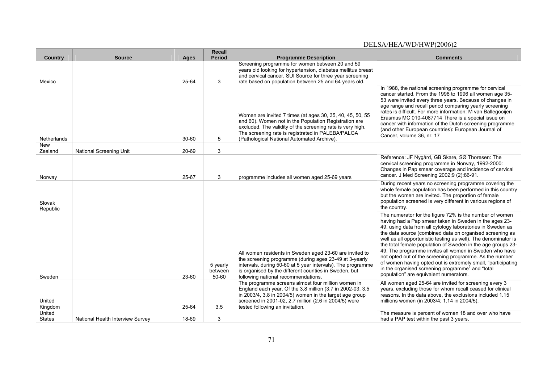| Country                 | <b>Source</b>                    | Ages      | <b>Recall</b><br><b>Period</b>   | <b>Programme Description</b>                                                                                                                                                                                                                                                        | <b>Comments</b>                                                                                                                                                                                                                                                                                                                                                                                                                                                                                                                                                                                                                                                 |
|-------------------------|----------------------------------|-----------|----------------------------------|-------------------------------------------------------------------------------------------------------------------------------------------------------------------------------------------------------------------------------------------------------------------------------------|-----------------------------------------------------------------------------------------------------------------------------------------------------------------------------------------------------------------------------------------------------------------------------------------------------------------------------------------------------------------------------------------------------------------------------------------------------------------------------------------------------------------------------------------------------------------------------------------------------------------------------------------------------------------|
| Mexico                  |                                  | 25-64     | 3                                | Screening programme for women between 20 and 59<br>years old looking for hypertension, diabetes mellitus breast<br>and cervical cancer. SUI Source for three year screening<br>rate based on population between 25 and 64 years old.                                                |                                                                                                                                                                                                                                                                                                                                                                                                                                                                                                                                                                                                                                                                 |
| Netherlands             |                                  | $30 - 60$ | 5                                | Women are invited 7 times (at ages 30, 35, 40, 45, 50, 55<br>and 60). Women not in the Population Registration are<br>excluded. The validity of the screening rate is very high.<br>The screening rate is registrated in PALEBA/PALGA<br>(Pathological National Automated Archive). | In 1988, the national screening programme for cervical<br>cancer started. From the 1998 to 1996 all women age 35-<br>53 were invited every three years. Because of changes in<br>age range and recall period comparing yearly screening<br>rates is difficult. For more information: M van Ballegooijen<br>Erasmus MC 010-4087714 There is a special issue on<br>cancer with information of the Dutch screening programme<br>(and other European countries): European Journal of<br>Cancer, volume 36, nr. 17                                                                                                                                                   |
| New<br>Zealand          | <b>National Screening Unit</b>   | 20-69     | 3                                |                                                                                                                                                                                                                                                                                     |                                                                                                                                                                                                                                                                                                                                                                                                                                                                                                                                                                                                                                                                 |
| Norway                  |                                  | 25-67     | 3                                | programme includes all women aged 25-69 years                                                                                                                                                                                                                                       | Reference: JF Nygård, GB Skare, SØ Thoresen: The<br>cervical screening programme in Norway, 1992-2000:<br>Changes in Pap smear coverage and incidence of cervical<br>cancer. J Med Screening 2002;9 (2):86-91.                                                                                                                                                                                                                                                                                                                                                                                                                                                  |
| Slovak<br>Republic      |                                  |           |                                  |                                                                                                                                                                                                                                                                                     | During recent years no screening programme covering the<br>whole female population has been performed in this country<br>but the women are invited. The proportion of female<br>population screened is very different in various regions of<br>the country.                                                                                                                                                                                                                                                                                                                                                                                                     |
| Sweden                  |                                  | $23 - 60$ | 5 yearly<br>between<br>$50 - 60$ | All women residents in Sweden aged 23-60 are invited to<br>the screening programme (during ages 23-49 at 3-yearly<br>intervals, during 50-60 at 5 year intervals). The programme<br>is organised by the different counties in Sweden, but<br>following national recommendations.    | The numerator for the figure 72% is the number of women<br>having had a Pap smear taken in Sweden in the ages 23-<br>49, using data from all cytology laboratories in Sweden as<br>the data source (combined data on organised screening as<br>well as all opportunistic testing as well). The denominator is<br>the total female population of Sweden in the age groups 23-<br>49. The programme invites all women in Sweden who have<br>not opted out of the screening programme. As the number<br>of women having opted out is extremely small, "participating<br>in the organised screening programme" and "total<br>population" are equivalent numerators. |
| United<br>Kingdom       |                                  | 25-64     | 3.5                              | The programme screens almost four million women in<br>England each year. Of the 3.8 million (3.7 in 2002-03, 3.5<br>in 2003/4, 3.8 in 2004/5) women in the target age group<br>screened in 2001-02, 2.7 million (2.6 in 2004/5) were<br>tested following an invitation.             | All women aged 25-64 are invited for screening every 3<br>years, excluding those for whom recall ceased for clinical<br>reasons. In the data above, the exclusions included 1.15<br>millions women (in 2003/4; 1.14 in 2004/5).                                                                                                                                                                                                                                                                                                                                                                                                                                 |
| United<br><b>States</b> | National Health Interview Survey | 18-69     | 3                                |                                                                                                                                                                                                                                                                                     | The measure is percent of women 18 and over who have<br>had a PAP test within the past 3 years.                                                                                                                                                                                                                                                                                                                                                                                                                                                                                                                                                                 |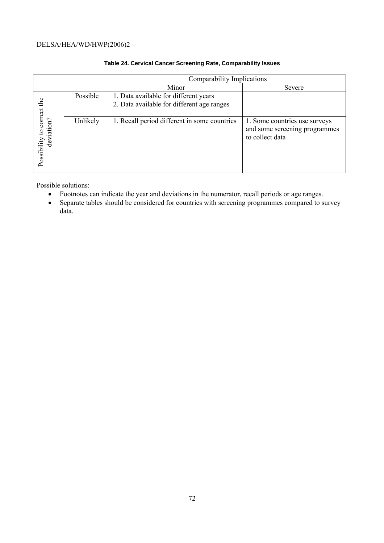|                                          |          | Comparability Implications                                                          |                                                                                   |
|------------------------------------------|----------|-------------------------------------------------------------------------------------|-----------------------------------------------------------------------------------|
|                                          |          | Minor                                                                               | Severe                                                                            |
|                                          | Possible | 1. Data available for different years<br>2. Data available for different age ranges |                                                                                   |
| Possibility to correct the<br>deviation? | Unlikely | 1. Recall period different in some countries                                        | 1. Some countries use surveys<br>and some screening programmes<br>to collect data |

## **Table 24. Cervical Cancer Screening Rate, Comparability Issues**

Possible solutions:

- Footnotes can indicate the year and deviations in the numerator, recall periods or age ranges.
- Separate tables should be considered for countries with screening programmes compared to survey data.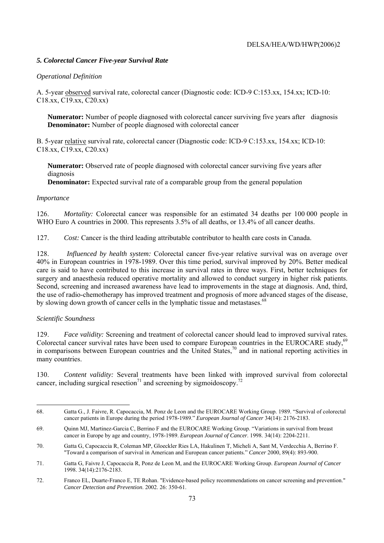# *5. Colorectal Cancer Five-year Survival Rate*

# *Operational Definition*

A. 5-year observed survival rate, colorectal cancer (Diagnostic code: ICD-9 C:153.xx, 154.xx; ICD-10: C18.xx, C19.xx, C20.xx)

**Numerator:** Number of people diagnosed with colorectal cancer surviving five years after diagnosis **Denominator:** Number of people diagnosed with colorectal cancer

B. 5-year relative survival rate, colorectal cancer (Diagnostic code: ICD-9 C:153.xx, 154.xx; ICD-10: C18.xx, C19.xx, C20.xx)

**Numerator:** Observed rate of people diagnosed with colorectal cancer surviving five years after diagnosis

**Denominator:** Expected survival rate of a comparable group from the general population

## *Importance*

126. *Mortality:* Colorectal cancer was responsible for an estimated 34 deaths per 100 000 people in WHO Euro A countries in 2000. This represents 3.5% of all deaths, or 13.4% of all cancer deaths.

127. *Cost:* Cancer is the third leading attributable contributor to health care costs in Canada.

128. *Influenced by health system:* Colorectal cancer five-year relative survival was on average over 40% in European countries in 1978-1989. Over this time period, survival improved by 20%. Better medical care is said to have contributed to this increase in survival rates in three ways. First, better techniques for surgery and anaesthesia reduced operative mortality and allowed to conduct surgery in higher risk patients. Second, screening and increased awareness have lead to improvements in the stage at diagnosis. And, third, the use of radio-chemotherapy has improved treatment and prognosis of more advanced stages of the disease, by slowing down growth of cancer cells in the lymphatic tissue and metastases.<sup>68</sup>

## *Scientific Soundness*

129. *Face validity:* Screening and treatment of colorectal cancer should lead to improved survival rates. Colorectal cancer survival rates have been used to compare European countries in the EUROCARE study,<sup>69</sup> in comparisons between European countries and the United States,<sup>70</sup> and in national reporting activities in many countries.

130. *Content validity:* Several treatments have been linked with improved survival from colorectal cancer, including surgical resection<sup>71</sup> and screening by sigmoidoscopy.<sup>72</sup>

l 68. Gatta G., J. Faivre, R. Capocaccia, M. Ponz de Leon and the EUROCARE Working Group. 1989. "Survival of colorectal cancer patients in Europe during the period 1978-1989." *European Journal of Cancer* 34(14): 2176-2183.

<sup>69.</sup> Quinn MJ, Martinez-Garcia C, Berrino F and the EUROCARE Working Group. "Variations in survival from breast cancer in Europe by age and country, 1978-1989. *European Journal of Cancer*. 1998. 34(14): 2204-2211.

<sup>70.</sup> Gatta G, Capocaccia R, Coleman MP, Gloeckler Ries LA, Hakulinen T, Micheli A, Sant M, Verdecchia A, Berrino F. "Toward a comparison of survival in American and European cancer patients." *Cancer* 2000, 89(4): 893-900.

<sup>71.</sup> Gatta G, Faivre J, Capocaccia R, Ponz de Leon M, and the EUROCARE Working Group. *European Journal of Cancer*  1998. 34(14):2176-2183.

<sup>72.</sup> Franco EL, Duarte-Franco E, TE Rohan. "Evidence-based policy recommendations on cancer screening and prevention." *Cancer Detection and Prevention*. 2002. 26: 350-61.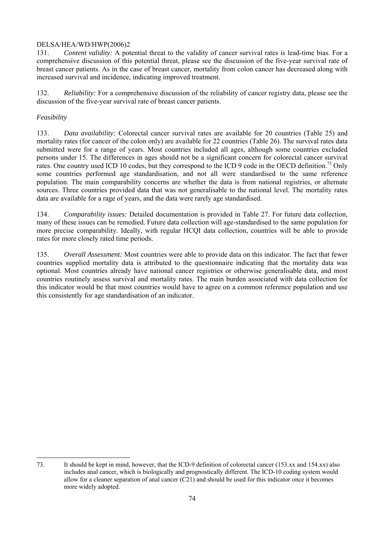131. *Content validity:* A potential threat to the validity of cancer survival rates is lead-time bias. For a comprehensive discussion of this potential threat, please see the discussion of the five-year survival rate of breast cancer patients. As in the case of breast cancer, mortality from colon cancer has decreased along with increased survival and incidence, indicating improved treatment.

132. *Reliability:* For a comprehensive discussion of the reliability of cancer registry data, please see the discussion of the five-year survival rate of breast cancer patients.

## *Feasibility*

133. *Data availability:* Colorectal cancer survival rates are available for 20 countries (Table 25) and mortality rates (for cancer of the colon only) are available for 22 countries (Table 26). The survival rates data submitted were for a range of years. Most countries included all ages, although some countries excluded persons under 15. The differences in ages should not be a significant concern for colorectal cancer survival rates. One country used ICD 10 codes, but they correspond to the ICD 9 code in the OECD definition.<sup>73</sup> Only some countries performed age standardisation, and not all were standardised to the same reference population. The main comparability concerns are whether the data is from national registries, or alternate sources. Three countries provided data that was not generalisable to the national level. The mortality rates data are available for a rage of years, and the data were rarely age standardised.

134. *Comparability issues:* Detailed documentation is provided in Table 27. For future data collection, many of these issues can be remedied. Future data collection will age-standardised to the same population for more precise comparability. Ideally, with regular HCQI data collection, countries will be able to provide rates for more closely rated time periods.

135. *Overall Assessment:* Most countries were able to provide data on this indicator. The fact that fewer countries supplied mortality data is attributed to the questionnaire indicating that the mortality data was optional. Most countries already have national cancer registries or otherwise generalisable data, and most countries routinely assess survival and mortality rates. The main burden associated with data collection for this indicator would be that most countries would have to agree on a common reference population and use this consistently for age standardisation of an indicator.

 $\overline{a}$ 73. It should be kept in mind, however, that the ICD-9 definition of colorectal cancer (153.xx and 154.xx) also includes anal cancer, which is biologically and prognostically different. The ICD-10 coding system would allow for a cleaner separation of anal cancer (C21) and should be used for this indicator once it becomes more widely adopted.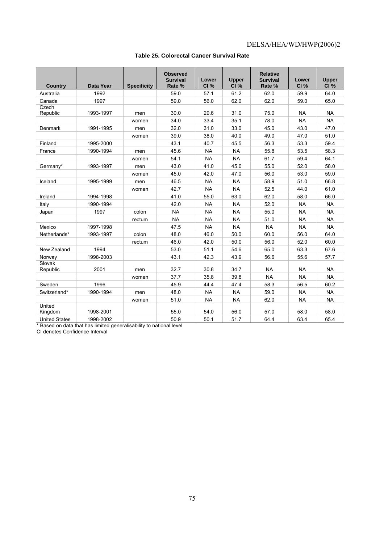| <b>Country</b>       | <b>Data Year</b> | <b>Specificity</b> | <b>Observed</b><br><b>Survival</b><br>Rate % | Lower<br>CI% | <b>Upper</b><br>CI% | <b>Relative</b><br><b>Survival</b><br>Rate % | Lower<br>CI% | <b>Upper</b><br>CI% |
|----------------------|------------------|--------------------|----------------------------------------------|--------------|---------------------|----------------------------------------------|--------------|---------------------|
| Australia            | 1992             |                    | 59.0                                         | 57.1         | 61.2                | 62.0                                         | 59.9         | 64.0                |
| Canada               | 1997             |                    | 59.0                                         | 56.0         | 62.0                | 62.0                                         | 59.0         | 65.0                |
| Czech<br>Republic    | 1993-1997        | men                | 30.0                                         | 29.6         | 31.0                | 75.0                                         | <b>NA</b>    | <b>NA</b>           |
|                      |                  | women              | 34.0                                         | 33.4         | 35.1                | 78.0                                         | <b>NA</b>    | <b>NA</b>           |
| Denmark              | 1991-1995        | men                | 32.0                                         | 31.0         | 33.0                | 45.0                                         | 43.0         | 47.0                |
|                      |                  | women              | 39.0                                         | 38.0         | 40.0                | 49.0                                         | 47.0         | 51.0                |
| Finland              | 1995-2000        |                    | 43.1                                         | 40.7         | 45.5                | 56.3                                         | 53.3         | 59.4                |
| France               | 1990-1994        | men                | 45.6                                         | <b>NA</b>    | <b>NA</b>           | 55.8                                         | 53.5         | 58.3                |
|                      |                  | women              | 54.1                                         | <b>NA</b>    | <b>NA</b>           | 61.7                                         | 59.4         | 64.1                |
| Germany*             | 1993-1997        | men                | 43.0                                         | 41.0         | 45.0                | 55.0                                         | 52.0         | 58.0                |
|                      |                  | women              | 45.0                                         | 42.0         | 47.0                | 56.0                                         | 53.0         | 59.0                |
| Iceland              | 1995-1999        | men                | 46.5                                         | <b>NA</b>    | <b>NA</b>           | 58.9                                         | 51.0         | 66.8                |
|                      |                  | women              | 42.7                                         | <b>NA</b>    | <b>NA</b>           | 52.5                                         | 44.0         | 61.0                |
| Ireland              | 1994-1998        |                    | 41.0                                         | 55.0         | 63.0                | 62.0                                         | 58.0         | 66.0                |
| Italy                | 1990-1994        |                    | 42.0                                         | <b>NA</b>    | <b>NA</b>           | 52.0                                         | <b>NA</b>    | <b>NA</b>           |
| Japan                | 1997             | colon              | <b>NA</b>                                    | <b>NA</b>    | <b>NA</b>           | 55.0                                         | <b>NA</b>    | <b>NA</b>           |
|                      |                  | rectum             | <b>NA</b>                                    | <b>NA</b>    | <b>NA</b>           | 51.0                                         | <b>NA</b>    | <b>NA</b>           |
| Mexico               | 1997-1998        |                    | 47.5                                         | <b>NA</b>    | <b>NA</b>           | <b>NA</b>                                    | <b>NA</b>    | <b>NA</b>           |
| Netherlands*         | 1993-1997        | colon              | 48.0                                         | 46.0         | 50.0                | 60.0                                         | 56.0         | 64.0                |
|                      |                  | rectum             | 46.0                                         | 42.0         | 50.0                | 56.0                                         | 52.0         | 60.0                |
| New Zealand          | 1994             |                    | 53.0                                         | 51.1         | 54.6                | 65.0                                         | 63.3         | 67.6                |
| Norway               | 1998-2003        |                    | 43.1                                         | 42.3         | 43.9                | 56.6                                         | 55.6         | 57.7                |
| Slovak<br>Republic   | 2001             | men                | 32.7                                         | 30.8         | 34.7                | <b>NA</b>                                    | <b>NA</b>    | <b>NA</b>           |
|                      |                  | women              | 37.7                                         | 35.8         | 39.8                | <b>NA</b>                                    | <b>NA</b>    | <b>NA</b>           |
| Sweden               | 1996             |                    | 45.9                                         | 44.4         | 47.4                | 58.3                                         | 56.5         | 60.2                |
| Switzerland*         | 1990-1994        | men                | 48.0                                         | <b>NA</b>    | <b>NA</b>           | 59.0                                         | <b>NA</b>    | <b>NA</b>           |
|                      |                  | women              | 51.0                                         | <b>NA</b>    | <b>NA</b>           | 62.0                                         | <b>NA</b>    | <b>NA</b>           |
| United<br>Kingdom    | 1998-2001        |                    | 55.0                                         | 54.0         | 56.0                | 57.0                                         | 58.0         | 58.0                |
| <b>United States</b> | 1998-2002        |                    | 50.9                                         | 50.1         | 51.7                | 64.4                                         | 63.4         | 65.4                |

## **Table 25. Colorectal Cancer Survival Rate**

\* Based on data that has limited generalisability to national level

CI denotes Confidence Interval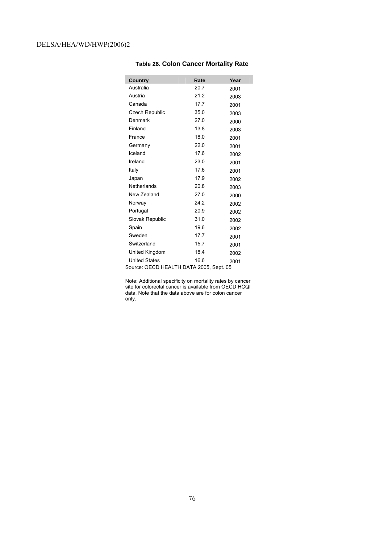| Country                                 | Rate | Year |
|-----------------------------------------|------|------|
| Australia                               | 20.7 | 2001 |
| Austria                                 | 21.2 | 2003 |
| Canada                                  | 17.7 | 2001 |
| <b>Czech Republic</b>                   | 35.0 | 2003 |
| Denmark                                 | 27.0 | 2000 |
| Finland                                 | 13.8 | 2003 |
| France                                  | 18.0 | 2001 |
| Germany                                 | 22.0 | 2001 |
| Iceland                                 | 17.6 | 2002 |
| Ireland                                 | 23.0 | 2001 |
| Italy                                   | 17.6 | 2001 |
| Japan                                   | 17.9 | 2002 |
| Netherlands                             | 20.8 | 2003 |
| New Zealand                             | 27.0 | 2000 |
| Norway                                  | 24.2 | 2002 |
| Portugal                                | 20.9 | 2002 |
| Slovak Republic                         | 31.0 | 2002 |
| Spain                                   | 19.6 | 2002 |
| Sweden                                  | 17.7 | 2001 |
| Switzerland                             | 15.7 | 2001 |
| United Kingdom                          | 18.4 | 2002 |
| <b>United States</b>                    | 16.6 | 2001 |
| Source: OECD HEALTH DATA 2005, Sept. 05 |      |      |

#### **Table 26. Colon Cancer Mortality Rate**

Note: Additional specificity on mortality rates by cancer site for colorectal cancer is available from OECD HCQI data. Note that the data above are for colon cancer only.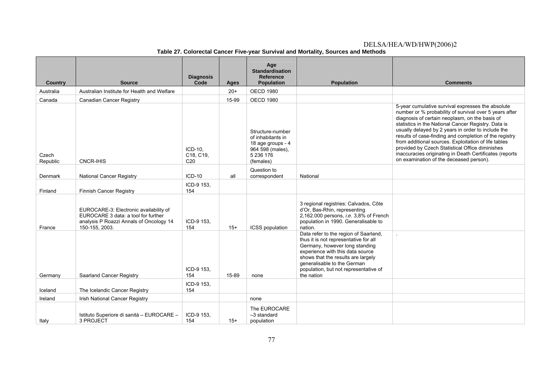| <b>Country</b>    | <b>Source</b>                                                                                                                              | <b>Diagnosis</b><br>Code                | Ages  | Age<br><b>Standardisation</b><br><b>Reference</b><br><b>Population</b>                                   | <b>Population</b>                                                                                                                                                                                                                                                                | <b>Comments</b>                                                                                                                                                                                                                                                                                                                                                                                                                                                                                                                                       |
|-------------------|--------------------------------------------------------------------------------------------------------------------------------------------|-----------------------------------------|-------|----------------------------------------------------------------------------------------------------------|----------------------------------------------------------------------------------------------------------------------------------------------------------------------------------------------------------------------------------------------------------------------------------|-------------------------------------------------------------------------------------------------------------------------------------------------------------------------------------------------------------------------------------------------------------------------------------------------------------------------------------------------------------------------------------------------------------------------------------------------------------------------------------------------------------------------------------------------------|
| Australia         | Australian Institute for Health and Welfare                                                                                                |                                         | $20+$ | <b>OECD 1980</b>                                                                                         |                                                                                                                                                                                                                                                                                  |                                                                                                                                                                                                                                                                                                                                                                                                                                                                                                                                                       |
| Canada            | <b>Canadian Cancer Registry</b>                                                                                                            |                                         | 15-99 | <b>OECD 1980</b>                                                                                         |                                                                                                                                                                                                                                                                                  |                                                                                                                                                                                                                                                                                                                                                                                                                                                                                                                                                       |
| Czech<br>Republic | <b>CNCR-IHIS</b>                                                                                                                           | ICD-10.<br>C18, C19,<br>C <sub>20</sub> |       | Structure-number<br>of inhabitants in<br>18 age groups - 4<br>964 598 (males),<br>5 236 176<br>(females) |                                                                                                                                                                                                                                                                                  | 5-year cumulative survival expresses the absolute<br>number or % probability of survival over 5 years after<br>diagnosis of certain neoplasm, on the basis of<br>statistics in the National Cancer Registry. Data is<br>usually delayed by 2 years in order to include the<br>results of case-finding and completion of the registry<br>from additional sources. Exploitation of life tables<br>provided by Czech Statistical Office diminishes<br>inaccuracies originating in Death Certificates (reports<br>on examination of the deceased person). |
| Denmark           | <b>National Cancer Registry</b>                                                                                                            | $ICD-10$                                | all   | Question to<br>correspondent                                                                             | National                                                                                                                                                                                                                                                                         |                                                                                                                                                                                                                                                                                                                                                                                                                                                                                                                                                       |
| Finland           | <b>Finnish Cancer Registry</b>                                                                                                             | ICD-9 153,<br>154                       |       |                                                                                                          |                                                                                                                                                                                                                                                                                  |                                                                                                                                                                                                                                                                                                                                                                                                                                                                                                                                                       |
| France            | EUROCARE-3: Electronic availability of<br>EUROCARE 3 data: a tool for further<br>analysis P Roazzi Annals of Oncology 14<br>150-155, 2003. | ICD-9 153,<br>154                       | $15+$ | ICSS population                                                                                          | 3 regional registries: Calvados, Côte<br>d'Or, Bas-Rhin, representing<br>2,162.000 persons, i.e. 3,8% of French<br>population in 1990. Generalisable to<br>nation.                                                                                                               |                                                                                                                                                                                                                                                                                                                                                                                                                                                                                                                                                       |
| Germany           | Saarland Cancer Registry                                                                                                                   | ICD-9 153,<br>154                       | 15-89 | none                                                                                                     | Data refer to the region of Saarland,<br>thus it is not representative for all<br>Germany, however long standing<br>experience with this data source<br>shows that the results are largely<br>generalisable to the German<br>population, but not representative of<br>the nation |                                                                                                                                                                                                                                                                                                                                                                                                                                                                                                                                                       |
| Iceland           | The Icelandic Cancer Registry                                                                                                              | ICD-9 153,<br>154                       |       |                                                                                                          |                                                                                                                                                                                                                                                                                  |                                                                                                                                                                                                                                                                                                                                                                                                                                                                                                                                                       |
| Ireland           | Irish National Cancer Registry                                                                                                             |                                         |       | none                                                                                                     |                                                                                                                                                                                                                                                                                  |                                                                                                                                                                                                                                                                                                                                                                                                                                                                                                                                                       |
| Italy             | Istituto Superiore di sanità - EUROCARE -<br>3 PROJECT                                                                                     | ICD-9 153,<br>154                       | $15+$ | The EUROCARE<br>-3 standard<br>population                                                                |                                                                                                                                                                                                                                                                                  |                                                                                                                                                                                                                                                                                                                                                                                                                                                                                                                                                       |

#### **Table 27. Colorectal Cancer Five-year Survival and Mortality, Sources and Methods**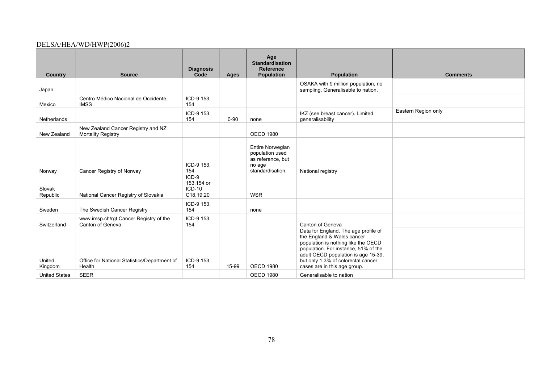| <b>Country</b>       | <b>Source</b>                                                   | <b>Diagnosis</b><br>Code                       | Ages     | Age<br><b>Standardisation</b><br>Reference<br><b>Population</b>                               | <b>Population</b>                                                                                                                                                                                                                                              | <b>Comments</b>     |
|----------------------|-----------------------------------------------------------------|------------------------------------------------|----------|-----------------------------------------------------------------------------------------------|----------------------------------------------------------------------------------------------------------------------------------------------------------------------------------------------------------------------------------------------------------------|---------------------|
| Japan                |                                                                 |                                                |          |                                                                                               | OSAKA with 9 million population, no<br>sampling. Generalisable to nation.                                                                                                                                                                                      |                     |
| Mexico               | Centro Médico Nacional de Occidente,<br><b>IMSS</b>             | ICD-9 153,<br>154                              |          |                                                                                               |                                                                                                                                                                                                                                                                |                     |
| Netherlands          |                                                                 | ICD-9 153,<br>154                              | $0 - 90$ | none                                                                                          | IKZ (see breast cancer). Limited<br>generalisability                                                                                                                                                                                                           | Eastern Region only |
| New Zealand          | New Zealand Cancer Registry and NZ<br><b>Mortality Registry</b> |                                                |          | <b>OECD 1980</b>                                                                              |                                                                                                                                                                                                                                                                |                     |
| Norway               | Cancer Registry of Norway                                       | ICD-9 153,<br>154                              |          | <b>Entire Norwegian</b><br>population used<br>as reference, but<br>no age<br>standardisation. | National registry                                                                                                                                                                                                                                              |                     |
| Slovak<br>Republic   | National Cancer Registry of Slovakia                            | $ICD-9$<br>153,154 or<br>$ICD-10$<br>C18,19,20 |          | <b>WSR</b>                                                                                    |                                                                                                                                                                                                                                                                |                     |
| Sweden               | The Swedish Cancer Registry                                     | ICD-9 153,<br>154                              |          | none                                                                                          |                                                                                                                                                                                                                                                                |                     |
| Switzerland          | www.imsp.ch/rgt Cancer Registry of the<br>Canton of Geneva      | ICD-9 153,<br>154                              |          |                                                                                               | Canton of Geneva                                                                                                                                                                                                                                               |                     |
| United<br>Kingdom    | Office for National Statistics/Department of<br>Health          | ICD-9 153,<br>154                              | 15-99    | <b>OECD 1980</b>                                                                              | Data for England. The age profile of<br>the England & Wales cancer<br>population is nothing like the OECD<br>population. For instance, 51% of the<br>adult OECD population is age 15-39,<br>but only 1.3% of colorectal cancer<br>cases are in this age group. |                     |
| <b>United States</b> | <b>SEER</b>                                                     |                                                |          | <b>OECD 1980</b>                                                                              | Generalisable to nation                                                                                                                                                                                                                                        |                     |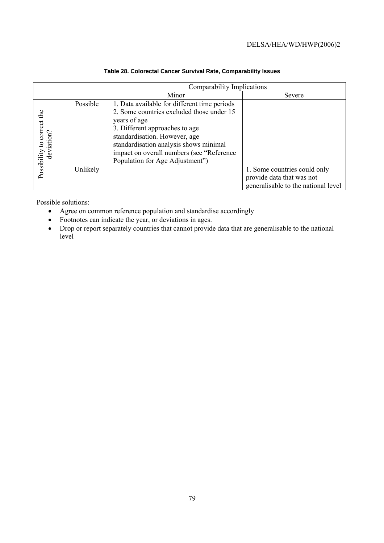|                                          |          | Comparability Implications                                                                                                                                                                                                                                                                              |                                                                                                  |
|------------------------------------------|----------|---------------------------------------------------------------------------------------------------------------------------------------------------------------------------------------------------------------------------------------------------------------------------------------------------------|--------------------------------------------------------------------------------------------------|
|                                          |          | Minor                                                                                                                                                                                                                                                                                                   | Severe                                                                                           |
| Possibility to correct the<br>deviation? | Possible | 1. Data available for different time periods<br>2. Some countries excluded those under 15<br>years of age<br>3. Different approaches to age<br>standardisation. However, age<br>standardisation analysis shows minimal<br>impact on overall numbers (see "Reference"<br>Population for Age Adjustment") |                                                                                                  |
|                                          | Unlikely |                                                                                                                                                                                                                                                                                                         | 1. Some countries could only<br>provide data that was not<br>generalisable to the national level |

## **Table 28. Colorectal Cancer Survival Rate, Comparability Issues**

Possible solutions:

- Agree on common reference population and standardise accordingly
- Footnotes can indicate the year, or deviations in ages.
- Drop or report separately countries that cannot provide data that are generalisable to the national level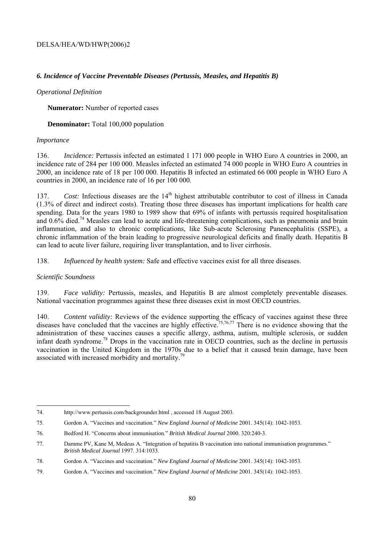### *6. Incidence of Vaccine Preventable Diseases (Pertussis, Measles, and Hepatitis B)*

#### *Operational Definition*

**Numerator:** Number of reported cases

**Denominator:** Total 100,000 population

#### *Importance*

136. *Incidence:* Pertussis infected an estimated 1 171 000 people in WHO Euro A countries in 2000, an incidence rate of 284 per 100 000. Measles infected an estimated 74 000 people in WHO Euro A countries in 2000, an incidence rate of 18 per 100 000. Hepatitis B infected an estimated 66 000 people in WHO Euro A countries in 2000, an incidence rate of 16 per 100 000.

137. *Cost:* Infectious diseases are the 14<sup>th</sup> highest attributable contributor to cost of illness in Canada (1.3% of direct and indirect costs). Treating those three diseases has important implications for health care spending. Data for the years 1980 to 1989 show that 69% of infants with pertussis required hospitalisation and  $0.6\%$  died.<sup>74</sup> Measles can lead to acute and life-threatening complications, such as pneumonia and brain inflammation, and also to chronic complications, like Sub-acute Sclerosing Panencephalitis (SSPE), a chronic inflammation of the brain leading to progressive neurological deficits and finally death. Hepatitis B can lead to acute liver failure, requiring liver transplantation, and to liver cirrhosis.

138. *Influenced by health system:* Safe and effective vaccines exist for all three diseases.

#### *Scientific Soundness*

l

139. *Face validity:* Pertussis, measles, and Hepatitis B are almost completely preventable diseases. National vaccination programmes against these three diseases exist in most OECD countries.

140. *Content validity:* Reviews of the evidence supporting the efficacy of vaccines against these three diseases have concluded that the vaccines are highly effective.<sup>75,76,77</sup> There is no evidence showing that the administration of these vaccines causes a specific allergy, asthma, autism, multiple sclerosis, or sudden infant death syndrome.78 Drops in the vaccination rate in OECD countries, such as the decline in pertussis vaccination in the United Kingdom in the 1970s due to a belief that it caused brain damage, have been associated with increased morbidity and mortality.<sup>79</sup>

<sup>74.</sup> http://www.pertussis.com/backgrounder.html , accessed 18 August 2003.

<sup>75.</sup> Gordon A. "Vaccines and vaccination." *New England Journal of Medicine* 2001. 345(14): 1042-1053.

<sup>76.</sup> Bedford H. "Concerns about immunisation." *British Medical Journal* 2000. 320:240-3.

<sup>77.</sup> Damme PV, Kane M, Medeus A. "Integration of hepatitis B vaccination into national immunisation programmes." *British Medical Journal* 1997. 314:1033.

<sup>78.</sup> Gordon A. "Vaccines and vaccination." *New England Journal of Medicine* 2001. 345(14): 1042-1053.

<sup>79.</sup> Gordon A. "Vaccines and vaccination." *New England Journal of Medicine* 2001. 345(14): 1042-1053.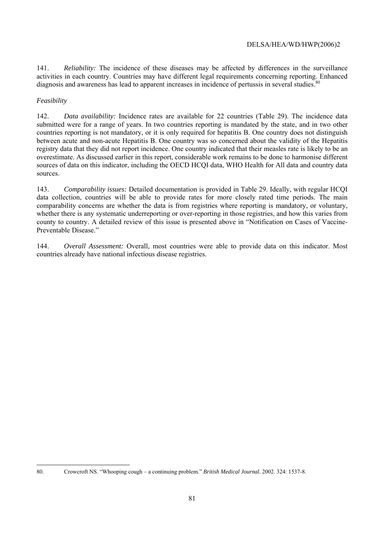141. *Reliability:* The incidence of these diseases may be affected by differences in the surveillance activities in each country. Countries may have different legal requirements concerning reporting. Enhanced diagnosis and awareness has lead to apparent increases in incidence of pertussis in several studies.<sup>8</sup>

## *Feasibility*

142. *Data availability:* Incidence rates are available for 22 countries (Table 29). The incidence data submitted were for a range of years. In two countries reporting is mandated by the state, and in two other countries reporting is not mandatory, or it is only required for hepatitis B. One country does not distinguish between acute and non-acute Hepatitis B. One country was so concerned about the validity of the Hepatitis registry data that they did not report incidence. One country indicated that their measles rate is likely to be an overestimate. As discussed earlier in this report, considerable work remains to be done to harmonise different sources of data on this indicator, including the OECD HCQI data, WHO Health for All data and country data sources.

143. *Comparability issues:* Detailed documentation is provided in Table 29. Ideally, with regular HCQI data collection, countries will be able to provide rates for more closely rated time periods. The main comparability concerns are whether the data is from registries where reporting is mandatory, or voluntary, whether there is any systematic underreporting or over-reporting in those registries, and how this varies from county to country. A detailed review of this issue is presented above in "Notification on Cases of Vaccine-Preventable Disease."

144. *Overall Assessment:* Overall, most countries were able to provide data on this indicator. Most countries already have national infectious disease registries.

l

<sup>80.</sup> Crowcroft NS. "Whooping cough – a continuing problem." *British Medical Journal.* 2002. 324: 1537-8.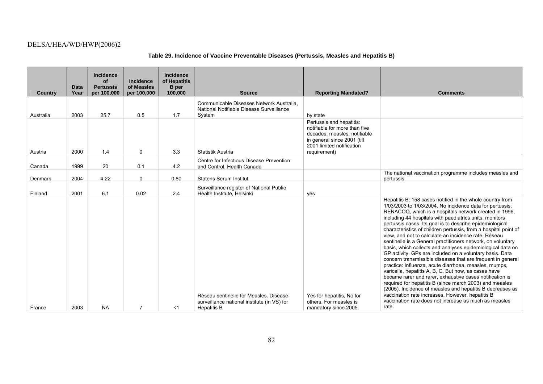# **Table 29. Incidence of Vaccine Preventable Diseases (Pertussis, Measles and Hepatitis B)**

| <b>Country</b> | <b>Data</b><br>Year | <b>Incidence</b><br>of<br><b>Pertussis</b><br>per 100,000 | <b>Incidence</b><br>of Measles<br>per 100,000 | Incidence<br>of Hepatitis<br><b>B</b> per<br>100,000 | <b>Source</b>                                                                                               | <b>Reporting Mandated?</b>                                                                                                                                            | <b>Comments</b>                                                                                                                                                                                                                                                                                                                                                                                                                                                                                                                                                                                                                                                                                                                                                                                                                                                                                                                                                                                                                                                                                                      |
|----------------|---------------------|-----------------------------------------------------------|-----------------------------------------------|------------------------------------------------------|-------------------------------------------------------------------------------------------------------------|-----------------------------------------------------------------------------------------------------------------------------------------------------------------------|----------------------------------------------------------------------------------------------------------------------------------------------------------------------------------------------------------------------------------------------------------------------------------------------------------------------------------------------------------------------------------------------------------------------------------------------------------------------------------------------------------------------------------------------------------------------------------------------------------------------------------------------------------------------------------------------------------------------------------------------------------------------------------------------------------------------------------------------------------------------------------------------------------------------------------------------------------------------------------------------------------------------------------------------------------------------------------------------------------------------|
| Australia      | 2003                | 25.7                                                      | 0.5                                           | 1.7                                                  | Communicable Diseases Network Australia.<br>National Notifiable Disease Surveillance<br>System              | by state                                                                                                                                                              |                                                                                                                                                                                                                                                                                                                                                                                                                                                                                                                                                                                                                                                                                                                                                                                                                                                                                                                                                                                                                                                                                                                      |
| Austria        | 2000                | 1.4                                                       | 0                                             | 3.3                                                  | Statistik Austria                                                                                           | Pertussis and hepatitis:<br>notifiable for more than five<br>decades: measles: notifiable<br>in general since 2001 (till<br>2001 limited notification<br>requirement) |                                                                                                                                                                                                                                                                                                                                                                                                                                                                                                                                                                                                                                                                                                                                                                                                                                                                                                                                                                                                                                                                                                                      |
| Canada         | 1999                | 20                                                        | 0.1                                           | 4.2                                                  | Centre for Infectious Disease Prevention<br>and Control, Health Canada                                      |                                                                                                                                                                       |                                                                                                                                                                                                                                                                                                                                                                                                                                                                                                                                                                                                                                                                                                                                                                                                                                                                                                                                                                                                                                                                                                                      |
| Denmark        | 2004                | 4.22                                                      | $\mathbf 0$                                   | 0.80                                                 | <b>Statens Serum Institut</b>                                                                               |                                                                                                                                                                       | The national vaccination programme includes measles and<br>pertussis.                                                                                                                                                                                                                                                                                                                                                                                                                                                                                                                                                                                                                                                                                                                                                                                                                                                                                                                                                                                                                                                |
| Finland        | 2001                | 6.1                                                       | 0.02                                          | 2.4                                                  | Surveillance register of National Public<br>Health Institute, Helsinki                                      | ves                                                                                                                                                                   |                                                                                                                                                                                                                                                                                                                                                                                                                                                                                                                                                                                                                                                                                                                                                                                                                                                                                                                                                                                                                                                                                                                      |
| France         | 2003                | <b>NA</b>                                                 | $\overline{7}$                                | $<$ 1                                                | Réseau sentinelle for Measles, Disease<br>surveillance national institute (in VS) for<br><b>Hepatitis B</b> | Yes for hepatitis, No for<br>others. For measles is<br>mandatory since 2005.                                                                                          | Hepatitis B: 158 cases notified in the whole country from<br>1/03/2003 to 1/03/2004. No incidence data for pertussis;<br>RENACOQ, which is a hospitals network created in 1996,<br>including 44 hospitals with paediatrics units, monitors<br>pertussis cases. Its goal is to describe epidemiological<br>characteristics of children pertussis, from a hospital point of<br>view, and not to calculate an incidence rate. Réseau<br>sentinelle is a General practitioners network, on voluntary<br>basis, which collects and analyses epidemiological data on<br>GP activity. GPs are included on a voluntary basis. Data<br>concern transmissible diseases that are frequent in general<br>practice: Influenza, acute diarrhoea, measles, mumps,<br>varicella, hepatitis A, B, C. But now, as cases have<br>became rarer and rarer, exhaustive cases notification is<br>required for hepatitis B (since march 2003) and measles<br>(2005). Incidence of measles and hepatitis B decreases as<br>vaccination rate increases. However, hepatitis B<br>vaccination rate does not increase as much as measles<br>rate. |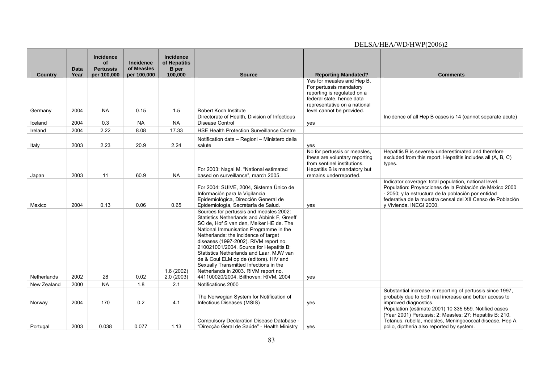| Country            | <b>Data</b><br>Year | <b>Incidence</b><br>of<br><b>Pertussis</b><br>per 100,000 | <b>Incidence</b><br>of Measles<br>per 100,000 | <b>Incidence</b><br>of Hepatitis<br><b>B</b> per<br>100,000 | <b>Source</b>                                                                                                                                                                                                                                                                                                                                                                                                                                                                                                            | <b>Reporting Mandated?</b>                                                                                                                             | <b>Comments</b>                                                                                                                                                                                                                                                  |
|--------------------|---------------------|-----------------------------------------------------------|-----------------------------------------------|-------------------------------------------------------------|--------------------------------------------------------------------------------------------------------------------------------------------------------------------------------------------------------------------------------------------------------------------------------------------------------------------------------------------------------------------------------------------------------------------------------------------------------------------------------------------------------------------------|--------------------------------------------------------------------------------------------------------------------------------------------------------|------------------------------------------------------------------------------------------------------------------------------------------------------------------------------------------------------------------------------------------------------------------|
|                    |                     |                                                           |                                               |                                                             |                                                                                                                                                                                                                                                                                                                                                                                                                                                                                                                          | Yes for measles and Hep B.<br>For pertussis mandatory                                                                                                  |                                                                                                                                                                                                                                                                  |
|                    |                     |                                                           |                                               |                                                             |                                                                                                                                                                                                                                                                                                                                                                                                                                                                                                                          | reporting is regulated on a                                                                                                                            |                                                                                                                                                                                                                                                                  |
|                    |                     |                                                           |                                               |                                                             |                                                                                                                                                                                                                                                                                                                                                                                                                                                                                                                          | federal state, hence data<br>representative on a national                                                                                              |                                                                                                                                                                                                                                                                  |
| Germany            | 2004                | NA.                                                       | 0.15                                          | 1.5                                                         | Robert Koch Institute                                                                                                                                                                                                                                                                                                                                                                                                                                                                                                    | level cannot be provided.                                                                                                                              |                                                                                                                                                                                                                                                                  |
| Iceland            | 2004                | 0.3                                                       | <b>NA</b>                                     | <b>NA</b>                                                   | Directorate of Health, Division of Infectious<br>Disease Control                                                                                                                                                                                                                                                                                                                                                                                                                                                         | yes                                                                                                                                                    | Incidence of all Hep B cases is 14 (cannot separate acute)                                                                                                                                                                                                       |
| Ireland            | 2004                | 2.22                                                      | 8.08                                          | 17.33                                                       | <b>HSE Health Protection Surveillance Centre</b>                                                                                                                                                                                                                                                                                                                                                                                                                                                                         |                                                                                                                                                        |                                                                                                                                                                                                                                                                  |
|                    |                     |                                                           |                                               |                                                             | Notification data - Regioni - Ministero della                                                                                                                                                                                                                                                                                                                                                                                                                                                                            |                                                                                                                                                        |                                                                                                                                                                                                                                                                  |
| Italy              | 2003                | 2.23                                                      | 20.9                                          | 2.24                                                        | salute                                                                                                                                                                                                                                                                                                                                                                                                                                                                                                                   | yes                                                                                                                                                    |                                                                                                                                                                                                                                                                  |
| Japan              | 2003                | 11                                                        | 60.9                                          | <b>NA</b>                                                   | For 2003: Nagai M. "National estimated<br>based on surveillance", march 2005.                                                                                                                                                                                                                                                                                                                                                                                                                                            | No for pertussis or measles,<br>these are voluntary reporting<br>from sentinel institutions.<br>Hepatitis B is mandatory but<br>remains underreported. | Hepatitis B is severely underestimated and therefore<br>excluded from this report. Hepatitis includes all (A, B, C)<br>types.                                                                                                                                    |
| Mexico             | 2004                | 0.13                                                      | 0.06                                          | 0.65                                                        | For 2004: SUIVE, 2004, Sistema Único de<br>Información para la Vigilancia<br>Epidemiológica, Dirección General de<br>Epidemiología, Secretaría de Salud.                                                                                                                                                                                                                                                                                                                                                                 | yes                                                                                                                                                    | Indicator coverage: total population, national level.<br>Population: Proyecciones de la Población de México 2000<br>- 2050; y la estructura de la población por entidad<br>federativa de la muestra censal del XII Censo de Población<br>y Vivienda. INEGI 2000. |
| <b>Netherlands</b> | 2002                | 28                                                        | 0.02                                          | 1.6(2002)<br>2.0(2003)                                      | Sources for pertussis and measles 2002:<br>Statistics Netherlands and Abbink F, Greeff<br>SC de, Hof S van den, Melker HE de. The<br>National Immunisation Programme in the<br>Netherlands: the incidence of target<br>diseases (1997-2002). RIVM report no.<br>210021001/2004. Source for Hepatitis B:<br>Statistics Netherlands and Laar, MJW van<br>de & Coul ELM op de (editors). HIV and<br>Sexually Transmitted Infections in the<br>Netherlands in 2003. RIVM report no.<br>441100020/2004. Bilthoven: RIVM, 2004 | yes                                                                                                                                                    |                                                                                                                                                                                                                                                                  |
| New Zealand        | 2000                | <b>NA</b>                                                 | 1.8                                           | 2.1                                                         | Notifications 2000                                                                                                                                                                                                                                                                                                                                                                                                                                                                                                       |                                                                                                                                                        |                                                                                                                                                                                                                                                                  |
| Norway             | 2004                | 170                                                       | 0.2                                           | 4.1                                                         | The Norwegian System for Notification of<br>Infectious Diseases (MSIS)                                                                                                                                                                                                                                                                                                                                                                                                                                                   | yes                                                                                                                                                    | Substantial increase in reporting of pertussis since 1997,<br>probably due to both real increase and better access to<br>improved diagnostics.                                                                                                                   |
| Portugal           | 2003                | 0.038                                                     | 0.077                                         | 1.13                                                        | Compulsory Declaration Disease Database -<br>"Direcção Geral de Saúde" - Health Ministry                                                                                                                                                                                                                                                                                                                                                                                                                                 | yes                                                                                                                                                    | Population (estimate 2001) 10 335 559. Notified cases<br>(Year 2001) Pertussis: 2; Measles: 27; Hepatitis B: 210.<br>Tetanus, rubella, measles, Meningococcal disease, Hep A,<br>polio, diptheria also reported by system.                                       |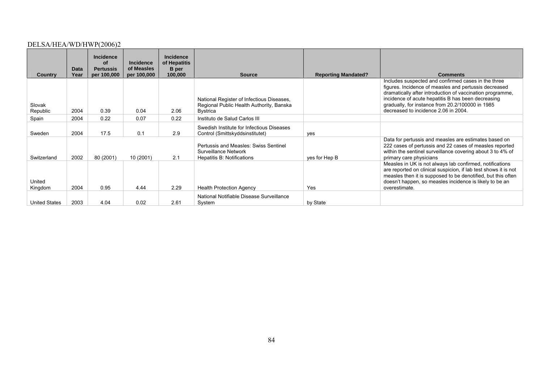| <b>Country</b>       | Data<br>Year | <b>Incidence</b><br>οf<br><b>Pertussis</b><br>per 100,000 | <b>Incidence</b><br>of Measles<br>per 100,000 | <b>Incidence</b><br>of Hepatitis<br><b>B</b> per<br>100,000 | <b>Source</b>                                                                                     | <b>Reporting Mandated?</b> | <b>Comments</b>                                                                                                                                                                                                                                                                                                             |
|----------------------|--------------|-----------------------------------------------------------|-----------------------------------------------|-------------------------------------------------------------|---------------------------------------------------------------------------------------------------|----------------------------|-----------------------------------------------------------------------------------------------------------------------------------------------------------------------------------------------------------------------------------------------------------------------------------------------------------------------------|
| Slovak<br>Republic   | 2004         | 0.39                                                      | 0.04                                          | 2.06                                                        | National Register of Infectious Diseases,<br>Regional Public Health Authority, Banska<br>Bystrica |                            | Includes suspected and confirmed cases in the three<br>figures. Incidence of measles and pertussis decreased<br>dramatically after introduction of vaccination programme,<br>incidence of acute hepatitis B has been decreasing<br>gradually, for instance from 20.2/100000 in 1985<br>decreased to incidence 2.06 in 2004. |
| Spain                | 2004         | 0.22                                                      | 0.07                                          | 0.22                                                        | Instituto de Salud Carlos III                                                                     |                            |                                                                                                                                                                                                                                                                                                                             |
| Sweden               | 2004         | 17.5                                                      | 0.1                                           | 2.9                                                         | Swedish Institute for Infectious Diseases<br>Control (Smittskyddsinstitutet)                      | yes                        |                                                                                                                                                                                                                                                                                                                             |
| Switzerland          | 2002         | 80 (2001)                                                 | 10 (2001)                                     | 2.1                                                         | Pertussis and Measles: Swiss Sentinel<br>Surveillance Network<br>Hepatitis B: Notifications       | yes for Hep B              | Data for pertussis and measles are estimates based on<br>222 cases of pertussis and 22 cases of measles reported<br>within the sentinel surveillance covering about 3 to 4% of<br>primary care physicians                                                                                                                   |
| United<br>Kingdom    | 2004         | 0.95                                                      | 4.44                                          | 2.29                                                        | <b>Health Protection Agency</b>                                                                   | Yes                        | Measles in UK is not always lab confirmed, notifications<br>are reported on clinical suspicion, if lab test shows it is not<br>measles then it is supposed to be denotified, but this often<br>doesn't happen, so measles incidence is likely to be an<br>overestimate.                                                     |
| <b>United States</b> | 2003         | 4.04                                                      | 0.02                                          | 2.61                                                        | National Notifiable Disease Surveillance<br>System                                                | by State                   |                                                                                                                                                                                                                                                                                                                             |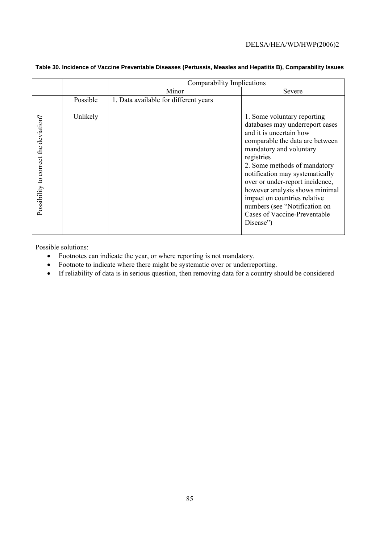|                                       |          | Comparability Implications            |                                                                                                                                                                                                                                                                                                                                                                                                                                    |  |  |  |  |
|---------------------------------------|----------|---------------------------------------|------------------------------------------------------------------------------------------------------------------------------------------------------------------------------------------------------------------------------------------------------------------------------------------------------------------------------------------------------------------------------------------------------------------------------------|--|--|--|--|
|                                       |          | Minor                                 | Severe                                                                                                                                                                                                                                                                                                                                                                                                                             |  |  |  |  |
|                                       | Possible | 1. Data available for different years |                                                                                                                                                                                                                                                                                                                                                                                                                                    |  |  |  |  |
| Possibility to correct the deviation? | Unlikely |                                       | 1. Some voluntary reporting<br>databases may underreport cases<br>and it is uncertain how<br>comparable the data are between<br>mandatory and voluntary<br>registries<br>2. Some methods of mandatory<br>notification may systematically<br>over or under-report incidence,<br>however analysis shows minimal<br>impact on countries relative<br>numbers (see "Notification on<br><b>Cases of Vaccine-Preventable</b><br>Disease") |  |  |  |  |

## **Table 30. Incidence of Vaccine Preventable Diseases (Pertussis, Measles and Hepatitis B), Comparability Issues**

Possible solutions:

- Footnotes can indicate the year, or where reporting is not mandatory.
- Footnote to indicate where there might be systematic over or underreporting.
- If reliability of data is in serious question, then removing data for a country should be considered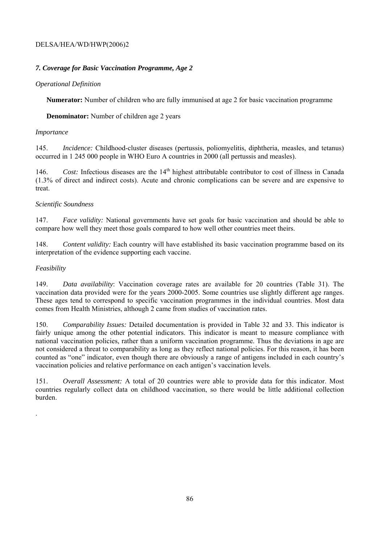# *7. Coverage for Basic Vaccination Programme, Age 2*

## *Operational Definition*

**Numerator:** Number of children who are fully immunised at age 2 for basic vaccination programme

**Denominator:** Number of children age 2 years

## *Importance*

145. *Incidence:* Childhood-cluster diseases (pertussis, poliomyelitis, diphtheria, measles, and tetanus) occurred in 1 245 000 people in WHO Euro A countries in 2000 (all pertussis and measles).

146. *Cost:* Infectious diseases are the 14<sup>th</sup> highest attributable contributor to cost of illness in Canada (1.3% of direct and indirect costs). Acute and chronic complications can be severe and are expensive to treat.

## *Scientific Soundness*

147. *Face validity:* National governments have set goals for basic vaccination and should be able to compare how well they meet those goals compared to how well other countries meet theirs.

148. *Content validity:* Each country will have established its basic vaccination programme based on its interpretation of the evidence supporting each vaccine.

## *Feasibility*

.

149. *Data availability*: Vaccination coverage rates are available for 20 countries (Table 31). The vaccination data provided were for the years 2000-2005. Some countries use slightly different age ranges. These ages tend to correspond to specific vaccination programmes in the individual countries. Most data comes from Health Ministries, although 2 came from studies of vaccination rates.

150. *Comparability Issues:* Detailed documentation is provided in Table 32 and 33. This indicator is fairly unique among the other potential indicators. This indicator is meant to measure compliance with national vaccination policies, rather than a uniform vaccination programme. Thus the deviations in age are not considered a threat to comparability as long as they reflect national policies. For this reason, it has been counted as "one" indicator, even though there are obviously a range of antigens included in each country's vaccination policies and relative performance on each antigen's vaccination levels.

151. *Overall Assessment:* A total of 20 countries were able to provide data for this indicator. Most countries regularly collect data on childhood vaccination, so there would be little additional collection burden.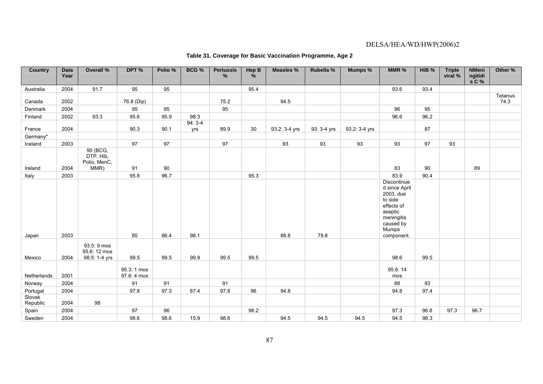| <b>Country</b>     | <b>Data</b><br>Year | <b>Overall %</b>                              | DPT %                      | Polio % | BCG %           | <b>Pertussis</b><br>% | Hep B<br>% | <b>Measles %</b> | Rubella %   | Mumps %       | MMR %                                                                                                                           | HiB % | <b>Triple</b><br>viral % | <b>NMeni</b><br>ngitidi<br>$s \mathsf{C}$ % | Other %         |
|--------------------|---------------------|-----------------------------------------------|----------------------------|---------|-----------------|-----------------------|------------|------------------|-------------|---------------|---------------------------------------------------------------------------------------------------------------------------------|-------|--------------------------|---------------------------------------------|-----------------|
| Australia          | 2004                | 91.7                                          | 95                         | 95      |                 |                       | 95.4       |                  |             |               | 93.6                                                                                                                            | 93.4  |                          |                                             |                 |
| Canada             | 2002                |                                               | 76.8 (Dip)                 |         |                 | 75.2                  |            | 94.5             |             |               |                                                                                                                                 |       |                          |                                             | Tetanus<br>74.3 |
| Denmark            | 2004                |                                               | 95                         | 95      |                 | 95                    |            |                  |             |               | 96                                                                                                                              | 95    |                          |                                             |                 |
| Finland            | 2002                | 93.3                                          | 95.6                       | 95.9    | 98.3            |                       |            |                  |             |               | 96.6                                                                                                                            | 96.2  |                          |                                             |                 |
| France             | 2004                |                                               | 90.3                       | 90.1    | $94:3-4$<br>yrs | 89.9                  | 30         | 93.2: 3-4 yrs    | 93: 3-4 yrs | 93.2: 3-4 yrs |                                                                                                                                 | 87    |                          |                                             |                 |
| Germany*           |                     |                                               |                            |         |                 |                       |            |                  |             |               |                                                                                                                                 |       |                          |                                             |                 |
| Iceland            | 2003                |                                               | 97                         | 97      |                 | 97                    |            | 93               | 93          | 93            | 93                                                                                                                              | 97    | 93                       |                                             |                 |
| Ireland            | 2004                | 90 (BCG,<br>DTP, Hib,<br>Polio, MenC,<br>MMR) | 91                         | 90      |                 |                       |            |                  |             |               | 83                                                                                                                              | 90    |                          | 89                                          |                 |
| Italy              | 2003                |                                               | 95.8                       | 96.7    |                 |                       | 95.3       |                  |             |               | 83.9                                                                                                                            | 90.4  |                          |                                             |                 |
| Japan              | 2003                |                                               | 85                         | 86.4    | 98.1            |                       |            | 88.8             | 79.8        |               | Discontinue<br>d since April<br>2003, due<br>to side<br>effects of<br>aseptic<br>meningitis<br>caused by<br>Mumps<br>component. |       |                          |                                             |                 |
| Mexico             | 2004                | 93.5: 9 mos<br>95.6: 12 mos<br>98.5: 1-4 yrs  | 99.5                       | 99.5    | 99.9            | 99.5                  | 99.5       |                  |             |               | 98.6                                                                                                                            | 99.5  |                          |                                             |                 |
| Netherlands        | 2001                |                                               | 95.3: 1 mos<br>97.6: 4 mos |         |                 |                       |            |                  |             |               | 95.6:14<br>mos                                                                                                                  |       |                          |                                             |                 |
| Norway             | 2004                |                                               | 91                         | 91      |                 | 91                    |            |                  |             |               | 88                                                                                                                              | 93    |                          |                                             |                 |
| Portugal           | 2004                |                                               | 97.8                       | 97.3    | 87.4            | 97.8                  | 96         | 94.8             |             |               | 94.8                                                                                                                            | 97.4  |                          |                                             |                 |
| Slovak<br>Republic | 2004                | 98                                            |                            |         |                 |                       |            |                  |             |               |                                                                                                                                 |       |                          |                                             |                 |
| Spain              | 2004                |                                               | 97                         | 96      |                 |                       | 98.2       |                  |             |               | 97.3                                                                                                                            | 96.8  | 97.3                     | 96.7                                        |                 |
| Sweden             | 2004                |                                               | 98.6                       | 98.6    | 15.9            | 98.6                  |            | 94.5             | 94.5        | 94.5          | 94.5                                                                                                                            | 98.3  |                          |                                             |                 |

# **Table 31. Coverage for Basic Vaccination Programme, Age 2**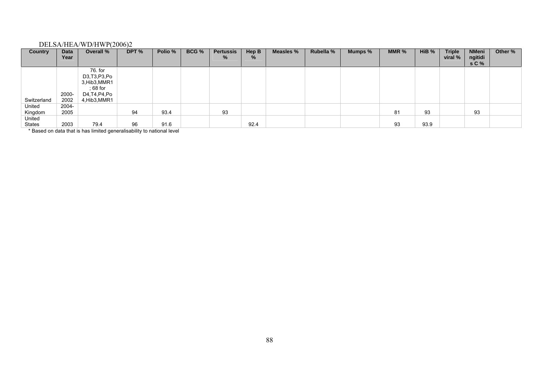| Country                        | Data<br>Year  | Overall %                                                                               | DPT %   | Polio % | BCG % | <b>Pertussis</b><br>% | Hep B<br>% | Measles % | Rubella % | Mumps % | MMR $%$ | HiB <sub>%</sub> | <b>Triple</b><br>viral % | <b>NMeni</b><br>ngitidi<br>s C % | Other % |
|--------------------------------|---------------|-----------------------------------------------------------------------------------------|---------|---------|-------|-----------------------|------------|-----------|-----------|---------|---------|------------------|--------------------------|----------------------------------|---------|
| Switzerland                    | 2000-<br>2002 | 76. for<br>D3, T3, P3, Po<br>3, Hib3, MMR1<br>; 68 for<br>D4, T4, P4, Po<br>4,Hib3,MMR1 |         |         |       |                       |            |           |           |         |         |                  |                          |                                  |         |
| United<br>Kingdom              | 2004-<br>2005 |                                                                                         | 94      | 93.4    |       | 93                    |            |           |           |         | 81      | 93               |                          | 93                               |         |
| United                         |               |                                                                                         |         |         |       |                       |            |           |           |         |         |                  |                          |                                  |         |
| States<br>$\sim$ $\sim$ $\sim$ | 2003<br>.     | 79.4<br>.                                                                               | 96<br>. | 91.6    |       |                       | 92.4       |           |           |         | 93      | 93.9             |                          |                                  |         |

\* Based on data that is has limited generalisability to national level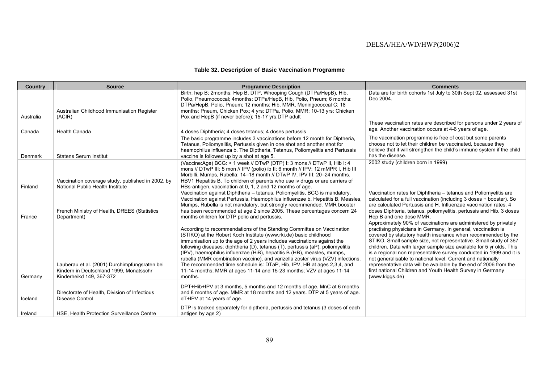## **Table 32. Description of Basic Vaccination Programme**

| Country   | <b>Source</b>                                                                                                        | <b>Programme Description</b>                                                                                                                                                                                                                                                                                                                                                                                                                                                                                                                                                                                                      | <b>Comments</b>                                                                                                                                                                                                                                                                                                                                                                                                                                                                                                                                                                                                                         |
|-----------|----------------------------------------------------------------------------------------------------------------------|-----------------------------------------------------------------------------------------------------------------------------------------------------------------------------------------------------------------------------------------------------------------------------------------------------------------------------------------------------------------------------------------------------------------------------------------------------------------------------------------------------------------------------------------------------------------------------------------------------------------------------------|-----------------------------------------------------------------------------------------------------------------------------------------------------------------------------------------------------------------------------------------------------------------------------------------------------------------------------------------------------------------------------------------------------------------------------------------------------------------------------------------------------------------------------------------------------------------------------------------------------------------------------------------|
| Australia | Australian Childhood Immunisation Register<br>(ACIR)                                                                 | Birth: hep B; 2months: Hep B, DTP, Whooping Cough (DTPa/HepB), Hib,<br>Polio, Pneumococcal; 4months: DTPa/HepB, Hib, Polio, Pneum; 6 months:<br>DTPa/HepB, Polio, Pneum; 12 months: Hib, MMR, Meningococcal C; 18<br>months: Pneum, Chicken Pox; 4 yrs: DTPa, Polio, MMR; 10-13 yrs: Chicken<br>Pox and HepB (if never before); 15-17 yrs:DTP adult                                                                                                                                                                                                                                                                               | Data are for birth cohorts 1st July to 30th Sept 02, assessed 31st<br>Dec 2004.                                                                                                                                                                                                                                                                                                                                                                                                                                                                                                                                                         |
| Canada    | <b>Health Canada</b>                                                                                                 | 4 doses Diphtheria; 4 doses tetanus; 4 doses pertussis                                                                                                                                                                                                                                                                                                                                                                                                                                                                                                                                                                            | These vaccination rates are described for persons under 2 years of<br>age. Another vaccination occurs at 4-6 years of age.                                                                                                                                                                                                                                                                                                                                                                                                                                                                                                              |
| Denmark   | <b>Statens Serum Institut</b>                                                                                        | The basic programme includes 3 vaccinations before 12 month for Diptheria,<br>Tetanus, Poliomyelitis, Pertussis given in one shot and another shot for<br>haemophilus influenza b. The Diptheria, Tetanus, Poliomyelitis and Pertussis<br>vaccine is followed up by a shot at age 5.                                                                                                                                                                                                                                                                                                                                              | The vaccination programme is free of cost but some parents<br>choose not to let their children be vaccinated, because they<br>believe that it will strengthen the child's immune system if the child<br>has the disease.                                                                                                                                                                                                                                                                                                                                                                                                                |
| Finland   | Vaccination coverage study, published in 2002, by<br>National Public Health Institute                                | (Vaccine:Age) BCG: < 1 week // DTwP (DTP) I: 3 mons // DTwP II, Hib I: 4<br>mons // DTwP III: 5 mon // IPV (polio) ib II: 6 month // IPV: 12 mMPR I, Hib III<br>Morbilli, Mumps, Rubella: 14-18 month // DTwP IV, IPV III: 20-24 months.<br>HBV1 Hepatitis B. To children of parents who use iv drugs or are carriers of<br>HBs-antigen, vaccination at 0, 1, 2 and 12 months of age.                                                                                                                                                                                                                                             | 2002 study (children born in 1999)                                                                                                                                                                                                                                                                                                                                                                                                                                                                                                                                                                                                      |
| France    | French Ministry of Health, DREES (Statistics<br>Department)                                                          | Vaccination against Diphtheria - tetanus, Poliomyelitis, BCG is mandatory.<br>Vaccination against Pertussis, Haemophilus influenzae b, Hepatitis B, Measles,<br>Mumps, Rubella is not mandatory, but strongly recommended. MMR booster<br>has been recommended at age 2 since 2005. These percentages concern 24<br>months children for DTP polio and pertussis.                                                                                                                                                                                                                                                                  | Vaccination rates for Diphtheria - tetanus and Poliomyelitis are<br>calculated for a full vaccination (including 3 doses + booster). So<br>are calculated Pertussis and H. Influenzae vaccination rates, 4<br>doses Diphteria, tetanus, poliomyelitis, pertussis and Hib. 3 doses<br>Hep B and one dose MMR.                                                                                                                                                                                                                                                                                                                            |
| Germany   | Lauberau et al. (2001) Durchimpfungsraten bei<br>Kindern in Deutschland 1999, Monatsschr<br>Kinderheikd 149, 367-372 | According to recommendations of the Standing Committee on Vaccination<br>(STIKO) at the Robert Koch Institute (www.rki.de) basic childhood<br>immunisation up to the age of 2 years includes vaccinations against the<br>following diseases: diphtheria (D), tetanus (T), pertussis (aP), poliomyelitis<br>(IPV), haemophilus influenzae (HiB), hepatitis B (HB), measles, mumps,<br>rubella (MMR combination vaccine), and varizella zoster virus (VZV) infections.<br>The recommended time schedule is: DTaP, Hib, IPV, HB at ages 2,3,4, and<br>11-14 months; MMR at ages 11-14 and 15-23 months; VZV at ages 11-14<br>months. | Approximately 90% of vaccinations are administered by privately<br>practising physicians in Germany. In general, vaccination is<br>covered by statutory health insurance when recommended by the<br>STIKO. Small sample size, not representative. Small study of 367<br>children. Data with larger sample size available for 5 yr olds. This<br>is a regional non representative survey conducted in 1999 and it is<br>not generalisable to national level. Current and nationally<br>representative data will be available by the end of 2006 from the<br>first national Children and Youth Health Survey in Germany<br>(www.kiggs.de) |
| Iceland   | Directorate of Health, Division of Infectious<br>Disease Control                                                     | DPT+Hib+IPV at 3 months, 5 months and 12 months of age. MnC at 6 months<br>and 8 months of age. MMR at 18 months and 12 years. DTP at 5 years of age.<br>dT+IPV at 14 years of age.                                                                                                                                                                                                                                                                                                                                                                                                                                               |                                                                                                                                                                                                                                                                                                                                                                                                                                                                                                                                                                                                                                         |
| Ireland   | <b>HSE. Health Protection Surveillance Centre</b>                                                                    | DTP is tracked separately for diptheria, pertussis and tetanus (3 doses of each<br>antigen by age 2)                                                                                                                                                                                                                                                                                                                                                                                                                                                                                                                              |                                                                                                                                                                                                                                                                                                                                                                                                                                                                                                                                                                                                                                         |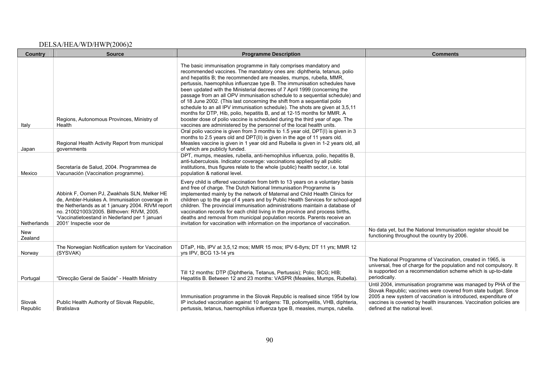| <b>Country</b>     | <b>Source</b>                                                                                                                                                                                                                                                                 | <b>Programme Description</b>                                                                                                                                                                                                                                                                                                                                                                                                                                                                                                                                                                                                                                                                                                                                                                                                                                 | <b>Comments</b>                                                                                                                                                                                                                                                                                           |
|--------------------|-------------------------------------------------------------------------------------------------------------------------------------------------------------------------------------------------------------------------------------------------------------------------------|--------------------------------------------------------------------------------------------------------------------------------------------------------------------------------------------------------------------------------------------------------------------------------------------------------------------------------------------------------------------------------------------------------------------------------------------------------------------------------------------------------------------------------------------------------------------------------------------------------------------------------------------------------------------------------------------------------------------------------------------------------------------------------------------------------------------------------------------------------------|-----------------------------------------------------------------------------------------------------------------------------------------------------------------------------------------------------------------------------------------------------------------------------------------------------------|
| Italy              | Regions, Autonomous Provinces, Ministry of<br>Health                                                                                                                                                                                                                          | The basic immunisation programme in Italy comprises mandatory and<br>recommended vaccines. The mandatory ones are: diphtheria, tetanus, polio<br>and hepatitis B; the recommended are measles, mumps, rubella, MMR,<br>pertussis, haemophilus influenzae type B. The immunisation schedules have<br>been updated with the Ministerial decrees of 7 April 1999 (concerning the<br>passage from an all OPV immunisation schedule to a sequential schedule) and<br>of 18 June 2002. (This last concerning the shift from a sequential polio<br>schedule to an all IPV immunisation schedule). The shots are given at 3,5,11<br>months for DTP, Hib, polio, hepatitis B, and at 12-15 months for MMR. A<br>booster dose of polio vaccine is scheduled during the third year of age. The<br>vaccines are administered by the personnel of the local health units. |                                                                                                                                                                                                                                                                                                           |
| Japan              | Regional Health Activity Report from municipal<br>governments                                                                                                                                                                                                                 | Oral polio vaccine is given from 3 months to 1.5 year old, DPT(I) is given in 3<br>months to 2.5 years old and DPT(II) is given in the age of 11 years old.<br>Measles vaccine is given in 1 year old and Rubella is given in 1-2 years old, all<br>of which are publicly funded.                                                                                                                                                                                                                                                                                                                                                                                                                                                                                                                                                                            |                                                                                                                                                                                                                                                                                                           |
| Mexico             | Secretaría de Salud, 2004. Programmea de<br>Vacunación (Vaccination programme).                                                                                                                                                                                               | DPT, mumps, measles, rubella, anti-hemophilus influenza, polio, hepatitis B,<br>anti-tuberculosis. Indicator coverage: vaccinations applied by all public<br>institutions, thus figures relate to the whole (public) health sector, i.e. total<br>population & national level.                                                                                                                                                                                                                                                                                                                                                                                                                                                                                                                                                                               |                                                                                                                                                                                                                                                                                                           |
| Netherlands        | Abbink F, Oomen PJ, Zwakhals SLN, Melker HE<br>de, Ambler-Huiskes A. Immunisation coverage in<br>the Netherlands as at 1 january 2004. RIVM report<br>no. 210021003/2005. Bilthoven: RIVM, 2005.<br>'Vaccinatietoestand in Nederland per 1 januari<br>2001' Inspectie voor de | Every child is offered vaccination from birth to 13 years on a voluntary basis<br>and free of charge. The Dutch National Immunisation Programme is<br>implemented mainly by the network of Maternal and Child Health Clinics for<br>children up to the age of 4 years and by Public Health Services for school-aged<br>children. The provincial immunisation administrations maintain a database of<br>vaccination records for each child living in the province and process births,<br>deaths and removal from municipal population records. Parents receive an<br>invitation for vaccination with information on the importance of vaccination.                                                                                                                                                                                                            |                                                                                                                                                                                                                                                                                                           |
| New<br>Zealand     |                                                                                                                                                                                                                                                                               |                                                                                                                                                                                                                                                                                                                                                                                                                                                                                                                                                                                                                                                                                                                                                                                                                                                              | No data yet, but the National Immunisation register should be<br>functioning throughout the country by 2006.                                                                                                                                                                                              |
| Norway             | The Norwegian Notification system for Vaccination<br>(SYSVAK)                                                                                                                                                                                                                 | DTaP, Hib, IPV at 3,5,12 mos; MMR 15 mos; IPV 6-8yrs; DT 11 yrs; MMR 12<br>yrs IPV, BCG 13-14 yrs                                                                                                                                                                                                                                                                                                                                                                                                                                                                                                                                                                                                                                                                                                                                                            |                                                                                                                                                                                                                                                                                                           |
| Portugal           | "Direcção Geral de Saúde" - Health Ministry                                                                                                                                                                                                                                   | Till 12 months: DTP (Diphtheria, Tetanus, Pertussis); Polio; BCG; HIB;<br>Hepatitis B. Between 12 and 23 months: VASPR (Measles, Mumps, Rubella).                                                                                                                                                                                                                                                                                                                                                                                                                                                                                                                                                                                                                                                                                                            | The National Programme of Vaccination, created in 1965, is<br>universal, free of charge for the population and not compulsory. It<br>is supported on a recommendation scheme which is up-to-date<br>periodically.                                                                                         |
| Slovak<br>Republic | Public Health Authority of Slovak Republic,<br>Bratislava                                                                                                                                                                                                                     | Immunisation programme in the Slovak Republic is realised since 1954 by low<br>IP included vaccination against 10 antigens: TB, poliomyelitis, VHB, diphteria,<br>pertussis, tetanus, haemophilius influenza type B, measles, mumps, rubella.                                                                                                                                                                                                                                                                                                                                                                                                                                                                                                                                                                                                                | Until 2004, immunisation programme was managed by PHA of the<br>Slovak Republic; vaccines were covered from state budget. Since<br>2005 a new system of vaccination is introduced, expenditure of<br>vaccines is covered by health insurances. Vaccination policies are<br>defined at the national level. |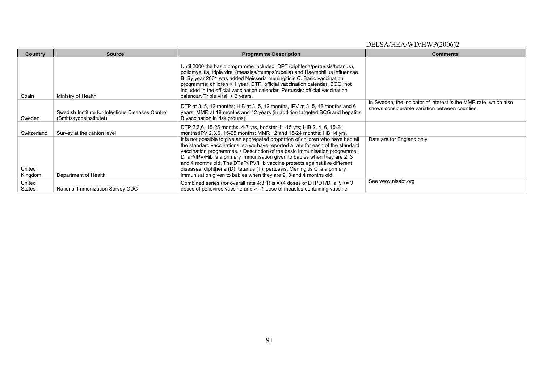| <b>Country</b>          | Source                                                                       | <b>Programme Description</b>                                                                                                                                                                                                                                                                                                                                                                                                                                                                                                                                    | <b>Comments</b>                                                                                                    |
|-------------------------|------------------------------------------------------------------------------|-----------------------------------------------------------------------------------------------------------------------------------------------------------------------------------------------------------------------------------------------------------------------------------------------------------------------------------------------------------------------------------------------------------------------------------------------------------------------------------------------------------------------------------------------------------------|--------------------------------------------------------------------------------------------------------------------|
| Spain                   | Ministry of Health                                                           | Until 2000 the basic programme included: DPT (diphteria/pertussis/tetanus).<br>poliomyelitis, triple viral (measles/mumps/rubella) and Haemphillus influenzae<br>B. By year 2001 was added Neisseria meningitidis C. Basic vaccination<br>programme: children < 1 year. DTP: official vaccination calendar. BCG: not<br>included in the official vaccination calendar. Pertussis: official vaccination<br>calendar. Triple viral: $<$ 2 years.                                                                                                                  |                                                                                                                    |
| Sweden                  | Swedish Institute for Infectious Diseases Control<br>(Smittskyddsinstitutet) | DTP at 3, 5, 12 months; HiB at 3, 5, 12 months, IPV at 3, 5, 12 months and 6<br>years, MMR at 18 months and 12 years (in addition targeted BCG and hepatitis<br>B vaccination in risk groups).                                                                                                                                                                                                                                                                                                                                                                  | In Sweden, the indicator of interest is the MMR rate, which also<br>shows considerable variation between counties. |
| Switzerland             | Survey at the canton level                                                   | DTP 2,3,6, 15-25 months, 4-7 yrs, booster 11-15 yrs; HiB 2, 4, 6, 15-24<br>months: IPV 2,3,6, 15-25 months: MMR 12 and 15-24 months: HB 14 yrs.                                                                                                                                                                                                                                                                                                                                                                                                                 |                                                                                                                    |
| United<br>Kingdom       | Department of Health                                                         | It is not possible to give an aggregated proportion of children who have had all<br>the standard vaccinations, so we have reported a rate for each of the standard<br>vaccination programmes. • Description of the basic immunisation programme:<br>DTaP/IPV/Hib is a primary immunisation given to babies when they are 2, 3<br>and 4 months old. The DTaP/IPV/Hib vaccine protects against five different<br>diseases: diphtheria (D); tetanus (T); pertussis. Meningitis C is a primary<br>immunisation given to babies when they are 2, 3 and 4 months old. | Data are for England only                                                                                          |
| United<br><b>States</b> | National Immunization Survey CDC                                             | Combined series (for overall rate 4:3:1) is $\approx$ 4 doses of DTPDT/DTaP, $\approx$ 3<br>doses of poliovirus vaccine and $\ge$ = 1 dose of measles-containing vaccine                                                                                                                                                                                                                                                                                                                                                                                        | See www.nisabt.org                                                                                                 |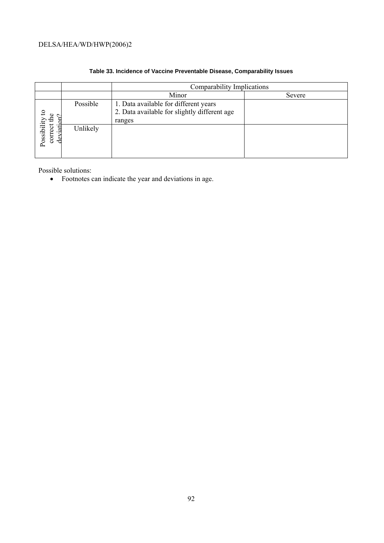|                             |          | Comparability Implications                                                                      |        |
|-----------------------------|----------|-------------------------------------------------------------------------------------------------|--------|
|                             |          | Minor                                                                                           | Severe |
| $\mathbf{c}$                | Possible | 1. Data available for different years<br>2. Data available for slightly different age<br>ranges |        |
| Possibility<br>correct<br>d | Unlikely |                                                                                                 |        |

## **Table 33. Incidence of Vaccine Preventable Disease, Comparability Issues**

Possible solutions:

• Footnotes can indicate the year and deviations in age.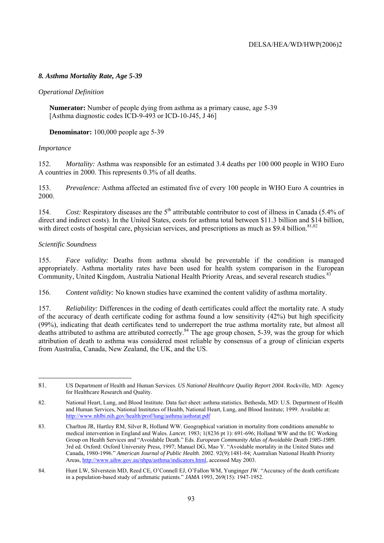## *8. Asthma Mortality Rate, Age 5-39*

### *Operational Definition*

**Numerator:** Number of people dying from asthma as a primary cause, age 5-39 [Asthma diagnostic codes ICD-9-493 or ICD-10-J45, J 46]

 **Denominator:** 100,000 people age 5-39

#### *Importance*

152. *Mortality:* Asthma was responsible for an estimated 3.4 deaths per 100 000 people in WHO Euro A countries in 2000. This represents 0.3% of all deaths.

153. *Prevalence:* Asthma affected an estimated five of every 100 people in WHO Euro A countries in 2000.

154. *Cost:* Respiratory diseases are the 5<sup>th</sup> attributable contributor to cost of illness in Canada (5.4% of direct and indirect costs). In the United States, costs for asthma total between \$11.3 billion and \$14 billion, with direct costs of hospital care, physician services, and prescriptions as much as \$9.4 billion.<sup>81,82</sup>

#### *Scientific Soundness*

155. *Face validity:* Deaths from asthma should be preventable if the condition is managed appropriately. Asthma mortality rates have been used for health system comparison in the European Community, United Kingdom, Australia National Health Priority Areas, and several research studies.<sup>83</sup>

156. *Content validity:* No known studies have examined the content validity of asthma mortality.

157. *Reliability:* Differences in the coding of death certificates could affect the mortality rate. A study of the accuracy of death certificate coding for asthma found a low sensitivity (42%) but high specificity (99%), indicating that death certificates tend to underreport the true asthma mortality rate, but almost all deaths attributed to asthma are attributed correctly.<sup>84</sup> The age group chosen, 5-39, was the group for which attribution of death to asthma was considered most reliable by consensus of a group of clinician experts from Australia, Canada, New Zealand, the UK, and the US.

<sup>81.</sup> US Department of Health and Human Services. *US National Healthcare Quality Report 2004*. Rockville, MD: Agency for Healthcare Research and Quality.

<sup>82.</sup> National Heart, Lung, and Blood Institute. Data fact sheet: asthma statistics. Bethesda, MD: U.S. Department of Health and Human Services, National Institutes of Health, National Heart, Lung, and Blood Institute; 1999. Available at: http://www.nhlbi.nih.gov/health/prof/lung/asthma/asthstat.pdf

<sup>83.</sup> Charlton JR, Hartley RM, Silver R, Holland WW. Geographical variation in mortality from conditions amenable to medical intervention in England and Wales. *Lancet.* 1983; 1(8236 pt 1): 691-696; Holland WW and the EC Working Group on Health Services and "Avoidable Death." Eds. *European Community Atlas of Avoidable Death 1985-1989.* 3rd ed. Oxford: Oxford University Press, 1997; Manuel DG, Mao Y. "Avoidable mortality in the United States and Canada, 1980-1996." *American Journal of Public Health*. 2002. 92(9):1481-84; Australian National Health Priority Areas, http://www.aihw.gov.au/nhpa/asthma/indicators.html, accessed May 2003.

<sup>84.</sup> Hunt LW, Silverstein MD, Reed CE, O'Connell EJ, O'Fallon WM, Yunginger JW. "Accuracy of the death certificate in a population-based study of asthmatic patients." *JAMA* 1993, 269(15): 1947-1952.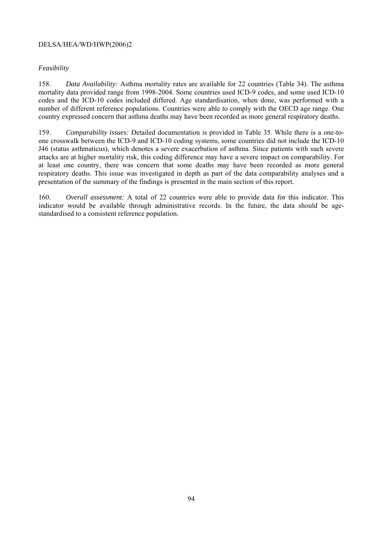## *Feasibility*

158. *Data Availability:* Asthma mortality rates are available for 22 countries (Table 34). The asthma mortality data provided range from 1998-2004. Some countries used ICD-9 codes, and some used ICD-10 codes and the ICD-10 codes included differed. Age standardisation, when done, was performed with a number of different reference populations. Countries were able to comply with the OECD age range. One country expressed concern that asthma deaths may have been recorded as more general respiratory deaths.

159. *Comparability issues:* Detailed documentation is provided in Table 35. While there is a one-toone crosswalk between the ICD-9 and ICD-10 coding systems, some countries did not include the ICD-10 J46 (status asthmaticus), which denotes a severe exacerbation of asthma. Since patients with such severe attacks are at higher mortality risk, this coding difference may have a severe impact on comparability. For at least one country, there was concern that some deaths may have been recorded as more general respiratory deaths. This issue was investigated in depth as part of the data comparability analyses and a presentation of the summary of the findings is presented in the main section of this report.

160. *Overall assessment:* A total of 22 countries were able to provide data for this indicator. This indicator would be available through administrative records. In the future, the data should be agestandardised to a consistent reference population.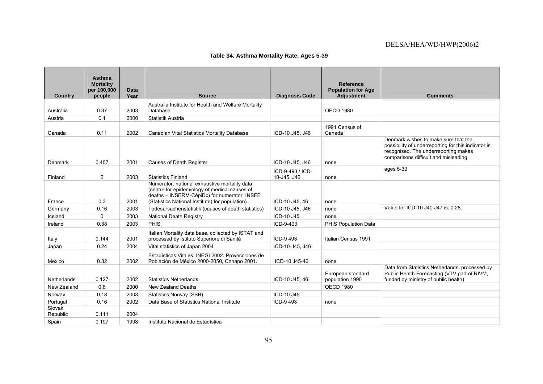|  |  |  |  | Table 34. Asthma Mortality Rate, Ages 5-39 |
|--|--|--|--|--------------------------------------------|
|--|--|--|--|--------------------------------------------|

| <b>Country</b>     | Asthma<br><b>Mortality</b><br>per 100,000<br>people | Data<br>Year | <b>Source</b>                                                                                                                                                                                     | <b>Diagnosis Code</b> | <b>Reference</b><br><b>Population for Age</b><br><b>Adjustment</b> | <b>Comments</b>                                                                                                                                                              |
|--------------------|-----------------------------------------------------|--------------|---------------------------------------------------------------------------------------------------------------------------------------------------------------------------------------------------|-----------------------|--------------------------------------------------------------------|------------------------------------------------------------------------------------------------------------------------------------------------------------------------------|
|                    |                                                     |              |                                                                                                                                                                                                   |                       |                                                                    |                                                                                                                                                                              |
| Australia          | 0.37                                                | 2003         | Australia Institute for Health and Welfare Mortality<br>Database                                                                                                                                  |                       | <b>OECD 1980</b>                                                   |                                                                                                                                                                              |
| Austria            | 0.1                                                 | 2000         | Statistik Austria                                                                                                                                                                                 |                       |                                                                    |                                                                                                                                                                              |
| Canada             | 0.11                                                | 2002         | Canadian Vital Statistics Mortality Database                                                                                                                                                      | ICD-10 J45, J46       | 1991 Census of<br>Canada                                           |                                                                                                                                                                              |
| Denmark            | 0.407                                               | 2001         | Causes of Death Register                                                                                                                                                                          | ICD-10 J45, J46       | none                                                               | Denmark wishes to make sure that the<br>possibility of underreporting for this indicator is<br>recognised. The underreporting makes<br>comparisons difficult and misleading. |
|                    |                                                     |              |                                                                                                                                                                                                   | ICD-9-493 / ICD-      |                                                                    | ages 5-39                                                                                                                                                                    |
| Finland            | 0                                                   | 2003         | <b>Statistics Finland</b>                                                                                                                                                                         | 10-J45, J46           | none                                                               |                                                                                                                                                                              |
| France             | 0.3                                                 | 2001         | Numerator: national exhaustive mortality data<br>(centre for epidemiology of medical causes of<br>deaths - INSERM-CépiDc) for numerator, INSEE<br>(Statistics National Institute) for population) | ICD-10 J45, 46        | none                                                               |                                                                                                                                                                              |
| Germany            | 0.16                                                | 2003         | Todesursachenstatistik (causes of death statistics)                                                                                                                                               | ICD-10 J45, J46       | none                                                               | Value for ICD-10 J40-J47 is: 0.28.                                                                                                                                           |
| Iceland            | $\Omega$                                            | 2003         | <b>National Death Registry</b>                                                                                                                                                                    | ICD-10 J45            | none                                                               |                                                                                                                                                                              |
| Ireland            | 0.38                                                | 2003         | <b>PHIS</b>                                                                                                                                                                                       | ICD-9-493             | PHIS Population Data                                               |                                                                                                                                                                              |
| Italy              | 0.144                                               | 2001         | Italian Mortality data base, collected by ISTAT and<br>processed by Istituto Superiore di Sanità                                                                                                  | ICD-9493              | Italian Census 1991                                                |                                                                                                                                                                              |
| Japan              | 0.24                                                | 2004         | Vital statistics of Japan 2004                                                                                                                                                                    | ICD-10-J45, J46       |                                                                    |                                                                                                                                                                              |
| Mexico             | 0.32                                                | 2002         | Estadísticas Vitales, INEGI 2002. Proyecciones de<br>Población de México 2000-2050, Conapo 2001.                                                                                                  | ICD-10 J45-46         | none                                                               |                                                                                                                                                                              |
| Netherlands        | 0.127                                               | 2002         | <b>Statistics Netherlands</b>                                                                                                                                                                     | ICD-10 J45, 46        | European standard<br>population 1990                               | Data from Statistics Netherlands, processed by<br>Public Health Forecasting (VTV part of RIVM,<br>funded by ministry of public health)                                       |
| New Zealand        | 0.8                                                 | 2000         | New Zealand Deaths                                                                                                                                                                                |                       | <b>OECD 1980</b>                                                   |                                                                                                                                                                              |
| Norway             | 0.18                                                | 2003         | <b>Statistics Norway (SSB)</b>                                                                                                                                                                    | ICD-10 J45            |                                                                    |                                                                                                                                                                              |
| Portugal           | 0.16                                                | 2002         | Data Base of Statistics National Institute                                                                                                                                                        | ICD-9493              | none                                                               |                                                                                                                                                                              |
| Slovak<br>Republic | 0.111                                               | 2004         |                                                                                                                                                                                                   |                       |                                                                    |                                                                                                                                                                              |
| Spain              | 0.197                                               | 1998         | Instituto Nacional de Estadística                                                                                                                                                                 |                       |                                                                    |                                                                                                                                                                              |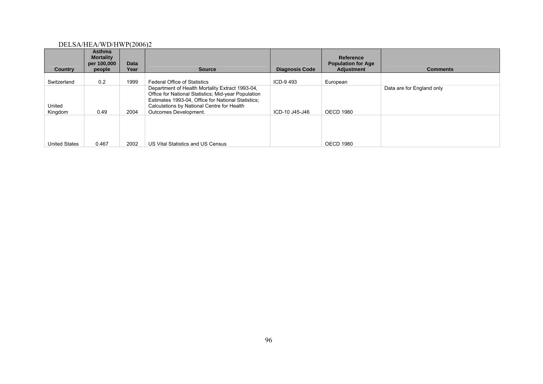| <b>Country</b>       | Asthma<br><b>Mortality</b><br>per 100,000<br>people | Data<br>Year | <b>Source</b>                                                                                                                                                                                                                       | <b>Diagnosis Code</b> | Reference<br><b>Population for Age</b><br><b>Adjustment</b> | <b>Comments</b>           |
|----------------------|-----------------------------------------------------|--------------|-------------------------------------------------------------------------------------------------------------------------------------------------------------------------------------------------------------------------------------|-----------------------|-------------------------------------------------------------|---------------------------|
|                      |                                                     |              |                                                                                                                                                                                                                                     |                       |                                                             |                           |
| Switzerland          | 0.2                                                 | 1999         | <b>Federal Office of Statistics</b>                                                                                                                                                                                                 | ICD-9493              | European                                                    |                           |
| United<br>Kingdom    | 0.49                                                | 2004         | Department of Health Mortality Extract 1993-04,<br>Office for National Statistics; Mid-year Population<br>Estimates 1993-04, Office for National Statistics;<br>Calculations by National Centre for Health<br>Outcomes Development. | ICD-10 J45-J46        | <b>OECD 1980</b>                                            | Data are for England only |
| <b>United States</b> | 0.467                                               | 2002         | US Vital Statistics and US Census                                                                                                                                                                                                   |                       | <b>OECD 1980</b>                                            |                           |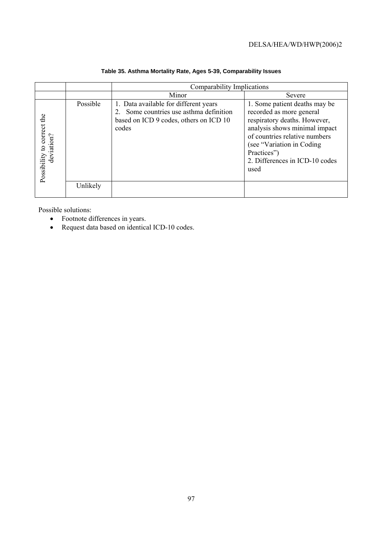|                                          |          | Comparability Implications                                                                                                       |                                                                                                                                                                                                                                                     |
|------------------------------------------|----------|----------------------------------------------------------------------------------------------------------------------------------|-----------------------------------------------------------------------------------------------------------------------------------------------------------------------------------------------------------------------------------------------------|
|                                          |          | Minor                                                                                                                            | Severe                                                                                                                                                                                                                                              |
| Possibility to correct the<br>deviation? | Possible | 1. Data available for different years<br>Some countries use asthma definition<br>based on ICD 9 codes, others on ICD 10<br>codes | 1. Some patient deaths may be<br>recorded as more general<br>respiratory deaths. However,<br>analysis shows minimal impact<br>of countries relative numbers<br>(see "Variation in Coding")<br>Practices")<br>2. Differences in ICD-10 codes<br>used |
|                                          | Unlikely |                                                                                                                                  |                                                                                                                                                                                                                                                     |

## **Table 35. Asthma Mortality Rate, Ages 5-39, Comparability Issues**

Possible solutions:

- Footnote differences in years.
- Request data based on identical ICD-10 codes.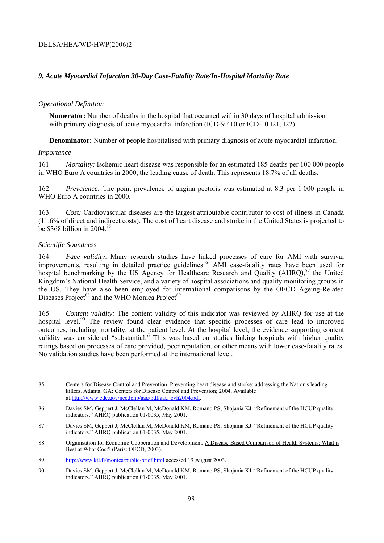## *9. Acute Myocardial Infarction 30-Day Case-Fatality Rate/In-Hospital Mortality Rate*

## *Operational Definition*

**Numerator:** Number of deaths in the hospital that occurred within 30 days of hospital admission with primary diagnosis of acute myocardial infarction (ICD-9 410 or ICD-10 I21, I22)

**Denominator:** Number of people hospitalised with primary diagnosis of acute myocardial infarction.

#### *Importance*

161. *Mortality:* Ischemic heart disease was responsible for an estimated 185 deaths per 100 000 people in WHO Euro A countries in 2000, the leading cause of death. This represents 18.7% of all deaths.

162. *Prevalence:* The point prevalence of angina pectoris was estimated at 8.3 per 1 000 people in WHO Euro A countries in 2000.

163. *Cost:* Cardiovascular diseases are the largest attributable contributor to cost of illness in Canada (11.6% of direct and indirect costs). The cost of heart disease and stroke in the United States is projected to be \$368 billion in 2004.<sup>85</sup>

## *Scientific Soundness*

164. *Face validity*: Many research studies have linked processes of care for AMI with survival improvements, resulting in detailed practice guidelines.<sup>86</sup> AMI case-fatality rates have been used for hospital benchmarking by the US Agency for Healthcare Research and Quality  $(AHRO)$ ,  $87$  the United Kingdom's National Health Service, and a variety of hospital associations and quality monitoring groups in the US. They have also been employed for international comparisons by the OECD Ageing-Related Diseases Project<sup>88</sup> and the WHO Monica Project<sup>89</sup>

165. *Content validity:* The content validity of this indicator was reviewed by AHRQ for use at the hospital level.<sup>90</sup> The review found clear evidence that specific processes of care lead to improved outcomes, including mortality, at the patient level. At the hospital level, the evidence supporting content validity was considered "substantial." This was based on studies linking hospitals with higher quality ratings based on processes of care provided, peer reputation, or other means with lower case-fatality rates. No validation studies have been performed at the international level.

 85 Centers for Disease Control and Prevention. Preventing heart disease and stroke: addressing the Nation's leading killers. Atlanta, GA: Centers for Disease Control and Prevention; 2004. Available at:http://www.cdc.gov/nccdphp/aag/pdf/aag\_cvh2004.pdf.

<sup>86.</sup> Davies SM, Geppert J, McClellan M, McDonald KM, Romano PS, Shojania KJ. "Refinement of the HCUP quality indicators." AHRQ publication 01-0035, May 2001.

<sup>87.</sup> Davies SM, Geppert J, McClellan M, McDonald KM, Romano PS, Shojania KJ. "Refinement of the HCUP quality indicators." AHRQ publication 01-0035, May 2001.

<sup>88.</sup> Organisation for Economic Cooperation and Development. A Disease-Based Comparison of Health Systems: What is Best at What Cost? (Paris: OECD, 2003).

<sup>89.</sup> http://www.ktl.fi/monica/public/brief.html accessed 19 August 2003.

<sup>90.</sup> Davies SM, Geppert J, McClellan M, McDonald KM, Romano PS, Shojania KJ. "Refinement of the HCUP quality indicators." AHRQ publication 01-0035, May 2001.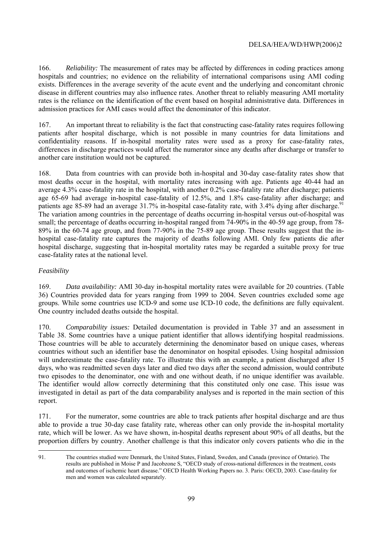166. *Reliability:* The measurement of rates may be affected by differences in coding practices among hospitals and countries; no evidence on the reliability of international comparisons using AMI coding exists. Differences in the average severity of the acute event and the underlying and concomitant chronic disease in different countries may also influence rates. Another threat to reliably measuring AMI mortality rates is the reliance on the identification of the event based on hospital administrative data. Differences in admission practices for AMI cases would affect the denominator of this indicator.

167. An important threat to reliability is the fact that constructing case-fatality rates requires following patients after hospital discharge, which is not possible in many countries for data limitations and confidentiality reasons. If in-hospital mortality rates were used as a proxy for case-fatality rates, differences in discharge practices would affect the numerator since any deaths after discharge or transfer to another care institution would not be captured.

168. Data from countries with can provide both in-hospital and 30-day case-fatality rates show that most deaths occur in the hospital, with mortality rates increasing with age. Patients age 40-44 had an average 4.3% case-fatality rate in the hospital, with another 0.2% case-fatality rate after discharge; patients age 65-69 had average in-hospital case-fatality of 12.5%, and 1.8% case-fatality after discharge; and patients age 85-89 had an average  $31.7\%$  in-hospital case-fatality rate, with 3.4% dying after discharge.<sup>91</sup> The variation among countries in the percentage of deaths occurring in-hospital versus out-of-hospital was small; the percentage of deaths occurring in-hospital ranged from 74-90% in the 40-59 age group, from 78- 89% in the 60-74 age group, and from 77-90% in the 75-89 age group. These results suggest that the inhospital case-fatality rate captures the majority of deaths following AMI. Only few patients die after hospital discharge, suggesting that in-hospital mortality rates may be regarded a suitable proxy for true case-fatality rates at the national level.

## *Feasibility*

169. *Data availability:* AMI 30-day in-hospital mortality rates were available for 20 countries. (Table 36) Countries provided data for years ranging from 1999 to 2004. Seven countries excluded some age groups. While some countries use ICD-9 and some use ICD-10 code, the definitions are fully equivalent. One country included deaths outside the hospital.

170. *Comparability issues:* Detailed documentation is provided in Table 37 and an assessment in Table 38. Some countries have a unique patient identifier that allows identifying hospital readmissions. Those countries will be able to accurately determining the denominator based on unique cases, whereas countries without such an identifier base the denominator on hospital episodes. Using hospital admission will underestimate the case-fatality rate. To illustrate this with an example, a patient discharged after 15 days, who was readmitted seven days later and died two days after the second admission, would contribute two episodes to the denominator, one with and one without death, if no unique identifier was available. The identifier would allow correctly determining that this constituted only one case. This issue was investigated in detail as part of the data comparability analyses and is reported in the main section of this report.

171. For the numerator, some countries are able to track patients after hospital discharge and are thus able to provide a true 30-day case fatality rate, whereas other can only provide the in-hospital mortality rate, which will be lower. As we have shown, in-hospital deaths represent about 90% of all deaths, but the proportion differs by country. Another challenge is that this indicator only covers patients who die in the

<sup>91.</sup> The countries studied were Denmark, the United States, Finland, Sweden, and Canada (province of Ontario). The results are published in Moise P and Jacobzone S, "OECD study of cross-national differences in the treatment, costs and outcomes of ischemic heart disease." OECD Health Working Papers no. 3. Paris: OECD, 2003. Case-fatality for men and women was calculated separately.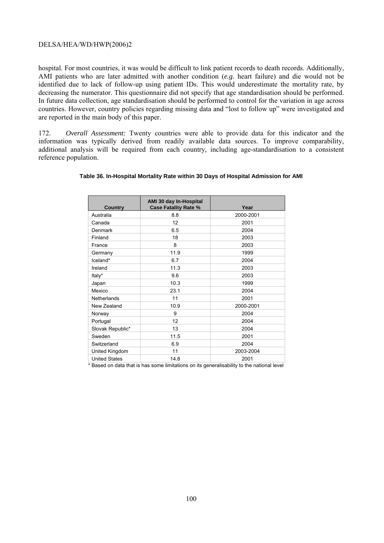hospital. For most countries, it was would be difficult to link patient records to death records. Additionally, AMI patients who are later admitted with another condition (*e.g.* heart failure) and die would not be identified due to lack of follow-up using patient IDs. This would underestimate the mortality rate, by decreasing the numerator. This questionnaire did not specify that age standardisation should be performed. In future data collection, age standardisation should be performed to control for the variation in age across countries. However, country policies regarding missing data and "lost to follow up" were investigated and are reported in the main body of this paper.

172. *Overall Assessment:* Twenty countries were able to provide data for this indicator and the information was typically derived from readily available data sources. To improve comparability, additional analysis will be required from each country, including age-standardisation to a consistent reference population.

| Country              | AMI 30 day In-Hospital<br><b>Case Fatality Rate %</b> | Year      |
|----------------------|-------------------------------------------------------|-----------|
| Australia            | 8.8                                                   | 2000-2001 |
| Canada               | 12                                                    | 2001      |
| Denmark              | 6.5                                                   | 2004      |
| Finland              | 18                                                    | 2003      |
| France               | 8                                                     | 2003      |
| Germany              | 11.9                                                  | 1999      |
| Iceland*             | 6.7                                                   | 2004      |
| Ireland              | 11.3                                                  | 2003      |
| Italy*               | 9.6                                                   | 2003      |
| Japan                | 10.3                                                  | 1999      |
| Mexico               | 23.1                                                  | 2004      |
| <b>Netherlands</b>   | 11                                                    | 2001      |
| New Zealand          | 10.9                                                  | 2000-2001 |
| Norway               | 9                                                     | 2004      |
| Portugal             | 12                                                    | 2004      |
| Slovak Republic*     | 13                                                    | 2004      |
| Sweden               | 11.5                                                  | 2001      |
| Switzerland          | 6.9                                                   | 2004      |
| United Kingdom       | 11                                                    | 2003-2004 |
| <b>United States</b> | 14.8                                                  | 2001      |

#### **Table 36. In-Hospital Mortality Rate within 30 Days of Hospital Admission for AMI**

\* Based on data that is has some limitations on its generalisability to the national level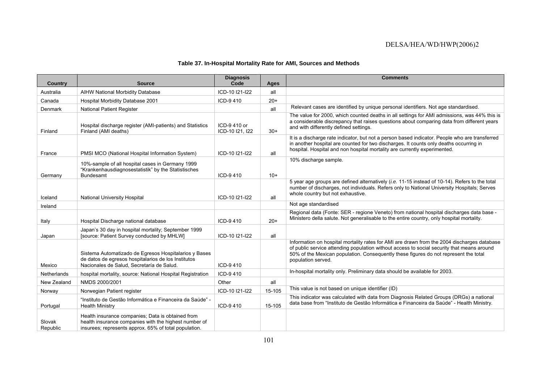#### **Table 37. In-Hospital Mortality Rate for AMI, Sources and Methods**

| <b>Country</b>     | <b>Source</b>                                                                                                                                                       | <b>Diagnosis</b><br>Code       | Ages   | <b>Comments</b>                                                                                                                                                                                                                                                                                         |
|--------------------|---------------------------------------------------------------------------------------------------------------------------------------------------------------------|--------------------------------|--------|---------------------------------------------------------------------------------------------------------------------------------------------------------------------------------------------------------------------------------------------------------------------------------------------------------|
| Australia          | <b>AIHW National Morbidity Database</b>                                                                                                                             | ICD-10 I21-I22                 | all    |                                                                                                                                                                                                                                                                                                         |
| Canada             | Hospital Morbidity Database 2001                                                                                                                                    | ICD-9410                       | $20+$  |                                                                                                                                                                                                                                                                                                         |
| Denmark            | <b>National Patient Register</b>                                                                                                                                    |                                | all    | Relevant cases are identified by unique personal identifiers. Not age standardised.                                                                                                                                                                                                                     |
| Finland            | Hospital discharge register (AMI-patients) and Statistics<br>Finland (AMI deaths)                                                                                   | ICD-9410 or<br>ICD-10 I21, I22 | $30+$  | The value for 2000, which counted deaths in all settings for AMI admissions, was 44% this is<br>a considerable discrepancy that raises questions about comparing data from different years<br>and with differently defined settings.                                                                    |
| France             | PMSI MCO (National Hospital Information System)                                                                                                                     | ICD-10 I21-I22                 | all    | It is a discharge rate indicator, but not a person based indicator. People who are transferred<br>in another hospital are counted for two discharges. It counts only deaths occurring in<br>hospital. Hospital and non hospital mortality are currently experimented.                                   |
| Germany            | 10%-sample of all hospital cases in Germany 1999<br>"Krankenhausdiagnosestatistik" by the Statistisches<br><b>Bundesamt</b>                                         | ICD-9410                       | $10+$  | 10% discharge sample.                                                                                                                                                                                                                                                                                   |
| Iceland            | <b>National University Hospital</b>                                                                                                                                 | ICD-10 I21-I22                 | all    | 5 year age groups are defined alternatively ( <i>i.e.</i> 11-15 instead of 10-14). Refers to the total<br>number of discharges, not individuals. Refers only to National University Hospitals; Serves<br>whole country but not exhaustive.                                                              |
| Ireland            |                                                                                                                                                                     |                                |        | Not age standardised                                                                                                                                                                                                                                                                                    |
| Italy              | Hospital Discharge national database                                                                                                                                | ICD-9410                       | $20+$  | Regional data (Fonte: SER - regione Veneto) from national hospital discharges data base -<br>Ministero della salute. Not generalisable to the entire country, only hospital mortality.                                                                                                                  |
| Japan              | Japan's 30 day in hospital mortality; September 1999<br>[source: Patient Survey conducted by MHLW]                                                                  | ICD-10 I21-I22                 | all    |                                                                                                                                                                                                                                                                                                         |
| Mexico             | Sistema Automatizado de Egresos Hospitalarios y Bases<br>de datos de egresos hospitalarios de los Institutos<br>Nacionales de Salud. Secretaría de Salud.           | ICD-9410                       |        | Information on hospital mortality rates for AMI are drawn from the 2004 discharges database<br>of public service attending population without access to social security that means around<br>50% of the Mexican population. Consequently these figures do not represent the total<br>population served. |
| Netherlands        | hospital mortality, source: National Hospital Registration                                                                                                          | ICD-9410                       |        | In-hospital mortality only. Preliminary data should be available for 2003.                                                                                                                                                                                                                              |
| New Zealand        | NMDS 2000/2001                                                                                                                                                      | Other                          | all    |                                                                                                                                                                                                                                                                                                         |
| Norway             | Norwegian Patient register                                                                                                                                          | ICD-10 I21-I22                 | 15-105 | This value is not based on unique identifier (ID)                                                                                                                                                                                                                                                       |
| Portugal           | "Instituto de Gestão Informática e Financeira da Saúde" -<br><b>Health Ministry</b>                                                                                 | ICD-9410                       | 15-105 | This indicator was calculated with data from Diagnosis Related Groups (DRGs) a national<br>data base from "Instituto de Gestão Informática e Financeira da Saúde" - Health Ministry.                                                                                                                    |
| Slovak<br>Republic | Health insurance companies; Data is obtained from<br>health insurance companies with the highest number of<br>insurees; represents approx. 65% of total population. |                                |        |                                                                                                                                                                                                                                                                                                         |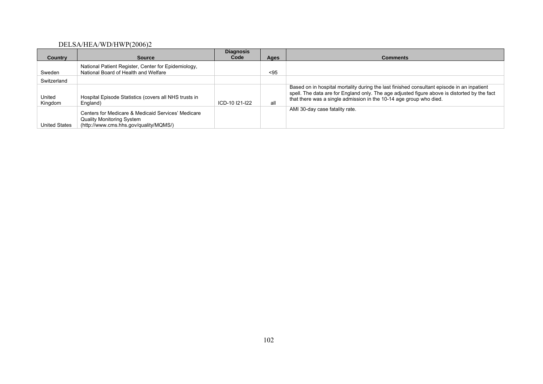| Country           | <b>Source</b>                                                                                                                    | <b>Diagnosis</b><br>Code | Ages | <b>Comments</b>                                                                                                                                                                                                                                                  |
|-------------------|----------------------------------------------------------------------------------------------------------------------------------|--------------------------|------|------------------------------------------------------------------------------------------------------------------------------------------------------------------------------------------------------------------------------------------------------------------|
|                   |                                                                                                                                  |                          |      |                                                                                                                                                                                                                                                                  |
| Sweden            | National Patient Register, Center for Epidemiology,<br>National Board of Health and Welfare                                      |                          | $95$ |                                                                                                                                                                                                                                                                  |
| Switzerland       |                                                                                                                                  |                          |      |                                                                                                                                                                                                                                                                  |
| United<br>Kingdom | Hospital Episode Statistics (covers all NHS trusts in<br>England)                                                                | ICD-10 121-122           | all  | Based on in hospital mortality during the last finished consultant episode in an inpatient<br>spell. The data are for England only. The age adjusted figure above is distorted by the fact<br>that there was a single admission in the 10-14 age group who died. |
| United States     | Centers for Medicare & Medicaid Services' Medicare<br><b>Quality Monitoring System</b><br>(http://www.cms.hhs.gov/quality/MQMS/) |                          |      | AMI 30-day case fatality rate.                                                                                                                                                                                                                                   |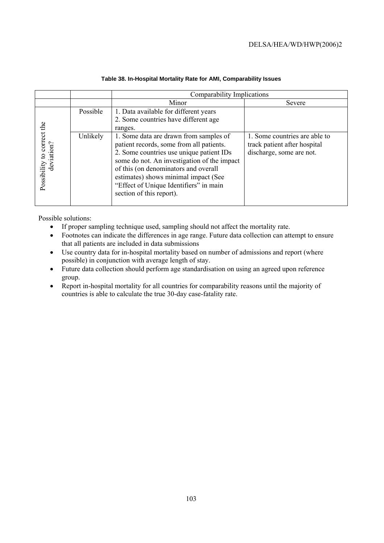|                                          |          | Comparability Implications                                                                                                                                                                                                                                                                                                          |                                                                                           |
|------------------------------------------|----------|-------------------------------------------------------------------------------------------------------------------------------------------------------------------------------------------------------------------------------------------------------------------------------------------------------------------------------------|-------------------------------------------------------------------------------------------|
|                                          |          | Minor                                                                                                                                                                                                                                                                                                                               | Severe                                                                                    |
|                                          | Possible | 1. Data available for different years<br>2. Some countries have different age<br>ranges.                                                                                                                                                                                                                                            |                                                                                           |
| Possibility to correct the<br>deviation? | Unlikely | 1. Some data are drawn from samples of<br>patient records, some from all patients.<br>2. Some countries use unique patient IDs<br>some do not. An investigation of the impact<br>of this (on denominators and overall<br>estimates) shows minimal impact (See<br>"Effect of Unique Identifiers" in main<br>section of this report). | 1. Some countries are able to<br>track patient after hospital<br>discharge, some are not. |

### **Table 38. In-Hospital Mortality Rate for AMI, Comparability Issues**

Possible solutions:

- If proper sampling technique used, sampling should not affect the mortality rate.
- Footnotes can indicate the differences in age range. Future data collection can attempt to ensure that all patients are included in data submissions
- Use country data for in-hospital mortality based on number of admissions and report (where possible) in conjunction with average length of stay.
- Future data collection should perform age standardisation on using an agreed upon reference group.
- Report in-hospital mortality for all countries for comparability reasons until the majority of countries is able to calculate the true 30-day case-fatality rate.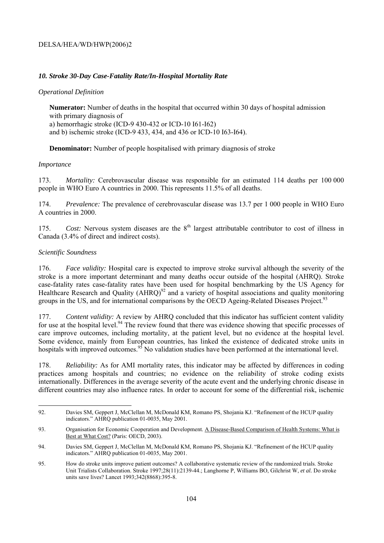## *10. Stroke 30-Day Case-Fatality Rate/In-Hospital Mortality Rate*

## *Operational Definition*

**Numerator:** Number of deaths in the hospital that occurred within 30 days of hospital admission with primary diagnosis of a) hemorrhagic stroke (ICD-9 430-432 or ICD-10 I61-I62) and b) ischemic stroke (ICD-9 433, 434, and 436 or ICD-10 I63-I64).

**Denominator:** Number of people hospitalised with primary diagnosis of stroke

#### *Importance*

173. *Mortality:* Cerebrovascular disease was responsible for an estimated 114 deaths per 100 000 people in WHO Euro A countries in 2000. This represents 11.5% of all deaths.

174. *Prevalence:* The prevalence of cerebrovascular disease was 13.7 per 1 000 people in WHO Euro A countries in 2000.

175. *Cost:* Nervous system diseases are the 8<sup>th</sup> largest attributable contributor to cost of illness in Canada (3.4% of direct and indirect costs).

#### *Scientific Soundness*

176. *Face validity:* Hospital care is expected to improve stroke survival although the severity of the stroke is a more important determinant and many deaths occur outside of the hospital (AHRQ). Stroke case-fatality rates case-fatality rates have been used for hospital benchmarking by the US Agency for Healthcare Research and Quality  $(AHRQ)^{92}$  and a variety of hospital associations and quality monitoring groups in the US, and for international comparisons by the OECD Ageing-Related Diseases Project.<sup>93</sup>

177. *Content validity:* A review by AHRQ concluded that this indicator has sufficient content validity for use at the hospital level.<sup>94</sup> The review found that there was evidence showing that specific processes of care improve outcomes, including mortality, at the patient level, but no evidence at the hospital level. Some evidence, mainly from European countries, has linked the existence of dedicated stroke units in hospitals with improved outcomes.<sup>95</sup> No validation studies have been performed at the international level.

178. *Reliability:* As for AMI mortality rates, this indicator may be affected by differences in coding practices among hospitals and countries; no evidence on the reliability of stroke coding exists internationally. Differences in the average severity of the acute event and the underlying chronic disease in different countries may also influence rates. In order to account for some of the differential risk, ischemic

<sup>92.</sup> Davies SM, Geppert J, McClellan M, McDonald KM, Romano PS, Shojania KJ. "Refinement of the HCUP quality indicators." AHRQ publication 01-0035, May 2001.

<sup>93.</sup> Organisation for Economic Cooperation and Development. A Disease-Based Comparison of Health Systems: What is Best at What Cost? (Paris: OECD, 2003).

<sup>94.</sup> Davies SM, Geppert J, McClellan M, McDonald KM, Romano PS, Shojania KJ. "Refinement of the HCUP quality indicators." AHRQ publication 01-0035, May 2001.

<sup>95.</sup> How do stroke units improve patient outcomes? A collaborative systematic review of the randomized trials. Stroke Unit Trialists Collaboration. Stroke 1997;28(11):2139-44.; Langhorne P, Williams BO, Gilchrist W, *et al.* Do stroke units save lives? Lancet 1993;342(8868):395-8.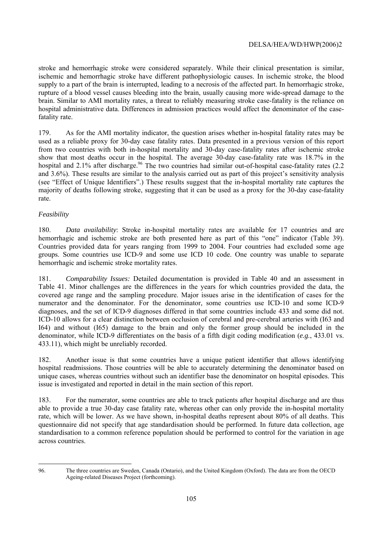stroke and hemorrhagic stroke were considered separately. While their clinical presentation is similar, ischemic and hemorrhagic stroke have different pathophysiologic causes. In ischemic stroke, the blood supply to a part of the brain is interrupted, leading to a necrosis of the affected part. In hemorrhagic stroke, rupture of a blood vessel causes bleeding into the brain, usually causing more wide-spread damage to the brain. Similar to AMI mortality rates, a threat to reliably measuring stroke case-fatality is the reliance on hospital administrative data. Differences in admission practices would affect the denominator of the casefatality rate.

179. As for the AMI mortality indicator, the question arises whether in-hospital fatality rates may be used as a reliable proxy for 30-day case fatality rates. Data presented in a previous version of this report from two countries with both in-hospital mortality and 30-day case-fatality rates after ischemic stroke show that most deaths occur in the hospital. The average 30-day case-fatality rate was 18.7% in the hospital and 2.1% after discharge.<sup>96</sup> The two countries had similar out-of-hospital case-fatality rates (2.2) and 3.6%). These results are similar to the analysis carried out as part of this project's sensitivity analysis (see "Effect of Unique Identifiers".) These results suggest that the in-hospital mortality rate captures the majority of deaths following stroke, suggesting that it can be used as a proxy for the 30-day case-fatality rate.

## *Feasibility*

180. *Data availability*: Stroke in-hospital mortality rates are available for 17 countries and are hemorrhagic and ischemic stroke are both presented here as part of this "one" indicator (Table 39). Countries provided data for years ranging from 1999 to 2004. Four countries had excluded some age groups. Some countries use ICD-9 and some use ICD 10 code. One country was unable to separate hemorrhagic and ischemic stroke mortality rates.

181. *Comparability Issues:* Detailed documentation is provided in Table 40 and an assessment in Table 41. Minor challenges are the differences in the years for which countries provided the data, the covered age range and the sampling procedure. Major issues arise in the identification of cases for the numerator and the denominator. For the denominator, some countries use ICD-10 and some ICD-9 diagnoses, and the set of ICD-9 diagnoses differed in that some countries include 433 and some did not. ICD-10 allows for a clear distinction between occlusion of cerebral and pre-cerebral arteries with (I63 and I64) and without (I65) damage to the brain and only the former group should be included in the denominator, while ICD-9 differentiates on the basis of a fifth digit coding modification (*e.g.*, 433.01 vs. 433.11), which might be unreliably recorded.

182. Another issue is that some countries have a unique patient identifier that allows identifying hospital readmissions. Those countries will be able to accurately determining the denominator based on unique cases, whereas countries without such an identifier base the denominator on hospital episodes. This issue is investigated and reported in detail in the main section of this report.

183. For the numerator, some countries are able to track patients after hospital discharge and are thus able to provide a true 30-day case fatality rate, whereas other can only provide the in-hospital mortality rate, which will be lower. As we have shown, in-hospital deaths represent about 80% of all deaths. This questionnaire did not specify that age standardisation should be performed. In future data collection, age standardisation to a common reference population should be performed to control for the variation in age across countries.

 96. The three countries are Sweden, Canada (Ontario), and the United Kingdom (Oxford). The data are from the OECD Ageing-related Diseases Project (forthcoming).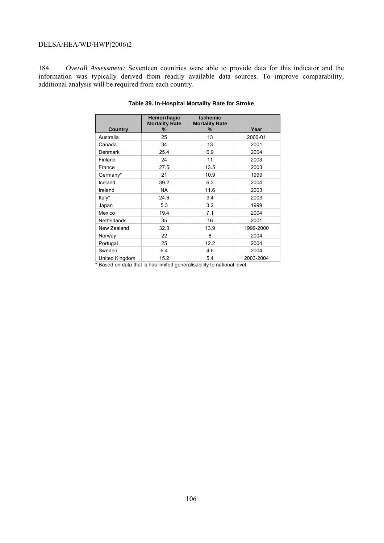184. *Overall Assessment:* Seventeen countries were able to provide data for this indicator and the information was typically derived from readily available data sources. To improve comparability, additional analysis will be required from each country.

|                | Hemorrhagic<br><b>Mortality Rate</b> | <b>Ischemic</b><br><b>Mortality Rate</b> |           |
|----------------|--------------------------------------|------------------------------------------|-----------|
| <b>Country</b> | ℅                                    | %                                        | Year      |
| Australia      | 25                                   | 13                                       | 2000-01   |
| Canada         | 34                                   | 13                                       | 2001      |
| Denmark        | 25.4                                 | 6.9                                      | 2004      |
| Finland        | 24                                   | 11                                       | 2003      |
| France         | 27.5                                 | 13.5                                     | 2003      |
| Germany*       | 21                                   | 10.9                                     | 1999      |
| Iceland        | 39.2                                 | 6.3                                      | 2004      |
| Ireland        | <b>NA</b>                            | 11.6                                     | 2003      |
| Italy*         | 24.6                                 | 9.4                                      | 2003      |
| Japan          | 5.3                                  | 3.2                                      | 1999      |
| Mexico         | 19.4                                 | 7.1                                      | 2004      |
| Netherlands    | 35                                   | 16                                       | 2001      |
| New Zealand    | 32.3                                 | 13.9                                     | 1999-2000 |
| Norway         | 22                                   | 8                                        | 2004      |
| Portugal       | 25                                   | 12.2                                     | 2004      |
| Sweden         | 6.4                                  | 4.6                                      | 2004      |
| United Kingdom | 15.2                                 | 5.4                                      | 2003-2004 |

#### **Table 39. In-Hospital Mortality Rate for Stroke**

\* Based on data that is has limited generalisability to national level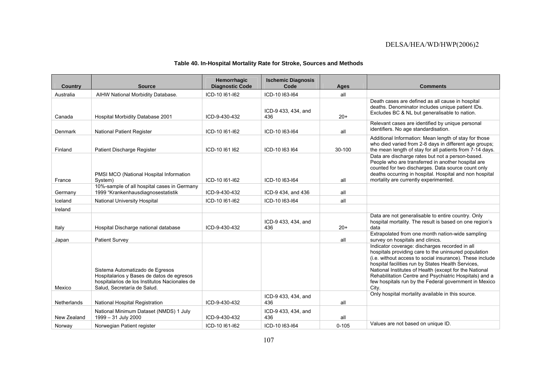#### **Table 40. In-Hospital Mortality Rate for Stroke, Sources and Methods**

| <b>Country</b> | <b>Source</b>                                                                                                                                                | Hemorrhagic<br><b>Diagnostic Code</b> | <b>Ischemic Diagnosis</b><br>Code | Ages      | <b>Comments</b>                                                                                                                                                                                                                                                                                                                                                                                                |
|----------------|--------------------------------------------------------------------------------------------------------------------------------------------------------------|---------------------------------------|-----------------------------------|-----------|----------------------------------------------------------------------------------------------------------------------------------------------------------------------------------------------------------------------------------------------------------------------------------------------------------------------------------------------------------------------------------------------------------------|
| Australia      | AIHW National Morbidity Database.                                                                                                                            | ICD-10 161-162                        | ICD-10 I63-I64                    | all       |                                                                                                                                                                                                                                                                                                                                                                                                                |
| Canada         | Hospital Morbidity Database 2001                                                                                                                             | ICD-9-430-432                         | ICD-9 433, 434, and<br>436        | $20+$     | Death cases are defined as all cause in hospital<br>deaths. Denominator includes unique patient IDs.<br>Excludes BC & NL but generalisable to nation.                                                                                                                                                                                                                                                          |
| Denmark        | <b>National Patient Register</b>                                                                                                                             | ICD-10 161-162                        | ICD-10 I63-I64                    | all       | Relevant cases are identified by unique personal<br>identifiers. No age standardisation.                                                                                                                                                                                                                                                                                                                       |
| Finland        | Patient Discharge Register                                                                                                                                   | ICD-10 161 162                        | ICD-10 163 164                    | 30-100    | Additional Information: Mean length of stay for those<br>who died varied from 2-8 days in different age groups;<br>the mean length of stay for all patients from 7-14 days.                                                                                                                                                                                                                                    |
| France         | PMSI MCO (National Hospital Information<br>System)                                                                                                           | ICD-10 161-162                        | ICD-10 163-164                    | all       | Data are discharge rates but not a person-based.<br>People who are transferred in another hospital are<br>counted for two discharges. Data source count only<br>deaths occurring in hospital. Hospital and non hospital<br>mortality are currently experimented.                                                                                                                                               |
| Germany        | 10%-sample of all hospital cases in Germany<br>1999 "Krankenhausdiagnosestatistik                                                                            | ICD-9-430-432                         | ICD-9 434, and 436                | all       |                                                                                                                                                                                                                                                                                                                                                                                                                |
| Iceland        | National University Hospital                                                                                                                                 | ICD-10 161-162                        | ICD-10 163-164                    | all       |                                                                                                                                                                                                                                                                                                                                                                                                                |
| Ireland        |                                                                                                                                                              |                                       |                                   |           |                                                                                                                                                                                                                                                                                                                                                                                                                |
| Italy          | Hospital Discharge national database                                                                                                                         | ICD-9-430-432                         | ICD-9 433, 434, and<br>436        | $20+$     | Data are not generalisable to entire country. Only<br>hospital mortality. The result is based on one region's<br>data                                                                                                                                                                                                                                                                                          |
| Japan          | <b>Patient Survey</b>                                                                                                                                        |                                       |                                   | all       | Extrapolated from one month nation-wide sampling<br>survey on hospitals and clinics.                                                                                                                                                                                                                                                                                                                           |
| Mexico         | Sistema Automatizado de Egresos<br>Hospitalarios y Bases de datos de egresos<br>hospitalarios de los Institutos Nacionales de<br>Salud, Secretaría de Salud. |                                       |                                   |           | Indicator coverage: discharges recorded in all<br>hospitals providing care to the uninsured population<br>(i.e. without access to social insurance). These include<br>hospital facilities run by States Health Services,<br>National Institutes of Health (except for the National<br>Rehabilitation Centre and Psychiatric Hospitals) and a<br>few hospitals run by the Federal government in Mexico<br>City. |
| Netherlands    | National Hospital Registration                                                                                                                               | ICD-9-430-432                         | ICD-9 433, 434, and<br>436        | all       | Only hospital mortality available in this source.                                                                                                                                                                                                                                                                                                                                                              |
| New Zealand    | National Minimum Dataset (NMDS) 1 July<br>1999 - 31 July 2000                                                                                                | ICD-9-430-432                         | ICD-9 433, 434, and<br>436        | all       |                                                                                                                                                                                                                                                                                                                                                                                                                |
| Norway         | Norwegian Patient register                                                                                                                                   | ICD-10 161-162                        | ICD-10 163-164                    | $0 - 105$ | Values are not based on unique ID.                                                                                                                                                                                                                                                                                                                                                                             |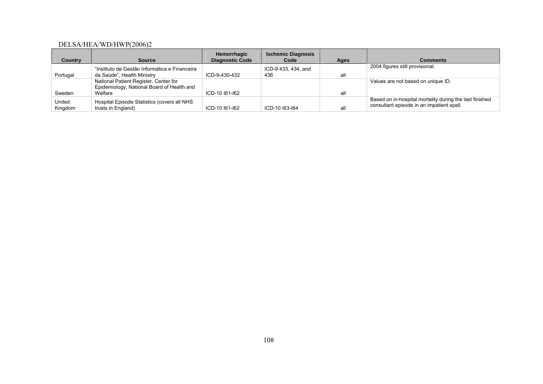|                |                                               | Hemorrhagic            | <b>Ischemic Diagnosis</b> |      |                                                         |
|----------------|-----------------------------------------------|------------------------|---------------------------|------|---------------------------------------------------------|
| <b>Country</b> | <b>Source</b>                                 | <b>Diagnostic Code</b> | Code                      | Ages | <b>Comments</b>                                         |
|                | "Instituto de Gestão Informática e Financeira |                        | ICD-9 433, 434, and       |      | 2004 figures still provisional.                         |
| Portugal       | da Saúde", Health Ministry                    | ICD-9-430-432          | 436                       | all  |                                                         |
|                | National Patient Register, Center for         |                        |                           |      | Values are not based on unique ID.                      |
|                | Epidemiology, National Board of Health and    |                        |                           |      |                                                         |
| Sweden         | Welfare                                       | ICD-10 161-162         |                           | all  |                                                         |
| United         | Hospital Episode Statistics (covers all NHS   |                        |                           |      | Based on in-hospital mortality during the last finished |
| Kingdom        | trusts in England)                            | ICD-10 161-162         | ICD-10 163-164            | all  | consultant episode in an impatient spell.               |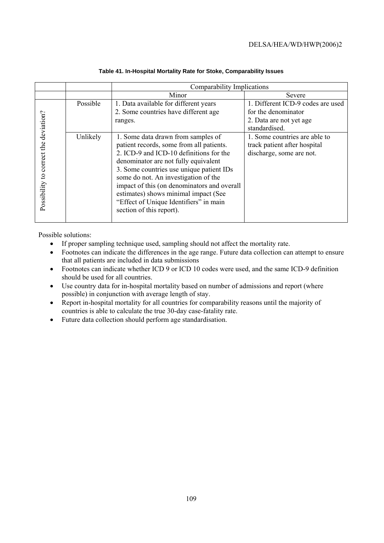|                                       |                      | Comparability Implications                                                                                                                                                                                                                                                                                                                        |                                                                                                                                                                                                   |  |  |  |  |
|---------------------------------------|----------------------|---------------------------------------------------------------------------------------------------------------------------------------------------------------------------------------------------------------------------------------------------------------------------------------------------------------------------------------------------|---------------------------------------------------------------------------------------------------------------------------------------------------------------------------------------------------|--|--|--|--|
|                                       |                      | Minor                                                                                                                                                                                                                                                                                                                                             | Severe                                                                                                                                                                                            |  |  |  |  |
| Possibility to correct the deviation? | Possible<br>Unlikely | 1. Data available for different years<br>2. Some countries have different age<br>ranges.<br>1. Some data drawn from samples of<br>patient records, some from all patients.<br>2. ICD-9 and ICD-10 definitions for the<br>denominator are not fully equivalent<br>3. Some countries use unique patient IDs<br>some do not. An investigation of the | 1. Different ICD-9 codes are used<br>for the denominator<br>2. Data are not yet age<br>standardised.<br>1. Some countries are able to<br>track patient after hospital<br>discharge, some are not. |  |  |  |  |
|                                       |                      | impact of this (on denominators and overall<br>estimates) shows minimal impact (See<br>"Effect of Unique Identifiers" in main<br>section of this report).                                                                                                                                                                                         |                                                                                                                                                                                                   |  |  |  |  |

#### **Table 41. In-Hospital Mortality Rate for Stoke, Comparability Issues**

Possible solutions:

- If proper sampling technique used, sampling should not affect the mortality rate.
- Footnotes can indicate the differences in the age range. Future data collection can attempt to ensure that all patients are included in data submissions
- Footnotes can indicate whether ICD 9 or ICD 10 codes were used, and the same ICD-9 definition should be used for all countries.
- Use country data for in-hospital mortality based on number of admissions and report (where possible) in conjunction with average length of stay.
- Report in-hospital mortality for all countries for comparability reasons until the majority of countries is able to calculate the true 30-day case-fatality rate.
- Future data collection should perform age standardisation.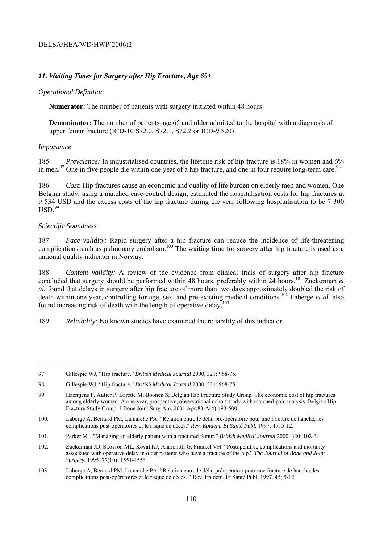#### *11. Waiting Times for Surgery after Hip Fracture, Age 65+*

#### *Operational Definition*

**Numerator:** The number of patients with surgery initiated within 48 hours

**Denominator:** The number of patients age 65 and older admitted to the hospital with a diagnosis of upper femur fracture (ICD-10 S72.0, S72.1, S72.2 or ICD-9 820)

#### *Importance*

185. *Prevalence:* In industrialised countries, the lifetime risk of hip fracture is 18% in women and 6% in men. $97$  One in five people die within one year of a hip fracture, and one in four require long-term care. $98$ 

186. *Cost*: Hip fractures cause an economic and quality of life burden on elderly men and women. One Belgian study, using a matched case-control design, estimated the hospitalisation costs for hip fractures at 9 534 USD and the excess costs of the hip fracture during the year following hospitalisation to be 7 300  $USD<sup>99</sup>$ 

#### *Scientific Soundness*

187. *Face validity:* Rapid surgery after a hip fracture can reduce the incidence of life-threatening complications such as pulmonary embolism.<sup>100</sup> The waiting time for surgery after hip fracture is used as a national quality indicator in Norway.

188. *Content validity:* A review of the evidence from clinical trials of surgery after hip fracture concluded that surgery should be performed within 48 hours, preferably within 24 hours.<sup>101</sup> Zuckerman *et al.* found that delays in surgery after hip fracture of more than two days approximately doubled the risk of death within one year, controlling for age, sex, and pre-existing medical conditions.<sup>102</sup> Laberge *et al.* also found increasing risk of death with the length of operative delay.<sup>103</sup>

189. *Reliability:* No known studies have examined the reliability of this indicator.

<sup>97.</sup> Gillespie WJ, "Hip fracture." *British Medical Journal* 2000, 321: 968-75.

<sup>98.</sup> Gillespie WJ, "Hip fracture." *British Medical Journal* 2000, 321: 968-75.

<sup>99</sup> Haentjens P, Autier P, Barette M, Boonen S; Belgian Hip Fracture Study Group. The economic cost of hip fractures among elderly women. A one-year, prospective, observational cohort study with matched-pair analysis. Belgian Hip Fracture Study Group. J Bone Joint Surg Am. 2001 Apr;83-A(4):493-500.

<sup>100.</sup> Laberge A, Bernard PM, Lamarche PA. "Relation entre le délai pré-opératoire pour une fracture de hanche, les complications post-opératoires et le risque de décès." *Rev. Epidém. Et Santé Publ.* 1997. 45; 5-12.

<sup>101.</sup> Parker MJ. "Managing an elderly patient with a fractured femur." *British Medical Journal* 2000, 320: 102-3.

<sup>102.</sup> Zuckerman JD, Skovron ML, Koval KJ, Anaronoff G, Frankel VH. "Postoperative complications and mortality associated with operative delay in older patients who have a fracture of the hip." *The Journal of Bone and Joint Surgery.* 1995. 77(10): 1551-1556.

<sup>103.</sup> Laberge A, Bernard PM, Lamarche PA. "Relation entre le délai préopératoir pour une fracture de hanche, les complications post-opératoires et le risqué de décès. " Rev. Epidém. Et Santé Publ. 1997. 45; 5-12.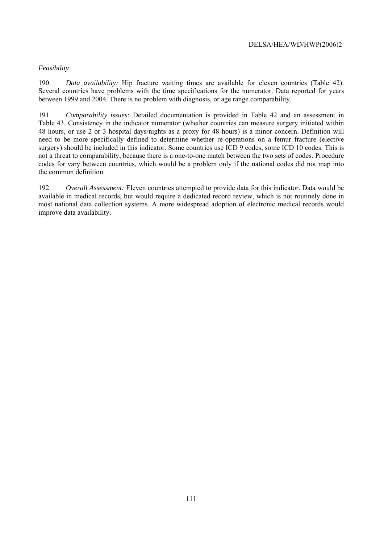## *Feasibility*

190. *Data availability:* Hip fracture waiting times are available for eleven countries (Table 42). Several countries have problems with the time specifications for the numerator. Data reported for years between 1999 and 2004. There is no problem with diagnosis, or age range comparability.

191. *Comparability issues:* Detailed documentation is provided in Table 42 and an assessment in Table 43. Consistency in the indicator numerator (whether countries can measure surgery initiated within 48 hours, or use 2 or 3 hospital days/nights as a proxy for 48 hours) is a minor concern. Definition will need to be more specifically defined to determine whether re-operations on a femur fracture (elective surgery) should be included in this indicator. Some countries use ICD 9 codes, some ICD 10 codes. This is not a threat to comparability, because there is a one-to-one match between the two sets of codes. Procedure codes for vary between countries, which would be a problem only if the national codes did not map into the common definition.

192. *Overall Assessment:* Eleven countries attempted to provide data for this indicator. Data would be available in medical records, but would require a dedicated record review, which is not routinely done in most national data collection systems. A more widespread adoption of electronic medical records would improve data availability.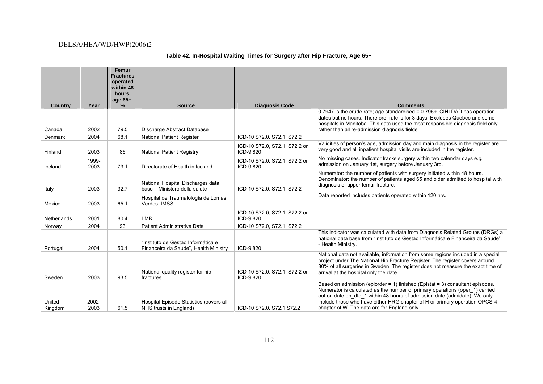# **Table 42. In-Hospital Waiting Times for Surgery after Hip Fracture, Age 65+**

|                   |               | Femur<br><b>Fractures</b><br>operated<br>within 48 |                                                                             |                                            |                                                                                                                                                                                                                                                                                                                                                                          |
|-------------------|---------------|----------------------------------------------------|-----------------------------------------------------------------------------|--------------------------------------------|--------------------------------------------------------------------------------------------------------------------------------------------------------------------------------------------------------------------------------------------------------------------------------------------------------------------------------------------------------------------------|
|                   |               | hours,                                             |                                                                             |                                            |                                                                                                                                                                                                                                                                                                                                                                          |
| Country           | Year          | age 65+,<br>%                                      | <b>Source</b>                                                               | <b>Diagnosis Code</b>                      | <b>Comments</b>                                                                                                                                                                                                                                                                                                                                                          |
| Canada            | 2002          | 79.5                                               | Discharge Abstract Database                                                 |                                            | 0.7947 is the crude rate; age standardised = 0.7959. CIHI DAD has operation<br>dates but no hours. Therefore, rate is for 3 days. Excludes Quebec and some<br>hospitals in Manitoba. This data used the most responsible diagnosis field only,<br>rather than all re-admission diagnosis fields.                                                                         |
| Denmark           | 2004          | 68.1                                               | <b>National Patient Register</b>                                            | ICD-10 S72.0, S72.1, S72.2                 |                                                                                                                                                                                                                                                                                                                                                                          |
| Finland           | 2003          | 86                                                 | <b>National Patient Registry</b>                                            | ICD-10 S72.0, S72.1, S72.2 or<br>ICD-9820  | Validities of person's age, admission day and main diagnosis in the register are<br>very good and all inpatient hospital visits are included in the register.                                                                                                                                                                                                            |
| Iceland           | 1999-<br>2003 | 73.1                                               | Directorate of Health in Iceland                                            | ICD-10 S72.0, S72.1, S72.2 or<br>ICD-9820  | No missing cases. Indicator tracks surgery within two calendar days e.g.<br>admission on January 1st, surgery before January 3rd.                                                                                                                                                                                                                                        |
| Italy             | 2003          | 32.7                                               | National Hospital Discharges data<br>base - Ministero della salute          | ICD-10 S72.0, S72.1, S72.2                 | Numerator: the number of patients with surgery initiated within 48 hours.<br>Denominator: the number of patients aged 65 and older admitted to hospital with<br>diagnosis of upper femur fracture.                                                                                                                                                                       |
| Mexico            | 2003          | 65.1                                               | Hospital de Traumatología de Lomas<br>Verdes, IMSS                          |                                            | Data reported includes patients operated within 120 hrs.                                                                                                                                                                                                                                                                                                                 |
| Netherlands       | 2001          | 80.4                                               | <b>LMR</b>                                                                  | ICD-10 S72.0, S72.1, S72.2 or<br>ICD-9 820 |                                                                                                                                                                                                                                                                                                                                                                          |
| Norway            | 2004          | 93                                                 | <b>Patient Administrative Data</b>                                          | ICD-10 S72.0, S72.1, S72.2                 |                                                                                                                                                                                                                                                                                                                                                                          |
| Portugal          | 2004          | 50.1                                               | "Instituto de Gestão Informática e<br>Financeira da Saúde", Health Ministry | ICD-9820                                   | This indicator was calculated with data from Diagnosis Related Groups (DRGs) a<br>national data base from "Instituto de Gestão Informática e Financeira da Saúde"<br>- Health Ministry.                                                                                                                                                                                  |
| Sweden            | 2003          | 93.5                                               | National quality register for hip<br>fractures                              | ICD-10 S72.0, S72.1, S72.2 or<br>ICD-9 820 | National data not available, information from some regions included in a special<br>project under The National Hip Fracture Register. The register covers around<br>80% of all surgeries in Sweden. The register does not measure the exact time of<br>arrival at the hospital only the date.                                                                            |
| United<br>Kingdom | 2002-<br>2003 | 61.5                                               | Hospital Episode Statistics (covers all<br>NHS trusts in England)           | ICD-10 S72.0, S72.1 S72.2                  | Based on admission (epiorder = 1) finished (Epistat = 3) consultant episodes.<br>Numerator is calculated as the number of primary operations (oper_1) carried<br>out on date op dte 1 within 48 hours of admission date (admidate). We only<br>include those who have either HRG chapter of H or primary operation OPCS-4<br>chapter of W. The data are for England only |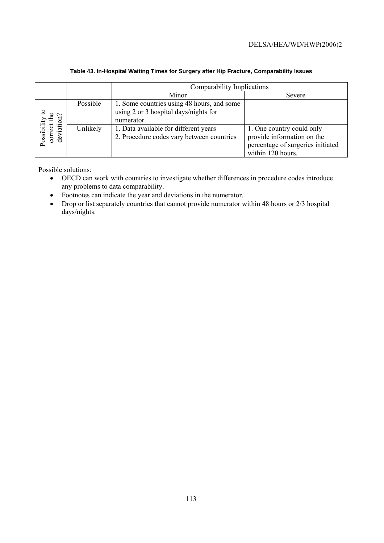|                                  |          | Comparability Implications                                                                        |                                                                                                                   |  |  |  |
|----------------------------------|----------|---------------------------------------------------------------------------------------------------|-------------------------------------------------------------------------------------------------------------------|--|--|--|
|                                  |          | Minor                                                                                             | Severe                                                                                                            |  |  |  |
| $\sim$<br>≞                      | Possible | 1. Some countries using 48 hours, and some<br>using 2 or 3 hospital days/nights for<br>numerator. |                                                                                                                   |  |  |  |
| deviation<br>correct<br>Possibil | Unlikely | 1. Data available for different years<br>2. Procedure codes vary between countries                | 1. One country could only<br>provide information on the<br>percentage of surgeries initiated<br>within 120 hours. |  |  |  |

#### **Table 43. In-Hospital Waiting Times for Surgery after Hip Fracture, Comparability Issues**

Possible solutions:

- OECD can work with countries to investigate whether differences in procedure codes introduce any problems to data comparability.
- Footnotes can indicate the year and deviations in the numerator.
- Drop or list separately countries that cannot provide numerator within 48 hours or 2/3 hospital days/nights.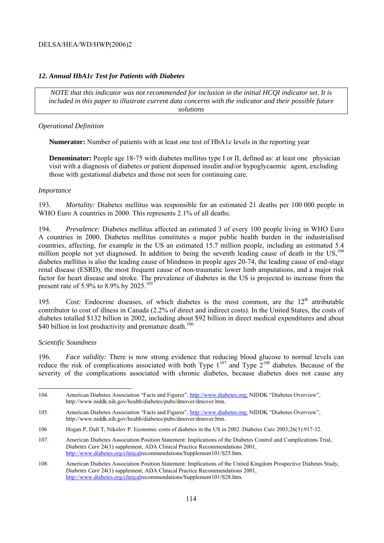#### *12. Annual HbA1c Test for Patients with Diabetes*

*NOTE that this indicator was not recommended for inclusion in the initial HCQI indicator set. It is included in this paper to illustrate current data concerns with the indicator and their possible future solutions* 

#### *Operational Definition*

**Numerator:** Number of patients with at least one test of HbA1c levels in the reporting year

**Denominator:** People age 18-75 with diabetes mellitus type I or II, defined as: at least one physician visit with a diagnosis of diabetes or patient dispensed insulin and/or hypoglycaemic agent, excluding those with gestational diabetes and those not seen for continuing care.

#### *Importance*

193. *Mortality:* Diabetes mellitus was responsible for an estimated 21 deaths per 100 000 people in WHO Euro A countries in 2000. This represents 2.1% of all deaths.

194. *Prevalence:* Diabetes mellitus affected an estimated 3 of every 100 people living in WHO Euro A countries in 2000. Diabetes mellitus constitutes a major public health burden in the industrialised countries, affecting, for example in the US an estimated 15.7 million people, including an estimated 5.4 million people not yet diagnosed. In addition to being the seventh leading cause of death in the US.<sup>104</sup> diabetes mellitus is also the leading cause of blindness in people ages 20-74, the leading cause of end-stage renal disease (ESRD), the most frequent cause of non-traumatic lower limb amputations, and a major risk factor for heart disease and stroke. The prevalence of diabetes in the US is projected to increase from the present rate of 5.9% to 8.9% by 2025.<sup>105</sup>

195. *Cost:* Endocrine diseases, of which diabetes is the most common, are the 12<sup>th</sup> attributable contributor to cost of illness in Canada (2.2% of direct and indirect costs). In the United States, the costs of diabetes totalled \$132 billion in 2002, including about \$92 billion in direct medical expenditures and about \$40 billion in lost productivity and premature death.<sup>106</sup>

#### *Scientific Soundness*

196. *Face validity:* There is now strong evidence that reducing blood glucose to normal levels can reduce the risk of complications associated with both Type  $1^{107}$  and Type  $2^{108}$  diabetes. Because of the severity of the complications associated with chronic diabetes, because diabetes does not cause any

 $\overline{a}$ 104. American Diabetes Association "Facts and Figures", http://www.diabetes.org; NIDDK "Diabetes Overview", http://www.niddk.nih.gov/health/diabetes/pubs/dmover/dmover.htm.

<sup>105.</sup> American Diabetes Association "Facts and Figures", http://www.diabetes.org; NIDDK "Diabetes Overview", http://www.niddk.nih.gov/health/diabetes/pubs/dmover/dmover.htm.

<sup>106</sup> Hogan P, Dall T, Nikolov P. Economic costs of diabetes in the US in 2002. Diabetes Care 2003;26(3):917-32.

<sup>107.</sup> American Diabetes Association Position Statement: Implications of the Diabetes Control and Complications Trial, *Diabetes Care* 24(1) supplement, ADA Clinical Practice Recommendations 2001, http://www.diabetes.org/clinicalrecommendations/Supplement101/S25.htm.

<sup>108.</sup> American Diabetes Association Position Statement: Implications of the United Kingdom Prospective Diabetes Study, *Diabetes Care* 24(1) supplement, ADA Clinical Practice Recommendations 2001, http://www.diabetes.org/clinicalrecommendations/Supplement101/S28.htm.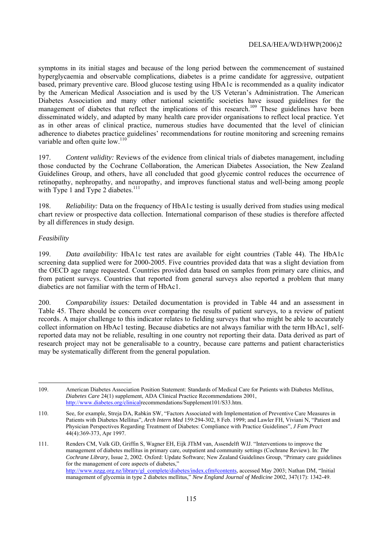symptoms in its initial stages and because of the long period between the commencement of sustained hyperglycaemia and observable complications, diabetes is a prime candidate for aggressive, outpatient based, primary preventive care. Blood glucose testing using HbA1c is recommended as a quality indicator by the American Medical Association and is used by the US Veteran's Administration. The American Diabetes Association and many other national scientific societies have issued guidelines for the management of diabetes that reflect the implications of this research.<sup>109</sup> These guidelines have been disseminated widely, and adapted by many health care provider organisations to reflect local practice. Yet as in other areas of clinical practice, numerous studies have documented that the level of clinician adherence to diabetes practice guidelines' recommendations for routine monitoring and screening remains variable and often quite low.<sup>110</sup>

197. *Content validity:* Reviews of the evidence from clinical trials of diabetes management, including those conducted by the Cochrane Collaboration, the American Diabetes Association, the New Zealand Guidelines Group, and others, have all concluded that good glycemic control reduces the occurrence of retinopathy, nephropathy, and neuropathy, and improves functional status and well-being among people with Type 1 and Type 2 diabetes. $111$ 

198. *Reliability:* Data on the frequency of HbA1c testing is usually derived from studies using medical chart review or prospective data collection. International comparison of these studies is therefore affected by all differences in study design.

# *Feasibility*

199. *Data availability:* HbA1c test rates are available for eight countries (Table 44). The HbA1c screening data supplied were for 2000-2005. Five countries provided data that was a slight deviation from the OECD age range requested. Countries provided data based on samples from primary care clinics, and from patient surveys. Countries that reported from general surveys also reported a problem that many diabetics are not familiar with the term of HbAc1.

200. *Comparability issues:* Detailed documentation is provided in Table 44 and an assessment in Table 45. There should be concern over comparing the results of patient surveys, to a review of patient records. A major challenge to this indicator relates to fielding surveys that who might be able to accurately collect information on HbAc1 testing. Because diabetics are not always familiar with the term HbAc1, selfreported data may not be reliable, resulting in one country not reporting their data. Data derived as part of research project may not be generalisable to a country, because care patterns and patient characteristics may be systematically different from the general population.

 109. American Diabetes Association Position Statement: Standards of Medical Care for Patients with Diabetes Mellitus, *Diabetes Care* 24(1) supplement, ADA Clinical Practice Recommendations 2001, http://www.diabetes.org/clinicalrecommendations/Supplement101/S33.htm.

<sup>110.</sup> See, for example, Streja DA, Rabkin SW, "Factors Associated with Implementation of Preventive Care Measures in Patients with Diabetes Mellitus", *Arch Intern Med* 159:294-302, 8 Feb. 1999; and Lawler FH, Viviani N, "Patient and Physician Perspectives Regarding Treatment of Diabetes: Compliance with Practice Guidelines", *J Fam Pract* 44(4):369-373, Apr 1997.

<sup>111.</sup> Renders CM, Valk GD, Griffin S, Wagner EH, Eijk JThM van, Assendelft WJJ. "Interventions to improve the management of diabetes mellitus in primary care, outpatient and community settings (Cochrane Review). In: *The Cochrane Library,* Issue 2, 2002. Oxford: Update Software; New Zealand Guidelines Group, "Primary care guidelines for the management of core aspects of diabetes," http://www.nzgg.org.nz/library/gl\_complete/diabetes/index.cfm#contents, accessed May 2003; Nathan DM, "Initial management of glycemia in type 2 diabetes mellitus," *New England Journal of Medicine* 2002, 347(17): 1342-49.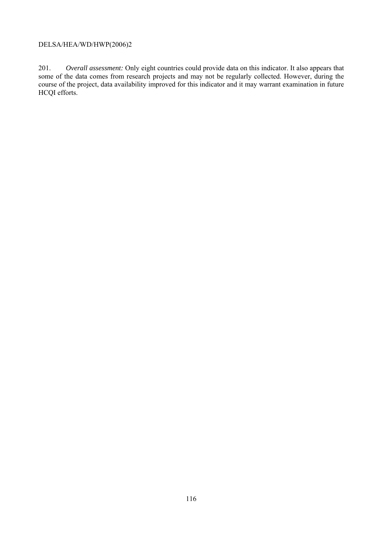201. *Overall assessment:* Only eight countries could provide data on this indicator. It also appears that some of the data comes from research projects and may not be regularly collected. However, during the course of the project, data availability improved for this indicator and it may warrant examination in future HCQI efforts.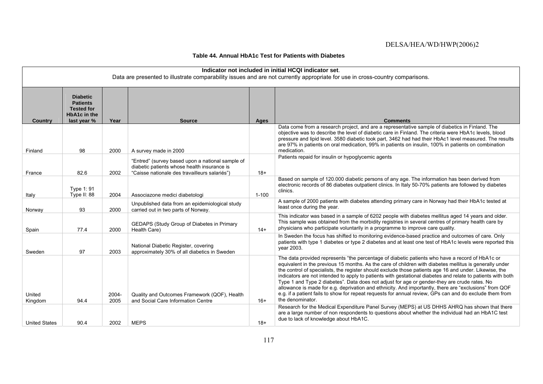#### **Table 44. Annual HbA1c Test for Patients with Diabetes**

|                      | Indicator not included in initial HCQI indicator set.<br>Data are presented to illustrate comparability issues and are not currently appropriate for use in cross-country comparisons. |               |                                                                                                                                                  |           |                                                                                                                                                                                                                                                                                                                                                                                                                                                                                                                                                                                                                                                                                                                                                                              |  |  |  |
|----------------------|----------------------------------------------------------------------------------------------------------------------------------------------------------------------------------------|---------------|--------------------------------------------------------------------------------------------------------------------------------------------------|-----------|------------------------------------------------------------------------------------------------------------------------------------------------------------------------------------------------------------------------------------------------------------------------------------------------------------------------------------------------------------------------------------------------------------------------------------------------------------------------------------------------------------------------------------------------------------------------------------------------------------------------------------------------------------------------------------------------------------------------------------------------------------------------------|--|--|--|
| Country              | <b>Diabetic</b><br><b>Patients</b><br><b>Tested for</b><br><b>HbA1c</b> in the<br>last year %                                                                                          | Year          | <b>Source</b>                                                                                                                                    | Ages      | <b>Comments</b>                                                                                                                                                                                                                                                                                                                                                                                                                                                                                                                                                                                                                                                                                                                                                              |  |  |  |
| Finland              | 98                                                                                                                                                                                     | 2000          | A survey made in 2000                                                                                                                            |           | Data come from a research project, and are a representative sample of diabetics in Finland. The<br>objective was to describe the level of diabetic care in Finland. The criteria were HbA1c levels, blood<br>pressure and lipid level. 3580 diabetic took part, 3462 had had their HbAc1 level measured. The results<br>are 97% in patients on oral medication, 99% in patients on insulin, 100% in patients on combination<br>medication.                                                                                                                                                                                                                                                                                                                                   |  |  |  |
| France               | 82.6                                                                                                                                                                                   | 2002          | "Entred" (survey based upon a national sample of<br>diabetic patients whose health insurance is<br>"Caisse nationale des travailleurs salariés") | $18+$     | Patients repaid for insulin or hypoglycemic agents                                                                                                                                                                                                                                                                                                                                                                                                                                                                                                                                                                                                                                                                                                                           |  |  |  |
| Italy                | Type 1: 91<br>Type II: 88                                                                                                                                                              | 2004          | Associazone medici diabetologi                                                                                                                   | $1 - 100$ | Based on sample of 120,000 diabetic persons of any age. The information has been derived from<br>electronic records of 86 diabetes outpatient clinics. In Italy 50-70% patients are followed by diabetes<br>clinics.                                                                                                                                                                                                                                                                                                                                                                                                                                                                                                                                                         |  |  |  |
| Norway               | 93                                                                                                                                                                                     | 2000          | Unpublished data from an epidemiological study<br>carried out in two parts of Norway.                                                            |           | A sample of 2000 patients with diabetes attending primary care in Norway had their HbA1c tested at<br>least once during the year.                                                                                                                                                                                                                                                                                                                                                                                                                                                                                                                                                                                                                                            |  |  |  |
| Spain                | 77.4                                                                                                                                                                                   | 2000          | GEDAPS (Study Group of Diabetes in Primary<br>Health Care)                                                                                       | $14+$     | This indicator was based in a sample of 6202 people with diabetes mellitus aged 14 years and older.<br>This sample was obtained from the morbidity registries in several centres of primary health care by<br>physicians who participate voluntarily in a programme to improve care quality.                                                                                                                                                                                                                                                                                                                                                                                                                                                                                 |  |  |  |
| Sweden               | 97                                                                                                                                                                                     | 2003          | National Diabetic Register, covering<br>approximately 30% of all diabetics in Sweden                                                             |           | In Sweden the focus has shifted to monitoring evidence-based practice and outcomes of care. Only<br>patients with type 1 diabetes or type 2 diabetes and at least one test of HbA1c levels were reported this<br>vear 2003.                                                                                                                                                                                                                                                                                                                                                                                                                                                                                                                                                  |  |  |  |
| United<br>Kingdom    | 94.4                                                                                                                                                                                   | 2004-<br>2005 | Quality and Outcomes Framework (QOF), Health<br>and Social Care Information Centre                                                               | $16+$     | The data provided represents "the percentage of diabetic patients who have a record of HbA1c or<br>equivalent in the previous 15 months. As the care of children with diabetes mellitus is generally under<br>the control of specialists, the register should exclude those patients age 16 and under. Likewise, the<br>indicators are not intended to apply to patients with gestational diabetes and relate to patients with both<br>Type 1 and Type 2 diabetes". Data does not adjust for age or gender-they are crude rates. No<br>allowance is made for e.g. deprivation and ethnicity. And importantly, there are "exclusions" from QOF<br>e.g. if a patient fails to show for repeat requests for annual review, GPs can and do exclude them from<br>the denominator. |  |  |  |
| <b>United States</b> | 90.4                                                                                                                                                                                   | 2002          | <b>MEPS</b>                                                                                                                                      | $18+$     | Research for the Medical Expenditure Panel Survey (MEPS) at US DHHS AHRQ has shown that there<br>are a large number of non respondents to questions about whether the individual had an HbA1C test<br>due to lack of knowledge about HbA1C.                                                                                                                                                                                                                                                                                                                                                                                                                                                                                                                                  |  |  |  |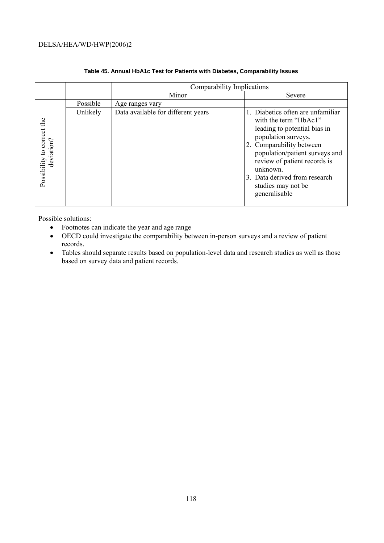|                                          |          | Comparability Implications         |                                                                                                                                                                                                                                                                                                     |  |  |  |  |  |
|------------------------------------------|----------|------------------------------------|-----------------------------------------------------------------------------------------------------------------------------------------------------------------------------------------------------------------------------------------------------------------------------------------------------|--|--|--|--|--|
|                                          |          | Minor                              | Severe                                                                                                                                                                                                                                                                                              |  |  |  |  |  |
|                                          | Possible | Age ranges vary                    |                                                                                                                                                                                                                                                                                                     |  |  |  |  |  |
| Possibility to correct the<br>deviation? | Unlikely | Data available for different years | 1. Diabetics often are unfamiliar<br>with the term "HbAc1"<br>leading to potential bias in<br>population surveys.<br>2. Comparability between<br>population/patient surveys and<br>review of patient records is<br>unknown.<br>3. Data derived from research<br>studies may not be<br>generalisable |  |  |  |  |  |

#### **Table 45. Annual HbA1c Test for Patients with Diabetes, Comparability Issues**

Possible solutions:

- Footnotes can indicate the year and age range
- OECD could investigate the comparability between in-person surveys and a review of patient records.
- Tables should separate results based on population-level data and research studies as well as those based on survey data and patient records.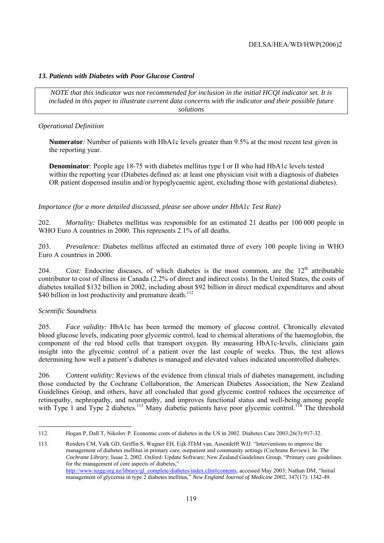# *13. Patients with Diabetes with Poor Glucose Control*

*NOTE that this indicator was not recommended for inclusion in the initial HCQI indicator set. It is included in this paper to illustrate current data concerns with the indicator and their possible future solutions* 

#### *Operational Definition*

**Numerator***:* Number of patients with HbA1c levels greater than 9.5% at the most recent test given in the reporting year.

**Denominator***:* People age 18-75 with diabetes mellitus type I or II who had HbA1c levels tested within the reporting year (Diabetes defined as: at least one physician visit with a diagnosis of diabetes OR patient dispensed insulin and/or hypoglycaemic agent, excluding those with gestational diabetes).

*Importance (for a more detailed discussed, please see above under HbA1c Test Rate)* 

202. *Mortality:* Diabetes mellitus was responsible for an estimated 21 deaths per 100 000 people in WHO Euro A countries in 2000. This represents 2.1% of all deaths.

203. *Prevalence:* Diabetes mellitus affected an estimated three of every 100 people living in WHO Euro A countries in 2000.

204. *Cost:* Endocrine diseases, of which diabetes is the most common, are the 12<sup>th</sup> attributable contributor to cost of illness in Canada (2.2% of direct and indirect costs). In the United States, the costs of diabetes totalled \$132 billion in 2002, including about \$92 billion in direct medical expenditures and about \$40 billion in lost productivity and premature death.<sup>112</sup>

#### *Scientific Soundness*

205. *Face validity:* HbA1c has been termed the memory of glucose control. Chronically elevated blood glucose levels, indicating poor glycemic control, lead to chemical alterations of the haemoglobin, the component of the red blood cells that transport oxygen. By measuring HbA1c-levels, clinicians gain insight into the glycemic control of a patient over the last couple of weeks. Thus, the test allows determining how well a patient's diabetes is managed and elevated values indicated uncontrolled diabetes.

206. *Content validity:* Reviews of the evidence from clinical trials of diabetes management, including those conducted by the Cochrane Collaboration, the American Diabetes Association, the New Zealand Guidelines Group, and others, have all concluded that good glycemic control reduces the occurrence of retinopathy, nephropathy, and neuropathy, and improves functional status and well-being among people with Type 1 and Type 2 diabetes.<sup>113</sup> Many diabetic patients have poor glycemic control.<sup>114</sup> The threshold

<sup>112.</sup> Hogan P, Dall T, Nikolov P. Economic costs of diabetes in the US in 2002. Diabetes Care 2003;26(3):917-32.

<sup>113.</sup> Renders CM, Valk GD, Griffin S, Wagner EH, Eijk JThM van, Assendelft WJJ. "Interventions to improve the management of diabetes mellitus in primary care, outpatient and community settings (Cochrane Review). In: *The Cochrane Library,* Issue 2, 2002. Oxford: Update Software; New Zealand Guidelines Group, "Primary care guidelines for the management of core aspects of diabetes," http://www.nzgg.org.nz/library/gl\_complete/diabetes/index.cfm#contents, accessed May 2003; Nathan DM, "Initial management of glycemia in type 2 diabetes mellitus," *New England Journal of Medicine* 2002, 347(17): 1342-49.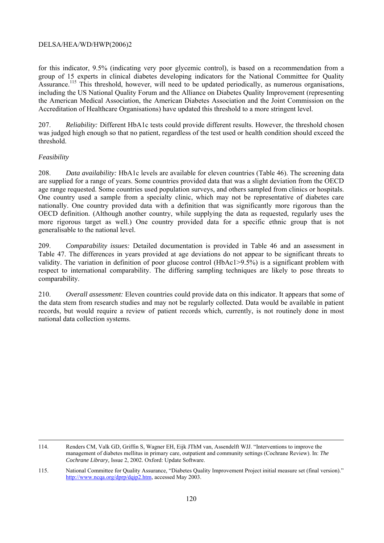for this indicator, 9.5% (indicating very poor glycemic control), is based on a recommendation from a group of 15 experts in clinical diabetes developing indicators for the National Committee for Quality Assurance.<sup>115</sup> This threshold, however, will need to be updated periodically, as numerous organisations, including the US National Quality Forum and the Alliance on Diabetes Quality Improvement (representing the American Medical Association, the American Diabetes Association and the Joint Commission on the Accreditation of Healthcare Organisations) have updated this threshold to a more stringent level.

207. *Reliability:* Different HbA1c tests could provide different results. However, the threshold chosen was judged high enough so that no patient, regardless of the test used or health condition should exceed the threshold.

## *Feasibility*

208. *Data availability:* HbA1c levels are available for eleven countries (Table 46). The screening data are supplied for a range of years. Some countries provided data that was a slight deviation from the OECD age range requested. Some countries used population surveys, and others sampled from clinics or hospitals. One country used a sample from a specialty clinic, which may not be representative of diabetes care nationally. One country provided data with a definition that was significantly more rigorous than the OECD definition. (Although another country, while supplying the data as requested, regularly uses the more rigorous target as well.) One country provided data for a specific ethnic group that is not generalisable to the national level.

209. *Comparability issues:* Detailed documentation is provided in Table 46 and an assessment in Table 47. The differences in years provided at age deviations do not appear to be significant threats to validity. The variation in definition of poor glucose control (HbAc1>9.5%) is a significant problem with respect to international comparability. The differing sampling techniques are likely to pose threats to comparability.

210. *Overall assessment:* Eleven countries could provide data on this indicator. It appears that some of the data stem from research studies and may not be regularly collected. Data would be available in patient records, but would require a review of patient records which, currently, is not routinely done in most national data collection systems.

 <sup>114.</sup> Renders CM, Valk GD, Griffin S, Wagner EH, Eijk JThM van, Assendelft WJJ. "Interventions to improve the management of diabetes mellitus in primary care, outpatient and community settings (Cochrane Review). In: *The Cochrane Library,* Issue 2, 2002. Oxford: Update Software.

<sup>115.</sup> National Committee for Quality Assurance, "Diabetes Quality Improvement Project initial measure set (final version)." http://www.ncqa.org/dprp/dqip2.htm, accessed May 2003.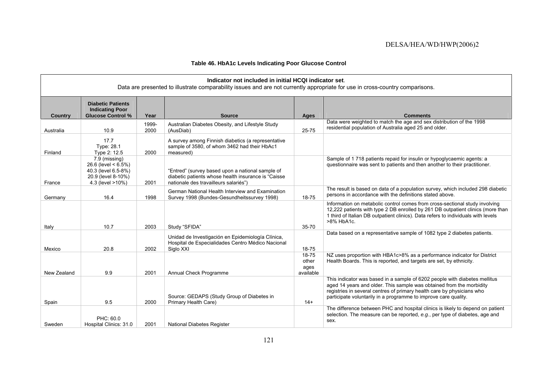## **Table 46. HbA1c Levels Indicating Poor Glucose Control**

|                | Indicator not included in initial HCQI indicator set.<br>Data are presented to illustrate comparability issues and are not currently appropriate for use in cross-country comparisons. |               |                                                                                                                                                  |                                     |                                                                                                                                                                                                                                                                                                 |  |  |
|----------------|----------------------------------------------------------------------------------------------------------------------------------------------------------------------------------------|---------------|--------------------------------------------------------------------------------------------------------------------------------------------------|-------------------------------------|-------------------------------------------------------------------------------------------------------------------------------------------------------------------------------------------------------------------------------------------------------------------------------------------------|--|--|
| <b>Country</b> | <b>Diabetic Patients</b><br><b>Indicating Poor</b><br><b>Glucose Control %</b>                                                                                                         | Year          | <b>Source</b>                                                                                                                                    | Ages                                | <b>Comments</b>                                                                                                                                                                                                                                                                                 |  |  |
| Australia      | 10.9                                                                                                                                                                                   | 1999-<br>2000 | Australian Diabetes Obesity, and Lifestyle Study<br>(AusDiab)                                                                                    | 25-75                               | Data were weighted to match the age and sex distribution of the 1998<br>residential population of Australia aged 25 and older.                                                                                                                                                                  |  |  |
| Finland        | 17.7<br>Type: 28.1<br>Type 2: 12.5                                                                                                                                                     | 2000          | A survey among Finnish diabetics (a representative<br>sample of 3580, of whom 3462 had their HbAc1<br>measured)                                  |                                     |                                                                                                                                                                                                                                                                                                 |  |  |
| France         | 7.9 (missing)<br>26.6 (level $<$ 6.5%)<br>40.3 (level 6.5-8%)<br>20.9 (level 8-10%)<br>4.3 (level >10%)                                                                                | 2001          | "Entred" (survey based upon a national sample of<br>diabetic patients whose health insurance is "Caisse<br>nationale des travailleurs salariés") |                                     | Sample of 1718 patients repaid for insulin or hypoglycaemic agents: a<br>questionnaire was sent to patients and then another to their practitioner.                                                                                                                                             |  |  |
| Germany        | 16.4                                                                                                                                                                                   | 1998          | German National Health Interview and Examination<br>Survey 1998 (Bundes-Gesundheitssurvey 1998)                                                  | 18-75                               | The result is based on data of a population survey, which included 298 diabetic<br>persons in accordance with the definitions stated above.                                                                                                                                                     |  |  |
| Italy          | 10.7                                                                                                                                                                                   | 2003          | Study "SFIDA"                                                                                                                                    | $35 - 70$                           | Information on metabolic control comes from cross-sectional study involving<br>12,222 patients with type 2 DB enrolled by 261 DB outpatient clinics (more than<br>1 third of Italian DB outpatient clinics). Data refers to individuals with levels<br>>8% HbA1c.                               |  |  |
| Mexico         | 20.8                                                                                                                                                                                   | 2002          | Unidad de Investigación en Epidemiología Clínica,<br>Hospital de Especialidades Centro Médico Nacional<br>Siglo XXI                              | $18 - 75$                           | Data based on a representative sample of 1082 type 2 diabetes patients.                                                                                                                                                                                                                         |  |  |
| New Zealand    | 9.9                                                                                                                                                                                    | 2001          | Annual Check Programme                                                                                                                           | 18-75<br>other<br>ages<br>available | NZ uses proportion with HBA1c>8% as a performance indicator for District<br>Health Boards. This is reported, and targets are set, by ethnicity.                                                                                                                                                 |  |  |
| Spain          | 9.5                                                                                                                                                                                    | 2000          | Source: GEDAPS (Study Group of Diabetes in<br>Primary Health Care)                                                                               | $14+$                               | This indicator was based in a sample of 6202 people with diabetes mellitus<br>aged 14 years and older. This sample was obtained from the morbidity<br>registries in several centres of primary health care by physicians who<br>participate voluntarily in a programme to improve care quality. |  |  |
| Sweden         | PHC: 60.0<br>Hospital Clinics: 31.0                                                                                                                                                    | 2001          | National Diabetes Register                                                                                                                       |                                     | The difference between PHC and hospital clinics is likely to depend on patient<br>selection. The measure can be reported, e.g., per type of diabetes, age and<br>sex.                                                                                                                           |  |  |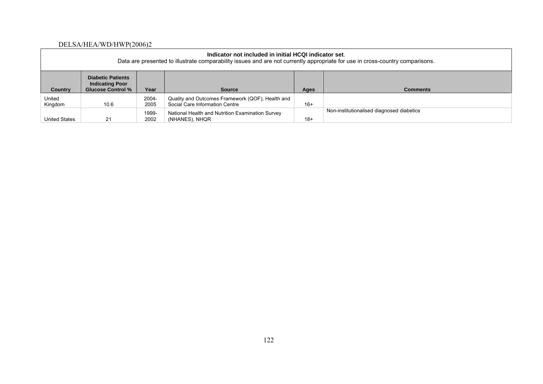| Indicator not included in initial HCQI indicator set.<br>Data are presented to illustrate comparability issues and are not currently appropriate for use in cross-country comparisons. |                                                                                |               |                                                                                    |       |                 |  |
|----------------------------------------------------------------------------------------------------------------------------------------------------------------------------------------|--------------------------------------------------------------------------------|---------------|------------------------------------------------------------------------------------|-------|-----------------|--|
| Country                                                                                                                                                                                | <b>Diabetic Patients</b><br><b>Indicating Poor</b><br><b>Glucose Control %</b> | Year          | <b>Source</b>                                                                      | Ages  | <b>Comments</b> |  |
| United<br>Kingdom                                                                                                                                                                      | 10.6                                                                           | 2004-<br>2005 | Quality and Outcomes Framework (QOF), Health and<br>Social Care Information Centre | $16+$ |                 |  |
| Non-institutionalised diagnosed diabetics<br>1999-<br>National Health and Nutrition Examination Survey<br>$18+$<br>21<br>2002<br>United States<br>(NHANES), NHQR                       |                                                                                |               |                                                                                    |       |                 |  |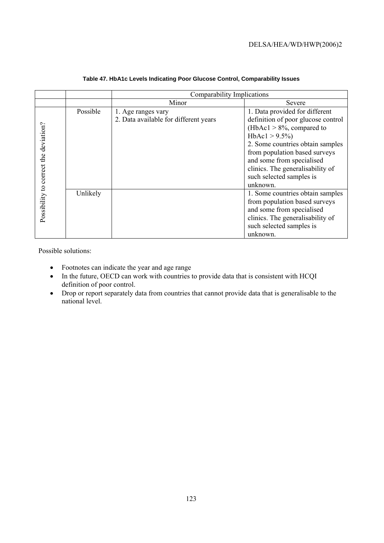|                                       |          | Comparability Implications                                  |                                                                                                                                                                                                                                                                                                        |  |  |  |
|---------------------------------------|----------|-------------------------------------------------------------|--------------------------------------------------------------------------------------------------------------------------------------------------------------------------------------------------------------------------------------------------------------------------------------------------------|--|--|--|
|                                       |          | Minor                                                       | Severe                                                                                                                                                                                                                                                                                                 |  |  |  |
| Possibility to correct the deviation? | Possible | 1. Age ranges vary<br>2. Data available for different years | 1. Data provided for different<br>definition of poor glucose control<br>(HbAc1 $> 8\%$ , compared to<br>$HbAc1 > 9.5\%)$<br>2. Some countries obtain samples<br>from population based surveys<br>and some from specialised<br>clinics. The generalisability of<br>such selected samples is<br>unknown. |  |  |  |
|                                       | Unlikely |                                                             | 1. Some countries obtain samples<br>from population based surveys<br>and some from specialised<br>clinics. The generalisability of<br>such selected samples is<br>unknown.                                                                                                                             |  |  |  |

#### **Table 47. HbA1c Levels Indicating Poor Glucose Control, Comparability Issues**

Possible solutions:

- Footnotes can indicate the year and age range
- In the future, OECD can work with countries to provide data that is consistent with HCQI definition of poor control.
- Drop or report separately data from countries that cannot provide data that is generalisable to the national level.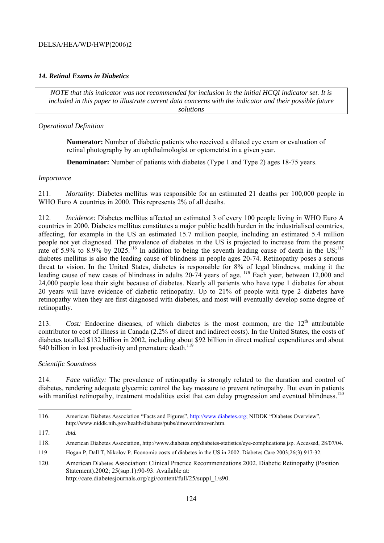## *14. Retinal Exams in Diabetics*

*NOTE that this indicator was not recommended for inclusion in the initial HCQI indicator set. It is included in this paper to illustrate current data concerns with the indicator and their possible future solutions* 

#### *Operational Definition*

**Numerator:** Number of diabetic patients who received a dilated eye exam or evaluation of retinal photography by an ophthalmologist or optometrist in a given year.

**Denominator:** Number of patients with diabetes (Type 1 and Type 2) ages 18-75 years.

#### *Importance*

211. *Mortality*: Diabetes mellitus was responsible for an estimated 21 deaths per 100,000 people in WHO Euro A countries in 2000. This represents 2% of all deaths.

212. *Incidence:* Diabetes mellitus affected an estimated 3 of every 100 people living in WHO Euro A countries in 2000. Diabetes mellitus constitutes a major public health burden in the industrialised countries, affecting, for example in the US an estimated 15.7 million people, including an estimated 5.4 million people not yet diagnosed. The prevalence of diabetes in the US is projected to increase from the present rate of 5.9% to 8.9% by 2025.<sup>116</sup> In addition to being the seventh leading cause of death in the US;<sup>117</sup> diabetes mellitus is also the leading cause of blindness in people ages 20-74. Retinopathy poses a serious threat to vision. In the United States, diabetes is responsible for 8% of legal blindness, making it the leading cause of new cases of blindness in adults 20-74 years of age.*<sup>118</sup>* Each year, between 12,000 and 24,000 people lose their sight because of diabetes. Nearly all patients who have type 1 diabetes for about 20 years will have evidence of diabetic retinopathy. Up to 21% of people with type 2 diabetes have retinopathy when they are first diagnosed with diabetes, and most will eventually develop some degree of retinopathy.

213. *Cost:* Endocrine diseases, of which diabetes is the most common, are the 12<sup>th</sup> attributable contributor to cost of illness in Canada (2.2% of direct and indirect costs). In the United States, the costs of diabetes totalled \$132 billion in 2002, including about \$92 billion in direct medical expenditures and about \$40 billion in lost productivity and premature death.<sup>119</sup>

#### *Scientific Soundness*

214. *Face validity:* The prevalence of retinopathy is strongly related to the duration and control of diabetes, rendering adequate glycemic control the key measure to prevent retinopathy. But even in patients with manifest retinopathy, treatment modalities exist that can delay progression and eventual blindness.<sup>120</sup>

<sup>116.</sup> American Diabetes Association "Facts and Figures", http://www.diabetes.org; NIDDK "Diabetes Overview", http://www.niddk.nih.gov/health/diabetes/pubs/dmover/dmover.htm.

<sup>117.</sup> *Ibid.*

<sup>118.</sup> American Diabetes Association, http://www.diabetes.org/diabetes-statistics/eye-complications.jsp. Accessed, 28/07/04.

<sup>119</sup> Hogan P, Dall T, Nikolov P. Economic costs of diabetes in the US in 2002. Diabetes Care 2003;26(3):917-32.

<sup>120.</sup> American Diabetes Association: Clinical Practice Recommendations 2002. Diabetic Retinopathy (Position Statement).2002; 25(sup.1):90-93. Available at: http://care.diabetesjournals.org/cgi/content/full/25/suppl\_1/s90.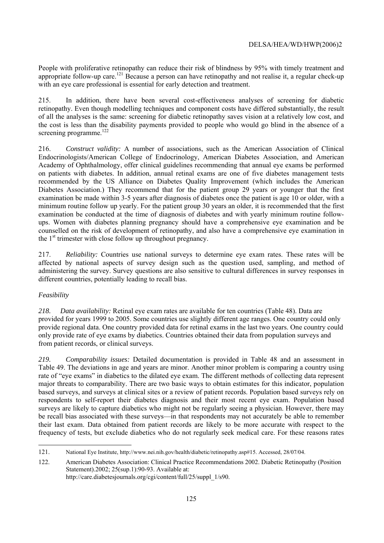People with proliferative retinopathy can reduce their risk of blindness by 95% with timely treatment and appropriate follow-up care.<sup>121</sup> Because a person can have retinopathy and not realise it, a regular check-up with an eye care professional is essential for early detection and treatment.

215. In addition, there have been several cost-effectiveness analyses of screening for diabetic retinopathy. Even though modelling techniques and component costs have differed substantially, the result of all the analyses is the same: screening for diabetic retinopathy saves vision at a relatively low cost, and the cost is less than the disability payments provided to people who would go blind in the absence of a screening programme. $122$ 

216. *Construct validity:* A number of associations, such as the American Association of Clinical Endocrinologists/American College of Endocrinology, American Diabetes Association, and American Academy of Ophthalmology, offer clinical guidelines recommending that annual eye exams be performed on patients with diabetes. In addition, annual retinal exams are one of five diabetes management tests recommended by the US Alliance on Diabetes Quality Improvement (which includes the American Diabetes Association.) They recommend that for the patient group 29 years or younger that the first examination be made within 3-5 years after diagnosis of diabetes once the patient is age 10 or older, with a minimum routine follow up yearly. For the patient group 30 years an older, it is recommended that the first examination be conducted at the time of diagnosis of diabetes and with yearly minimum routine followups. Women with diabetes planning pregnancy should have a comprehensive eye examination and be counselled on the risk of development of retinopathy, and also have a comprehensive eye examination in the  $1<sup>st</sup>$  trimester with close follow up throughout pregnancy.

217. *Reliability:* Countries use national surveys to determine eye exam rates. These rates will be affected by national aspects of survey design such as the question used, sampling, and method of administering the survey. Survey questions are also sensitive to cultural differences in survey responses in different countries, potentially leading to recall bias.

# *Feasibility*

*218. Data availability:* Retinal eye exam rates are available for ten countries (Table 48). Data are provided for years 1999 to 2005. Some countries use slightly different age ranges. One country could only provide regional data. One country provided data for retinal exams in the last two years. One country could only provide rate of eye exams by diabetics. Countries obtained their data from population surveys and from patient records, or clinical surveys.

*219. Comparability issues:* Detailed documentation is provided in Table 48 and an assessment in Table 49. The deviations in age and years are minor. Another minor problem is comparing a country using rate of "eye exams" in diabetics to the dilated eye exam. The different methods of collecting data represent major threats to comparability. There are two basic ways to obtain estimates for this indicator, population based surveys, and surveys at clinical sites or a review of patient records. Population based surveys rely on respondents to self-report their diabetes diagnosis and their most recent eye exam. Population based surveys are likely to capture diabetics who might not be regularly seeing a physician. However, there may be recall bias associated with these surveys—in that respondents may not accurately be able to remember their last exam. Data obtained from patient records are likely to be more accurate with respect to the frequency of tests, but exclude diabetics who do not regularly seek medical care. For these reasons rates

 121. National Eye Institute, http://www.nei.nih.gov/health/diabetic/retinopathy.asp#15. Accessed, 28/07/04.

<sup>122.</sup> American Diabetes Association: Clinical Practice Recommendations 2002. Diabetic Retinopathy (Position Statement).2002; 25(sup.1):90-93. Available at: http://care.diabetesjournals.org/cgi/content/full/25/suppl\_1/s90.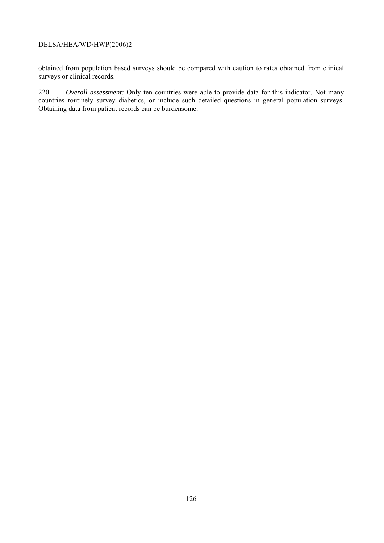obtained from population based surveys should be compared with caution to rates obtained from clinical surveys or clinical records.

220. *Overall assessment:* Only ten countries were able to provide data for this indicator. Not many countries routinely survey diabetics, or include such detailed questions in general population surveys. Obtaining data from patient records can be burdensome.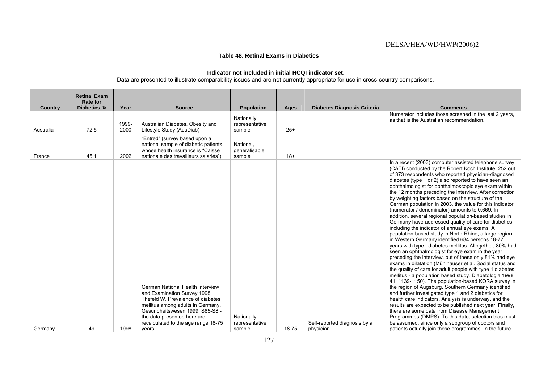| Table 48. Retinal Exams in Diabetics |  |
|--------------------------------------|--|
|--------------------------------------|--|

| Indicator not included in initial HCQI indicator set.<br>Data are presented to illustrate comparability issues and are not currently appropriate for use in cross-country comparisons. |                                                       |               |                                                                                                                                                                                                                                                     |                                        |       |                                    |                                                                                                                                                                                                                                                                                                                                                                                                                                                                                                                                                                                                                                                                                                                                                                                                                                                                                                                                                                                                                                                                                                                                                                                                                                                                                                                                                                                                                                                                                                                                                                                                                        |
|----------------------------------------------------------------------------------------------------------------------------------------------------------------------------------------|-------------------------------------------------------|---------------|-----------------------------------------------------------------------------------------------------------------------------------------------------------------------------------------------------------------------------------------------------|----------------------------------------|-------|------------------------------------|------------------------------------------------------------------------------------------------------------------------------------------------------------------------------------------------------------------------------------------------------------------------------------------------------------------------------------------------------------------------------------------------------------------------------------------------------------------------------------------------------------------------------------------------------------------------------------------------------------------------------------------------------------------------------------------------------------------------------------------------------------------------------------------------------------------------------------------------------------------------------------------------------------------------------------------------------------------------------------------------------------------------------------------------------------------------------------------------------------------------------------------------------------------------------------------------------------------------------------------------------------------------------------------------------------------------------------------------------------------------------------------------------------------------------------------------------------------------------------------------------------------------------------------------------------------------------------------------------------------------|
| <b>Country</b>                                                                                                                                                                         | <b>Retinal Exam</b><br><b>Rate for</b><br>Diabetics % | Year          | <b>Source</b>                                                                                                                                                                                                                                       | Population                             | Ages  | <b>Diabetes Diagnosis Criteria</b> | <b>Comments</b>                                                                                                                                                                                                                                                                                                                                                                                                                                                                                                                                                                                                                                                                                                                                                                                                                                                                                                                                                                                                                                                                                                                                                                                                                                                                                                                                                                                                                                                                                                                                                                                                        |
| Australia                                                                                                                                                                              | 72.5                                                  | 1999-<br>2000 | Australian Diabetes, Obesity and<br>Lifestyle Study (AusDiab)                                                                                                                                                                                       | Nationally<br>representative<br>sample | $25+$ |                                    | Numerator includes those screened in the last 2 years,<br>as that is the Australian recommendation.                                                                                                                                                                                                                                                                                                                                                                                                                                                                                                                                                                                                                                                                                                                                                                                                                                                                                                                                                                                                                                                                                                                                                                                                                                                                                                                                                                                                                                                                                                                    |
| France                                                                                                                                                                                 | 45.1                                                  | 2002          | "Entred" (survey based upon a<br>national sample of diabetic patients<br>whose health insurance is "Caisse<br>nationale des travailleurs salariés")                                                                                                 | National,<br>generalisable<br>sample   | $18+$ |                                    |                                                                                                                                                                                                                                                                                                                                                                                                                                                                                                                                                                                                                                                                                                                                                                                                                                                                                                                                                                                                                                                                                                                                                                                                                                                                                                                                                                                                                                                                                                                                                                                                                        |
|                                                                                                                                                                                        |                                                       |               | German National Health Interview<br>and Examination Survey 1998;<br>Thefeld W. Prevalence of diabetes<br>mellitus among adults in Germany.<br>Gesundheitswesen 1999; S85-S8 -<br>the data presented here are<br>recalculated to the age range 18-75 | Nationally<br>representative           |       | Self-reported diagnosis by a       | In a recent (2003) computer assisted telephone survey<br>(CATI) conducted by the Robert Koch Institute, 252 out<br>of 373 respondents who reported physician-diagnosed<br>diabetes (type 1 or 2) also reported to have seen an<br>ophthalmologist for ophthalmoscopic eye exam within<br>the 12 months preceding the interview. After correction<br>by weighting factors based on the structure of the<br>German population in 2003, the value for this indicator<br>(numerator / denominator) amounts to 0.669. In<br>addition, several regional population-based studies in<br>Germany have addressed quality of care for diabetics<br>including the indicator of annual eye exams. A<br>population-based study in North-Rhine, a large region<br>in Western Germany identified 684 persons 18-77<br>years with type I diabetes mellitus. Altogether, 80% had<br>seen an ophthalmologist for eye exam in the year<br>preceding the interview, but of these only 81% had eye<br>exams in dilatation (Mühlhauser et al. Social status and<br>the quality of care for adult people with type 1 diabetes<br>mellitus - a population based study. Diabetologia 1998;<br>41: 1139-1150). The population-based KORA survey in<br>the region of Augsburg, Southern Germany identified<br>and further investigated type 1 and 2 diabetics for<br>health care indicators. Analysis is underway, and the<br>results are expected to be published next year. Finally,<br>there are some data from Disease Management<br>Programmes (DMPS). To this date, selection bias must<br>be assumed, since only a subgroup of doctors and |
| Germany                                                                                                                                                                                | 49                                                    | 1998          | years.                                                                                                                                                                                                                                              | sample                                 | 18-75 | physician                          | patients actually join these programmes. In the future,                                                                                                                                                                                                                                                                                                                                                                                                                                                                                                                                                                                                                                                                                                                                                                                                                                                                                                                                                                                                                                                                                                                                                                                                                                                                                                                                                                                                                                                                                                                                                                |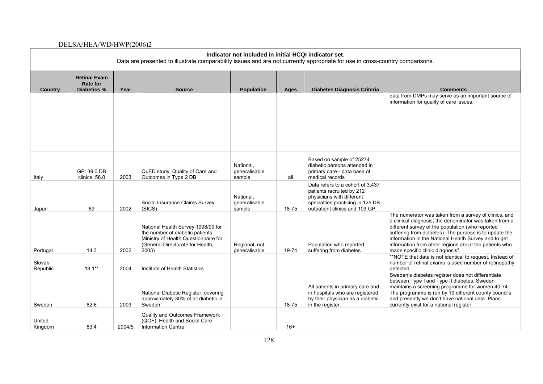| Indicator not included in initial HCQI indicator set.<br>Data are presented to illustrate comparability issues and are not currently appropriate for use in cross-country comparisons. |                                                       |        |                                                                                                                                                             |                                      |           |                                                                                                                                                                 |                                                                                                                                                                                                                                                                                                                                                                                    |
|----------------------------------------------------------------------------------------------------------------------------------------------------------------------------------------|-------------------------------------------------------|--------|-------------------------------------------------------------------------------------------------------------------------------------------------------------|--------------------------------------|-----------|-----------------------------------------------------------------------------------------------------------------------------------------------------------------|------------------------------------------------------------------------------------------------------------------------------------------------------------------------------------------------------------------------------------------------------------------------------------------------------------------------------------------------------------------------------------|
| Country                                                                                                                                                                                | <b>Retinal Exam</b><br><b>Rate for</b><br>Diabetics % | Year   | <b>Source</b>                                                                                                                                               | <b>Population</b>                    | Ages      | Diabetes Diagnosis Criteria                                                                                                                                     | <b>Comments</b>                                                                                                                                                                                                                                                                                                                                                                    |
|                                                                                                                                                                                        |                                                       |        |                                                                                                                                                             |                                      |           |                                                                                                                                                                 | data from DMPs may serve as an important source of<br>information for quality of care issues.                                                                                                                                                                                                                                                                                      |
| Italy                                                                                                                                                                                  | GP: 39.0 DB<br>clinics: 56.0                          | 2003   | QuED study, Quality of Care and<br>Outcomes in Type 2 DB                                                                                                    | National,<br>generalisable<br>sample | all       | Based on sample of 25274<br>diabetic persons attended in<br>primary care-- data base of<br>medical records                                                      |                                                                                                                                                                                                                                                                                                                                                                                    |
| Japan                                                                                                                                                                                  | 59                                                    | 2002   | Social Insurance Claims Survey<br>(SICS)                                                                                                                    | National,<br>qeneralisable<br>sample | $18 - 75$ | Data refers to a cohort of 3,437<br>patients recruited by 212<br>physicians with different<br>specialties practicing in 125 DB<br>outpatient clinics and 103 GP |                                                                                                                                                                                                                                                                                                                                                                                    |
| Portugal                                                                                                                                                                               | 14.3                                                  | 2002   | National Health Survey 1998/99 for<br>the number of diabetic patients;<br>Ministry of Health Questionnaire for<br>(General Directorate for Health,<br>2003) | Regional, not<br>generalisable       | 19-74     | Population who reported<br>suffering from diabetes                                                                                                              | The numerator was taken from a survey of clinics, and<br>a clinical diagnosis; the denominator was taken from a<br>different survey of the population (who reported<br>suffering from diabetes). The purpose is to update the<br>information in the National Health Survey and to get<br>information from other regions about the patients who<br>made specific clinic diagnosis". |
| Slovak<br>Republic                                                                                                                                                                     | $18.1**$                                              | 2004   | Institute of Health Statistics                                                                                                                              |                                      |           |                                                                                                                                                                 | **NOTE that data is not identical to request. Instead of<br>number of retinal exams is used number of retinopathy<br>detected.                                                                                                                                                                                                                                                     |
| Sweden                                                                                                                                                                                 | 82.6                                                  | 2003   | National Diabetic Register, covering<br>approximately 30% of all diabetic in<br>Sweden                                                                      |                                      | 18-75     | All patients in primary care and<br>in hospitals who are registered<br>by their physician as a diabetic<br>in the register.                                     | Sweden's diabetes register does not differentiate<br>between Type I and Type II diabetes. Sweden<br>maintains a screening programme for women 40-74.<br>The programme is run by 19 different county councils<br>and presently we don't have national data. Plans<br>currently exist for a national register.                                                                       |
| United<br>Kingdom                                                                                                                                                                      | 83.4                                                  | 2004/5 | <b>Quality and Outcomes Framework</b><br>(QOF), Health and Social Care<br><b>Information Centre</b>                                                         |                                      | $16+$     |                                                                                                                                                                 |                                                                                                                                                                                                                                                                                                                                                                                    |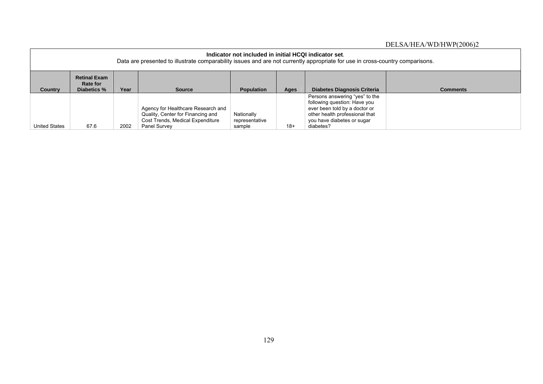| Indicator not included in initial HCQI indicator set.<br>Data are presented to illustrate comparability issues and are not currently appropriate for use in cross-country comparisons. |                                                                                                                                                               |      |                                                                                                                             |                                        |       |                                                                                                                                                                              |  |  |  |
|----------------------------------------------------------------------------------------------------------------------------------------------------------------------------------------|---------------------------------------------------------------------------------------------------------------------------------------------------------------|------|-----------------------------------------------------------------------------------------------------------------------------|----------------------------------------|-------|------------------------------------------------------------------------------------------------------------------------------------------------------------------------------|--|--|--|
| <b>Country</b>                                                                                                                                                                         | <b>Retinal Exam</b><br>Rate for<br>Year<br>Diabetics %<br><b>Diabetes Diagnosis Criteria</b><br><b>Comments</b><br><b>Population</b><br><b>Source</b><br>Ages |      |                                                                                                                             |                                        |       |                                                                                                                                                                              |  |  |  |
| <b>United States</b>                                                                                                                                                                   | 67.6                                                                                                                                                          | 2002 | Agency for Healthcare Research and<br>Quality, Center for Financing and<br>Cost Trends, Medical Expenditure<br>Panel Survey | Nationally<br>representative<br>sample | $18+$ | Persons answering "yes" to the<br>following question: Have you<br>ever been told by a doctor or<br>other health professional that<br>you have diabetes or sugar<br>diabetes? |  |  |  |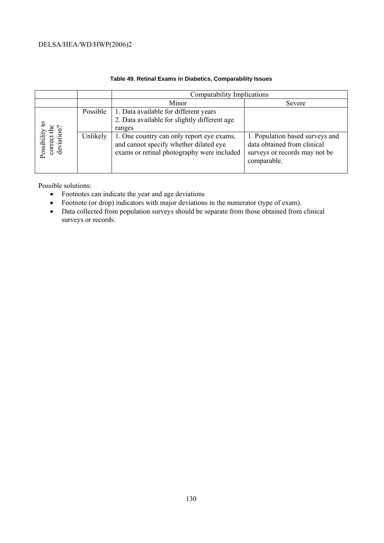|                                   |          | Comparability Implications                                                                                                        |                                                                                                                |  |  |  |  |  |
|-----------------------------------|----------|-----------------------------------------------------------------------------------------------------------------------------------|----------------------------------------------------------------------------------------------------------------|--|--|--|--|--|
|                                   |          | Minor                                                                                                                             | Severe                                                                                                         |  |  |  |  |  |
|                                   | Possible | 1. Data available for different years<br>2. Data available for slightly different age<br>ranges                                   |                                                                                                                |  |  |  |  |  |
| deviation<br>Possibili<br>correct | Unlikely | 1. One country can only report eye exams,<br>and cannot specify whether dilated eye<br>exams or retinal photography were included | 1. Population based surveys and<br>data obtained from clinical<br>surveys or records may not be<br>comparable. |  |  |  |  |  |

#### **Table 49. Retinal Exams in Diabetics, Comparability Issues**

Possible solutions:

- Footnotes can indicate the year and age deviations
- Footnote (or drop) indicators with major deviations in the numerator (type of exam).
- Data collected from population surveys should be separate from those obtained from clinical surveys or records.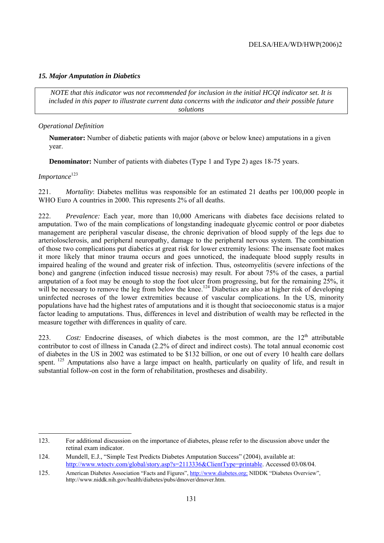#### *15. Major Amputation in Diabetics*

*NOTE that this indicator was not recommended for inclusion in the initial HCQI indicator set. It is included in this paper to illustrate current data concerns with the indicator and their possible future solutions* 

#### *Operational Definition*

**Numerator:** Number of diabetic patients with major (above or below knee) amputations in a given year.

**Denominator:** Number of patients with diabetes (Type 1 and Type 2) ages 18-75 years.

#### *Importance*<sup>123</sup>

221. *Mortality*: Diabetes mellitus was responsible for an estimated 21 deaths per 100,000 people in WHO Euro A countries in 2000. This represents 2% of all deaths.

222. *Prevalence:* Each year, more than 10,000 Americans with diabetes face decisions related to amputation. Two of the main complications of longstanding inadequate glycemic control or poor diabetes management are peripheral vascular disease, the chronic deprivation of blood supply of the legs due to arteriolosclerosis, and peripheral neuropathy, damage to the peripheral nervous system. The combination of those two complications put diabetics at great risk for lower extremity lesions: The insensate foot makes it more likely that minor trauma occurs and goes unnoticed, the inadequate blood supply results in impaired healing of the wound and greater risk of infection. Thus, osteomyelitis (severe infections of the bone) and gangrene (infection induced tissue necrosis) may result. For about 75% of the cases, a partial amputation of a foot may be enough to stop the foot ulcer from progressing, but for the remaining 25%, it will be necessary to remove the leg from below the knee.<sup>124</sup> Diabetics are also at higher risk of developing uninfected necroses of the lower extremities because of vascular complications. In the US, minority populations have had the highest rates of amputations and it is thought that socioeconomic status is a major factor leading to amputations. Thus, differences in level and distribution of wealth may be reflected in the measure together with differences in quality of care.

223. *Cost:* Endocrine diseases, of which diabetes is the most common, are the 12<sup>th</sup> attributable contributor to cost of illness in Canada (2.2% of direct and indirect costs). The total annual economic cost of diabetes in the US in 2002 was estimated to be \$132 billion, or one out of every 10 health care dollars spent. <sup>125</sup> Amputations also have a large impact on health, particularly on quality of life, and result in substantial follow-on cost in the form of rehabilitation, prostheses and disability.

<sup>123.</sup> For additional discussion on the importance of diabetes, please refer to the discussion above under the retinal exam indicator.

<sup>124.</sup> Mundell, E.J., "Simple Test Predicts Diabetes Amputation Success" (2004), available at: http://www.wtoctv.com/global/story.asp?s=2113336&ClientType=printable. Accessed 03/08/04.

<sup>125.</sup> American Diabetes Association "Facts and Figures", http://www.diabetes.org; NIDDK "Diabetes Overview", http://www.niddk.nih.gov/health/diabetes/pubs/dmover/dmover.htm.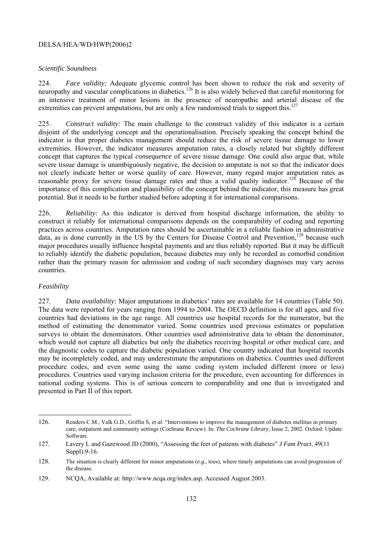#### *Scientific Soundness*

224. *Face validity:* Adequate glycemic control has been shown to reduce the risk and severity of neuropathy and vascular complications in diabetics.<sup>126</sup> It is also widely believed that careful monitoring for an intensive treatment of minor lesions in the presence of neuropathic and arterial disease of the extremities can prevent amputations, but are only a few randomised trials to support this.<sup>127</sup>

225. *Construct validity:* The main challenge to the construct validity of this indicator is a certain disjoint of the underlying concept and the operationalisation. Precisely speaking the concept behind the indicator is that proper diabetes management should reduce the risk of severe tissue damage to lower extremities. However, the indicator measures amputation rates, a closely related but slightly different concept that captures the typical *consequence* of severe tissue damage. One could also argue that, while severe tissue damage is unambiguously negative, the decision to amputate is not so that the indicator does not clearly indicate better or worse quality of care. However, many regard major amputation rates as reasonable proxy for severe tissue damage rates and thus a valid quality indicator.<sup>128</sup> Because of the importance of this complication and plausibility of the concept behind the indicator, this measure has great potential. But it needs to be further studied before adopting it for international comparisons.

226. *Reliability:* As this indicator is derived from hospital discharge information, the ability to construct it reliably for international comparisons depends on the comparability of coding and reporting practices across countries. Amputation rates should be ascertainable in a reliable fashion in administrative data, as is done currently in the US by the Centers for Disease Control and Prevention,<sup>129</sup> because such major procedures usually influence hospital payments and are thus reliably reported. But it may be difficult to reliably identify the diabetic population, because diabetes may only be recorded as comorbid condition rather than the primary reason for admission and coding of such secondary diagnoses may vary across countries.

#### *Feasibility*

 $\overline{a}$ 

227. *Data availability:* Major amputations in diabetics' rates are available for 14 countries (Table 50). The data were reported for years ranging from 1994 to 2004. The OECD definition is for all ages, and five countries had deviations in the age range. All countries use hospital records for the numerator, but the method of estimating the denominator varied. Some countries used previous estimates or population surveys to obtain the denominators. Other countries used administrative data to obtain the denominator, which would not capture all diabetics but only the diabetics receiving hospital or other medical care, and the diagnostic codes to capture the diabetic population varied. One country indicated that hospital records may be incompletely coded, and may underestimate the amputations on diabetics. Countries used different procedure codes, and even some using the same coding system included different (more or less) procedures. Countries used varying inclusion criteria for the procedure, even accounting for differences in national coding systems. This is of serious concern to comparability and one that is investigated and presented in Part II of this report.

<sup>126.</sup> Renders C.M., Valk G.D., Griffin S, *et al*. "Interventions to improve the management of diabetes mellitus in primary care, outpatient and community settings (Cochrane Review). In: *The Cochrane Library,* Issue 2, 2002. Oxford: Update Software.

<sup>127.</sup> Lavery L and Gazewood JD (2000), "Assessing the feet of patients with diabetes" *J Fam Pract*, 49(11 Suppl): 9-16.

<sup>128.</sup> The situation is clearly different for minor amputations (*e.g.*, toes), where timely amputations can avoid progression of the disease.

<sup>129.</sup> NCQA, Available at: http://www.ncqa.org/index.asp. Accessed August 2003.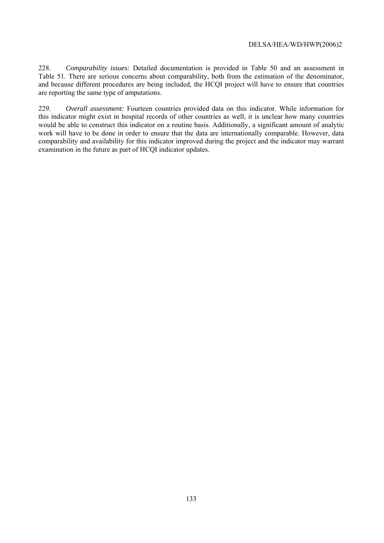228. *Comparability issues:* Detailed documentation is provided in Table 50 and an assessment in Table 51. There are serious concerns about comparability, both from the estimation of the denominator, and because different procedures are being included, the HCQI project will have to ensure that countries are reporting the same type of amputations.

229. *Overall assessment:* Fourteen countries provided data on this indicator. While information for this indicator might exist in hospital records of other countries as well, it is unclear how many countries would be able to construct this indicator on a routine basis. Additionally, a significant amount of analytic work will have to be done in order to ensure that the data are internationally comparable. However, data comparability and availability for this indicator improved during the project and the indicator may warrant examination in the future as part of HCQI indicator updates.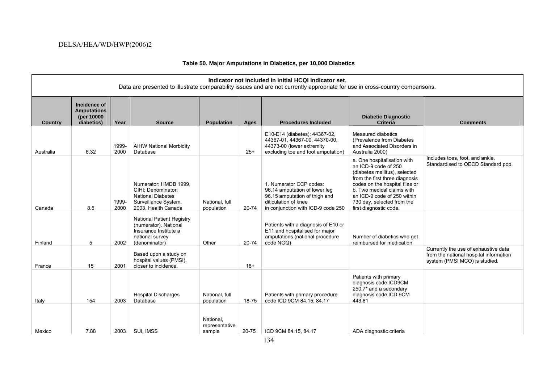#### **Indicator not included in initial HCQI indicator set**. Data are presented to illustrate comparability issues and are not currently appropriate for use in cross-country comparisons. **Country Incidence of Amputations (per 10000 Pear Source Ages Ages Procedures Included Procedures Included Diabetic Diagnostic Criteria Comments**  Australia 6.32 1999- 2000 AIHW National Morbidity Database 25+ E10-E14 (diabetes); 44367-02, 44367-01, 44367-00, 44370-00, 44373-00 (lower extremity excluding toe and foot amputation) Measured diabetics (Prevalence from Diabetes and Associated Disorders in Australia 2000) Canada 8.5 1999- 2000 Numerator: HMDB 1999, CIHI; Denominator: National Diabetes Surveillance System, 2003, Health Canada National, full population 20-74 1. Numerator CCP codes: 96.14 amputation of lower leg 96.15 amputation of thigh and diticulation of knee in conjunction with ICD-9 code 250 a. One hospitalisation with an ICD-9 code of 250 (diabetes mellitus), selected from the first three diagnosis codes on the hospital files or b. Two medical claims with an ICD-9 code of 250 within 730 day, selected from the first diagnostic code. Includes toes, foot, and ankle. Standardised to OECD Standard pop. Finland 5 2002 National Patient Registry (numerator). National Insurance Institute a national survey (denominator) Other 20-74 Patients with a diagnosis of E10 or E11 and hospitalised for major amputations (national procedure code NGQ) Number of diabetics who get reimbursed for medication France 15 2001 Based upon a study on hospital values (PMSI), closer to incidence. 18+ Currently the use of exhaustive data from the national hospital information system (PMSI MCO) is studied. Italy 154 2003 Hospital Discharges Database National, full population | 18-75 Patients with primary procedure code ICD 9CM 84.15; 84.17 Patients with primary diagnosis code ICD9CM 250.7\* and a secondary diagnosis code ICD 9CM 443.81 Mexico 7.88 2003 SUI, IMSS National, representative sample 20-75 CD 9CM 84.15, 84.17 ADA diagnostic criteria

#### **Table 50. Major Amputations in Diabetics, per 10,000 Diabetics**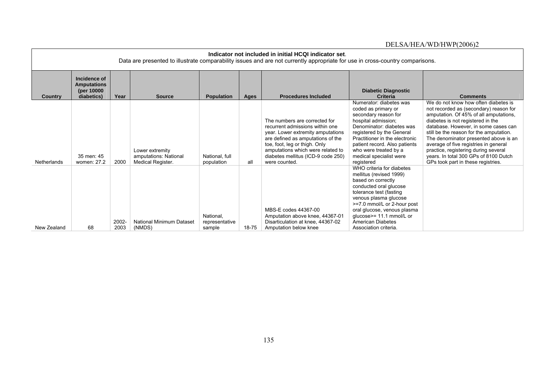|             | Indicator not included in initial HCQI indicator set.<br>Data are presented to illustrate comparability issues and are not currently appropriate for use in cross-country comparisons. |               |                                                               |                                       |           |                                                                                                                                                                                                                                                                         |                                                                                                                                                                                                                                                                                                         |                                                                                                                                                                                                                                                                                                                                                                                                                                                           |  |
|-------------|----------------------------------------------------------------------------------------------------------------------------------------------------------------------------------------|---------------|---------------------------------------------------------------|---------------------------------------|-----------|-------------------------------------------------------------------------------------------------------------------------------------------------------------------------------------------------------------------------------------------------------------------------|---------------------------------------------------------------------------------------------------------------------------------------------------------------------------------------------------------------------------------------------------------------------------------------------------------|-----------------------------------------------------------------------------------------------------------------------------------------------------------------------------------------------------------------------------------------------------------------------------------------------------------------------------------------------------------------------------------------------------------------------------------------------------------|--|
| Country     | Incidence of<br><b>Amputations</b><br>(per 10000)<br>diabetics)                                                                                                                        | Year          | <b>Source</b>                                                 | <b>Population</b>                     | Ages      | <b>Procedures Included</b>                                                                                                                                                                                                                                              | <b>Diabetic Diagnostic</b><br><b>Criteria</b>                                                                                                                                                                                                                                                           | <b>Comments</b>                                                                                                                                                                                                                                                                                                                                                                                                                                           |  |
| Netherlands | 35 men: 45<br>women: 27.2                                                                                                                                                              | 2000          | Lower extremity<br>amputations: National<br>Medical Register. | National, full<br>population          | all       | The numbers are corrected for<br>recurrent admissions within one<br>year. Lower extremity amputations<br>are defined as amputations of the<br>toe, foot, leg or thigh. Only<br>amputations which were related to<br>diabetes mellitus (ICD-9 code 250)<br>were counted. | Numerator: diabetes was<br>coded as primary or<br>secondary reason for<br>hospital admission;<br>Denominator: diabetes was<br>registered by the General<br>Practitioner in the electronic<br>patient record. Also patients<br>who were treated by a<br>medical specialist were<br>registered            | We do not know how often diabetes is<br>not recorded as (secondary) reason for<br>amputation. Of 45% of all amputations,<br>diabetes is not registered in the<br>database. However, in some cases can<br>still be the reason for the amputation.<br>The denominator presented above is an<br>average of five registries in general<br>practice, registering during several<br>years. In total 300 GPs of 8100 Dutch<br>GPs took part in these registries. |  |
| New Zealand | 68                                                                                                                                                                                     | 2002-<br>2003 | <b>National Minimum Dataset</b><br>(NMDS)                     | National.<br>representative<br>sample | $18 - 75$ | MBS-E codes 44367-00<br>Amputation above knee, 44367-01<br>Disarticulation at knee, 44367-02<br>Amputation below knee                                                                                                                                                   | WHO criteria for diabetes<br>mellitus (revised 1999)<br>based on correctly<br>conducted oral glucose<br>tolerance test (fasting<br>venous plasma glucose<br>>=7.0 mmol/L or 2-hour post<br>oral glucose, venous plasma<br>glucose>= 11.1 mmol/L or<br><b>American Diabetes</b><br>Association criteria. |                                                                                                                                                                                                                                                                                                                                                                                                                                                           |  |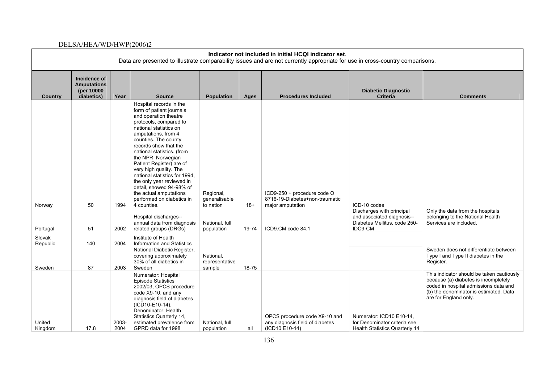|                    | Indicator not included in initial HCQI indicator set.<br>Data are presented to illustrate comparability issues and are not currently appropriate for use in cross-country comparisons. |               |                                                                                                                                                                                                                                                                                                                                                                                                                                                                                                                                                                    |                                                                         |                |                                                                                                        |                                                                                                                    |                                                                                                                                                                                               |  |  |
|--------------------|----------------------------------------------------------------------------------------------------------------------------------------------------------------------------------------|---------------|--------------------------------------------------------------------------------------------------------------------------------------------------------------------------------------------------------------------------------------------------------------------------------------------------------------------------------------------------------------------------------------------------------------------------------------------------------------------------------------------------------------------------------------------------------------------|-------------------------------------------------------------------------|----------------|--------------------------------------------------------------------------------------------------------|--------------------------------------------------------------------------------------------------------------------|-----------------------------------------------------------------------------------------------------------------------------------------------------------------------------------------------|--|--|
| Country            | Incidence of<br><b>Amputations</b><br>(per 10000<br>diabetics)                                                                                                                         | Year          | <b>Source</b>                                                                                                                                                                                                                                                                                                                                                                                                                                                                                                                                                      | <b>Population</b>                                                       | Ages           | <b>Procedures Included</b>                                                                             | <b>Diabetic Diagnostic</b><br><b>Criteria</b>                                                                      | <b>Comments</b>                                                                                                                                                                               |  |  |
| Norway<br>Portugal | 50<br>51                                                                                                                                                                               | 1994<br>2002  | Hospital records in the<br>form of patient journals<br>and operation theatre<br>protocols, compared to<br>national statistics on<br>amputations, from 4<br>counties. The county<br>records show that the<br>national statistics. (from<br>the NPR, Norwegian<br>Patient Register) are of<br>very high quality. The<br>national statistics for 1994.<br>the only year reviewed in<br>detail, showed 94-98% of<br>the actual amputations<br>performed on diabetics in<br>4 counties.<br>Hospital discharges--<br>annual data from diagnosis<br>related groups (DRGs) | Regional,<br>generalisable<br>to nation<br>National, full<br>population | $18+$<br>19-74 | ICD9-250 + procedure code O<br>8716-19-Diabetes+non-traumatic<br>major amputation<br>ICD9.CM code 84.1 | ICD-10 codes<br>Discharges with principal<br>and associated diagnosis--<br>Diabetes Mellitus, code 250-<br>IDC9-CM | Only the data from the hospitals<br>belonging to the National Health<br>Services are included.                                                                                                |  |  |
| Slovak<br>Republic | 140                                                                                                                                                                                    | 2004          | Institute of Health<br>Information and Statistics                                                                                                                                                                                                                                                                                                                                                                                                                                                                                                                  |                                                                         |                |                                                                                                        |                                                                                                                    |                                                                                                                                                                                               |  |  |
| Sweden             | 87                                                                                                                                                                                     | 2003          | National Diabetic Register,<br>covering approximately<br>30% of all diabetics in<br>Sweden                                                                                                                                                                                                                                                                                                                                                                                                                                                                         | National,<br>representative<br>sample                                   | 18-75          |                                                                                                        |                                                                                                                    | Sweden does not differentiate between<br>Type I and Type II diabetes in the<br>Register.                                                                                                      |  |  |
| United<br>Kingdom  | 17.8                                                                                                                                                                                   | 2003-<br>2004 | Numerator: Hospital<br><b>Episode Statistics</b><br>2002/03, OPCS procedure<br>code X9-10, and any<br>diagnosis field of diabetes<br>(ICD10-E10-14).<br>Denominator: Health<br>Statistics Quarterly 14,<br>estimated prevalence from<br>GPRD data for 1998                                                                                                                                                                                                                                                                                                         | National, full<br>population                                            | all            | OPCS procedure code X9-10 and<br>any diagnosis field of diabetes<br>(ICD10 E10-14)                     | Numerator: ICD10 E10-14,<br>for Denominator criteria see<br>Health Statistics Quarterly 14                         | This indicator should be taken cautiously<br>because (a) diabetes is incompletely<br>coded in hospital admissions data and<br>(b) the denominator is estimated. Data<br>are for England only. |  |  |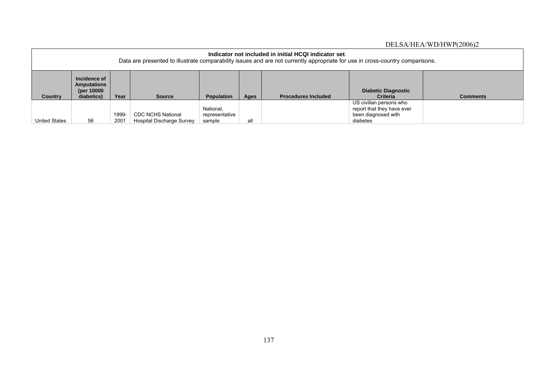| Indicator not included in initial HCQI indicator set.<br>Data are presented to illustrate comparability issues and are not currently appropriate for use in cross-country comparisons. |                                                                                                                                                                                                                         |               |                                                       |                                       |     |  |                                                                                          |  |  |
|----------------------------------------------------------------------------------------------------------------------------------------------------------------------------------------|-------------------------------------------------------------------------------------------------------------------------------------------------------------------------------------------------------------------------|---------------|-------------------------------------------------------|---------------------------------------|-----|--|------------------------------------------------------------------------------------------|--|--|
| <b>Country</b>                                                                                                                                                                         | Incidence of<br><b>Amputations</b><br>(per 10000)<br><b>Diabetic Diagnostic</b><br>Year<br>diabetics)<br><b>Population</b><br><b>Source</b><br><b>Procedures Included</b><br><b>Criteria</b><br><b>Comments</b><br>Ages |               |                                                       |                                       |     |  |                                                                                          |  |  |
| United States                                                                                                                                                                          | 56                                                                                                                                                                                                                      | 1999-<br>2001 | <b>CDC NCHS National</b><br>Hospital Discharge Survey | National,<br>representative<br>sample | all |  | US civilian persons who<br>report that they have ever<br>been diagnosed with<br>diabetes |  |  |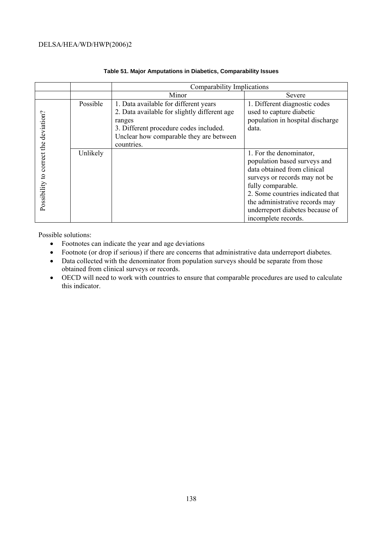|                                       |          | Comparability Implications                                                                                                                                                                         |                                                                                                                                                                                                                                                                              |  |  |  |  |
|---------------------------------------|----------|----------------------------------------------------------------------------------------------------------------------------------------------------------------------------------------------------|------------------------------------------------------------------------------------------------------------------------------------------------------------------------------------------------------------------------------------------------------------------------------|--|--|--|--|
|                                       |          | Minor                                                                                                                                                                                              | Severe                                                                                                                                                                                                                                                                       |  |  |  |  |
|                                       | Possible | 1. Data available for different years<br>2. Data available for slightly different age<br>ranges<br>3. Different procedure codes included.<br>Unclear how comparable they are between<br>countries. | 1. Different diagnostic codes<br>used to capture diabetic<br>population in hospital discharge<br>data.                                                                                                                                                                       |  |  |  |  |
| Possibility to correct the deviation? | Unlikely |                                                                                                                                                                                                    | 1. For the denominator,<br>population based surveys and<br>data obtained from clinical<br>surveys or records may not be<br>fully comparable.<br>2. Some countries indicated that<br>the administrative records may<br>underreport diabetes because of<br>incomplete records. |  |  |  |  |

#### **Table 51. Major Amputations in Diabetics, Comparability Issues**

Possible solutions:

- Footnotes can indicate the year and age deviations
- Footnote (or drop if serious) if there are concerns that administrative data underreport diabetes.
- Data collected with the denominator from population surveys should be separate from those obtained from clinical surveys or records.
- OECD will need to work with countries to ensure that comparable procedures are used to calculate this indicator.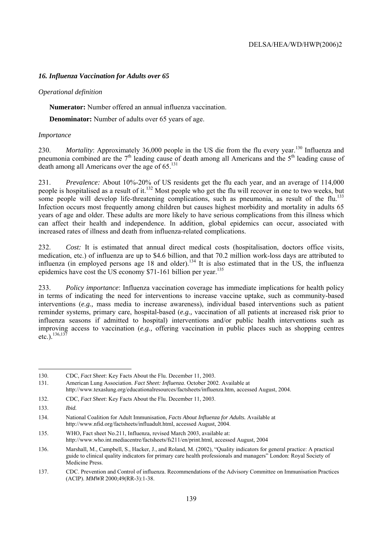#### *16. Influenza Vaccination for Adults over 65*

#### *Operational definition*

 **Numerator:** Number offered an annual influenza vaccination.

**Denominator:** Number of adults over 65 years of age.

#### *Importance*

230. *Mortality*: Approximately 36,000 people in the US die from the flu every year.<sup>130</sup> Influenza and pneumonia combined are the  $7<sup>th</sup>$  leading cause of death among all Americans and the  $5<sup>th</sup>$  leading cause of death among all Americans over the age of 65.<sup>131</sup>

231. *Prevalence:* About 10%-20% of US residents get the flu each year, and an average of 114,000 people is hospitalised as a result of it.<sup>132</sup> Most people who get the flu will recover in one to two weeks, but some people will develop life-threatening complications, such as pneumonia, as result of the flu.<sup>133</sup> Infection occurs most frequently among children but causes highest morbidity and mortality in adults 65 years of age and older. These adults are more likely to have serious complications from this illness which can affect their health and independence. In addition, global epidemics can occur, associated with increased rates of illness and death from influenza-related complications.

232. *Cost:* It is estimated that annual direct medical costs (hospitalisation, doctors office visits, medication, etc.) of influenza are up to \$4.6 billion, and that 70.2 million work-loss days are attributed to influenza (in employed persons age 18 and older).<sup>134</sup> It is also estimated that in the US, the influenza epidemics have cost the US economy \$71-161 billion per year.<sup>135</sup>

233. *Policy importance*: Influenza vaccination coverage has immediate implications for health policy in terms of indicating the need for interventions to increase vaccine uptake, such as community-based interventions (*e.g.,* mass media to increase awareness), individual based interventions such as patient reminder systems, primary care, hospital-based (*e.g.,* vaccination of all patients at increased risk prior to influenza seasons if admitted to hospital) interventions and/or public health interventions such as improving access to vaccination (*e.g.,* offering vaccination in public places such as shopping centres etc.).  $136,137$ 

 130. CDC, *Fact Sheet*: Key Facts About the Flu. December 11, 2003.

<sup>131.</sup> American Lung Association. *Fact Sheet: Influenza*. October 2002. Available at http://www.texaslung.org/educationalresources/factsheets/influenza.htm, accessed August, 2004.

<sup>132.</sup> CDC, *Fact Sheet*: Key Facts About the Flu. December 11, 2003.

<sup>133.</sup> *Ibid.*

<sup>134.</sup> National Coalition for Adult Immunisation, *Facts About Influenza for Adults.* Available at http://www.nfid.org/factsheets/influadult.html, accessed August, 2004.

<sup>135.</sup> WHO, Fact sheet No.211, Influenza, revised March 2003, available at: http://www.who.int.mediacentre/factsheets/fs211/en/print.html, accessed August, 2004

<sup>136.</sup> Marshall, M., Campbell, S., Hacker, J., and Roland, M. (2002), "Quality indicators for general practice: A practical guide to clinical quality indicators for primary care health professionals and managers" London: Royal Society of Medicine Press.

<sup>137.</sup> CDC. Prevention and Control of influenza. Recommendations of the Advisory Committee on Immunisation Practices (ACIP). *MMWR* 2000;49(RR-3):1-38.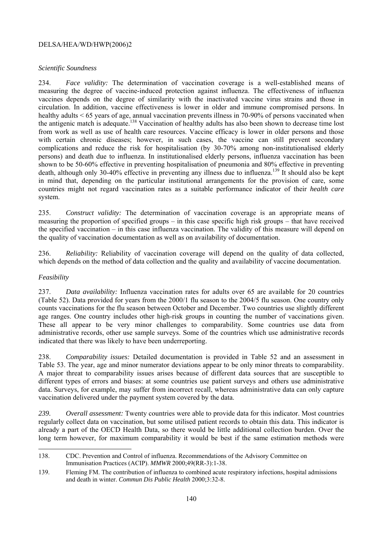#### *Scientific Soundness*

234. *Face validity:* The determination of vaccination coverage is a well-established means of measuring the degree of vaccine-induced protection against influenza. The effectiveness of influenza vaccines depends on the degree of similarity with the inactivated vaccine virus strains and those in circulation. In addition, vaccine effectiveness is lower in older and immune compromised persons. In healthy adults < 65 years of age, annual vaccination prevents illness in 70-90% of persons vaccinated when the antigenic match is adequate.<sup>138</sup> Vaccination of healthy adults has also been shown to decrease time lost from work as well as use of health care resources. Vaccine efficacy is lower in older persons and those with certain chronic diseases; however, in such cases, the vaccine can still prevent secondary complications and reduce the risk for hospitalisation (by 30-70% among non-institutionalised elderly persons) and death due to influenza. In institutionalised elderly persons, influenza vaccination has been shown to be 50-60% effective in preventing hospitalisation of pneumonia and 80% effective in preventing death, although only 30-40% effective in preventing any illness due to influenza.<sup>139</sup> It should also be kept in mind that, depending on the particular institutional arrangements for the provision of care, some countries might not regard vaccination rates as a suitable performance indicator of their *health care* system.

235. *Construct validity:* The determination of vaccination coverage is an appropriate means of measuring the proportion of specified groups – in this case specific high risk groups – that have received the specified vaccination – in this case influenza vaccination. The validity of this measure will depend on the quality of vaccination documentation as well as on availability of documentation.

236. *Reliability:* Reliability of vaccination coverage will depend on the quality of data collected, which depends on the method of data collection and the quality and availability of vaccine documentation.

#### *Feasibility*

237. *Data availability:* Influenza vaccination rates for adults over 65 are available for 20 countries (Table 52). Data provided for years from the 2000/1 flu season to the 2004/5 flu season. One country only counts vaccinations for the flu season between October and December. Two countries use slightly different age ranges. One country includes other high-risk groups in counting the number of vaccinations given. These all appear to be very minor challenges to comparability. Some countries use data from administrative records, other use sample surveys. Some of the countries which use administrative records indicated that there was likely to have been underreporting.

238. *Comparability issues:* Detailed documentation is provided in Table 52 and an assessment in Table 53. The year, age and minor numerator deviations appear to be only minor threats to comparability. A major threat to comparability issues arises because of different data sources that are susceptible to different types of errors and biases: at some countries use patient surveys and others use administrative data. Surveys, for example, may suffer from incorrect recall, whereas administrative data can only capture vaccination delivered under the payment system covered by the data.

*239. Overall assessment:* Twenty countries were able to provide data for this indicator. Most countries regularly collect data on vaccination, but some utilised patient records to obtain this data. This indicator is already a part of the OECD Health Data, so there would be little additional collection burden. Over the long term however, for maximum comparability it would be best if the same estimation methods were

<sup>138.</sup> CDC. Prevention and Control of influenza. Recommendations of the Advisory Committee on Immunisation Practices (ACIP). *MMWR* 2000;49(RR-3):1-38.

<sup>139.</sup> Fleming FM. The contribution of influenza to combined acute respiratory infections, hospital admissions and death in winter. *Commun Dis Public Health* 2000;3:32-8.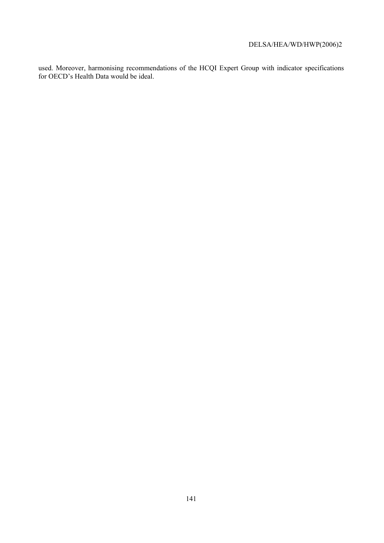used. Moreover, harmonising recommendations of the HCQI Expert Group with indicator specifications for OECD's Health Data would be ideal.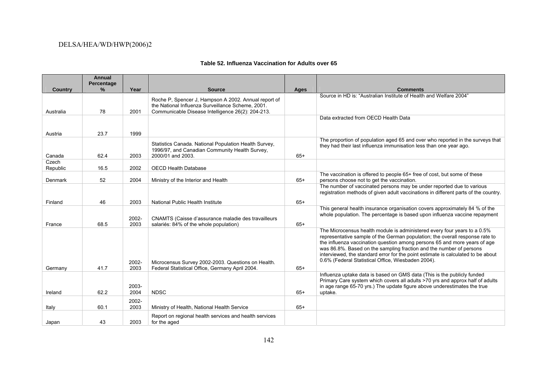|                | <b>Annual</b><br>Percentage |               |                                                                                                                                                                |       |                                                                                                                                                                                                                                                                                                                                                                                                                                                        |
|----------------|-----------------------------|---------------|----------------------------------------------------------------------------------------------------------------------------------------------------------------|-------|--------------------------------------------------------------------------------------------------------------------------------------------------------------------------------------------------------------------------------------------------------------------------------------------------------------------------------------------------------------------------------------------------------------------------------------------------------|
| <b>Country</b> | %                           | Year          | <b>Source</b>                                                                                                                                                  | Ages  | <b>Comments</b>                                                                                                                                                                                                                                                                                                                                                                                                                                        |
| Australia      | 78                          | 2001          | Roche P, Spencer J, Hampson A 2002. Annual report of<br>the National Influenza Surveillance Scheme, 2001.<br>Communicable Disease Intelligence 26(2): 204-213. |       | Source in HD is: "Australian Institute of Health and Welfare 2004"                                                                                                                                                                                                                                                                                                                                                                                     |
|                |                             |               |                                                                                                                                                                |       | Data extracted from OECD Health Data                                                                                                                                                                                                                                                                                                                                                                                                                   |
|                |                             |               |                                                                                                                                                                |       |                                                                                                                                                                                                                                                                                                                                                                                                                                                        |
| Austria        | 23.7                        | 1999          |                                                                                                                                                                |       |                                                                                                                                                                                                                                                                                                                                                                                                                                                        |
| Canada         | 62.4                        | 2003          | Statistics Canada. National Population Health Survey,<br>1996/97, and Canadian Community Health Survey,<br>2000/01 and 2003.                                   | $65+$ | The proportion of population aged 65 and over who reported in the surveys that<br>they had their last influenza immunisation less than one year ago.                                                                                                                                                                                                                                                                                                   |
| Czech          |                             |               |                                                                                                                                                                |       |                                                                                                                                                                                                                                                                                                                                                                                                                                                        |
| Republic       | 16.5                        | 2002          | <b>OECD Health Database</b>                                                                                                                                    |       |                                                                                                                                                                                                                                                                                                                                                                                                                                                        |
| Denmark        | 52                          | 2004          | Ministry of the Interior and Health                                                                                                                            | $65+$ | The vaccination is offered to people 65+ free of cost, but some of these<br>persons choose not to get the vaccination.                                                                                                                                                                                                                                                                                                                                 |
|                |                             |               |                                                                                                                                                                |       | The number of vaccinated persons may be under reported due to various<br>registration methods of given adult vaccinations in different parts of the country.                                                                                                                                                                                                                                                                                           |
| Finland        | 46                          | 2003          | National Public Health Institute                                                                                                                               | $65+$ |                                                                                                                                                                                                                                                                                                                                                                                                                                                        |
| France         | 68.5                        | 2002-<br>2003 | CNAMTS (Caisse d'assurance maladie des travailleurs<br>salariés: 84% of the whole population)                                                                  | $65+$ | This general health insurance organisation covers approximately 84 % of the<br>whole population. The percentage is based upon influenza vaccine repayment                                                                                                                                                                                                                                                                                              |
| Germany        | 41.7                        | 2002-<br>2003 | Microcensus Survey 2002-2003. Questions on Health.<br>Federal Statistical Office, Germany April 2004.                                                          | $65+$ | The Microcensus health module is administered every four years to a 0.5%<br>representative sample of the German population; the overall response rate to<br>the influenza vaccination question among persons 65 and more years of age<br>was 86.8%. Based on the sampling fraction and the number of persons<br>interviewed, the standard error for the point estimate is calculated to be about<br>0.6% (Federal Statistical Office, Wiesbaden 2004). |
| Ireland        | 62.2                        | 2003-<br>2004 | <b>NDSC</b>                                                                                                                                                    | $65+$ | Influenza uptake data is based on GMS data (This is the publicly funded<br>Primary Care system which covers all adults >70 yrs and approx half of adults<br>in age range 65-70 yrs.) The update figure above underestimates the true<br>uptake.                                                                                                                                                                                                        |
| Italy          | 60.1                        | 2002-<br>2003 | Ministry of Health, National Health Service                                                                                                                    | $65+$ |                                                                                                                                                                                                                                                                                                                                                                                                                                                        |
| Japan          | 43                          | 2003          | Report on regional health services and health services<br>for the aged                                                                                         |       |                                                                                                                                                                                                                                                                                                                                                                                                                                                        |

#### **Table 52. Influenza Vaccination for Adults over 65**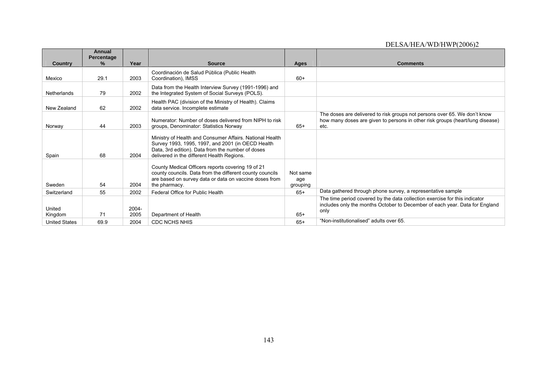|                      | Annual<br>Percentage |               |                                                                                                                                                                                                                  |                             |                                                                                                                                                                    |
|----------------------|----------------------|---------------|------------------------------------------------------------------------------------------------------------------------------------------------------------------------------------------------------------------|-----------------------------|--------------------------------------------------------------------------------------------------------------------------------------------------------------------|
| <b>Country</b>       | ℅                    | Year          | <b>Source</b>                                                                                                                                                                                                    | Ages                        | <b>Comments</b>                                                                                                                                                    |
| Mexico               | 29.1                 | 2003          | Coordinación de Salud Pública (Public Health<br>Coordination), IMSS                                                                                                                                              | $60+$                       |                                                                                                                                                                    |
| Netherlands          | 79                   | 2002          | Data from the Health Interview Survey (1991-1996) and<br>the Integrated System of Social Surveys (POLS).                                                                                                         |                             |                                                                                                                                                                    |
| New Zealand          | 62                   | 2002          | Health PAC (division of the Ministry of Health). Claims<br>data service. Incomplete estimate                                                                                                                     |                             |                                                                                                                                                                    |
| Norway               | 44                   | 2003          | Numerator: Number of doses delivered from NIPH to risk<br>groups, Denominator: Statistics Norway                                                                                                                 | $65+$                       | The doses are delivered to risk groups not persons over 65. We don't know<br>how many doses are given to persons in other risk groups (heart/lung disease)<br>etc. |
| Spain                | 68                   | 2004          | Ministry of Health and Consumer Affairs. National Health<br>Survey 1993, 1995, 1997, and 2001 (in OECD Health<br>Data, 3rd edition). Data from the number of doses<br>delivered in the different Health Regions. |                             |                                                                                                                                                                    |
| Sweden               | 54                   | 2004          | County Medical Officers reports covering 19 of 21<br>county councils. Data from the different county councils<br>are based on survey data or data on vaccine doses from<br>the pharmacy.                         | Not same<br>age<br>grouping |                                                                                                                                                                    |
| Switzerland          | 55                   | 2002          | Federal Office for Public Health                                                                                                                                                                                 | $65+$                       | Data gathered through phone survey, a representative sample                                                                                                        |
| United<br>Kingdom    | 71                   | 2004-<br>2005 | Department of Health                                                                                                                                                                                             | $65+$                       | The time period covered by the data collection exercise for this indicator<br>includes only the months October to December of each year. Data for England<br>only  |
| <b>United States</b> | 69.9                 | 2004          | <b>CDC NCHS NHIS</b>                                                                                                                                                                                             | $65+$                       | "Non-institutionalised" adults over 65.                                                                                                                            |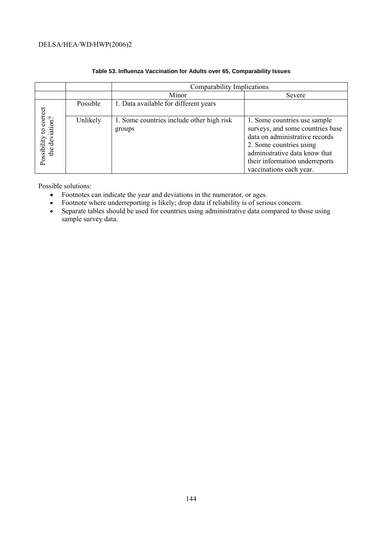|                                             |          | Comparability Implications                          |                                                                                                                                                                                                                             |  |
|---------------------------------------------|----------|-----------------------------------------------------|-----------------------------------------------------------------------------------------------------------------------------------------------------------------------------------------------------------------------------|--|
|                                             |          | Minor                                               | Severe                                                                                                                                                                                                                      |  |
|                                             | Possible | 1. Data available for different years               |                                                                                                                                                                                                                             |  |
| to correct<br>the deviation?<br>Possibility | Unlikely | 1. Some countries include other high risk<br>groups | 1. Some countries use sample<br>surveys, and some countries base<br>data on administrative records<br>2. Some countries using<br>administrative data know that<br>their information underreports<br>vaccinations each year. |  |

### **Table 53. Influenza Vaccination for Adults over 65, Comparability Issues**

Possible solutions:

- Footnotes can indicate the year and deviations in the numerator, or ages.
- Footnote where underreporting is likely; drop data if reliability is of serious concern.
- Separate tables should be used for countries using administrative data compared to those using sample survey data.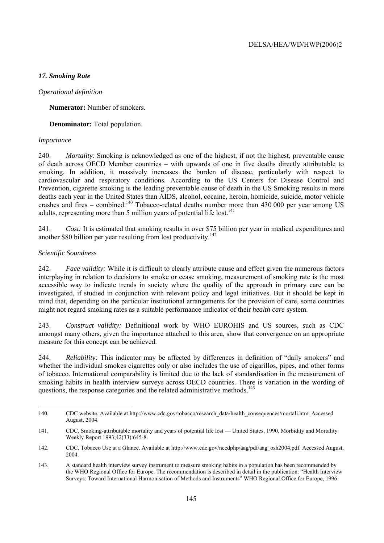## *17. Smoking Rate*

### *Operational definition*

**Numerator:** Number of smokers.

**Denominator:** Total population.

### *Importance*

240. *Mortality*: Smoking is acknowledged as one of the highest, if not the highest, preventable cause of death across OECD Member countries – with upwards of one in five deaths directly attributable to smoking. In addition, it massively increases the burden of disease, particularly with respect to cardiovascular and respiratory conditions. According to the US Centers for Disease Control and Prevention, cigarette smoking is the leading preventable cause of death in the US Smoking results in more deaths each year in the United States than AIDS, alcohol, cocaine, heroin, homicide, suicide, motor vehicle crashes and fires – combined.<sup>140</sup> Tobacco-related deaths number more than  $430,000$  per year among US adults, representing more than 5 million years of potential life lost. $141$ 

241. *Cost:* It is estimated that smoking results in over \$75 billion per year in medical expenditures and another \$80 billion per year resulting from lost productivity.<sup>142</sup>

## *Scientific Soundness*

242. *Face validity:* While it is difficult to clearly attribute cause and effect given the numerous factors interplaying in relation to decisions to smoke or cease smoking, measurement of smoking rate is the most accessible way to indicate trends in society where the quality of the approach in primary care can be investigated, if studied in conjunction with relevant policy and legal initiatives. But it should be kept in mind that, depending on the particular institutional arrangements for the provision of care, some countries might not regard smoking rates as a suitable performance indicator of their *health care* system.

243. *Construct validity:* Definitional work by WHO EUROHIS and US sources, such as CDC amongst many others, given the importance attached to this area, show that convergence on an appropriate measure for this concept can be achieved.

244. *Reliability:* This indicator may be affected by differences in definition of "daily smokers" and whether the individual smokes cigarettes only or also includes the use of cigarillos, pipes, and other forms of tobacco. International comparability is limited due to the lack of standardisation in the measurement of smoking habits in health interview surveys across OECD countries. There is variation in the wording of questions, the response categories and the related administrative methods.<sup>143</sup>

<sup>140.</sup> CDC website. Available at http://www.cdc.gov/tobacco/research\_data/health\_consequences/mortali.htm. Accessed August, 2004.

<sup>141.</sup> CDC. Smoking-attributable mortality and years of potential life lost — United States, 1990. Morbidity and Mortality Weekly Report 1993;42(33):645-8.

<sup>142.</sup> CDC. Tobacco Use at a Glance. Available at http://www.cdc.gov/nccdphp/aag/pdf/aag\_osh2004.pdf. Accessed August, 2004.

<sup>143.</sup> A standard health interview survey instrument to measure smoking habits in a population has been recommended by the WHO Regional Office for Europe. The recommendation is described in detail in the publication: "Health Interview Surveys: Toward International Harmonisation of Methods and Instruments" WHO Regional Office for Europe, 1996.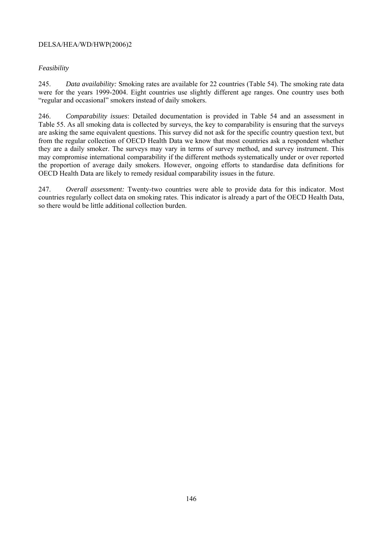## *Feasibility*

245. *Data availability:* Smoking rates are available for 22 countries (Table 54). The smoking rate data were for the years 1999-2004. Eight countries use slightly different age ranges. One country uses both "regular and occasional" smokers instead of daily smokers.

246. *Comparability issues*: Detailed documentation is provided in Table 54 and an assessment in Table 55. As all smoking data is collected by surveys, the key to comparability is ensuring that the surveys are asking the same equivalent questions. This survey did not ask for the specific country question text, but from the regular collection of OECD Health Data we know that most countries ask a respondent whether they are a daily smoker. The surveys may vary in terms of survey method, and survey instrument. This may compromise international comparability if the different methods systematically under or over reported the proportion of average daily smokers. However, ongoing efforts to standardise data definitions for OECD Health Data are likely to remedy residual comparability issues in the future.

247. *Overall assessment:* Twenty-two countries were able to provide data for this indicator. Most countries regularly collect data on smoking rates. This indicator is already a part of the OECD Health Data, so there would be little additional collection burden.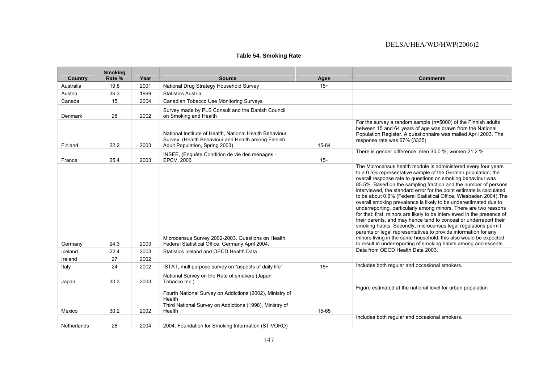## **Table 54. Smoking Rate**

| <b>Country</b>     | <b>Smoking</b><br>Rate % | Year | <b>Source</b>                                                                                                                                   | <b>Ages</b> | <b>Comments</b>                                                                                                                                                                                                                                                                                                                                                                                                                                                                                                                                                                                                                                                                                                                                                                                                                                                                                                                                                                                                          |
|--------------------|--------------------------|------|-------------------------------------------------------------------------------------------------------------------------------------------------|-------------|--------------------------------------------------------------------------------------------------------------------------------------------------------------------------------------------------------------------------------------------------------------------------------------------------------------------------------------------------------------------------------------------------------------------------------------------------------------------------------------------------------------------------------------------------------------------------------------------------------------------------------------------------------------------------------------------------------------------------------------------------------------------------------------------------------------------------------------------------------------------------------------------------------------------------------------------------------------------------------------------------------------------------|
| Australia          | 19.8                     | 2001 | National Drug Strategy Household Survey                                                                                                         | $15+$       |                                                                                                                                                                                                                                                                                                                                                                                                                                                                                                                                                                                                                                                                                                                                                                                                                                                                                                                                                                                                                          |
| Austria            | 36.3                     | 1999 | <b>Statistics Austria</b>                                                                                                                       |             |                                                                                                                                                                                                                                                                                                                                                                                                                                                                                                                                                                                                                                                                                                                                                                                                                                                                                                                                                                                                                          |
| Canada             | 15                       | 2004 | Canadian Tobacco Use Monitoring Surveys                                                                                                         |             |                                                                                                                                                                                                                                                                                                                                                                                                                                                                                                                                                                                                                                                                                                                                                                                                                                                                                                                                                                                                                          |
| Denmark            | 28                       | 2002 | Survey made by PLS Consult and the Danish Council<br>on Smoking and Health                                                                      |             |                                                                                                                                                                                                                                                                                                                                                                                                                                                                                                                                                                                                                                                                                                                                                                                                                                                                                                                                                                                                                          |
| Finland            | 22.2                     | 2003 | National Institute of Health, National Health Behaviour<br>Survey, (Health Behaviour and Health among Finnish<br>Adult Population, Spring 2003) | 15-64       | For the survey a random sample (n=5000) of the Finnish adults<br>between 15 and 64 years of age was drawn from the National<br>Population Register. A questionnaire was mailed April 2003. The<br>response rate was 67% (3335)                                                                                                                                                                                                                                                                                                                                                                                                                                                                                                                                                                                                                                                                                                                                                                                           |
| France             | 25.4                     | 2003 | INSEE, (Enquête Condition de vie des ménages -<br><b>EPCV, 2003</b>                                                                             | $15+$       | There is gender difference: men 30,0 %; women 21,2 %                                                                                                                                                                                                                                                                                                                                                                                                                                                                                                                                                                                                                                                                                                                                                                                                                                                                                                                                                                     |
| Germany            | 24.3                     | 2003 | Microcensus Survey 2002-2003. Questions on Health.<br>Federal Statistical Office, Germany April 2004.                                           |             | The Microcensus health module is administered every four years<br>to a 0.5% representative sample of the German population; the<br>overall response rate to questions on smoking behaviour was<br>85.5%. Based on the sampling fraction and the number of persons<br>interviewed, the standard error for the point estimate is calculated<br>to be about 0.6% (Federal Statistical Office, Wiesbaden 2004). The<br>overall smoking prevalence is likely to be underestimated due to<br>underreporting, particularly among minors. There are two reasons<br>for that: first, minors are likely to be interviewed in the presence of<br>their parents, and may hence tend to conceal or underreport their<br>smoking habits. Secondly, microcensus legal regulations permit<br>parents or legal representatives to provide information for any<br>minors living in the same household; this also would be expected<br>to result in underreporting of smoking habits among adolescents.<br>Data from OECD Health Data 2003. |
| Iceland            | 22.4                     | 2003 | Statistics Iceland and OECD Health Data                                                                                                         |             |                                                                                                                                                                                                                                                                                                                                                                                                                                                                                                                                                                                                                                                                                                                                                                                                                                                                                                                                                                                                                          |
| Ireland            | 27                       | 2002 |                                                                                                                                                 |             | Includes both regular and occasional smokers.                                                                                                                                                                                                                                                                                                                                                                                                                                                                                                                                                                                                                                                                                                                                                                                                                                                                                                                                                                            |
| Italy              | 24                       | 2002 | ISTAT, multipurpose survey on "aspects of daily life"                                                                                           | $15+$       |                                                                                                                                                                                                                                                                                                                                                                                                                                                                                                                                                                                                                                                                                                                                                                                                                                                                                                                                                                                                                          |
| Japan              | 30.3                     | 2003 | National Survey on the Rate of smokers (Japan<br>Tobacco Inc.)                                                                                  |             |                                                                                                                                                                                                                                                                                                                                                                                                                                                                                                                                                                                                                                                                                                                                                                                                                                                                                                                                                                                                                          |
| Mexico             | 30.2                     | 2002 | Fourth National Survey on Addictions (2002), Ministry of<br>Health<br>Third National Survey on Addictions (1998), Ministry of<br>Health         | 15-65       | Figure estimated at the national level for urban population                                                                                                                                                                                                                                                                                                                                                                                                                                                                                                                                                                                                                                                                                                                                                                                                                                                                                                                                                              |
| <b>Netherlands</b> | 28                       | 2004 | 2004: Foundation for Smoking Information (STIVORO)                                                                                              |             | Includes both regular and occasional smokers.                                                                                                                                                                                                                                                                                                                                                                                                                                                                                                                                                                                                                                                                                                                                                                                                                                                                                                                                                                            |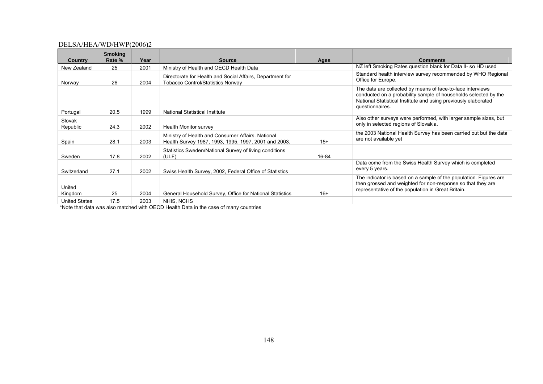|                      | <b>Smoking</b> |      |                                                                                                           |       |                                                                                                                                                                                                                    |
|----------------------|----------------|------|-----------------------------------------------------------------------------------------------------------|-------|--------------------------------------------------------------------------------------------------------------------------------------------------------------------------------------------------------------------|
| Country              | Rate %         | Year | <b>Source</b>                                                                                             | Ages  | <b>Comments</b>                                                                                                                                                                                                    |
| New Zealand          | 25             | 2001 | Ministry of Health and OECD Health Data                                                                   |       | NZ left Smoking Rates question blank for Data II- so HD used                                                                                                                                                       |
| Norway               | 26             | 2004 | Directorate for Health and Social Affairs, Department for<br><b>Tobacco Control/Statistics Norway</b>     |       | Standard health interview survey recommended by WHO Regional<br>Office for Europe.                                                                                                                                 |
| Portugal             | 20.5           | 1999 | <b>National Statistical Institute</b>                                                                     |       | The data are collected by means of face-to-face interviews<br>conducted on a probability sample of households selected by the<br>National Statistical Institute and using previously elaborated<br>questionnaires. |
| Slovak<br>Republic   | 24.3           | 2002 | Health Monitor survey                                                                                     |       | Also other surveys were performed, with larger sample sizes, but<br>only in selected regions of Slovakia.                                                                                                          |
| Spain                | 28.1           | 2003 | Ministry of Health and Consumer Affairs. National<br>Health Survey 1987, 1993, 1995, 1997, 2001 and 2003. | $15+$ | the 2003 National Health Survey has been carried out but the data<br>are not available yet                                                                                                                         |
| Sweden               | 17.8           | 2002 | Statistics Sweden/National Survey of living conditions<br>(ULF)                                           | 16-84 |                                                                                                                                                                                                                    |
| Switzerland          | 27.1           | 2002 | Swiss Health Survey, 2002, Federal Office of Statistics                                                   |       | Data come from the Swiss Health Survey which is completed<br>every 5 years.                                                                                                                                        |
| United<br>Kingdom    | 25             | 2004 | General Household Survey, Office for National Statistics                                                  | $16+$ | The indicator is based on a sample of the population. Figures are<br>then grossed and weighted for non-response so that they are<br>representative of the population in Great Britain.                             |
| <b>United States</b> | 17.5           | 2003 | NHIS, NCHS                                                                                                |       |                                                                                                                                                                                                                    |

\*Note that data was also matched with OECD Health Data in the case of many countries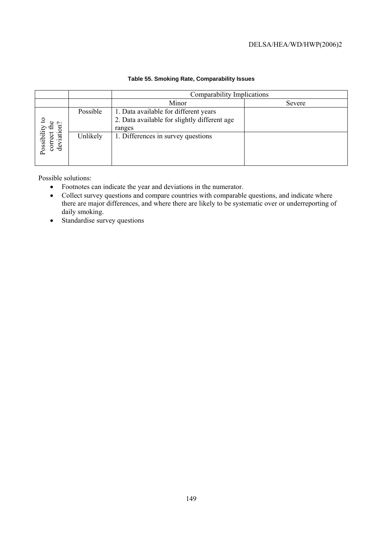|                                                           |          | Comparability Implications                                                                      |        |  |
|-----------------------------------------------------------|----------|-------------------------------------------------------------------------------------------------|--------|--|
|                                                           |          | Minor                                                                                           | Severe |  |
| ఛ<br>Possibility to<br>correct the<br>$\sim$<br>deviation | Possible | 1. Data available for different years<br>2. Data available for slightly different age<br>ranges |        |  |
|                                                           | Unlikely | 1. Differences in survey questions                                                              |        |  |

## **Table 55. Smoking Rate, Comparability Issues**

Possible solutions:

- Footnotes can indicate the year and deviations in the numerator.
- Collect survey questions and compare countries with comparable questions, and indicate where there are major differences, and where there are likely to be systematic over or underreporting of daily smoking.
- Standardise survey questions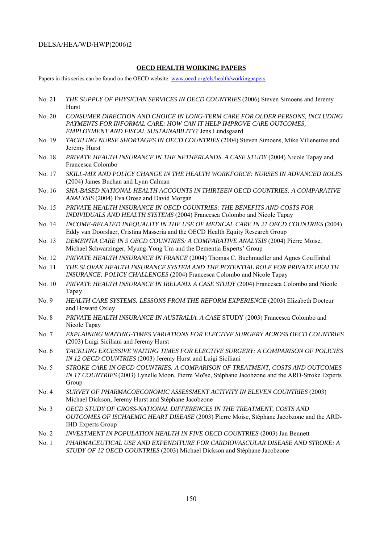### **OECD HEALTH WORKING PAPERS**

Papers in this series can be found on the OECD website: www.oecd.org/els/health/workingpapers

- No. 21 *THE SUPPLY OF PHYSICIAN SERVICES IN OECD COUNTRIES* (2006) Steven Simoens and Jeremy Hurst
- No. 20 *CONSUMER DIRECTION AND CHOICE IN LONG-TERM CARE FOR OLDER PERSONS, INCLUDING PAYMENTS FOR INFORMAL CARE: HOW CAN IT HELP IMPROVE CARE OUTCOMES, EMPLOYMENT AND FISCAL SUSTAINABILITY?* Jens Lundsgaard
- No. 19 *TACKLING NURSE SHORTAGES IN OECD COUNTRIES* (2004) Steven Simoens, Mike Villeneuve and Jeremy Hurst
- No. 18 *PRIVATE HEALTH INSURANCE IN THE NETHERLANDS. A CASE STUDY* (2004) Nicole Tapay and Francesca Colombo
- No. 17 *SKILL-MIX AND POLICY CHANGE IN THE HEALTH WORKFORCE: NURSES IN ADVANCED ROLES* (2004) James Buchan and Lynn Calman
- No. 16 *SHA-BASED NATIONAL HEALTH ACCOUNTS IN THIRTEEN OECD COUNTRIES: A COMPARATIVE ANALYSIS* (2004) Eva Orosz and David Morgan
- No. 15 *PRIVATE HEALTH INSURANCE IN OECD COUNTRIES: THE BENEFITS AND COSTS FOR INDIVIDUALS AND HEALTH SYSTEMS* (2004) Francesca Colombo and Nicole Tapay
- No. 14 *INCOME-RELATED INEQUALITY IN THE USE OF MEDICAL CARE IN 21 OECD COUNTRIES* (2004) Eddy van Doorslaer, Cristina Masseria and the OECD Health Equity Research Group
- No. 13 *DEMENTIA CARE IN 9 OECD COUNTRIES: A COMPARATIVE ANALYSIS* (2004) Pierre Moise, Michael Schwarzinger, Myung-Yong Um and the Dementia Experts' Group
- No. 12 *PRIVATE HEALTH INSURANCE IN FRANCE* (2004) Thomas C. Buchmueller and Agnes Couffinhal
- No. 11 *THE SLOVAK HEALTH INSURANCE SYSTEM AND THE POTENTIAL ROLE FOR PRIVATE HEALTH INSURANCE: POLICY CHALLENGES* (2004) Francesca Colombo and Nicole Tapay
- No. 10 *PRIVATE HEALTH INSURANCE IN IRELAND. A CASE STUDY* (2004) Francesca Colombo and Nicole Tapay
- No. 9 *HEALTH CARE SYSTEMS: LESSONS FROM THE REFORM EXPERIENCE* (2003) Elizabeth Docteur and Howard Oxley
- No. 8 *PRIVATE HEALTH INSURANCE IN AUSTRALIA. A CASE* STUDY (2003) Francesca Colombo and Nicole Tapay
- No. 7 *EXPLAINING WAITING-TIMES VARIATIONS FOR ELECTIVE SURGERY ACROSS OECD COUNTRIES*  (2003) Luigi Siciliani and Jeremy Hurst
- No. 6 *TACKLING EXCESSIVE WAITING TIMES FOR ELECTIVE SURGERY: A COMPARISON OF POLICIES IN 12 OECD COUNTRIES* (2003) Jeremy Hurst and Luigi Siciliani
- No. 5 *STROKE CARE IN OECD COUNTRIES: A COMPARISON OF TREATMENT, COSTS AND OUTCOMES IN 17 COUNTRIES* (2003) Lynelle Moon, Pierre Moïse, Stéphane Jacobzone and the ARD-Stroke Experts Group
- No. 4 *SURVEY OF PHARMACOECONOMIC ASSESSMENT ACTIVITY IN ELEVEN COUNTRIES* (2003) Michael Dickson, Jeremy Hurst and Stéphane Jacobzone
- No. 3 *OECD STUDY OF CROSS-NATIONAL DIFFERENCES IN THE TREATMENT, COSTS AND OUTCOMES OF ISCHAEMIC HEART DISEASE* (2003) Pierre Moise, Stéphane Jacobzone and the ARD-IHD Experts Group
- No. 2 *INVESTMENT IN POPULATION HEALTH IN FIVE OECD COUNTRIES* (2003) Jan Bennett
- No. 1 *PHARMACEUTICAL USE AND EXPENDITURE FOR CARDIOVASCULAR DISEASE AND STROKE: A STUDY OF 12 OECD COUNTRIES* (2003) Michael Dickson and Stéphane Jacobzone